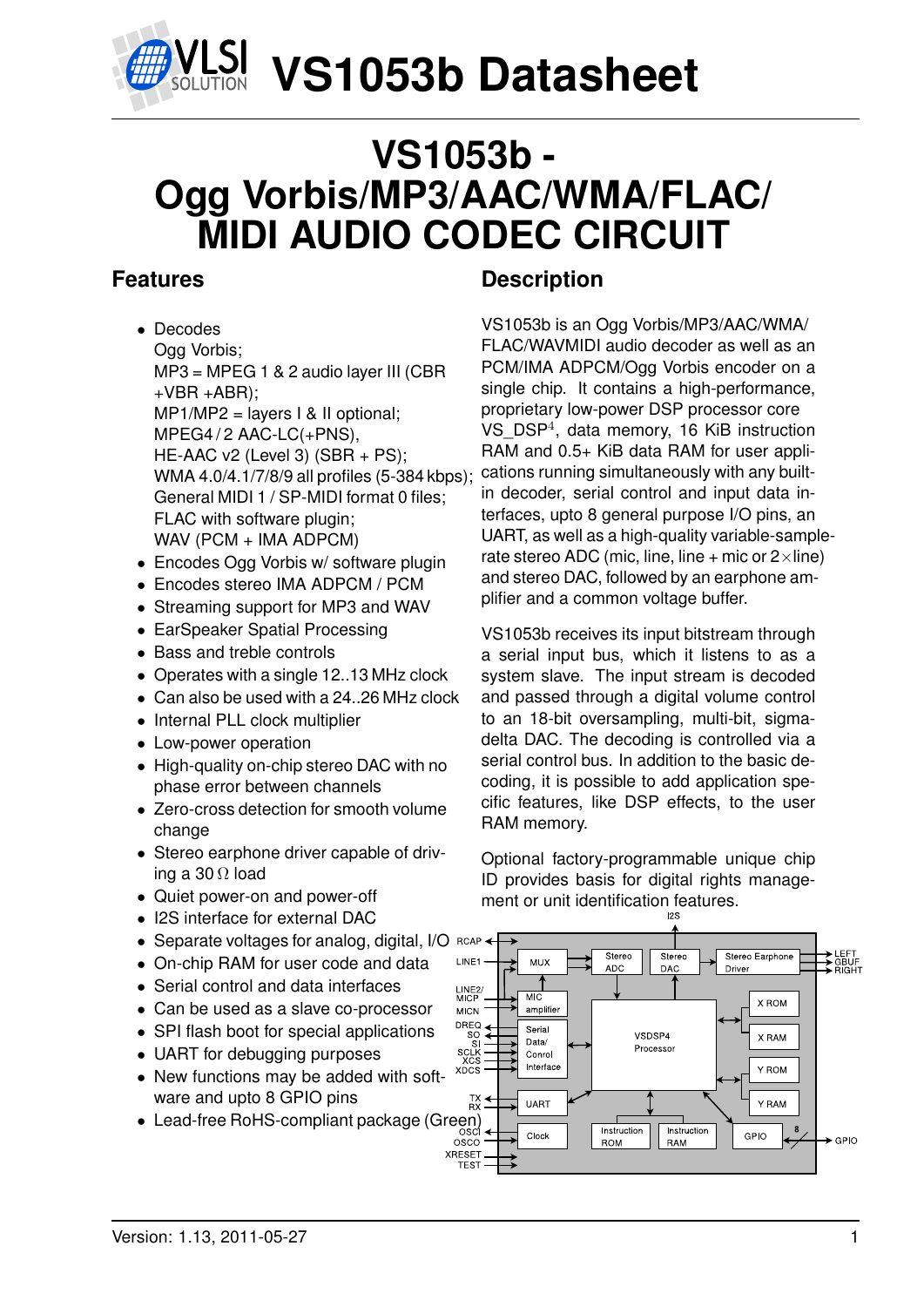

## **VS1053b - Ogg Vorbis/MP3/AAC/WMA/FLAC/ MIDI AUDIO CODEC CIRCUIT**

## <span id="page-0-0"></span>**Features**

- Decodes Ogg Vorbis; MP3 = MPEG 1 & 2 audio layer III (CBR  $+VBR + ABR$ ): MP1/MP2 = layers I & II optional; MPEG4/2 AAC-LC(+PNS). HE-AAC v2 (Level 3) (SBR + PS); WMA 4.0/4.1/7/8/9 all profiles (5-384 kbps); General MIDI 1 / SP-MIDI format 0 files; FLAC with software plugin; WAV (PCM + IMA ADPCM)
- Encodes Ogg Vorbis w/ software plugin
- Encodes stereo IMA ADPCM / PCM
- Streaming support for MP3 and WAV
- EarSpeaker Spatial Processing
- Bass and treble controls
- Operates with a single 12..13 MHz clock
- Can also be used with a 24..26 MHz clock
- Internal PLL clock multiplier
- Low-power operation
- High-quality on-chip stereo DAC with no phase error between channels
- Zero-cross detection for smooth volume change
- Stereo earphone driver capable of driving a 30  $\Omega$  load
- Quiet power-on and power-off
- I2S interface for external DAC
- Separate voltages for analog, digital, I/O RCAI
- On-chip RAM for user code and data
- Serial control and data interfaces
- Can be used as a slave co-processor
- SPI flash boot for special applications
- UART for debugging purposes
- New functions may be added with software and upto 8 GPIO pins
- Lead-free RoHS-compliant package (Green)<br>
<sub>osco</sub><br>
osco

## **Description**

VS1053b is an Ogg Vorbis/MP3/AAC/WMA/ FLAC/WAVMIDI audio decoder as well as an PCM/IMA ADPCM/Ogg Vorbis encoder on a single chip. It contains a high-performance, proprietary low-power DSP processor core VS\_DSP<sup>4</sup> , data memory, 16 KiB instruction RAM and 0.5+ KiB data RAM for user applications running simultaneously with any builtin decoder, serial control and input data interfaces, upto 8 general purpose I/O pins, an UART, as well as a high-quality variable-samplerate stereo ADC (mic, line, line + mic or  $2 \times$ line) and stereo DAC, followed by an earphone amplifier and a common voltage buffer.

VS1053b receives its input bitstream through a serial input bus, which it listens to as a system slave. The input stream is decoded and passed through a digital volume control to an 18-bit oversampling, multi-bit, sigmadelta DAC. The decoding is controlled via a serial control bus. In addition to the basic decoding, it is possible to add application specific features, like DSP effects, to the user RAM memory.

Optional factory-programmable unique chip ID provides basis for digital rights management or unit identification features.

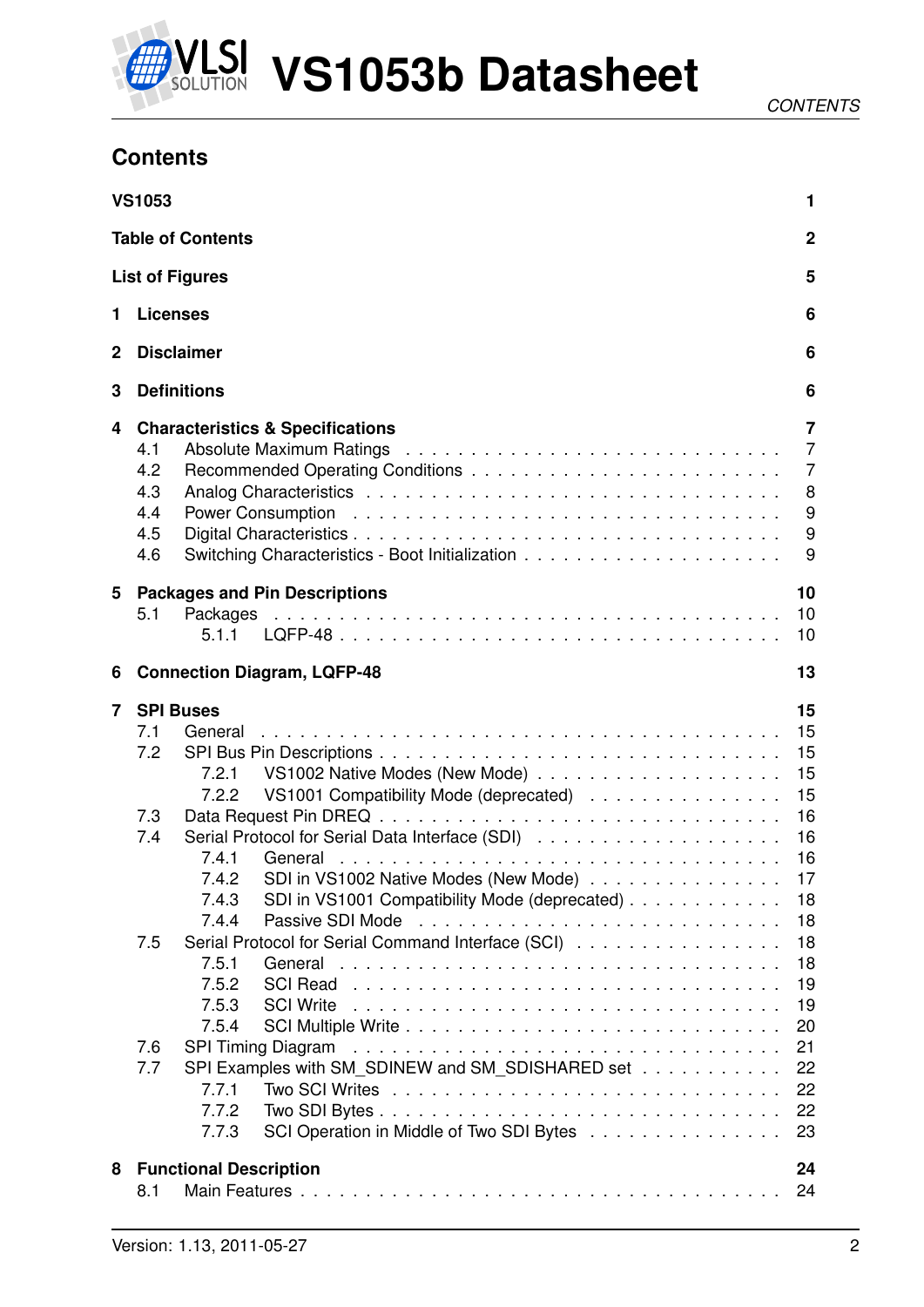

## <span id="page-1-0"></span>**Contents**

|              | <b>VS1053</b>                                                                                                                                                                                                                                                                                                                                                                                                                                                                                                                                                                                  | 1                                                                                                                          |
|--------------|------------------------------------------------------------------------------------------------------------------------------------------------------------------------------------------------------------------------------------------------------------------------------------------------------------------------------------------------------------------------------------------------------------------------------------------------------------------------------------------------------------------------------------------------------------------------------------------------|----------------------------------------------------------------------------------------------------------------------------|
|              | <b>Table of Contents</b>                                                                                                                                                                                                                                                                                                                                                                                                                                                                                                                                                                       | $\boldsymbol{2}$                                                                                                           |
|              | <b>List of Figures</b>                                                                                                                                                                                                                                                                                                                                                                                                                                                                                                                                                                         | 5                                                                                                                          |
| 1            | <b>Licenses</b>                                                                                                                                                                                                                                                                                                                                                                                                                                                                                                                                                                                | 6                                                                                                                          |
| $\mathbf{2}$ | <b>Disclaimer</b>                                                                                                                                                                                                                                                                                                                                                                                                                                                                                                                                                                              | 6                                                                                                                          |
| 3            | <b>Definitions</b>                                                                                                                                                                                                                                                                                                                                                                                                                                                                                                                                                                             | 6                                                                                                                          |
| 4            | <b>Characteristics &amp; Specifications</b><br>4.1<br>4.2<br>4.3<br>4.4<br>4.5<br>4.6                                                                                                                                                                                                                                                                                                                                                                                                                                                                                                          | 7<br>$\overline{7}$<br>$\overline{7}$<br>8<br>9<br>9<br>9                                                                  |
| 5            | <b>Packages and Pin Descriptions</b><br>5.1<br>5.1.1                                                                                                                                                                                                                                                                                                                                                                                                                                                                                                                                           | 10<br>10<br>10                                                                                                             |
| 6            | <b>Connection Diagram, LQFP-48</b>                                                                                                                                                                                                                                                                                                                                                                                                                                                                                                                                                             | 13                                                                                                                         |
| 7            | <b>SPI Buses</b><br>7.1<br>General<br>7.2<br>7.2.1<br>VS1001 Compatibility Mode (deprecated)<br>7.2.2<br>7.3<br>7.4<br>7.4.1<br>SDI in VS1002 Native Modes (New Mode)<br>7.4.2<br>SDI in VS1001 Compatibility Mode (deprecated)<br>7.4.3<br>Passive SDI Mode<br>7.4.4<br>Serial Protocol for Serial Command Interface (SCI)<br>7.5<br>7.5.1<br>General<br>7.5.2<br><b>SCI Read</b><br>7.5.3<br><b>SCI Write</b><br>7.5.4<br>7.6<br><b>SPI Timing Diagram</b><br>SPI Examples with SM SDINEW and SM_SDISHARED set<br>7.7<br>7.7.1<br>7.7.2<br>SCI Operation in Middle of Two SDI Bytes<br>7.7.3 | 15<br>15<br>15<br>15<br>15<br>16<br>16<br>16<br>17<br>18<br>18<br>18<br>18<br>19<br>19<br>20<br>21<br>22<br>22<br>22<br>23 |
| 8            | <b>Functional Description</b><br>8.1                                                                                                                                                                                                                                                                                                                                                                                                                                                                                                                                                           | 24<br>24                                                                                                                   |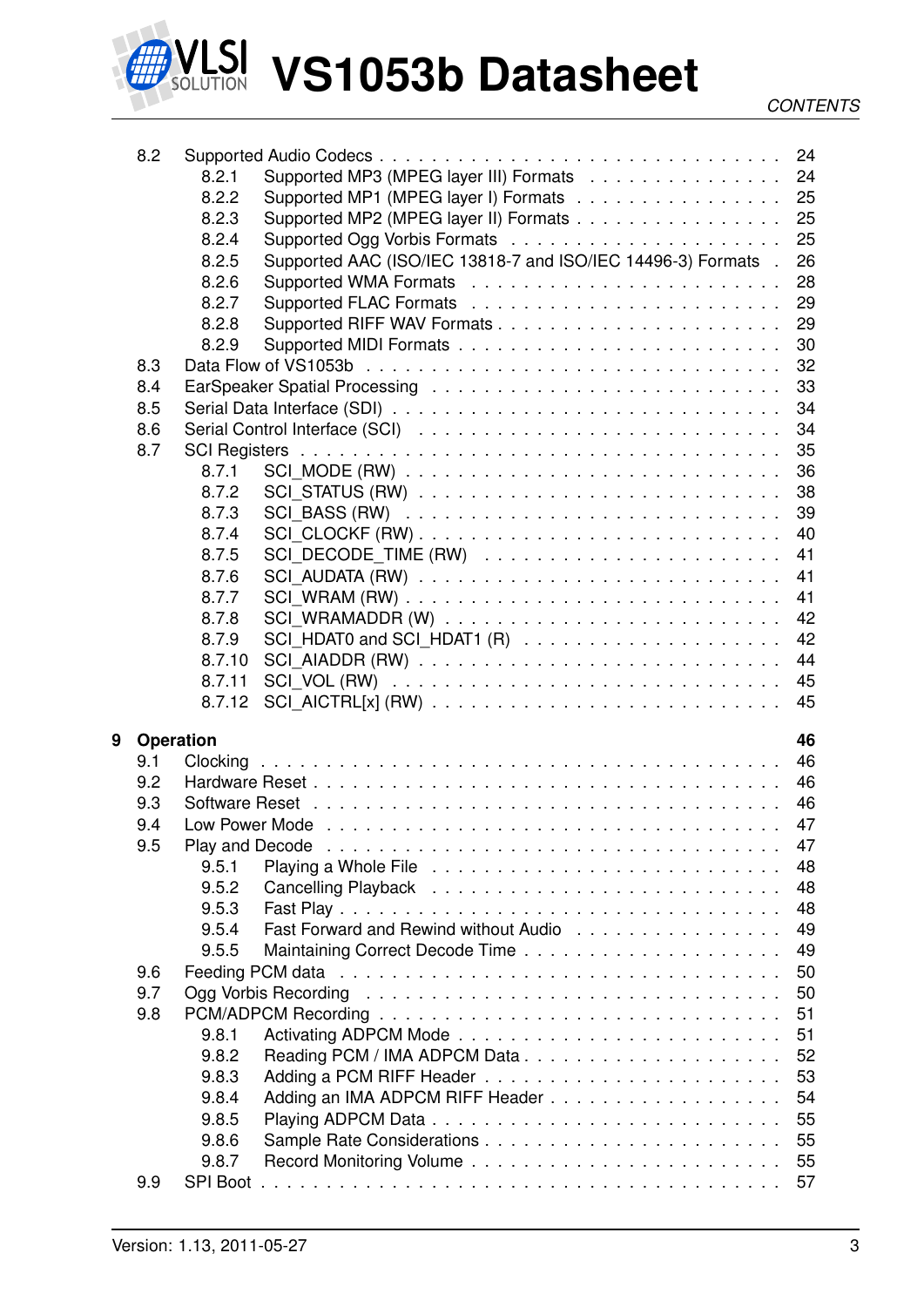

|   | 8.2              |        |                                                                                                                 |          |
|---|------------------|--------|-----------------------------------------------------------------------------------------------------------------|----------|
|   |                  | 8.2.1  | Supported MP3 (MPEG layer III) Formats 24                                                                       |          |
|   |                  | 8.2.2  | Supported MP1 (MPEG layer I) Formats 25                                                                         |          |
|   |                  | 8.2.3  | Supported MP2 (MPEG layer II) Formats 25                                                                        |          |
|   |                  | 8.2.4  |                                                                                                                 | 25       |
|   |                  | 8.2.5  | Supported AAC (ISO/IEC 13818-7 and ISO/IEC 14496-3) Formats .                                                   | 26       |
|   |                  | 8.2.6  |                                                                                                                 | 28       |
|   |                  | 8.2.7  |                                                                                                                 | 29       |
|   |                  | 8.2.8  |                                                                                                                 | 29       |
|   |                  | 8.2.9  |                                                                                                                 | 30       |
|   | 8.3              |        |                                                                                                                 |          |
|   | 8.4              |        |                                                                                                                 | 33       |
|   | 8.5              |        |                                                                                                                 | 34       |
|   |                  |        |                                                                                                                 |          |
|   | 8.6              |        |                                                                                                                 | 34       |
|   | 8.7              |        |                                                                                                                 |          |
|   |                  | 8.7.1  |                                                                                                                 | 36       |
|   |                  | 8.7.2  |                                                                                                                 | 38       |
|   |                  | 8.7.3  |                                                                                                                 | 39       |
|   |                  | 8.7.4  |                                                                                                                 | 40       |
|   |                  | 8.7.5  |                                                                                                                 | 41       |
|   |                  | 8.7.6  |                                                                                                                 | 41       |
|   |                  | 8.7.7  |                                                                                                                 | 41       |
|   |                  | 8.7.8  |                                                                                                                 | 42       |
|   |                  | 8.7.9  |                                                                                                                 | 42       |
|   |                  | 8.7.10 |                                                                                                                 | 44       |
|   |                  |        |                                                                                                                 |          |
|   |                  | 8.7.11 |                                                                                                                 | 45       |
|   |                  | 8.7.12 |                                                                                                                 | 45       |
|   |                  |        |                                                                                                                 |          |
| 9 | <b>Operation</b> |        |                                                                                                                 | 46       |
|   | 9.1              |        |                                                                                                                 | 46       |
|   | 9.2              |        |                                                                                                                 | 46       |
|   | 9.3              |        |                                                                                                                 | 46       |
|   | 9.4              |        |                                                                                                                 | 47       |
|   | 9.5              |        | Play and Decode enterprise in the contract of the contract of the contract of the contract of the contract of t | 47       |
|   |                  | 9.5.1  |                                                                                                                 | 48       |
|   |                  | 9.5.2  |                                                                                                                 | 48       |
|   |                  | 9.5.3  |                                                                                                                 | 48       |
|   |                  | 9.5.4  | Fast Forward and Rewind without Audio                                                                           | 49       |
|   |                  | 9.5.5  |                                                                                                                 | 49       |
|   | 9.6              |        |                                                                                                                 | 50       |
|   | 9.7              |        |                                                                                                                 | 50       |
|   | 9.8              |        |                                                                                                                 | 51       |
|   |                  | 9.8.1  |                                                                                                                 | 51       |
|   |                  | 9.8.2  |                                                                                                                 | 52       |
|   |                  |        |                                                                                                                 |          |
|   |                  | 9.8.3  |                                                                                                                 | 53       |
|   |                  | 9.8.4  |                                                                                                                 | 54       |
|   |                  | 9.8.5  |                                                                                                                 | 55       |
|   |                  | 9.8.6  |                                                                                                                 | 55       |
|   | 9.9              | 9.8.7  |                                                                                                                 | 55<br>57 |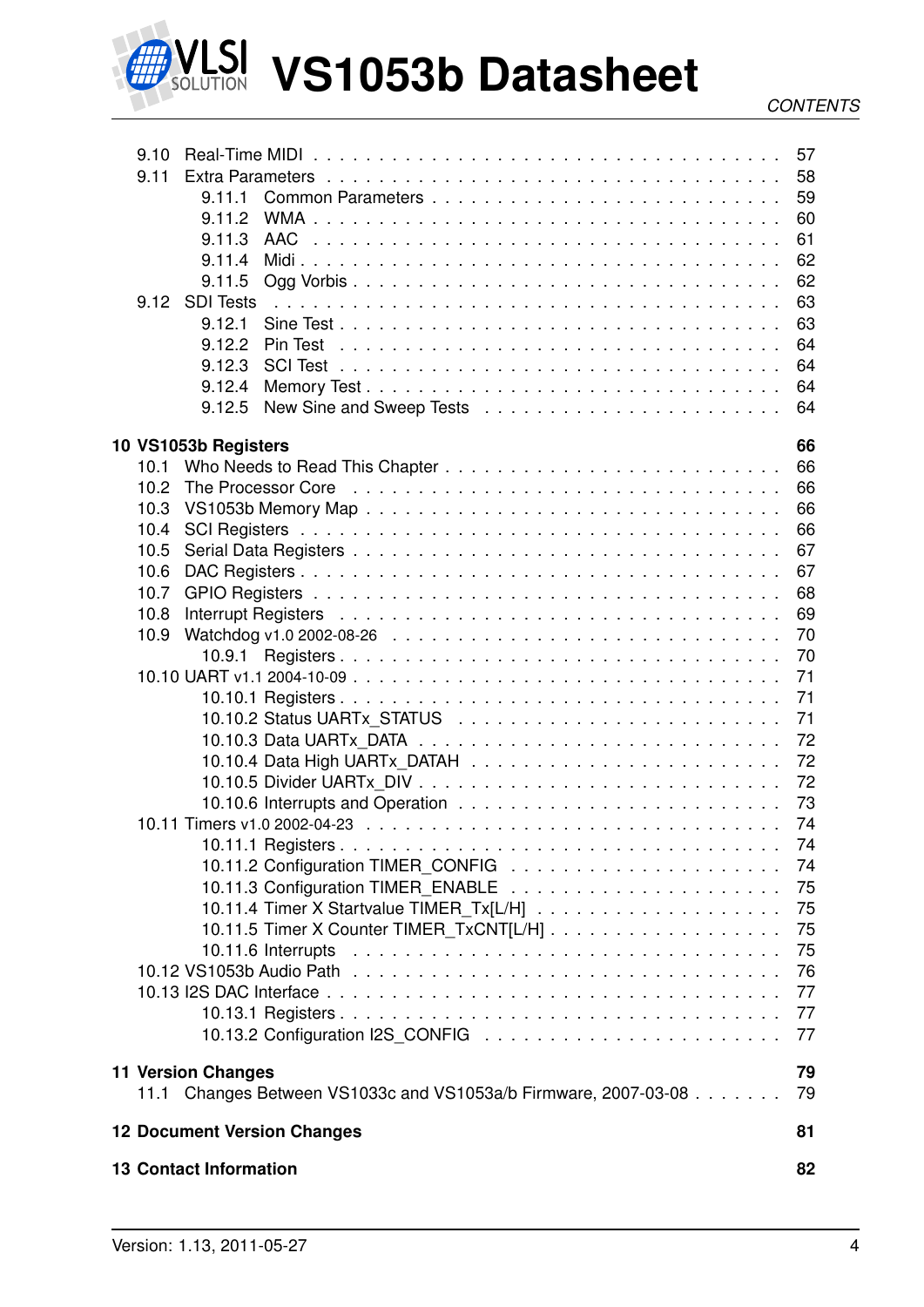

# LSI VS1053b Datasheet

| 9.10 |                                                                                                                     | 57       |
|------|---------------------------------------------------------------------------------------------------------------------|----------|
| 9.11 |                                                                                                                     | 58       |
|      | 9.11.1                                                                                                              | 59       |
|      | 9.11.2                                                                                                              | 60       |
|      | 9.11.3<br><b>AAC</b><br><u>. In the second terms of the second terms of the second terms of the second terms of</u> | 61       |
|      | 9.11.4                                                                                                              | 62       |
|      | 9.11.5                                                                                                              | 62       |
| 9.12 | <b>SDI Tests</b>                                                                                                    | 63       |
|      | 9.12.1                                                                                                              | 63       |
|      | 9.12.2                                                                                                              | 64       |
|      | 9.12.3                                                                                                              | 64       |
|      | 9.12.4                                                                                                              | 64       |
|      | 9.12.5                                                                                                              | 64       |
|      |                                                                                                                     |          |
| 10.1 | 10 VS1053b Registers                                                                                                | 66<br>66 |
| 10.2 | The Processor Core edge is a series in the series of the Processor Core edge is a series of the Processor Core      | 66       |
| 10.3 |                                                                                                                     | 66       |
| 10.4 |                                                                                                                     | 66       |
| 10.5 |                                                                                                                     | 67       |
| 10.6 |                                                                                                                     | 67       |
| 10.7 |                                                                                                                     | 68       |
| 10.8 |                                                                                                                     | 69       |
| 10.9 |                                                                                                                     | 70       |
|      | 10.9.1                                                                                                              | 70       |
|      |                                                                                                                     | 71       |
|      |                                                                                                                     | 71       |
|      |                                                                                                                     | 71       |
|      |                                                                                                                     | 72       |
|      |                                                                                                                     | 72       |
|      |                                                                                                                     | 72       |
|      |                                                                                                                     | 73       |
|      |                                                                                                                     | 74       |
|      |                                                                                                                     | 74       |
|      |                                                                                                                     | 74       |
|      |                                                                                                                     | 75       |
|      |                                                                                                                     | 75       |
|      |                                                                                                                     | 75       |
|      |                                                                                                                     | 75       |
|      |                                                                                                                     | 76       |
|      |                                                                                                                     | 77       |
|      |                                                                                                                     | 77       |
|      |                                                                                                                     | 77       |
|      |                                                                                                                     |          |
|      | <b>11 Version Changes</b>                                                                                           | 79       |
|      | 11.1 Changes Between VS1033c and VS1053a/b Firmware, 2007-03-08                                                     | 79       |
|      | <b>12 Document Version Changes</b>                                                                                  | 81       |
|      | <b>13 Contact Information</b>                                                                                       | 82       |
|      |                                                                                                                     |          |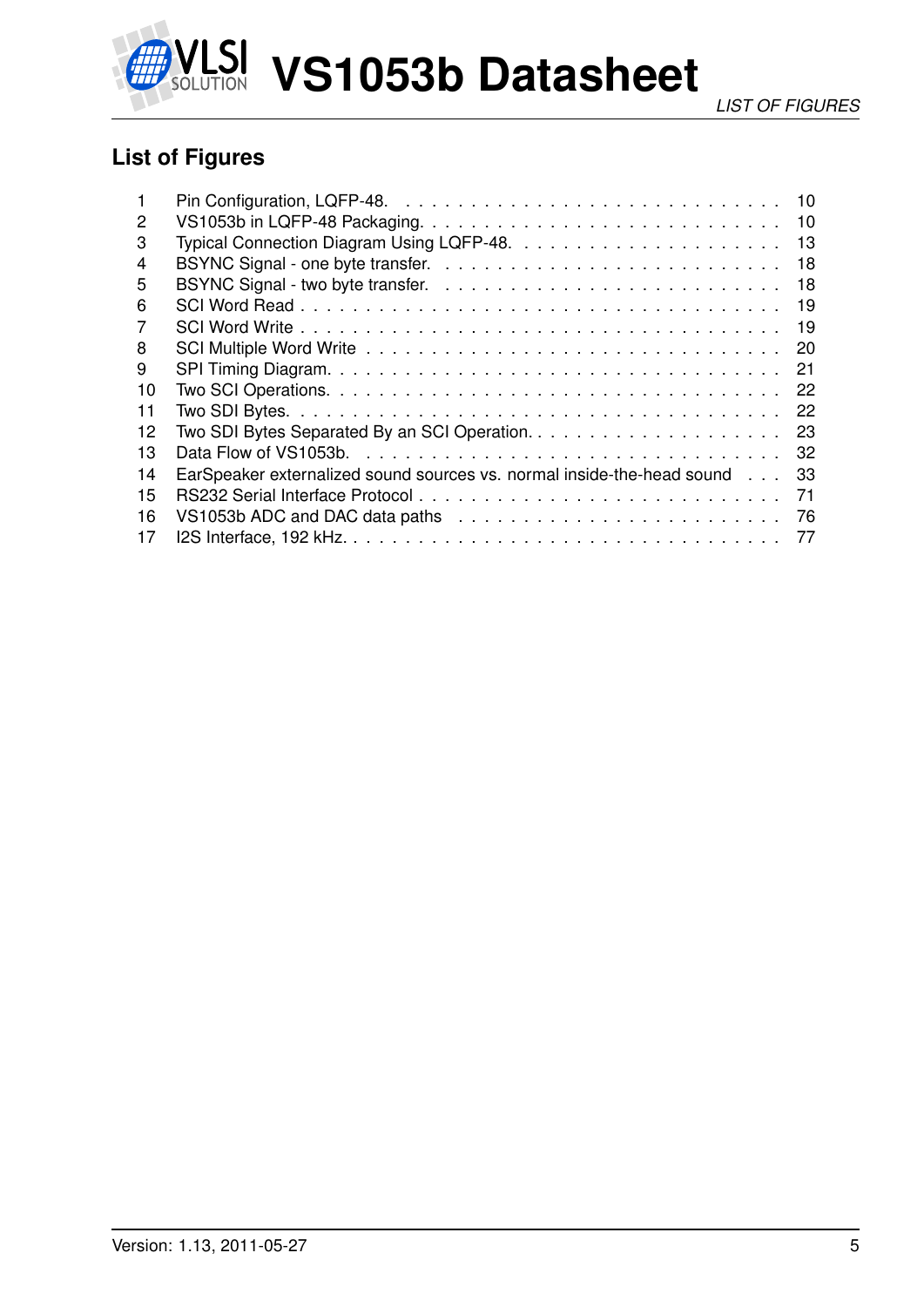

## <span id="page-4-0"></span>**List of Figures**

|    | 10                                                                           |
|----|------------------------------------------------------------------------------|
| 2  | 10                                                                           |
| 3  | 13                                                                           |
| 4  | 18                                                                           |
| 5  | 18                                                                           |
| 6  | 19                                                                           |
| 7  | 19                                                                           |
| 8  | 20                                                                           |
| 9  | 21                                                                           |
| 10 | 22                                                                           |
| 11 | 22                                                                           |
| 12 | 23                                                                           |
| 13 | -32                                                                          |
| 14 | EarSpeaker externalized sound sources vs. normal inside-the-head sound<br>33 |
| 15 | 71                                                                           |
| 16 | 76                                                                           |
| 17 | 77                                                                           |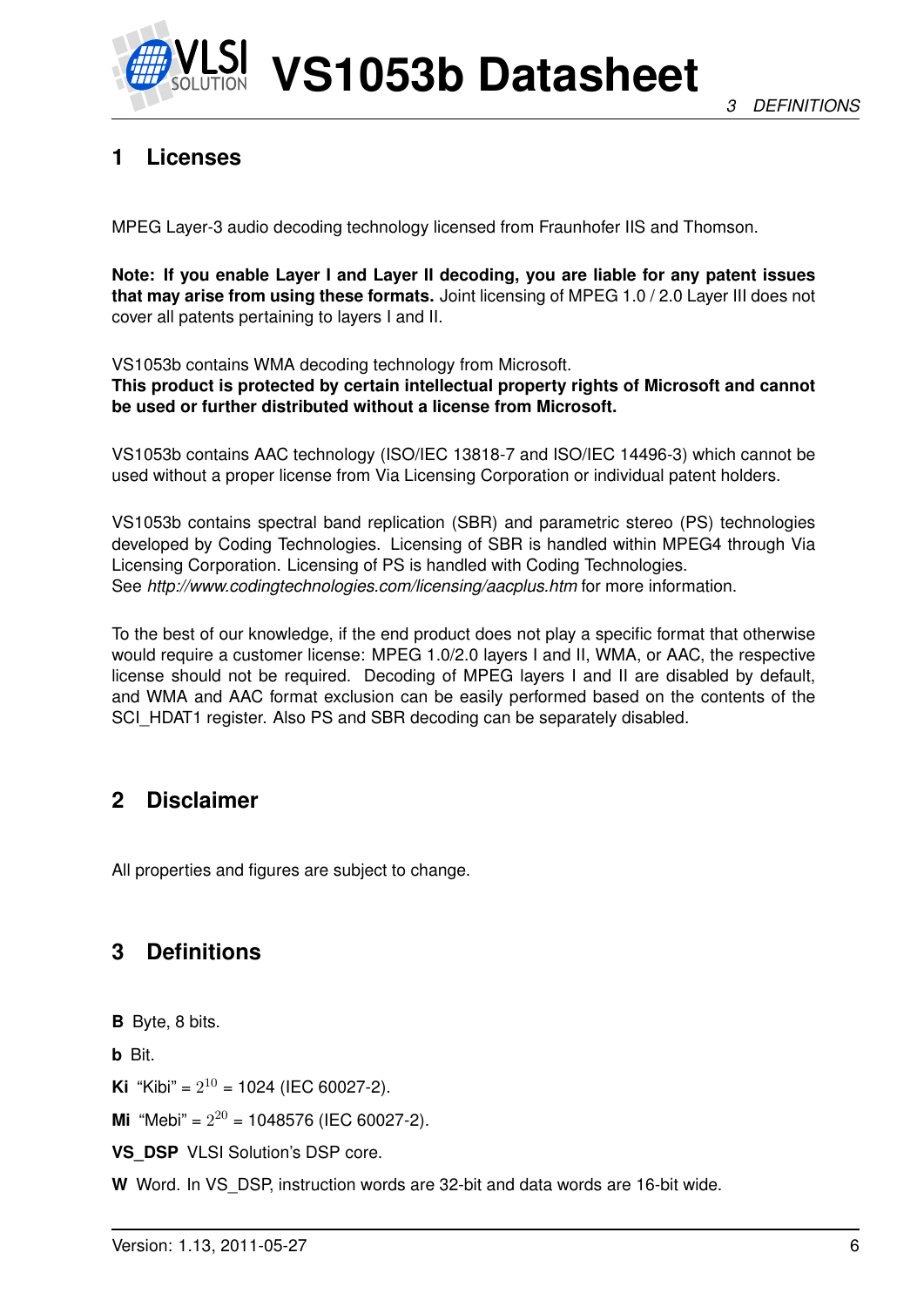

## <span id="page-5-0"></span>**1 Licenses**

MPEG Layer-3 audio decoding technology licensed from Fraunhofer IIS and Thomson.

**Note: If you enable Layer I and Layer II decoding, you are liable for any patent issues that may arise from using these formats.** Joint licensing of MPEG 1.0 / 2.0 Layer III does not cover all patents pertaining to layers I and II.

VS1053b contains WMA decoding technology from Microsoft.

**This product is protected by certain intellectual property rights of Microsoft and cannot be used or further distributed without a license from Microsoft.**

VS1053b contains AAC technology (ISO/IEC 13818-7 and ISO/IEC 14496-3) which cannot be used without a proper license from Via Licensing Corporation or individual patent holders.

VS1053b contains spectral band replication (SBR) and parametric stereo (PS) technologies developed by Coding Technologies. Licensing of SBR is handled within MPEG4 through Via Licensing Corporation. Licensing of PS is handled with Coding Technologies. See *http://www.codingtechnologies.com/licensing/aacplus.htm* for more information.

To the best of our knowledge, if the end product does not play a specific format that otherwise would require a customer license: MPEG 1.0/2.0 layers I and II, WMA, or AAC, the respective license should not be required. Decoding of MPEG layers I and II are disabled by default, and WMA and AAC format exclusion can be easily performed based on the contents of the SCI\_HDAT1 register. Also PS and SBR decoding can be separately disabled.

## <span id="page-5-1"></span>**2 Disclaimer**

All properties and figures are subject to change.

## <span id="page-5-2"></span>**3 Definitions**

**B** Byte, 8 bits.

**b** Bit.

**Ki** "Kibi" =  $2^{10}$  = 1024 (IEC 60027-2).

**Mi** "Mebi" =  $2^{20}$  = 1048576 (IEC 60027-2).

**VS\_DSP** VLSI Solution's DSP core.

**W** Word. In VS\_DSP, instruction words are 32-bit and data words are 16-bit wide.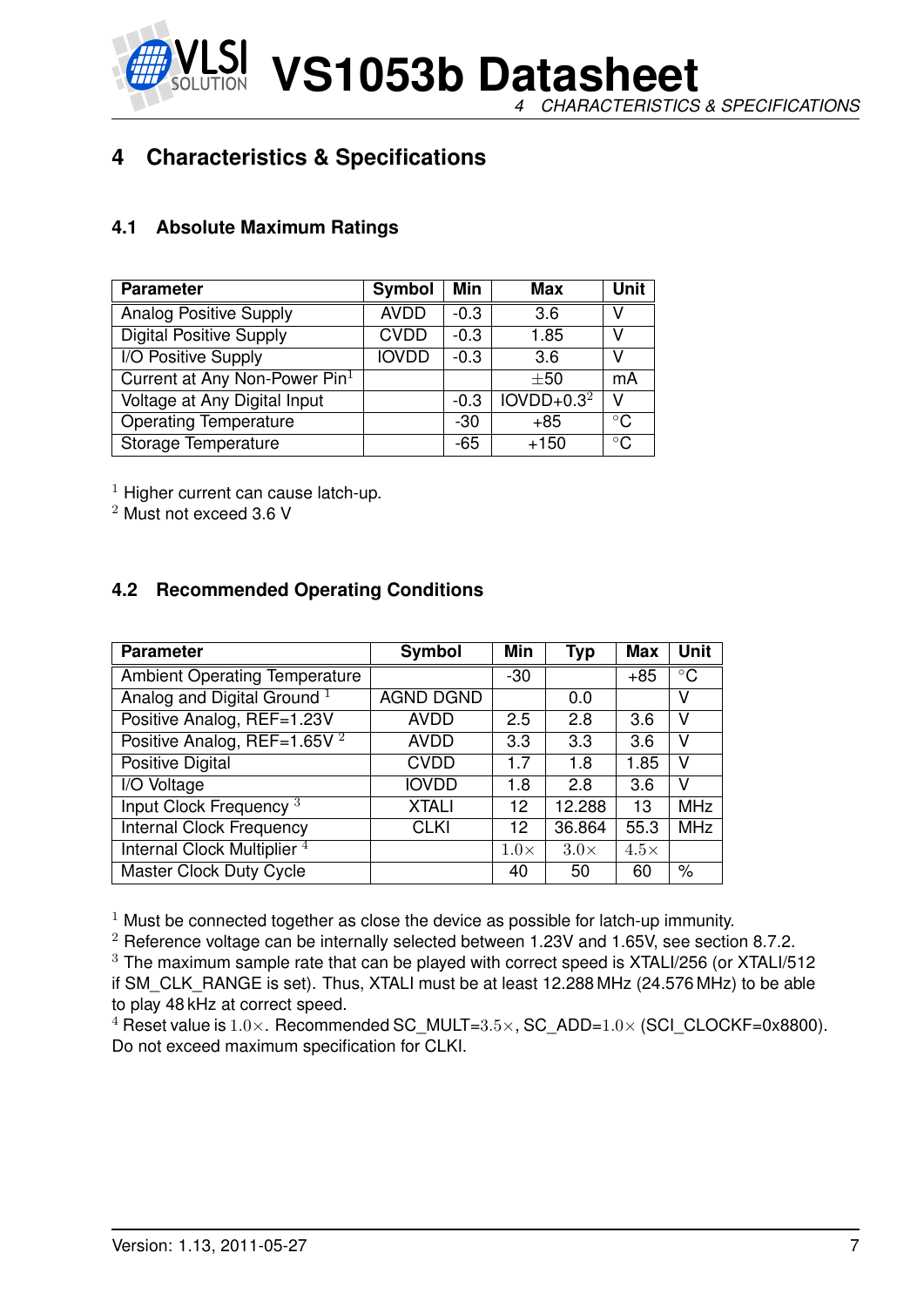**VS1053b Datasheet** *4 CHARACTERISTICS & SPECIFICATIONS*

## <span id="page-6-0"></span>**4 Characteristics & Specifications**

#### <span id="page-6-1"></span>**4.1 Absolute Maximum Ratings**

| <b>Parameter</b>                | Symbol       | Min    | Max          | <b>Unit</b>  |
|---------------------------------|--------------|--------|--------------|--------------|
| <b>Analog Positive Supply</b>   | <b>AVDD</b>  | $-0.3$ | 3.6          | V            |
| <b>Digital Positive Supply</b>  | <b>CVDD</b>  | $-0.3$ | 1.85         | V            |
| I/O Positive Supply             | <b>IOVDD</b> | $-0.3$ | 3.6          | V            |
| Current at Any Non-Power $Pin1$ |              |        | $\pm 50$     | mA           |
| Voltage at Any Digital Input    |              | $-0.3$ | $IOVDD+0.32$ | v            |
| <b>Operating Temperature</b>    |              | -30    | $+85$        | $^{\circ}$ C |
| Storage Temperature             |              | -65    | $+150$       | $^{\circ}$ C |

 $1$  Higher current can cause latch-up.

<sup>2</sup> Must not exceed 3.6 V

#### <span id="page-6-2"></span>**4.2 Recommended Operating Conditions**

| <b>Parameter</b>                       | Symbol           | Min         | <b>Typ</b>  | <b>Max</b>  | <b>Unit</b> |
|----------------------------------------|------------------|-------------|-------------|-------------|-------------|
| <b>Ambient Operating Temperature</b>   |                  | $-30$       |             | $+85$       | $\circ$ C   |
| Analog and Digital Ground <sup>1</sup> | <b>AGND DGND</b> |             | 0.0         |             | v           |
| Positive Analog, REF=1.23V             | <b>AVDD</b>      | 2.5         | 2.8         | 3.6         | v           |
| Positive Analog, REF=1.65V $^2$        | <b>AVDD</b>      | 3.3         | 3.3         | 3.6         | v           |
| Positive Digital                       | <b>CVDD</b>      | 1.7         | 1.8         | 1.85        | v           |
| I/O Voltage                            | <b>IOVDD</b>     | 1.8         | 2.8         | 3.6         | v           |
| Input Clock Frequency <sup>3</sup>     | <b>XTALI</b>     | 12          | 12.288      | 13          | <b>MHz</b>  |
| <b>Internal Clock Frequency</b>        | <b>CLKI</b>      | 12          | 36.864      | 55.3        | <b>MHz</b>  |
| Internal Clock Multiplier <sup>4</sup> |                  | $1.0\times$ | $3.0\times$ | $4.5\times$ |             |
| Master Clock Duty Cycle                |                  | 40          | 50          | 60          | $\%$        |

 $1$  Must be connected together as close the device as possible for latch-up immunity.

 $2$  Reference voltage can be internally selected between 1.23V and 1.65V, see section [8.7.2.](#page-37-0) <sup>3</sup> The maximum sample rate that can be played with correct speed is XTALI/256 (or XTALI/512 if SM\_CLK\_RANGE is set). Thus, XTALI must be at least 12.288 MHz (24.576 MHz) to be able to play 48 kHz at correct speed.

<sup>4</sup> Reset value is  $1.0\times$ . Recommended SC\_MULT= $3.5\times$ , SC\_ADD= $1.0\times$  (SCI\_CLOCKF=0x8800). Do not exceed maximum specification for CLKI.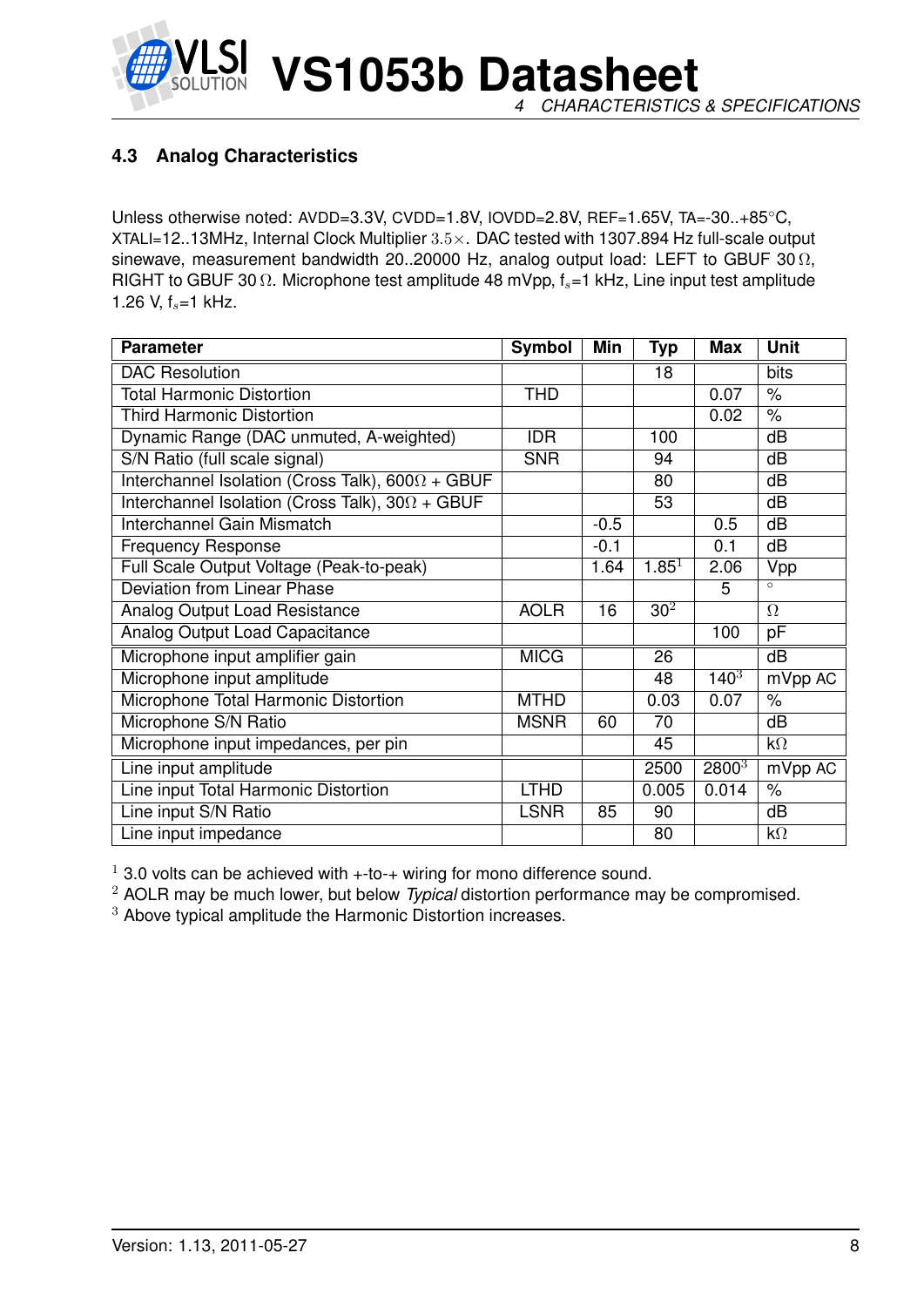

#### <span id="page-7-0"></span>**4.3 Analog Characteristics**

Unless otherwise noted: AVDD=3.3V, CVDD=1.8V, IOVDD=2.8V, REF=1.65V, TA=-30..+85◦C, XTALI=12..13MHz, Internal Clock Multiplier 3.5×. DAC tested with 1307.894 Hz full-scale output sinewave, measurement bandwidth 20..20000 Hz, analog output load: LEFT to GBUF 30  $\Omega$ , RIGHT to GBUF 30  $\Omega$ . Microphone test amplitude 48 mVpp,  $f_s$ =1 kHz, Line input test amplitude 1.26 V,  $f_s = 1$  kHz.

| <b>Parameter</b>                                        | <b>Symbol</b> | <b>Min</b> | <b>Typ</b>      | <b>Max</b> | <b>Unit</b>          |
|---------------------------------------------------------|---------------|------------|-----------------|------------|----------------------|
| <b>DAC Resolution</b>                                   |               |            | 18              |            | bits                 |
| <b>Total Harmonic Distortion</b>                        | <b>THD</b>    |            |                 | 0.07       | $\%$                 |
| <b>Third Harmonic Distortion</b>                        |               |            |                 | 0.02       | $\frac{1}{6}$        |
| Dynamic Range (DAC unmuted, A-weighted)                 | <b>IDR</b>    |            | 100             |            | dB                   |
| S/N Ratio (full scale signal)                           | <b>SNR</b>    |            | 94              |            | dB                   |
| Interchannel Isolation (Cross Talk), $600\Omega + GBUF$ |               |            | 80              |            | dB                   |
| Interchannel Isolation (Cross Talk), $30\Omega + GBUF$  |               |            | 53              |            | dB                   |
| Interchannel Gain Mismatch                              |               | $-0.5$     |                 | 0.5        | dB                   |
| <b>Frequency Response</b>                               |               | $-0.1$     |                 | 0.1        | dB                   |
| Full Scale Output Voltage (Peak-to-peak)                |               | 1.64       | $1.85^{1}$      | 2.06       | Vpp                  |
| <b>Deviation from Linear Phase</b>                      |               |            |                 | 5          | $\circ$              |
| Analog Output Load Resistance                           | <b>AOLR</b>   | 16         | 30 <sup>2</sup> |            | $\Omega$             |
| Analog Output Load Capacitance                          |               |            |                 | 100        | pF                   |
| Microphone input amplifier gain                         | <b>MICG</b>   |            | 26              |            | $\overline{dB}$      |
| Microphone input amplitude                              |               |            | 48              | $140^{3}$  | mVpp AC              |
| Microphone Total Harmonic Distortion                    | <b>MTHD</b>   |            | 0.03            | 0.07       | $\%$                 |
| Microphone S/N Ratio                                    | <b>MSNR</b>   | 60         | 70              |            | dB                   |
| Microphone input impedances, per pin                    |               |            | 45              |            | $k\Omega$            |
| Line input amplitude                                    |               |            | 2500            | $2800^{3}$ | $\overline{mVpp}$ AC |
| Line input Total Harmonic Distortion                    | <b>LTHD</b>   |            | 0.005           | 0.014      | $\%$                 |
| Line input S/N Ratio                                    | <b>LSNR</b>   | 85         | 90              |            | dB                   |
| Line input impedance                                    |               |            | 80              |            | $k\Omega$            |

 $1$  3.0 volts can be achieved with  $+$ -to- $+$  wiring for mono difference sound.

<sup>2</sup> AOLR may be much lower, but below *Typical* distortion performance may be compromised.

<sup>3</sup> Above typical amplitude the Harmonic Distortion increases.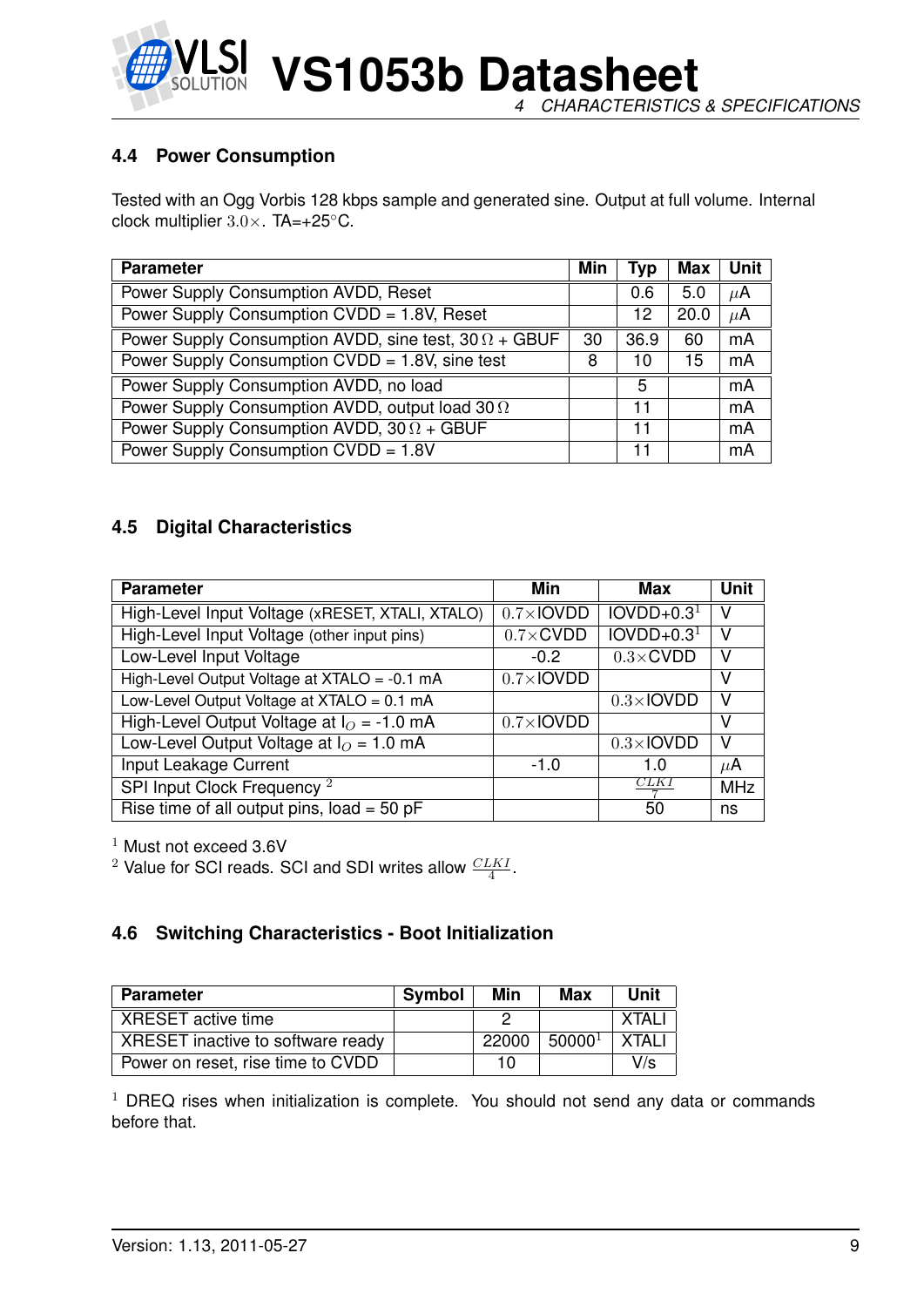

**VS1053b Datasheet** *4 CHARACTERISTICS & SPECIFICATIONS*

#### <span id="page-8-0"></span>**4.4 Power Consumption**

Tested with an Ogg Vorbis 128 kbps sample and generated sine. Output at full volume. Internal clock multiplier 3.0×. TA=+25◦C.

| <b>Parameter</b>                                             | Min | Typ  | Max  | Unit    |
|--------------------------------------------------------------|-----|------|------|---------|
| Power Supply Consumption AVDD, Reset                         |     | 0.6  | 5.0  | $\mu$ A |
| Power Supply Consumption CVDD = 1.8V, Reset                  |     | 12   | 20.0 | $\mu$ A |
| Power Supply Consumption AVDD, sine test, $30 \Omega + GBUF$ | 30  | 36.9 | 60   | mA      |
| Power Supply Consumption CVDD = 1.8V, sine test              | 8   | 10   | 15   | mA      |
| Power Supply Consumption AVDD, no load                       |     | 5    |      | mA      |
| Power Supply Consumption AVDD, output load 30 $\Omega$       |     | 11   |      | mA      |
| Power Supply Consumption AVDD, $30 \Omega + GBUF$            |     | 11   |      | mA      |
| Power Supply Consumption CVDD = 1.8V                         |     | 11   |      | mA      |

#### <span id="page-8-1"></span>**4.5 Digital Characteristics**

| <b>Parameter</b>                                | Min               | Max               | <b>Unit</b> |
|-------------------------------------------------|-------------------|-------------------|-------------|
| High-Level Input Voltage (xRESET, XTALI, XTALO) | $0.7\times$ IOVDD | $IOVDD+0.31$      | V           |
| High-Level Input Voltage (other input pins)     | $0.7 \times$ CVDD | $IOVDD+0.31$      | v           |
| Low-Level Input Voltage                         | $-0.2$            | $0.3 \times$ CVDD | ν           |
| High-Level Output Voltage at XTALO = -0.1 mA    | $0.7\times$ IOVDD |                   | v           |
| Low-Level Output Voltage at $XTALO = 0.1$ mA    |                   | $0.3\times$ IOVDD | v           |
| High-Level Output Voltage at $IO = -1.0$ mA     | $0.7\times$ IOVDD |                   | v           |
| Low-Level Output Voltage at $IO = 1.0$ mA       |                   | $0.3\times$ IOVDD | V           |
| Input Leakage Current                           | $-1.0$            | 1.O               | $\mu$ A     |
| SPI Input Clock Frequency <sup>2</sup>          |                   | CLK I             | <b>MHz</b>  |
| Rise time of all output pins, $load = 50 pF$    |                   | 50                | ns          |

 $1$  Must not exceed 3.6V

<sup>2</sup> Value for SCI reads. SCI and SDI writes allow  $\frac{CLKI}{4}$ .

#### <span id="page-8-2"></span>**4.6 Switching Characteristics - Boot Initialization**

| <b>Parameter</b>                  | <b>Symbol</b> | Min   | Max                | Unit   |
|-----------------------------------|---------------|-------|--------------------|--------|
| XRESET active time                |               |       |                    | XTAL.  |
| XRESET inactive to software ready |               | 22000 | 50000 <sup>1</sup> | XTAI I |
| Power on reset, rise time to CVDD |               | 10    |                    | V/s    |

 $1$  DREQ rises when initialization is complete. You should not send any data or commands before that.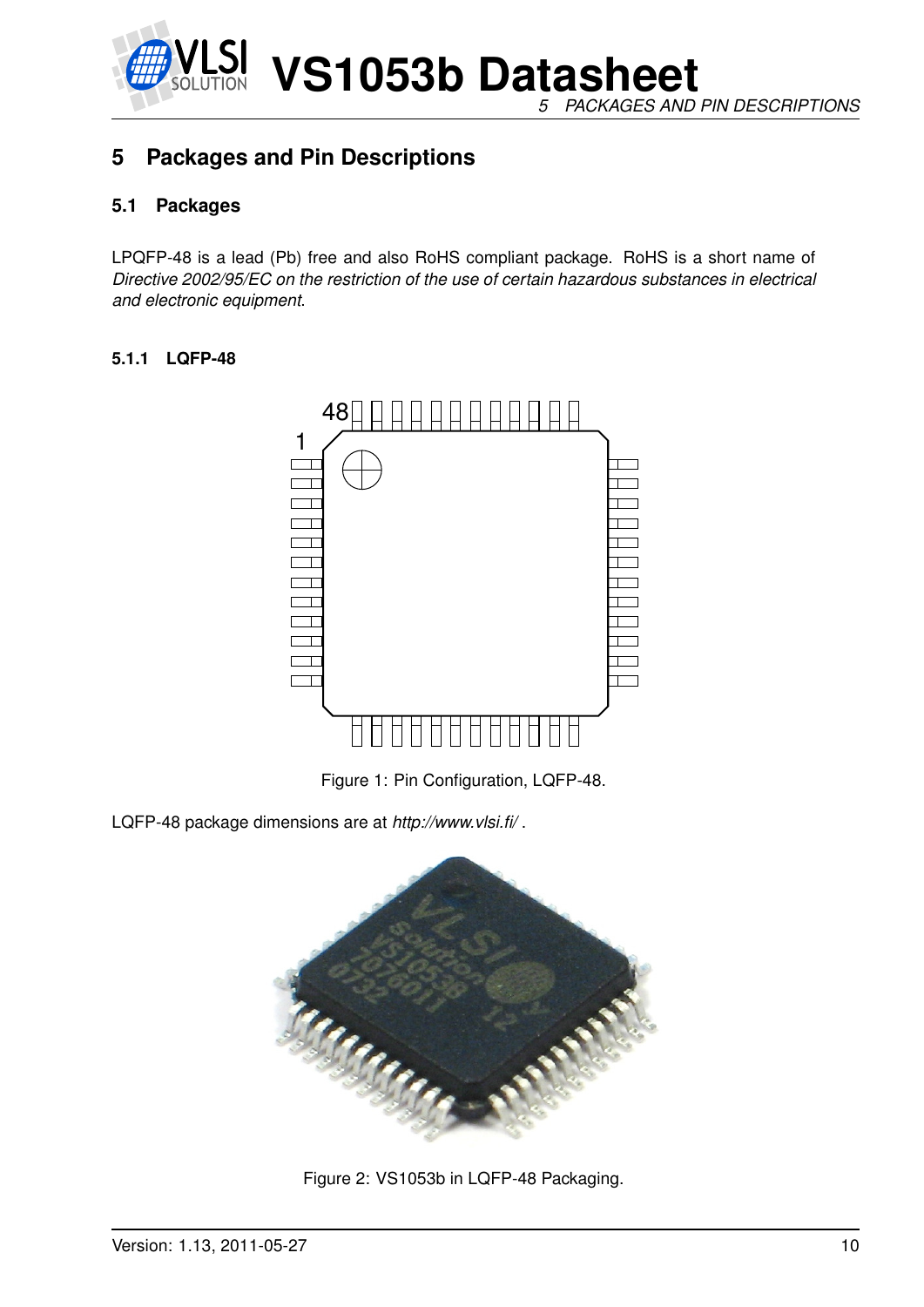

*5 PACKAGES AND PIN DESCRIPTIONS*

## <span id="page-9-1"></span><span id="page-9-0"></span>**5 Packages and Pin Descriptions**

#### **5.1 Packages**

LPQFP-48 is a lead (Pb) free and also RoHS compliant package. RoHS is a short name of *Directive 2002/95/EC on the restriction of the use of certain hazardous substances in electrical and electronic equipment*.

#### <span id="page-9-2"></span>**5.1.1 LQFP-48**



<span id="page-9-3"></span>Figure 1: Pin Configuration, LQFP-48.

LQFP-48 package dimensions are at *http://www.vlsi.fi/* .



<span id="page-9-4"></span>Figure 2: VS1053b in LQFP-48 Packaging.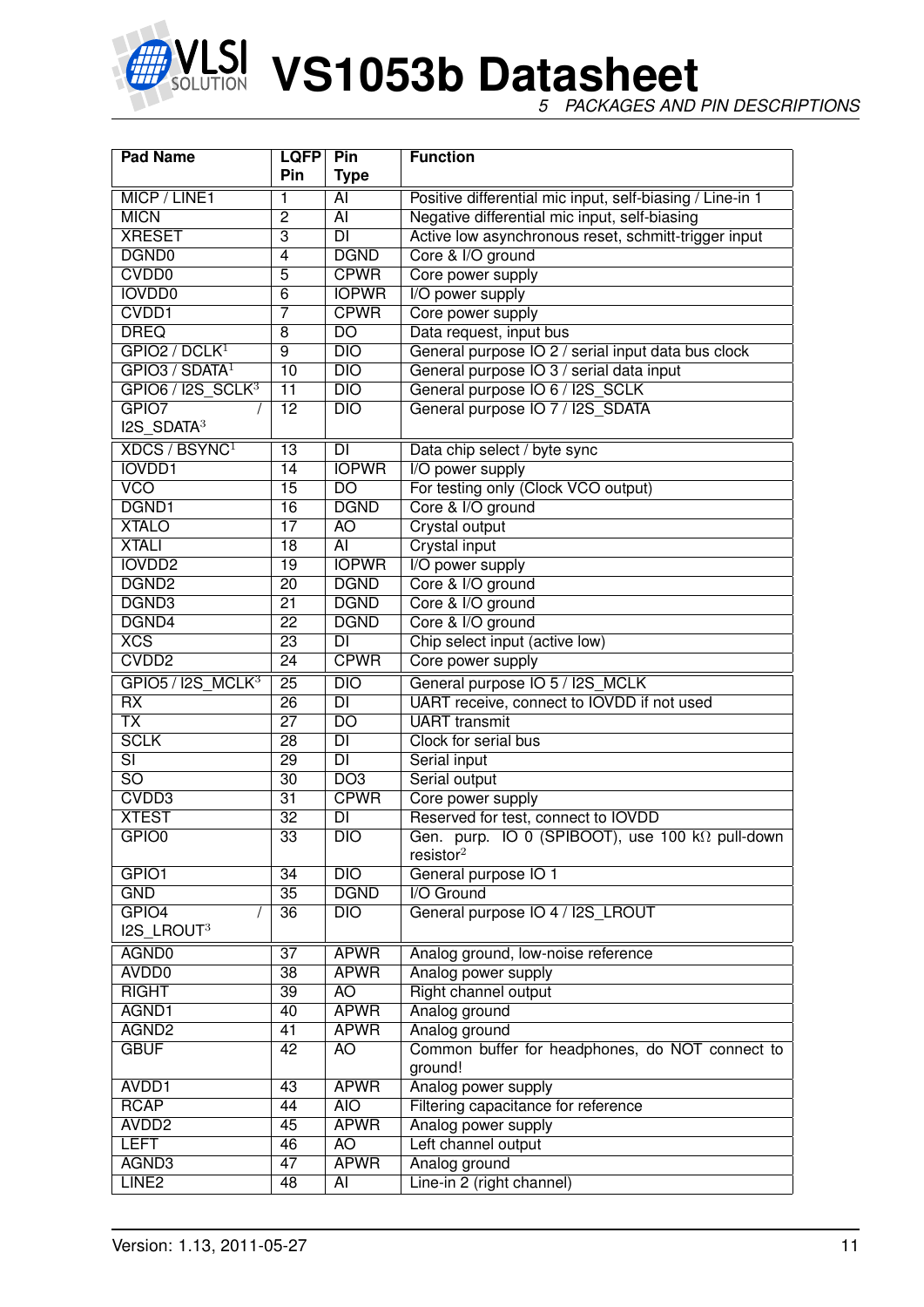

*5 PACKAGES AND PIN DESCRIPTIONS*

| <b>Pad Name</b><br><b>LQFP</b>   |                 | Pin                      | <b>Function</b>                                           |
|----------------------------------|-----------------|--------------------------|-----------------------------------------------------------|
|                                  | <b>Pin</b>      | <b>Type</b>              |                                                           |
| MICP / LINE1                     | 1               | AI                       | Positive differential mic input, self-biasing / Line-in 1 |
| <b>MICN</b>                      | $\overline{2}$  | $\overline{AI}$          | Negative differential mic input, self-biasing             |
| <b>XRESET</b>                    | $\overline{3}$  | DI                       | Active low asynchronous reset, schmitt-trigger input      |
| DGND <sub>0</sub>                | 4               | <b>DGND</b>              | Core & I/O ground                                         |
| <b>CVDD0</b>                     | $\overline{5}$  | <b>CPWR</b>              | Core power supply                                         |
| <b>IOVDD0</b>                    | $\overline{6}$  | <b>IOPWR</b>             | I/O power supply                                          |
| CVDD1                            | 7               | <b>CPWR</b>              | Core power supply                                         |
| <b>DREQ</b>                      | 8               | $\overline{DO}$          | Data request, input bus                                   |
| GPIO2 / DCLK <sup>1</sup>        | $\overline{9}$  | DIO                      | General purpose IO 2 / serial input data bus clock        |
| GPIO3 / SDATA <sup>1</sup>       | 10              | DIO                      | General purpose IO 3 / serial data input                  |
| $GPIO6 / I2S_SCLK3$              | $\overline{11}$ | $\overline{DIO}$         | General purpose IO 6 / I2S_SCLK                           |
| GPIO7                            | $\overline{12}$ | $\overline{DIO}$         | General purpose IO 7 / I2S SDATA                          |
| $I2S$ SDATA <sup>3</sup>         |                 |                          |                                                           |
| <b>XDCS / BSYNC</b> <sup>1</sup> | $\overline{13}$ | <b>DI</b>                | Data chip select / byte sync                              |
| <b>IOVDD1</b>                    | 14              | <b>IOPWR</b>             | I/O power supply                                          |
| <b>VCO</b>                       | $\overline{15}$ | $\overline{DO}$          | For testing only (Clock VCO output)                       |
| DGND1                            | $\overline{16}$ | <b>DGND</b>              | Core & I/O ground                                         |
| <b>XTALO</b>                     | $\overline{17}$ | AO                       | <b>Crystal output</b>                                     |
| <b>XTALI</b>                     | $\overline{18}$ | $\overline{AI}$          | <b>Crystal input</b>                                      |
| <b>IOVDD2</b>                    | $\overline{19}$ | <b>IOPWR</b>             | I/O power supply                                          |
| DGND <sub>2</sub>                | $\overline{20}$ | <b>DGND</b>              | Core & I/O ground                                         |
| DGND3                            | $\overline{21}$ | <b>DGND</b>              | Core & I/O ground                                         |
| DGND4                            | $\overline{22}$ | <b>DGND</b>              | Core & I/O ground                                         |
| XCS                              | $\overline{23}$ | $\overline{DI}$          | Chip select input (active low)                            |
| CVDD <sub>2</sub>                | $\overline{24}$ | <b>CPWR</b>              | Core power supply                                         |
| GPIO5 / I2S MCLK <sup>3</sup>    | $\overline{25}$ | $\overline{DIO}$         | General purpose IO 5 / I2S_MCLK                           |
| $\overline{RX}$                  | $\overline{26}$ | $\overline{\mathsf{DI}}$ | UART receive, connect to IOVDD if not used                |
| $\overline{\mathsf{TX}}$         | $\overline{27}$ | $\overline{DO}$          | <b>UART</b> transmit                                      |
| <b>SCLK</b>                      | $\overline{28}$ | $\overline{DI}$          | Clock for serial bus                                      |
| $\overline{\mathsf{SI}}$         | $\overline{29}$ | $\overline{DI}$          | Serial input                                              |
| $\overline{SO}$                  | $\overline{30}$ | D <sub>O3</sub>          | Serial output                                             |
| CVDD3                            | $\overline{31}$ | <b>CPWR</b>              | Core power supply                                         |
| <b>XTEST</b>                     | $\overline{32}$ | $\overline{\mathsf{DI}}$ | Reserved for test, connect to IOVDD                       |
| GPIO <sub>0</sub>                | $\overline{33}$ | DIO                      | Gen. purp. IO 0 (SPIBOOT), use 100 kΩ pull-down           |
|                                  |                 |                          | resistor <sup>2</sup>                                     |
| GPIO1                            | 34              | DIO                      | General purpose IO 1                                      |
| <b>GND</b>                       | $\overline{35}$ | <b>DGND</b>              | I/O Ground                                                |
| GPIO4                            | 36              | $\overline{DIO}$         | General purpose IO 4 / I2S_LROUT                          |
| I2S_LROUT3                       |                 |                          |                                                           |
| AGND0                            | $\overline{37}$ | <b>APWR</b>              | Analog ground, low-noise reference                        |
| AVDD <sub>0</sub>                | $\overline{38}$ | <b>APWR</b>              | Analog power supply                                       |
| <b>RIGHT</b>                     | $\overline{39}$ | AO                       | Right channel output                                      |
| AGND1                            | 40              | <b>APWR</b>              | Analog ground                                             |
| AGND <sub>2</sub>                | 41              | <b>APWR</b>              | Analog ground                                             |
| <b>GBUF</b>                      | 42              | <b>AO</b>                | Common buffer for headphones, do NOT connect to           |
|                                  |                 |                          | ground!                                                   |
| AVDD1                            | 43              | <b>APWR</b>              | Analog power supply                                       |
| <b>RCAP</b>                      | 44              | <b>AIO</b>               | Filtering capacitance for reference                       |
| AVDD <sub>2</sub>                | 45              | <b>APWR</b>              | Analog power supply                                       |
| <b>LEFT</b>                      | 46              | AO                       | Left channel output                                       |
| AGND3                            | 47              | <b>APWR</b>              | Analog ground                                             |
| LINE <sub>2</sub>                | 48              | $\overline{AI}$          | Line-in 2 (right channel)                                 |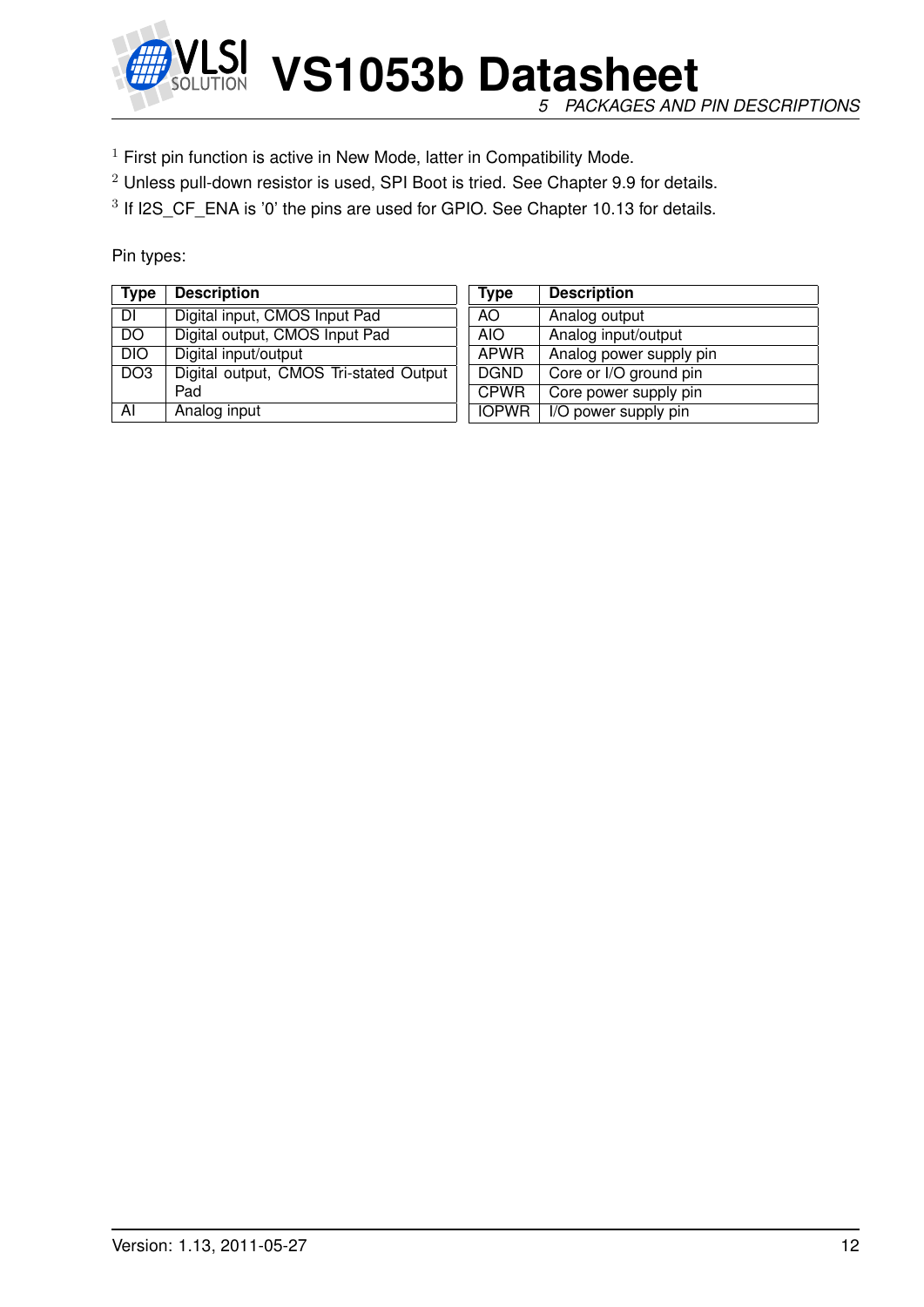

*5 PACKAGES AND PIN DESCRIPTIONS*

- $1$  First pin function is active in New Mode, latter in Compatibility Mode.
- <sup>2</sup> Unless pull-down resistor is used, SPI Boot is tried. See Chapter [9.9](#page-56-0) for details.

<sup>3</sup> If I2S\_CF\_ENA is '0' the pins are used for GPIO. See Chapter [10.13](#page-76-0) for details.

Pin types:

| <b>Type</b>     | <b>Description</b>                     | Type         | <b>Description</b>      |
|-----------------|----------------------------------------|--------------|-------------------------|
| DI              | Digital input, CMOS Input Pad          | AO.          | Analog output           |
| DO              | Digital output, CMOS Input Pad         | AIO.         | Analog input/output     |
| <b>DIO</b>      | Digital input/output                   | <b>APWR</b>  | Analog power supply pin |
| DO <sub>3</sub> | Digital output, CMOS Tri-stated Output | <b>DGND</b>  | Core or I/O ground pin  |
|                 | Pad                                    | <b>CPWR</b>  | Core power supply pin   |
| AI              | Analog input                           | <b>IOPWR</b> | I/O power supply pin    |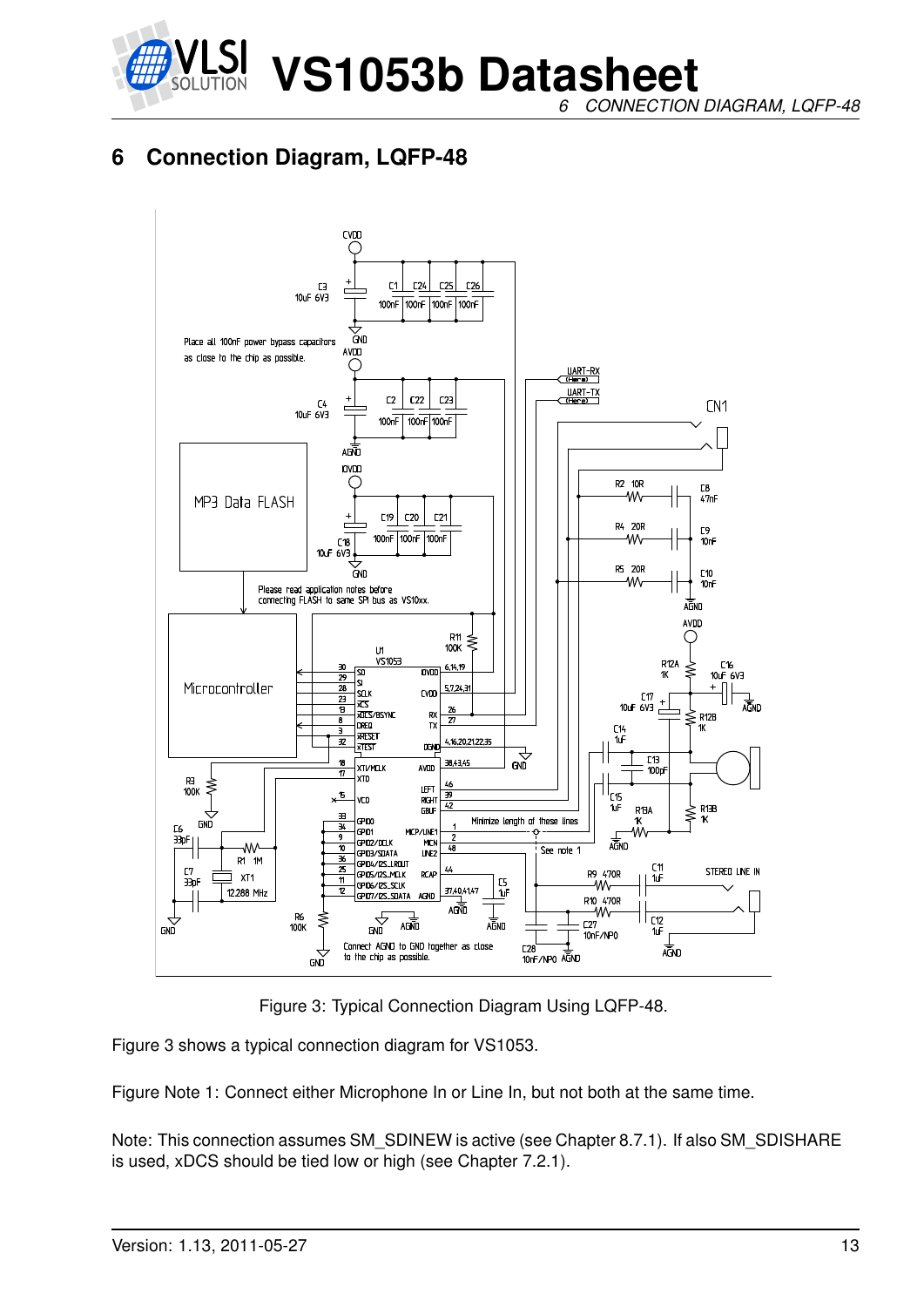

*6 CONNECTION DIAGRAM, LQFP-48*

## <span id="page-12-0"></span>**6 Connection Diagram, LQFP-48**



<span id="page-12-1"></span>Figure 3: Typical Connection Diagram Using LQFP-48.

Figure [3](#page-12-1) shows a typical connection diagram for VS1053.

Figure Note 1: Connect either Microphone In or Line In, but not both at the same time.

Note: This connection assumes SM\_SDINEW is active (see Chapter [8.7.1\)](#page-35-0). If also SM\_SDISHARE is used, xDCS should be tied low or high (see Chapter [7.2.1\)](#page-14-3).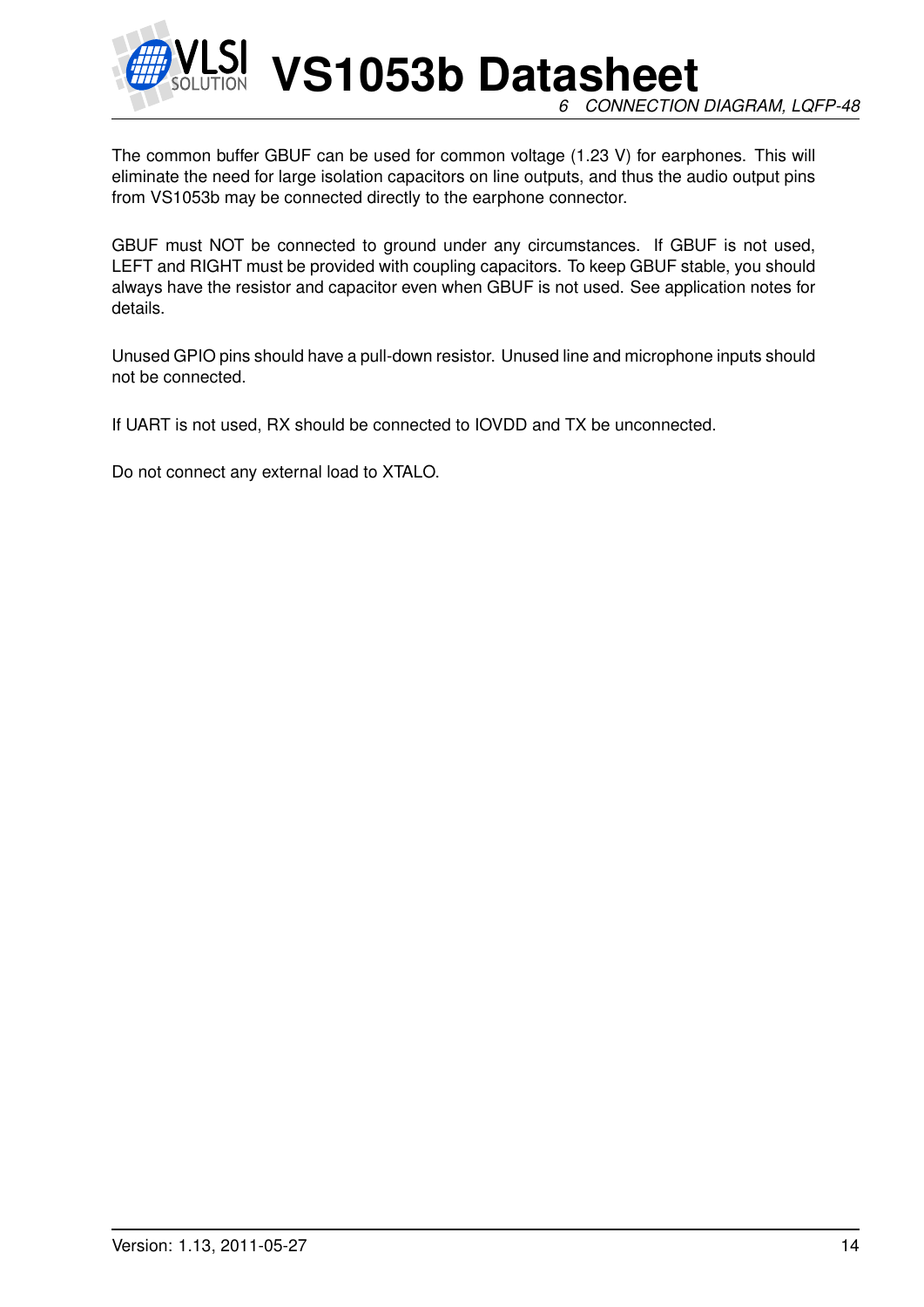

**VS1053b Datasheet** *6 CONNECTION DIAGRAM, LQFP-48*

The common buffer GBUF can be used for common voltage (1.23 V) for earphones. This will eliminate the need for large isolation capacitors on line outputs, and thus the audio output pins from VS1053b may be connected directly to the earphone connector.

GBUF must NOT be connected to ground under any circumstances. If GBUF is not used, LEFT and RIGHT must be provided with coupling capacitors. To keep GBUF stable, you should always have the resistor and capacitor even when GBUF is not used. See application notes for details.

Unused GPIO pins should have a pull-down resistor. Unused line and microphone inputs should not be connected.

If UART is not used, RX should be connected to IOVDD and TX be unconnected.

Do not connect any external load to XTALO.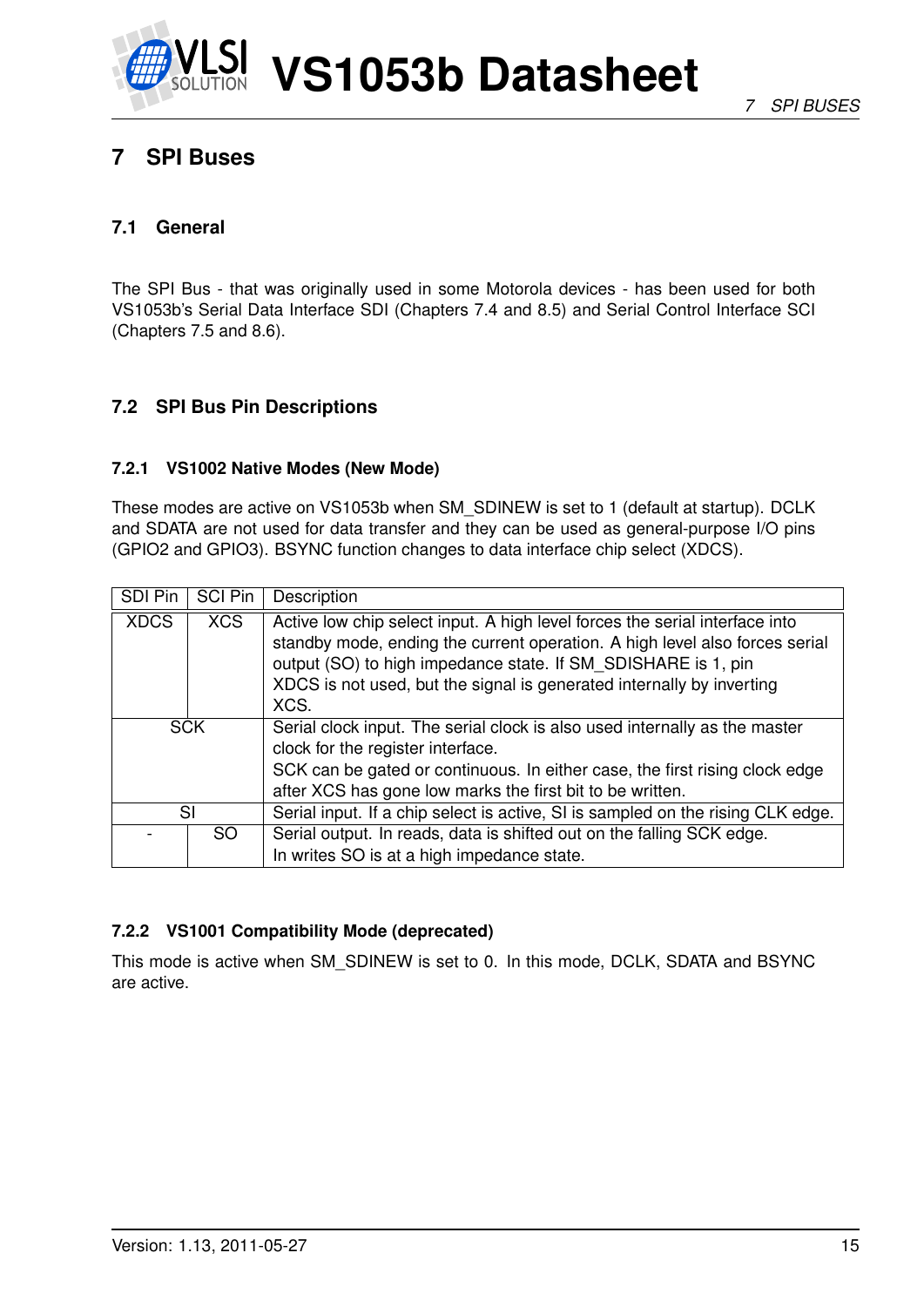

## <span id="page-14-0"></span>**7 SPI Buses**

#### <span id="page-14-1"></span>**7.1 General**

The SPI Bus - that was originally used in some Motorola devices - has been used for both VS1053b's Serial Data Interface SDI (Chapters [7.4](#page-15-1) and [8.5\)](#page-33-0) and Serial Control Interface SCI (Chapters [7.5](#page-17-2) and [8.6\)](#page-33-1).

#### <span id="page-14-2"></span>**7.2 SPI Bus Pin Descriptions**

#### <span id="page-14-3"></span>**7.2.1 VS1002 Native Modes (New Mode)**

These modes are active on VS1053b when SM\_SDINEW is set to 1 (default at startup). DCLK and SDATA are not used for data transfer and they can be used as general-purpose I/O pins (GPIO2 and GPIO3). BSYNC function changes to data interface chip select (XDCS).

| <b>SDI Pin</b> | <b>SCI Pin</b> | Description                                                                                                                                                                                                                                                                                                  |
|----------------|----------------|--------------------------------------------------------------------------------------------------------------------------------------------------------------------------------------------------------------------------------------------------------------------------------------------------------------|
| <b>XDCS</b>    | <b>XCS</b>     | Active low chip select input. A high level forces the serial interface into<br>standby mode, ending the current operation. A high level also forces serial<br>output (SO) to high impedance state. If SM SDISHARE is 1, pin<br>XDCS is not used, but the signal is generated internally by inverting<br>XCS. |
|                | <b>SCK</b>     | Serial clock input. The serial clock is also used internally as the master<br>clock for the register interface.<br>SCK can be gated or continuous. In either case, the first rising clock edge<br>after XCS has gone low marks the first bit to be written.                                                  |
|                | SI             | Serial input. If a chip select is active, SI is sampled on the rising CLK edge.                                                                                                                                                                                                                              |
|                | SO.            | Serial output. In reads, data is shifted out on the falling SCK edge.<br>In writes SO is at a high impedance state.                                                                                                                                                                                          |

#### <span id="page-14-4"></span>**7.2.2 VS1001 Compatibility Mode (deprecated)**

This mode is active when SM\_SDINEW is set to 0. In this mode, DCLK, SDATA and BSYNC are active.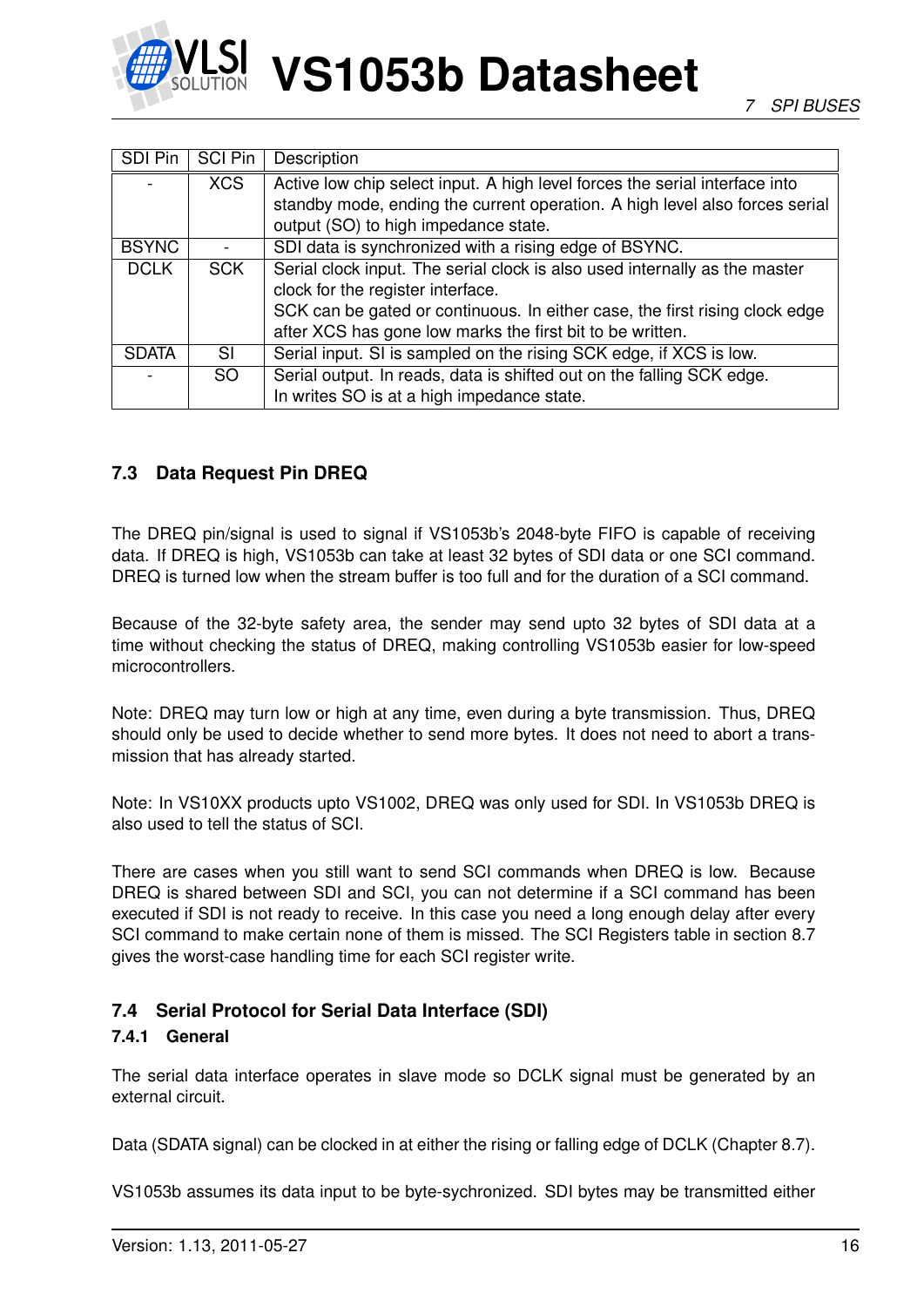

| SDI Pin      | <b>SCI Pin</b> | Description                                                                 |
|--------------|----------------|-----------------------------------------------------------------------------|
|              | <b>XCS</b>     | Active low chip select input. A high level forces the serial interface into |
|              |                | standby mode, ending the current operation. A high level also forces serial |
|              |                | output (SO) to high impedance state.                                        |
| <b>BSYNC</b> |                | SDI data is synchronized with a rising edge of BSYNC.                       |
| <b>DCLK</b>  | <b>SCK</b>     | Serial clock input. The serial clock is also used internally as the master  |
|              |                | clock for the register interface.                                           |
|              |                | SCK can be gated or continuous. In either case, the first rising clock edge |
|              |                | after XCS has gone low marks the first bit to be written.                   |
| <b>SDATA</b> | SI             | Serial input. SI is sampled on the rising SCK edge, if XCS is low.          |
|              | <b>SO</b>      | Serial output. In reads, data is shifted out on the falling SCK edge.       |
|              |                | In writes SO is at a high impedance state.                                  |

#### <span id="page-15-0"></span>**7.3 Data Request Pin DREQ**

The DREQ pin/signal is used to signal if VS1053b's 2048-byte FIFO is capable of receiving data. If DREQ is high, VS1053b can take at least 32 bytes of SDI data or one SCI command. DREQ is turned low when the stream buffer is too full and for the duration of a SCI command.

Because of the 32-byte safety area, the sender may send upto 32 bytes of SDI data at a time without checking the status of DREQ, making controlling VS1053b easier for low-speed microcontrollers.

Note: DREQ may turn low or high at any time, even during a byte transmission. Thus, DREQ should only be used to decide whether to send more bytes. It does not need to abort a transmission that has already started.

Note: In VS10XX products upto VS1002, DREQ was only used for SDI. In VS1053b DREQ is also used to tell the status of SCI.

There are cases when you still want to send SCI commands when DREQ is low. Because DREQ is shared between SDI and SCI, you can not determine if a SCI command has been executed if SDI is not ready to receive. In this case you need a long enough delay after every SCI command to make certain none of them is missed. The SCI Registers table in section [8.7](#page-34-0) gives the worst-case handling time for each SCI register write.

#### <span id="page-15-2"></span><span id="page-15-1"></span>**7.4 Serial Protocol for Serial Data Interface (SDI)**

#### **7.4.1 General**

The serial data interface operates in slave mode so DCLK signal must be generated by an external circuit.

Data (SDATA signal) can be clocked in at either the rising or falling edge of DCLK (Chapter [8.7\)](#page-34-0).

VS1053b assumes its data input to be byte-sychronized. SDI bytes may be transmitted either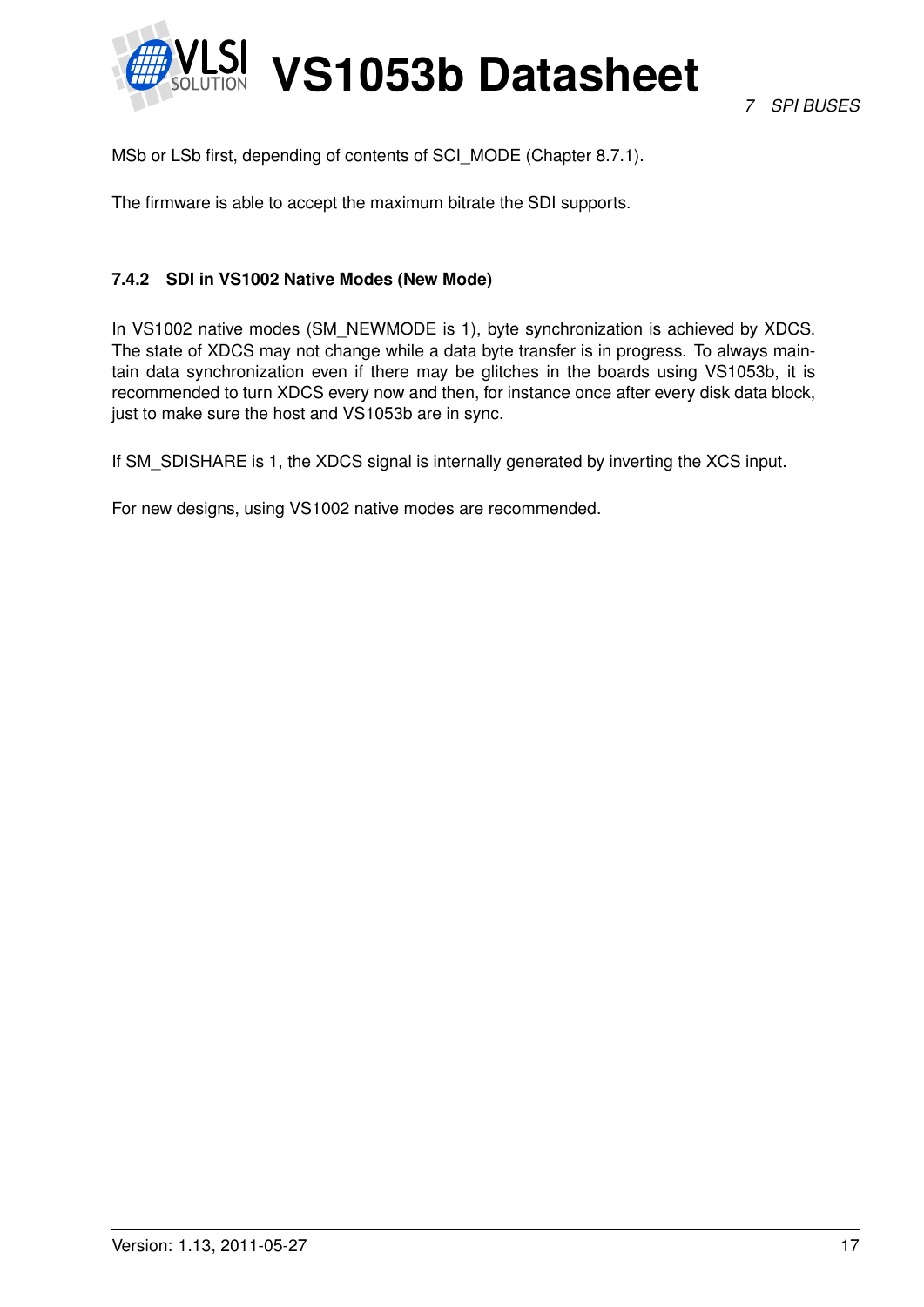

MSb or LSb first, depending of contents of SCI\_MODE (Chapter [8.7.1\)](#page-35-0).

The firmware is able to accept the maximum bitrate the SDI supports.

#### <span id="page-16-0"></span>**7.4.2 SDI in VS1002 Native Modes (New Mode)**

In VS1002 native modes (SM\_NEWMODE is 1), byte synchronization is achieved by XDCS. The state of XDCS may not change while a data byte transfer is in progress. To always maintain data synchronization even if there may be glitches in the boards using VS1053b, it is recommended to turn XDCS every now and then, for instance once after every disk data block, just to make sure the host and VS1053b are in sync.

If SM\_SDISHARE is 1, the XDCS signal is internally generated by inverting the XCS input.

For new designs, using VS1002 native modes are recommended.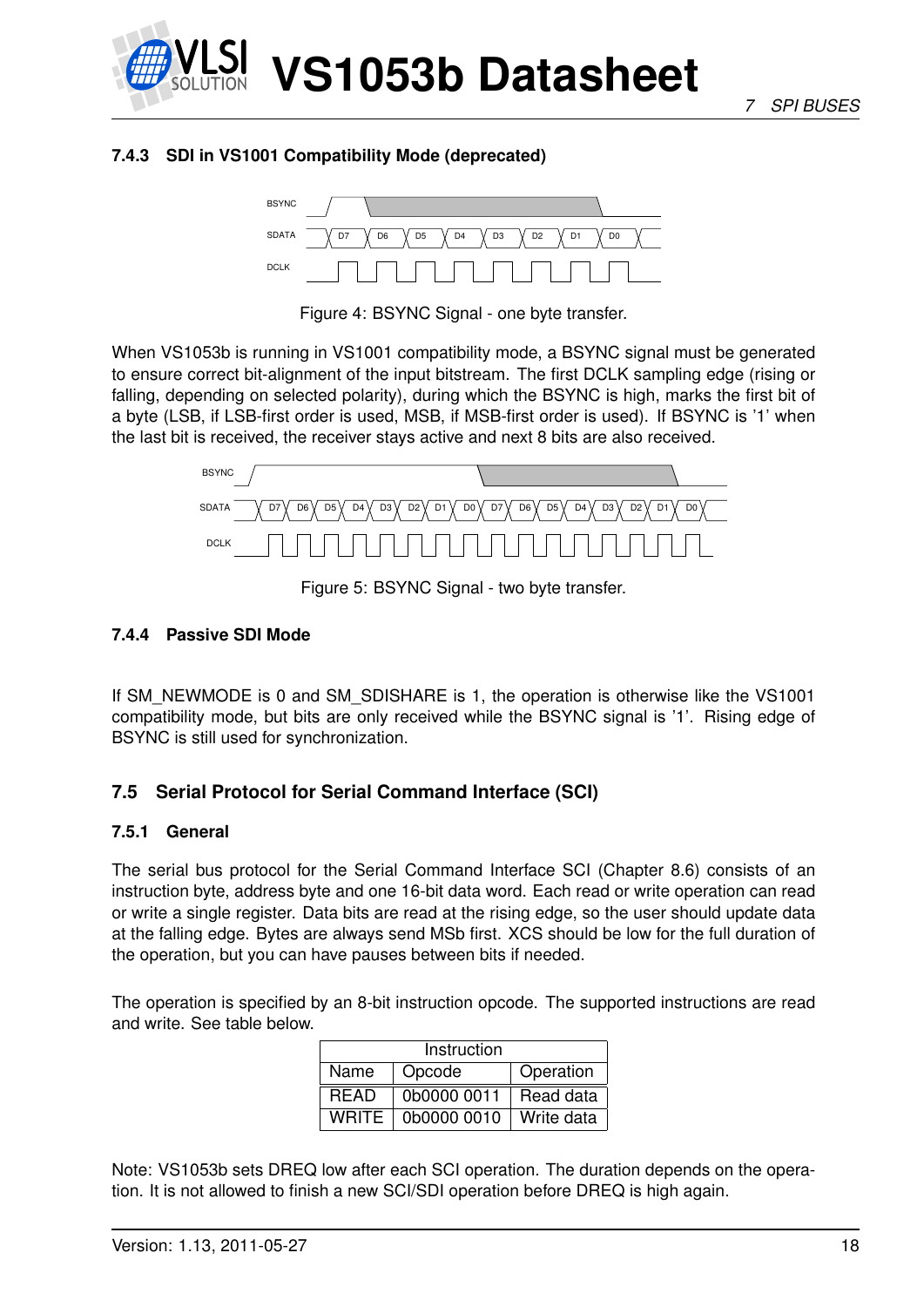

#### <span id="page-17-0"></span>**7.4.3 SDI in VS1001 Compatibility Mode (deprecated)**



<span id="page-17-4"></span>Figure 4: BSYNC Signal - one byte transfer.

When VS1053b is running in VS1001 compatibility mode, a BSYNC signal must be generated to ensure correct bit-alignment of the input bitstream. The first DCLK sampling edge (rising or falling, depending on selected polarity), during which the BSYNC is high, marks the first bit of a byte (LSB, if LSB-first order is used, MSB, if MSB-first order is used). If BSYNC is '1' when the last bit is received, the receiver stays active and next 8 bits are also received.



<span id="page-17-5"></span>Figure 5: BSYNC Signal - two byte transfer.

#### <span id="page-17-1"></span>**7.4.4 Passive SDI Mode**

If SM\_NEWMODE is 0 and SM\_SDISHARE is 1, the operation is otherwise like the VS1001 compatibility mode, but bits are only received while the BSYNC signal is '1'. Rising edge of BSYNC is still used for synchronization.

#### <span id="page-17-3"></span><span id="page-17-2"></span>**7.5 Serial Protocol for Serial Command Interface (SCI)**

#### **7.5.1 General**

The serial bus protocol for the Serial Command Interface SCI (Chapter [8.6\)](#page-33-1) consists of an instruction byte, address byte and one 16-bit data word. Each read or write operation can read or write a single register. Data bits are read at the rising edge, so the user should update data at the falling edge. Bytes are always send MSb first. XCS should be low for the full duration of the operation, but you can have pauses between bits if needed.

The operation is specified by an 8-bit instruction opcode. The supported instructions are read and write. See table below.

| Instruction  |             |            |  |  |  |  |  |  |  |  |  |  |
|--------------|-------------|------------|--|--|--|--|--|--|--|--|--|--|
| Name         | Opcode      | Operation  |  |  |  |  |  |  |  |  |  |  |
| <b>READ</b>  | 0b0000 0011 | Read data  |  |  |  |  |  |  |  |  |  |  |
| <b>WRITE</b> | 0b0000 0010 | Write data |  |  |  |  |  |  |  |  |  |  |

Note: VS1053b sets DREQ low after each SCI operation. The duration depends on the operation. It is not allowed to finish a new SCI/SDI operation before DREQ is high again.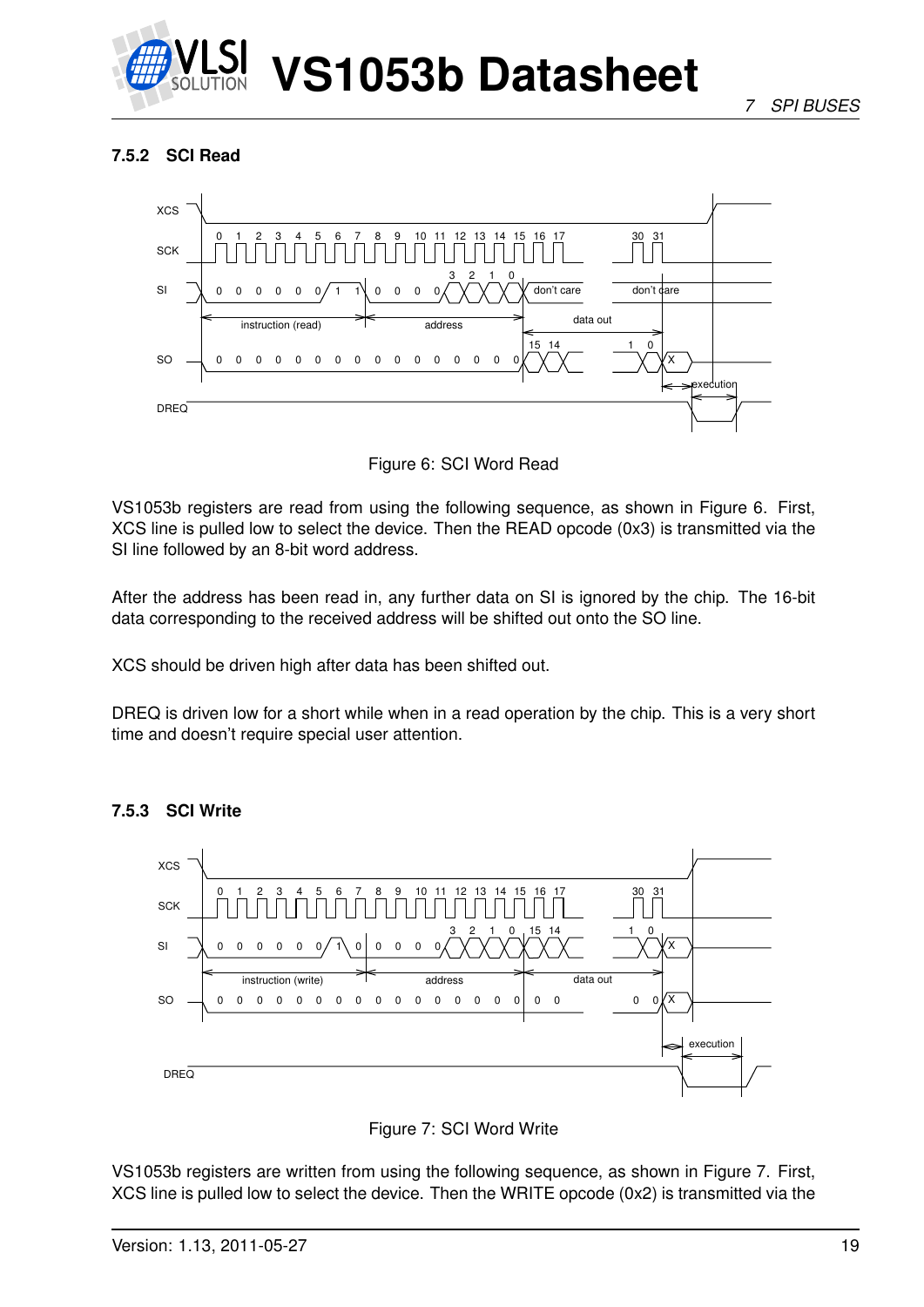

#### <span id="page-18-0"></span>**7.5.2 SCI Read**



<span id="page-18-2"></span>Figure 6: SCI Word Read

VS1053b registers are read from using the following sequence, as shown in Figure [6.](#page-18-2) First, XCS line is pulled low to select the device. Then the READ opcode (0x3) is transmitted via the SI line followed by an 8-bit word address.

After the address has been read in, any further data on SI is ignored by the chip. The 16-bit data corresponding to the received address will be shifted out onto the SO line.

XCS should be driven high after data has been shifted out.

DREQ is driven low for a short while when in a read operation by the chip. This is a very short time and doesn't require special user attention.



#### <span id="page-18-1"></span>**7.5.3 SCI Write**

<span id="page-18-3"></span>

VS1053b registers are written from using the following sequence, as shown in Figure [7.](#page-18-3) First, XCS line is pulled low to select the device. Then the WRITE opcode (0x2) is transmitted via the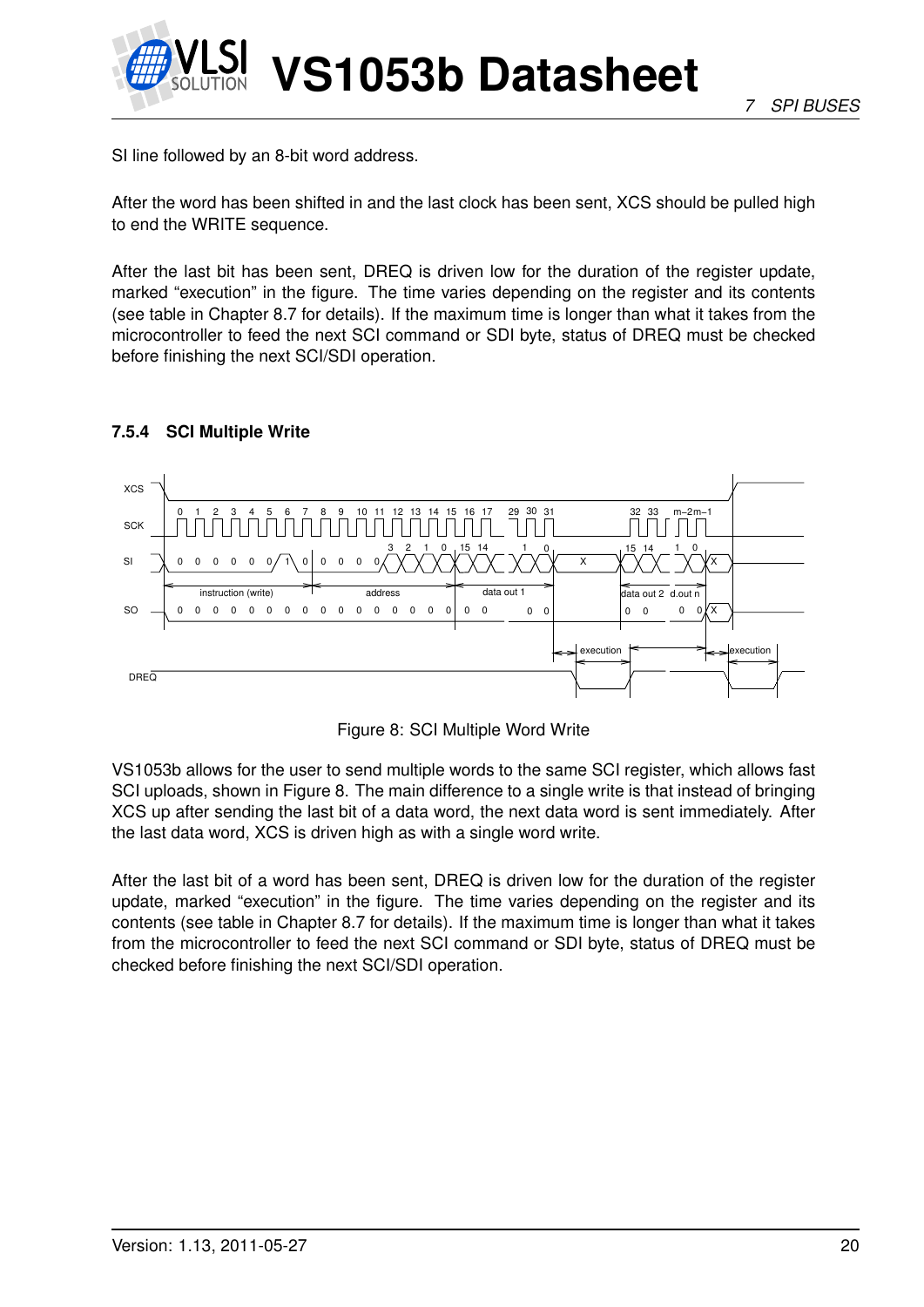

SI line followed by an 8-bit word address.

After the word has been shifted in and the last clock has been sent, XCS should be pulled high to end the WRITE sequence.

After the last bit has been sent, DREQ is driven low for the duration of the register update, marked "execution" in the figure. The time varies depending on the register and its contents (see table in Chapter [8.7](#page-34-0) for details). If the maximum time is longer than what it takes from the microcontroller to feed the next SCI command or SDI byte, status of DREQ must be checked before finishing the next SCI/SDI operation.

#### <span id="page-19-0"></span>**7.5.4 SCI Multiple Write**



<span id="page-19-1"></span>Figure 8: SCI Multiple Word Write

VS1053b allows for the user to send multiple words to the same SCI register, which allows fast SCI uploads, shown in Figure [8.](#page-19-1) The main difference to a single write is that instead of bringing XCS up after sending the last bit of a data word, the next data word is sent immediately. After the last data word, XCS is driven high as with a single word write.

After the last bit of a word has been sent, DREQ is driven low for the duration of the register update, marked "execution" in the figure. The time varies depending on the register and its contents (see table in Chapter [8.7](#page-34-0) for details). If the maximum time is longer than what it takes from the microcontroller to feed the next SCI command or SDI byte, status of DREQ must be checked before finishing the next SCI/SDI operation.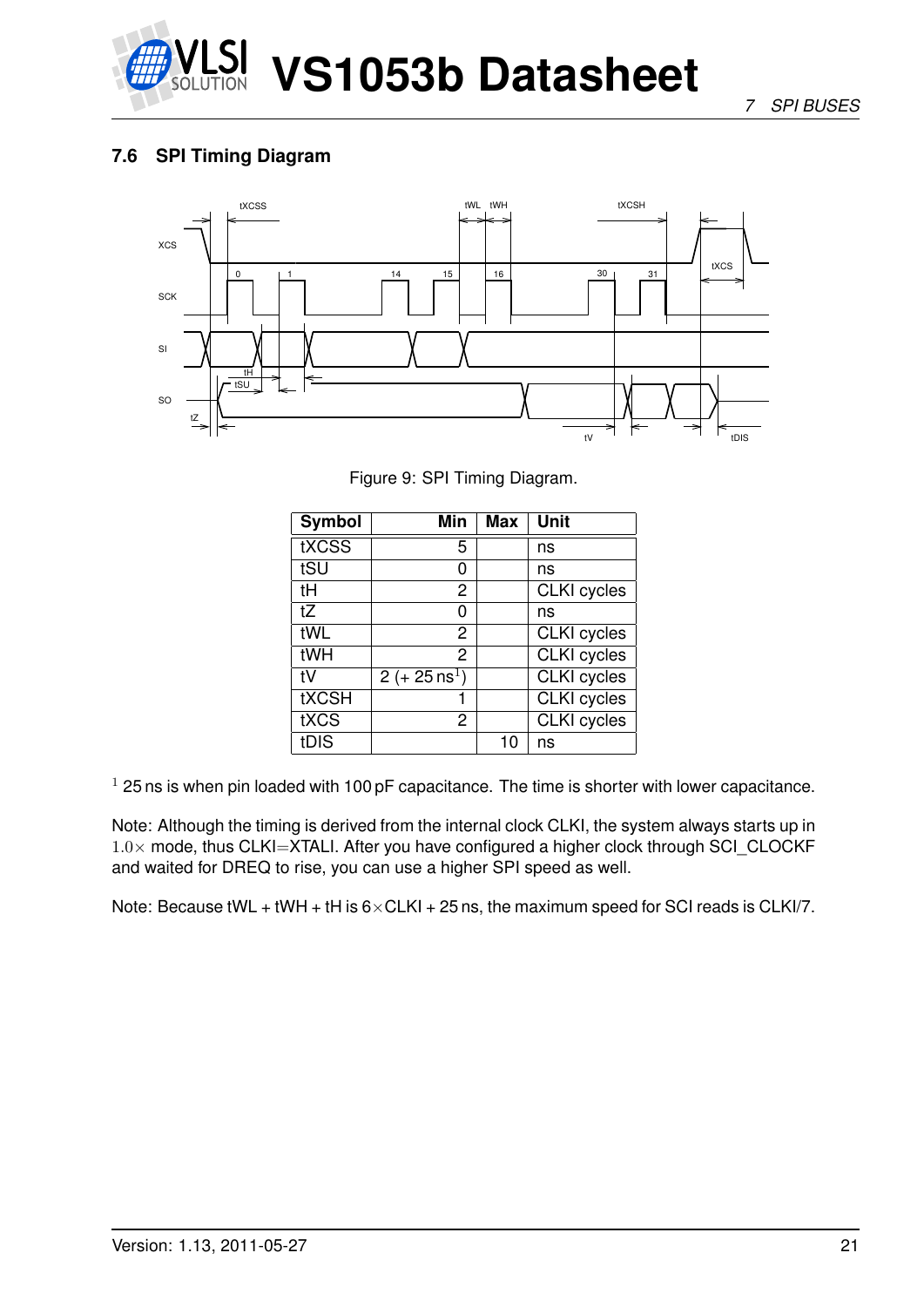

*7 SPI BUSES*

#### <span id="page-20-0"></span>**7.6 SPI Timing Diagram**



<span id="page-20-1"></span>Figure 9: SPI Timing Diagram.

| <b>Symbol</b> | Min                     | Max | <b>Unit</b>        |
|---------------|-------------------------|-----|--------------------|
| tXCSS         | 5                       |     | ns                 |
| tSU           |                         |     | ns                 |
| tH            | 2                       |     | <b>CLKI</b> cycles |
| tZ            | O                       |     | ns                 |
| tWL           | 2                       |     | <b>CLKI</b> cycles |
| tWH           | 2                       |     | CLKI cycles        |
| t٧            | $2 (+ 25 \text{ ns}^1)$ |     | <b>CLKI</b> cycles |
| <b>tXCSH</b>  |                         |     | <b>CLKI</b> cycles |
| tXCS          | 2                       |     | <b>CLKI</b> cycles |
| tDIS          |                         | 10  | ns                 |

 $1$  25 ns is when pin loaded with 100 pF capacitance. The time is shorter with lower capacitance.

Note: Although the timing is derived from the internal clock CLKI, the system always starts up in  $1.0\times$  mode, thus CLKI=XTALI. After you have configured a higher clock through SCI\_CLOCKF and waited for DREQ to rise, you can use a higher SPI speed as well.

Note: Because tWL + tWH + tH is  $6 \times$ CLKI + 25 ns, the maximum speed for SCI reads is CLKI/7.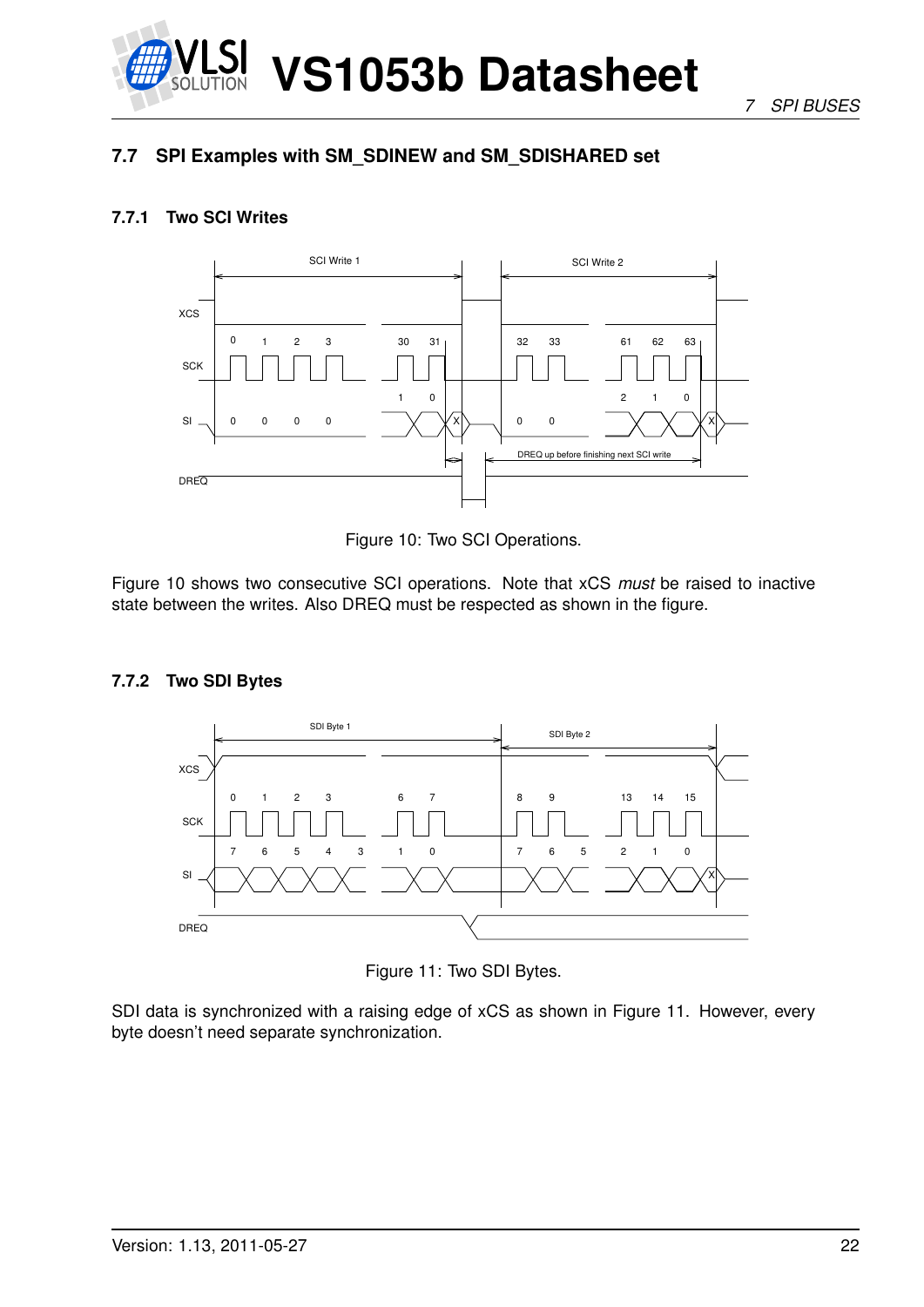

*7 SPI BUSES*

## <span id="page-21-0"></span>**7.7 SPI Examples with SM\_SDINEW and SM\_SDISHARED set**

#### <span id="page-21-1"></span>**7.7.1 Two SCI Writes**



<span id="page-21-3"></span>Figure 10: Two SCI Operations.

Figure [10](#page-21-3) shows two consecutive SCI operations. Note that xCS *must* be raised to inactive state between the writes. Also DREQ must be respected as shown in the figure.

#### <span id="page-21-2"></span>**7.7.2 Two SDI Bytes**



<span id="page-21-4"></span>Figure 11: Two SDI Bytes.

SDI data is synchronized with a raising edge of xCS as shown in Figure [11.](#page-21-4) However, every byte doesn't need separate synchronization.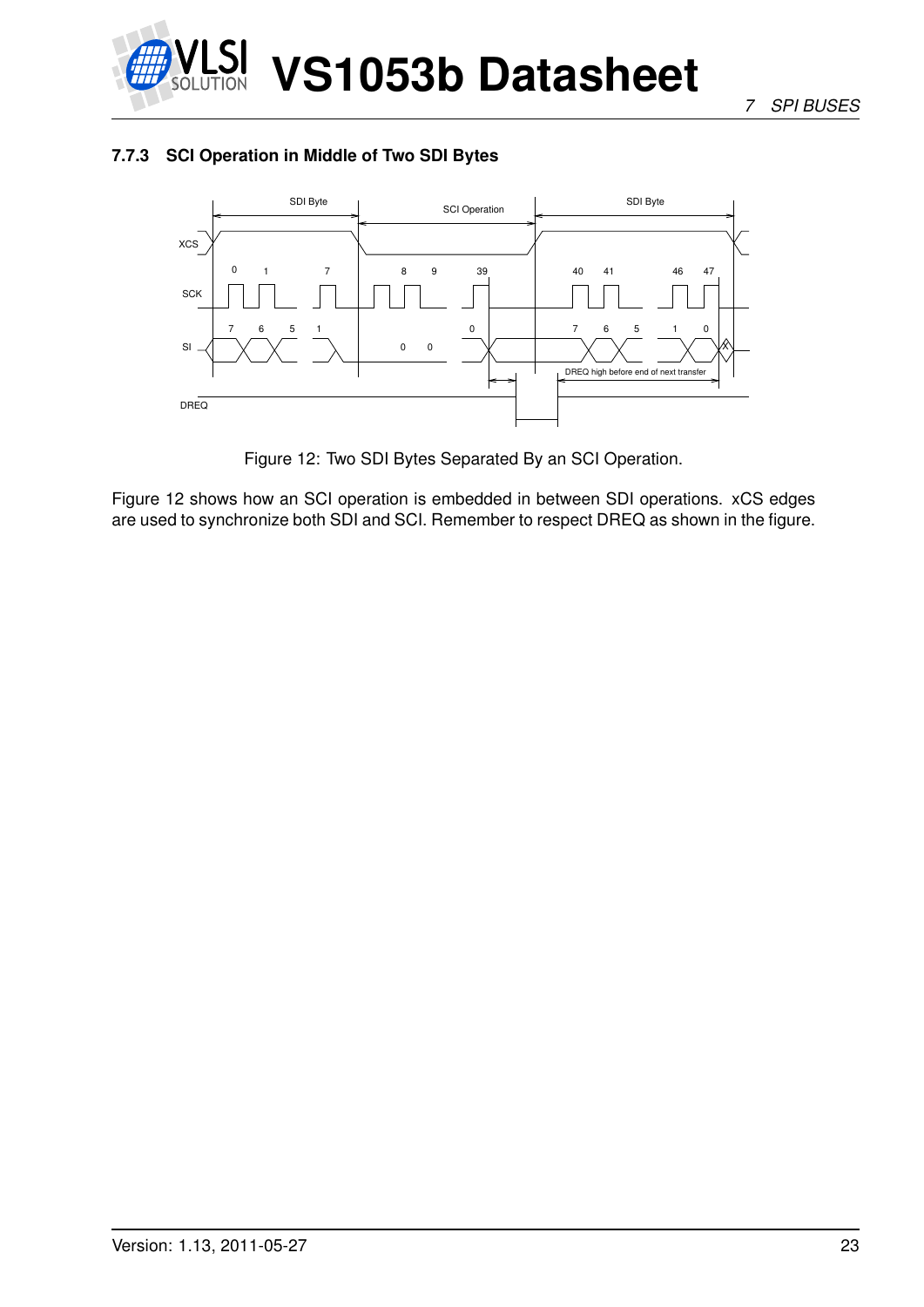

#### <span id="page-22-0"></span>**7.7.3 SCI Operation in Middle of Two SDI Bytes**



<span id="page-22-1"></span>Figure 12: Two SDI Bytes Separated By an SCI Operation.

Figure [12](#page-22-1) shows how an SCI operation is embedded in between SDI operations. xCS edges are used to synchronize both SDI and SCI. Remember to respect DREQ as shown in the figure.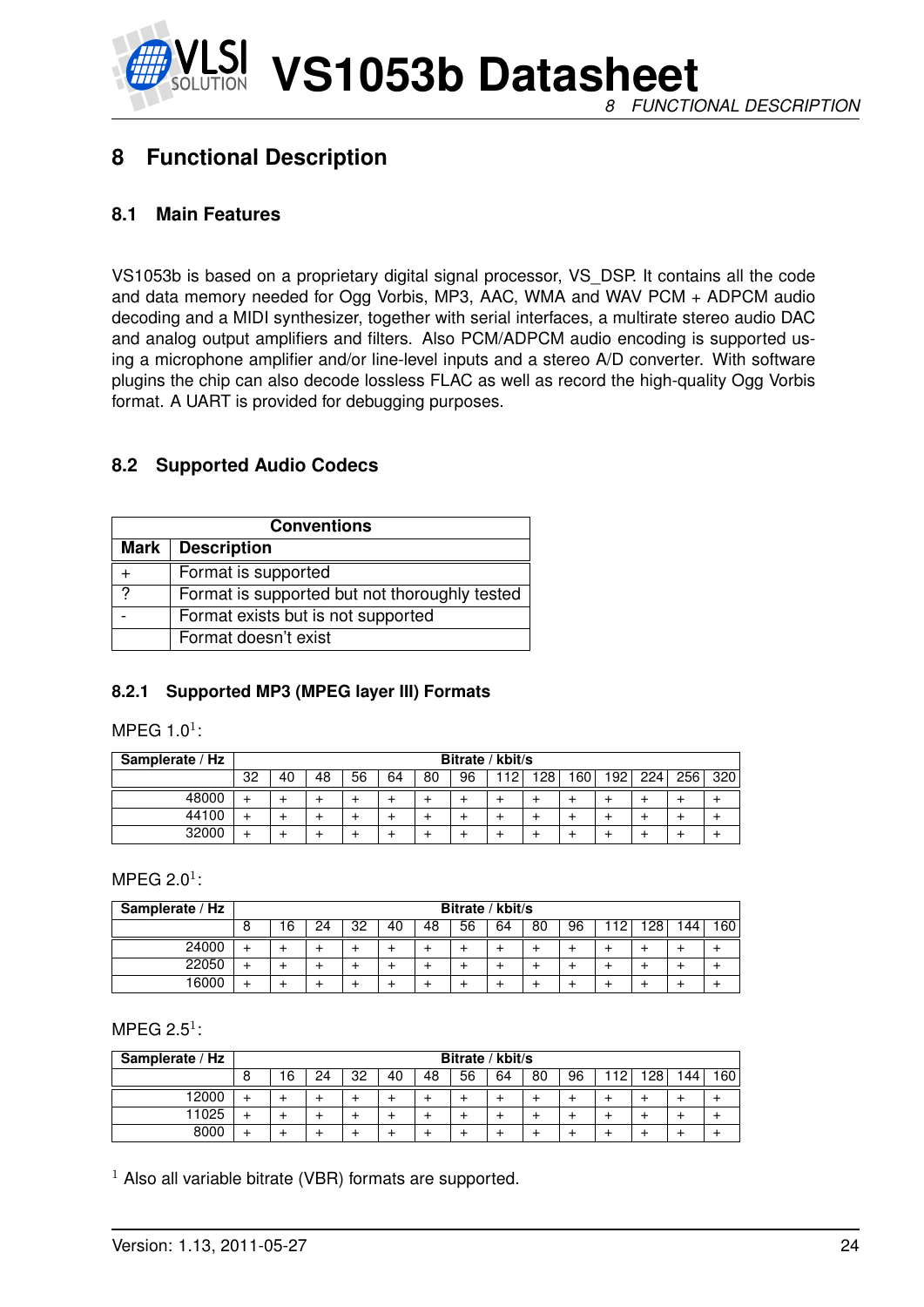

## <span id="page-23-0"></span>**8 Functional Description**

#### <span id="page-23-1"></span>**8.1 Main Features**

VS1053b is based on a proprietary digital signal processor, VS\_DSP. It contains all the code and data memory needed for Ogg Vorbis, MP3, AAC, WMA and WAV PCM + ADPCM audio decoding and a MIDI synthesizer, together with serial interfaces, a multirate stereo audio DAC and analog output amplifiers and filters. Also PCM/ADPCM audio encoding is supported using a microphone amplifier and/or line-level inputs and a stereo A/D converter. With software plugins the chip can also decode lossless FLAC as well as record the high-quality Ogg Vorbis format. A UART is provided for debugging purposes.

#### <span id="page-23-2"></span>**8.2 Supported Audio Codecs**

|                | <b>Conventions</b>                            |  |  |  |  |  |  |  |  |  |  |  |
|----------------|-----------------------------------------------|--|--|--|--|--|--|--|--|--|--|--|
| Mark           | <b>Description</b>                            |  |  |  |  |  |  |  |  |  |  |  |
|                | Format is supported                           |  |  |  |  |  |  |  |  |  |  |  |
| $\overline{2}$ | Format is supported but not thoroughly tested |  |  |  |  |  |  |  |  |  |  |  |
|                | Format exists but is not supported            |  |  |  |  |  |  |  |  |  |  |  |
|                | Format doesn't exist                          |  |  |  |  |  |  |  |  |  |  |  |

#### <span id="page-23-3"></span>**8.2.1 Supported MP3 (MPEG layer III) Formats**

MPEG 1.0 $^1$ :

| Samplerate / Hz |    | Bitrate / kbit/s |    |    |    |    |    |     |     |     |     |     |     |     |
|-----------------|----|------------------|----|----|----|----|----|-----|-----|-----|-----|-----|-----|-----|
|                 | 32 | 40               | 48 | 56 | 64 | 80 | 96 | 112 | 128 | 160 | 192 | 224 | 256 | 320 |
| 48000           |    |                  |    |    |    |    |    |     |     |     |     |     |     |     |
| 44100           |    |                  |    |    |    |    |    |     |     |     |     |     |     |     |
| 32000           |    |                  |    |    |    |    |    |     |     |     |     |     |     |     |

MPEG 2.0 $^1$ :

| Samplerate / Hz | Bitrate / kbit/s |   |    |    |    |    |    |    |    |    |    |                 |     |     |
|-----------------|------------------|---|----|----|----|----|----|----|----|----|----|-----------------|-----|-----|
|                 | ົ<br>O           | 6 | 24 | 32 | 40 | 48 | 56 | 64 | 80 | 96 | 12 | 28 <sub>1</sub> | 144 | 160 |
| 24000           | ∸                |   |    |    |    |    |    |    |    |    |    |                 |     |     |
| 22050           |                  |   |    |    |    |    |    |    |    |    |    |                 |     |     |
| 16000           |                  |   |    |    |    |    |    |    |    |    |    |                 |     |     |

MPEG 2.5 $1$ :

| Samplerate / Hz |        | Bitrate / kbit/s |    |    |    |    |    |    |    |    |    |    |     |     |
|-----------------|--------|------------------|----|----|----|----|----|----|----|----|----|----|-----|-----|
|                 | o<br>O | 16               | 24 | 32 | 40 | 48 | 56 | 64 | 80 | 96 | 12 | 28 | 144 | 160 |
| 12000           |        |                  |    |    |    |    |    |    |    |    |    |    |     |     |
| 11025           |        |                  |    |    |    |    |    |    |    |    |    |    |     |     |
| 8000            |        |                  |    |    |    |    |    |    |    |    |    |    |     |     |

 $1$  Also all variable bitrate (VBR) formats are supported.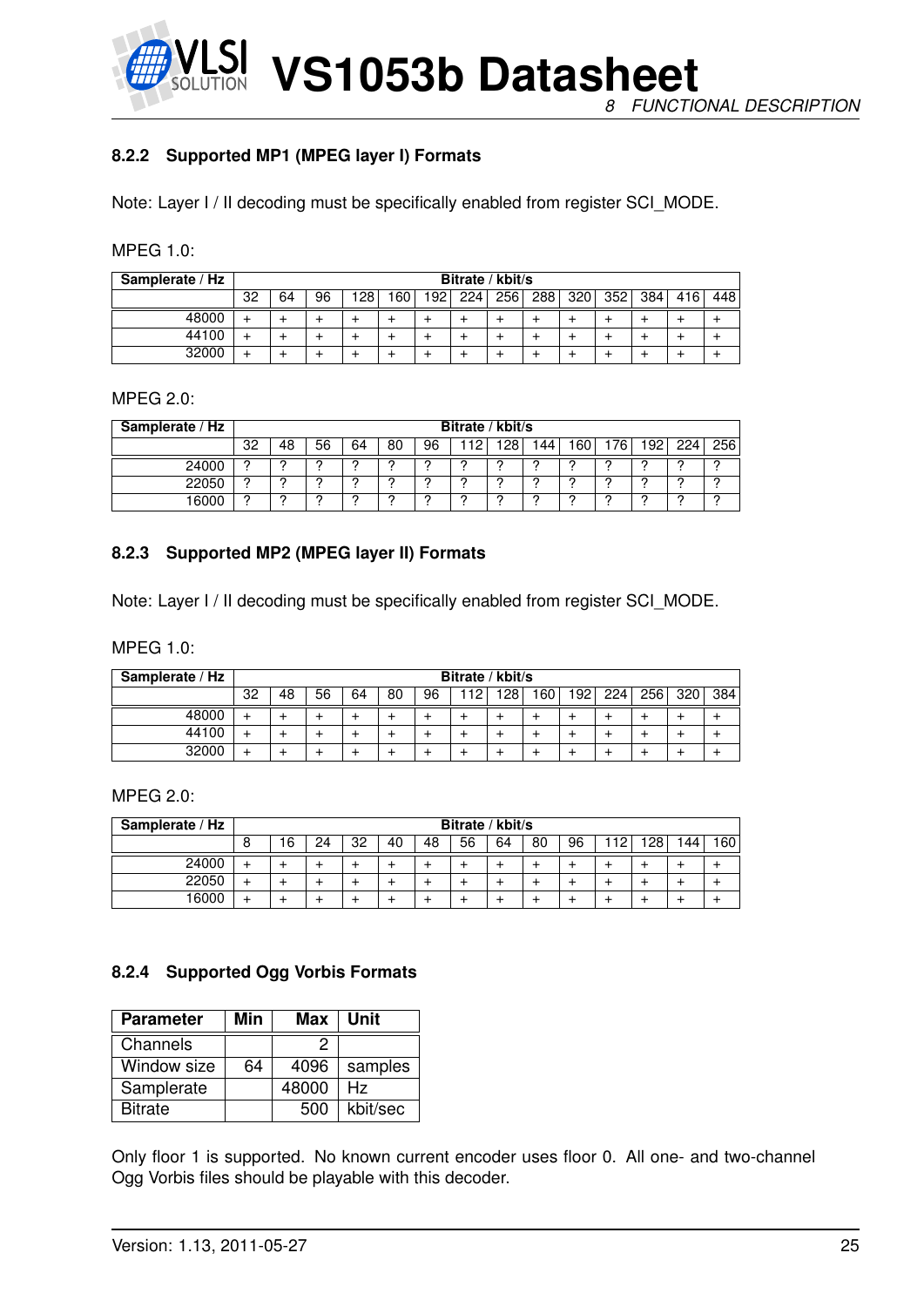

#### <span id="page-24-0"></span>**8.2.2 Supported MP1 (MPEG layer I) Formats**

Note: Layer I / II decoding must be specifically enabled from register SCI\_MODE.

| <b>MPEG 1.0:</b> |  |
|------------------|--|
|                  |  |

| Samplerate / Hz | Bitrate / kbit/s |    |    |     |                  |     |     |     |     |     |     |     |     |     |
|-----------------|------------------|----|----|-----|------------------|-----|-----|-----|-----|-----|-----|-----|-----|-----|
|                 | 32               | 64 | 96 | 128 | '60 <sub>1</sub> | '92 | 224 | 256 | 288 | 320 | 352 | 384 | 416 | 448 |
| 48000           |                  |    |    |     |                  |     |     |     |     |     |     |     |     |     |
| 44100           |                  |    |    |     |                  |     |     |     |     |     |     |     |     |     |
| 32000           |                  |    |    |     |                  |     |     |     |     |     |     |     |     |     |

#### MPEG 2.0:

| Samplerate / Hz |              | Bitrate / kbit/s |    |    |    |    |    |     |     |                  |     |      |     |     |
|-----------------|--------------|------------------|----|----|----|----|----|-----|-----|------------------|-----|------|-----|-----|
|                 | 32           | 48               | 56 | 64 | 80 | 96 | 10 | פכי | 144 | 160 <sub>1</sub> | 176 | 192. | 224 | 256 |
| 24000           |              |                  | റ  |    |    |    |    |     |     |                  |     |      |     |     |
| 22050           | <sup>o</sup> | C                | ◠  |    |    | ົ  | c  | C   | c   | ◠                |     |      |     | ◠   |
| 16000           | n            | ◠                | C. |    |    |    |    |     | c   | ◠                |     |      |     |     |

#### <span id="page-24-1"></span>**8.2.3 Supported MP2 (MPEG layer II) Formats**

Note: Layer I / II decoding must be specifically enabled from register SCI\_MODE.

MPEG 1.0:

| Samplerate / Hz | Bitrate / kbit/s |    |    |    |    |    |    |     |     |     |     |     |     |                  |
|-----------------|------------------|----|----|----|----|----|----|-----|-----|-----|-----|-----|-----|------------------|
|                 | 32               | 48 | 56 | 64 | 80 | 96 | 12 | 128 | 160 | 192 | 224 | 256 | 320 | 384 <sub>1</sub> |
| 48000           |                  |    |    |    |    |    |    |     |     |     |     |     |     |                  |
| 44100           |                  |    |    |    |    |    |    |     |     |     |     |     |     |                  |
| 32000           |                  |    |    |    |    |    |    |     |     |     |     |     |     |                  |

MPEG 2.0:

| Samplerate / Hz |   | Bitrate / kbit/s |    |    |    |    |    |    |    |    |    |     |     |                  |
|-----------------|---|------------------|----|----|----|----|----|----|----|----|----|-----|-----|------------------|
|                 | O | 16               | 24 | 32 | 40 | 48 | 56 | 64 | 80 | 96 | 12 | 128 | 144 | 160 <sub>1</sub> |
| 24000           |   |                  |    |    |    |    |    |    |    |    |    |     |     |                  |
| 22050           | ∸ |                  |    |    |    |    |    |    |    |    |    |     |     |                  |
| 16000           |   |                  |    |    |    |    |    |    |    |    |    |     |     |                  |

#### <span id="page-24-2"></span>**8.2.4 Supported Ogg Vorbis Formats**

| <b>Parameter</b> | Min | Max   | Unit     |
|------------------|-----|-------|----------|
| Channels         |     | ッ     |          |
| Window size      | 64  | 4096  | samples  |
| Samplerate       |     | 48000 | Hz.      |
| <b>Bitrate</b>   |     | 500   | kbit/sec |

Only floor 1 is supported. No known current encoder uses floor 0. All one- and two-channel Ogg Vorbis files should be playable with this decoder.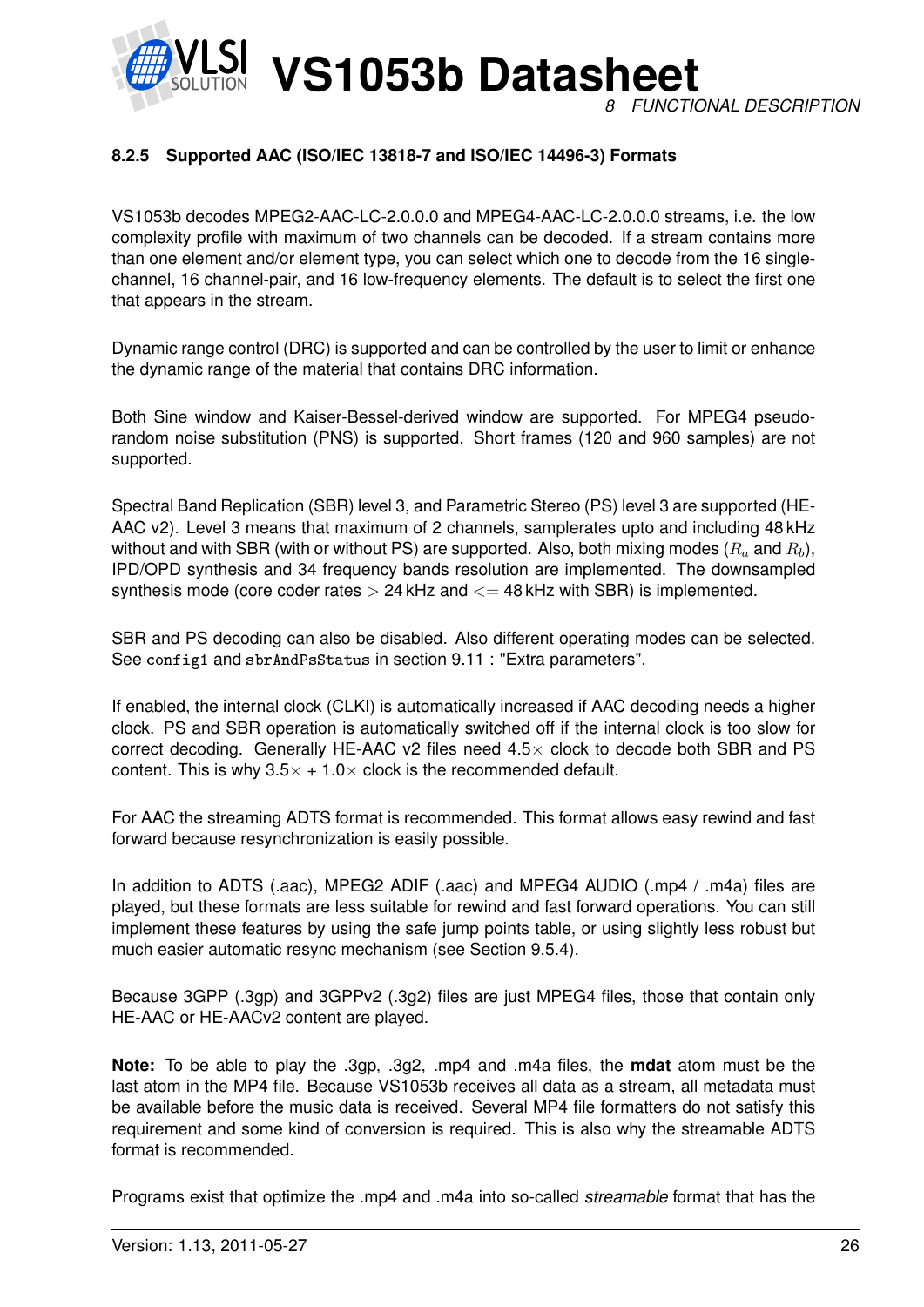**VS1053b Datasheet** *8 FUNCTIONAL DESCRIPTION*

#### <span id="page-25-0"></span>**8.2.5 Supported AAC (ISO/IEC 13818-7 and ISO/IEC 14496-3) Formats**

VS1053b decodes MPEG2-AAC-LC-2.0.0.0 and MPEG4-AAC-LC-2.0.0.0 streams, i.e. the low complexity profile with maximum of two channels can be decoded. If a stream contains more than one element and/or element type, you can select which one to decode from the 16 singlechannel, 16 channel-pair, and 16 low-frequency elements. The default is to select the first one that appears in the stream.

Dynamic range control (DRC) is supported and can be controlled by the user to limit or enhance the dynamic range of the material that contains DRC information.

Both Sine window and Kaiser-Bessel-derived window are supported. For MPEG4 pseudorandom noise substitution (PNS) is supported. Short frames (120 and 960 samples) are not supported.

Spectral Band Replication (SBR) level 3, and Parametric Stereo (PS) level 3 are supported (HE-AAC v2). Level 3 means that maximum of 2 channels, samplerates upto and including 48 kHz without and with SBR (with or without PS) are supported. Also, both mixing modes  $(R_a \text{ and } R_b)$ , IPD/OPD synthesis and 34 frequency bands resolution are implemented. The downsampled synthesis mode (core coder rates  $> 24$  kHz and  $\lt = 48$  kHz with SBR) is implemented.

SBR and PS decoding can also be disabled. Also different operating modes can be selected. See config1 and sbrAndPsStatus in section [9.11](#page-57-0) : "Extra parameters".

If enabled, the internal clock (CLKI) is automatically increased if AAC decoding needs a higher clock. PS and SBR operation is automatically switched off if the internal clock is too slow for correct decoding. Generally HE-AAC v2 files need  $4.5\times$  clock to decode both SBR and PS content. This is why  $3.5 \times +1.0 \times$  clock is the recommended default.

For AAC the streaming ADTS format is recommended. This format allows easy rewind and fast forward because resynchronization is easily possible.

In addition to ADTS (.aac), MPEG2 ADIF (.aac) and MPEG4 AUDIO (.mp4 / .m4a) files are played, but these formats are less suitable for rewind and fast forward operations. You can still implement these features by using the safe jump points table, or using slightly less robust but much easier automatic resync mechanism (see Section [9.5.4\)](#page-48-0).

Because 3GPP (.3gp) and 3GPPv2 (.3g2) files are just MPEG4 files, those that contain only HE-AAC or HE-AACv2 content are played.

**Note:** To be able to play the .3gp, .3g2, .mp4 and .m4a files, the **mdat** atom must be the last atom in the MP4 file. Because VS1053b receives all data as a stream, all metadata must be available before the music data is received. Several MP4 file formatters do not satisfy this requirement and some kind of conversion is required. This is also why the streamable ADTS format is recommended.

Programs exist that optimize the .mp4 and .m4a into so-called *streamable* format that has the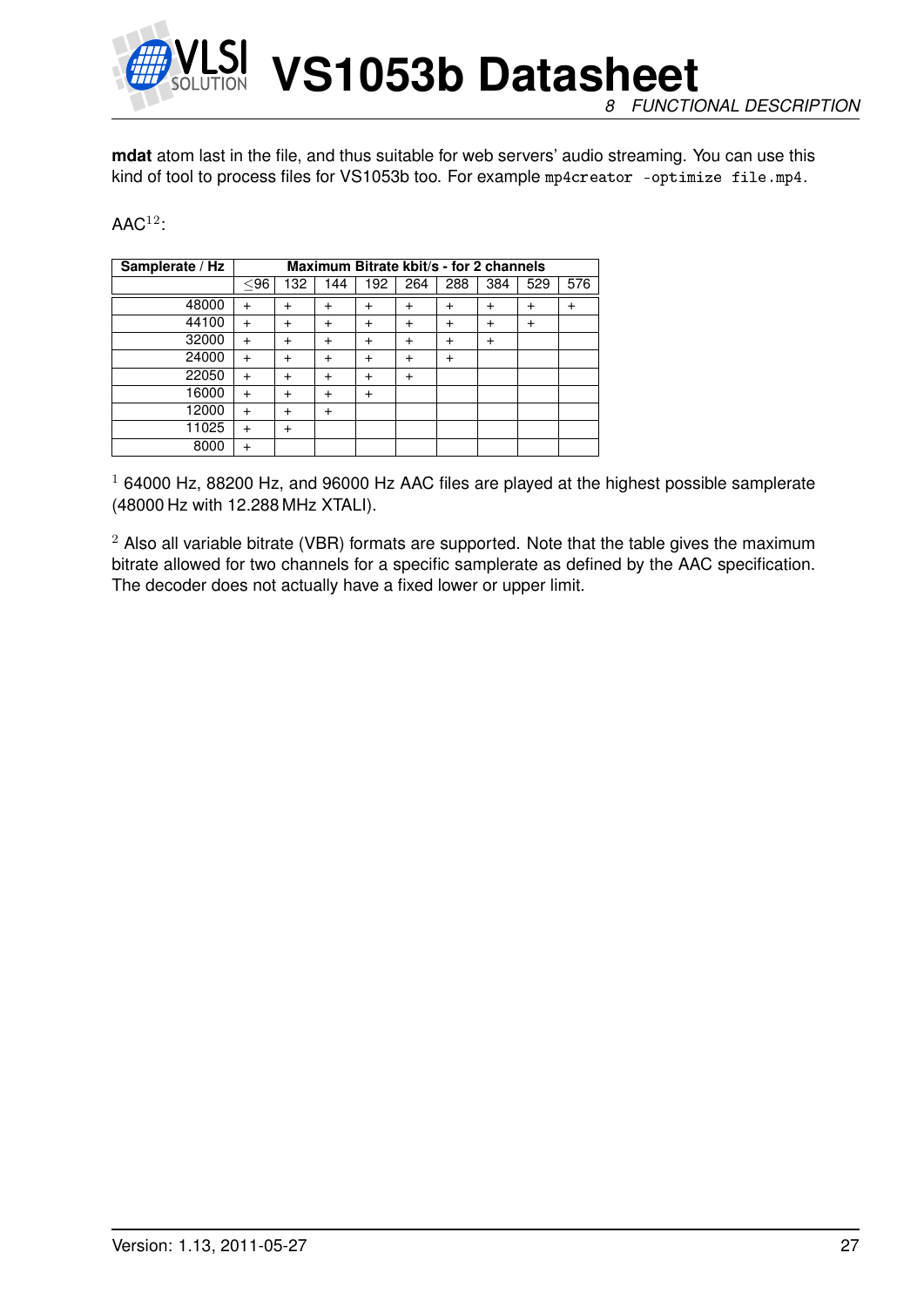

**VS1053b Datasheet** *8 FUNCTIONAL DESCRIPTION*

**mdat** atom last in the file, and thus suitable for web servers' audio streaming. You can use this kind of tool to process files for VS1053b too. For example mp4creator -optimize file.mp4.

#### $\mathsf{AAC}^{12}$ :

| Samplerate / Hz |           | Maximum Bitrate kbit/s - for 2 channels |           |           |           |              |                |           |     |  |  |  |
|-----------------|-----------|-----------------------------------------|-----------|-----------|-----------|--------------|----------------|-----------|-----|--|--|--|
|                 | $<$ 96    | 132                                     | 144       | 192       | 264       | 288          | 384            | 529       | 576 |  |  |  |
| 48000           |           | +                                       | $\ddot{}$ | +         | $\ddot{}$ | $\pm$        | +              | $\,{}^+$  |     |  |  |  |
| 44100           |           | $\ddot{}$                               | $\ddot{}$ | $\div$    | $\ddot{}$ | $\ddot{}$    | $\div$         | $\ddot{}$ |     |  |  |  |
| 32000           | $\ddot{}$ | +                                       | $\ddot{}$ | $\ddot{}$ | $\ddot{}$ | +            | $\overline{+}$ |           |     |  |  |  |
| 24000           |           | $\overline{ }$                          | $\ddot{}$ | $\div$    | $\ddot{}$ | $\mathrm{+}$ |                |           |     |  |  |  |
| 22050           |           | +                                       | $\ddot{}$ | $\div$    | $\ddot{}$ |              |                |           |     |  |  |  |
| 16000           | $\ddot{}$ | +                                       | $\ddot{}$ | $\ddot{}$ |           |              |                |           |     |  |  |  |
| 12000           | $\ddot{}$ | $\ddot{}$                               | $\ddot{}$ |           |           |              |                |           |     |  |  |  |
| 11025           |           | $\ddot{}$                               |           |           |           |              |                |           |     |  |  |  |
| 8000            |           |                                         |           |           |           |              |                |           |     |  |  |  |

 $1$  64000 Hz, 88200 Hz, and 96000 Hz AAC files are played at the highest possible samplerate (48000 Hz with 12.288 MHz XTALI).

 $2$  Also all variable bitrate (VBR) formats are supported. Note that the table gives the maximum bitrate allowed for two channels for a specific samplerate as defined by the AAC specification. The decoder does not actually have a fixed lower or upper limit.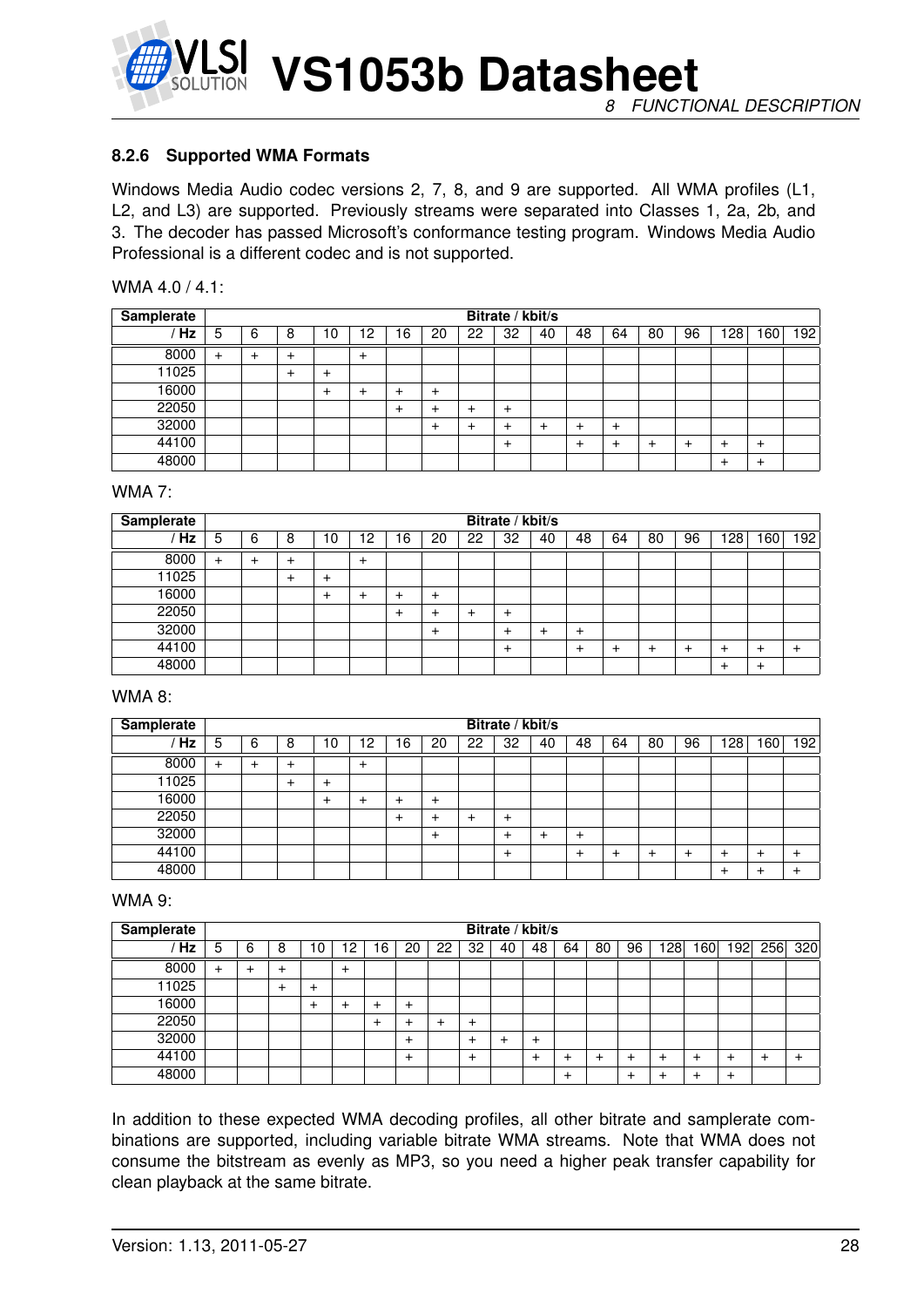

#### <span id="page-27-0"></span>**8.2.6 Supported WMA Formats**

Windows Media Audio codec versions 2, 7, 8, and 9 are supported. All WMA profiles (L1, L2, and L3) are supported. Previously streams were separated into Classes 1, 2a, 2b, and 3. The decoder has passed Microsoft's conformance testing program. Windows Media Audio Professional is a different codec and is not supported.

| WMA 4.0 / 4.1: |  |  |
|----------------|--|--|
|----------------|--|--|

| <b>Samplerate</b> |           | Bitrate / kbit/s |   |           |       |    |              |    |       |    |        |              |    |    |       |                |     |
|-------------------|-----------|------------------|---|-----------|-------|----|--------------|----|-------|----|--------|--------------|----|----|-------|----------------|-----|
| Hz                | 5         | 6                | 8 | 10        | 2     | 16 | 20           | 22 | 32    | 40 | 48     | 64           | 80 | 96 | 128   | 60             | 192 |
| 8000              | $\ddot{}$ |                  | + |           | $\pm$ |    |              |    |       |    |        |              |    |    |       |                |     |
| 11025             |           |                  | + | $\ddot{}$ |       |    |              |    |       |    |        |              |    |    |       |                |     |
| 16000             |           |                  |   | $\div$    | +     | +  | $\mathrm{+}$ |    |       |    |        |              |    |    |       |                |     |
| 22050             |           |                  |   |           |       | +  | +            | +  | $\pm$ |    |        |              |    |    |       |                |     |
| 32000             |           |                  |   |           |       |    | +            |    |       | +  |        | $\mathrm{+}$ |    |    |       |                |     |
| 44100             |           |                  |   |           |       |    |              |    | $\pm$ |    | $\div$ |              |    |    | ٠     | $\overline{+}$ |     |
| 48000             |           |                  |   |           |       |    |              |    |       |    |        |              |    |    | $\pm$ | $\ddot{}$      |     |

#### WMA 7:

| <b>Samplerate</b> |           | Bitrate / kbit/s |   |        |       |    |        |    |       |    |        |    |    |    |     |    |     |
|-------------------|-----------|------------------|---|--------|-------|----|--------|----|-------|----|--------|----|----|----|-----|----|-----|
| Hz                | 5         | 6                | 8 | 10     | 12    | 16 | 20     | 22 | 32    | 40 | 48     | 64 | 80 | 96 | 128 | 60 | 192 |
| 8000              | $\ddot{}$ | ÷                | + |        | $\pm$ |    |        |    |       |    |        |    |    |    |     |    |     |
| 11025             |           |                  |   | $\div$ |       |    |        |    |       |    |        |    |    |    |     |    |     |
| 16000             |           |                  |   | ٠      | +     | +  | $\,^+$ |    |       |    |        |    |    |    |     |    |     |
| 22050             |           |                  |   |        |       | +  | +      |    | $\pm$ |    |        |    |    |    |     |    |     |
| 32000             |           |                  |   |        |       |    | ٠      |    | ∸     | +  | $\div$ |    |    |    |     |    |     |
| 44100             |           |                  |   |        |       |    |        |    | ÷     |    |        |    |    |    | ٠   |    |     |
| 48000             |           |                  |   |        |       |    |        |    |       |    |        |    |    |    | +   | ┹  |     |

#### WMA 8:

| Samplerate |           | Bitrate / kbit/s |   |        |       |           |              |    |       |    |        |    |    |    |       |        |           |
|------------|-----------|------------------|---|--------|-------|-----------|--------------|----|-------|----|--------|----|----|----|-------|--------|-----------|
| Hz         | 5         | 6                | 8 | 10     | 2     | 16        | 20           | 22 | 32    | 40 | 48     | 64 | 80 | 96 | 128   | 60     | 192       |
| 8000       | $\ddot{}$ |                  | + |        | $\pm$ |           |              |    |       |    |        |    |    |    |       |        |           |
| 11025      |           |                  | ٠ | $^{+}$ |       |           |              |    |       |    |        |    |    |    |       |        |           |
| 16000      |           |                  |   | $\pm$  | +     | $\ddot{}$ | $\mathrm{+}$ |    |       |    |        |    |    |    |       |        |           |
| 22050      |           |                  |   |        |       | +         | +            |    | $\pm$ |    |        |    |    |    |       |        |           |
| 32000      |           |                  |   |        |       |           | $\ddot{}$    |    |       | +  | $\div$ |    |    |    |       |        |           |
| 44100      |           |                  |   |        |       |           |              |    | $\pm$ |    |        |    |    |    | ٠     | $\pm$  | $\ddot{}$ |
| 48000      |           |                  |   |        |       |           |              |    |       |    |        |    |    |    | $\pm$ | $\div$ |           |

#### WMA 9:

| <b>Samplerate</b> |           | Bitrate / kbit/s |   |   |       |    |        |    |        |    |    |        |    |    |    |    |     |     |     |
|-------------------|-----------|------------------|---|---|-------|----|--------|----|--------|----|----|--------|----|----|----|----|-----|-----|-----|
| Hz                | 5         | 6                | 8 | 0 | 2     | 16 | 20     | 22 | 32     | 40 | 48 | 64     | 80 | 96 | 28 | 60 | 192 | 256 | 320 |
| 8000              | $\ddot{}$ |                  |   |   | $\pm$ |    |        |    |        |    |    |        |    |    |    |    |     |     |     |
| 11025             |           |                  |   | + |       |    |        |    |        |    |    |        |    |    |    |    |     |     |     |
| 16000             |           |                  |   |   |       |    | +      |    |        |    |    |        |    |    |    |    |     |     |     |
| 22050             |           |                  |   |   |       | +  |        |    | $\,^+$ |    |    |        |    |    |    |    |     |     |     |
| 32000             |           |                  |   |   |       |    | $\div$ |    | +      |    |    |        |    |    |    |    |     |     |     |
| 44100             |           |                  |   |   |       |    | $\div$ |    | $\,^+$ |    |    | ٠      |    |    |    |    |     |     |     |
| 48000             |           |                  |   |   |       |    |        |    |        |    |    | $\,^+$ |    |    |    |    | +   |     |     |

In addition to these expected WMA decoding profiles, all other bitrate and samplerate combinations are supported, including variable bitrate WMA streams. Note that WMA does not consume the bitstream as evenly as MP3, so you need a higher peak transfer capability for clean playback at the same bitrate.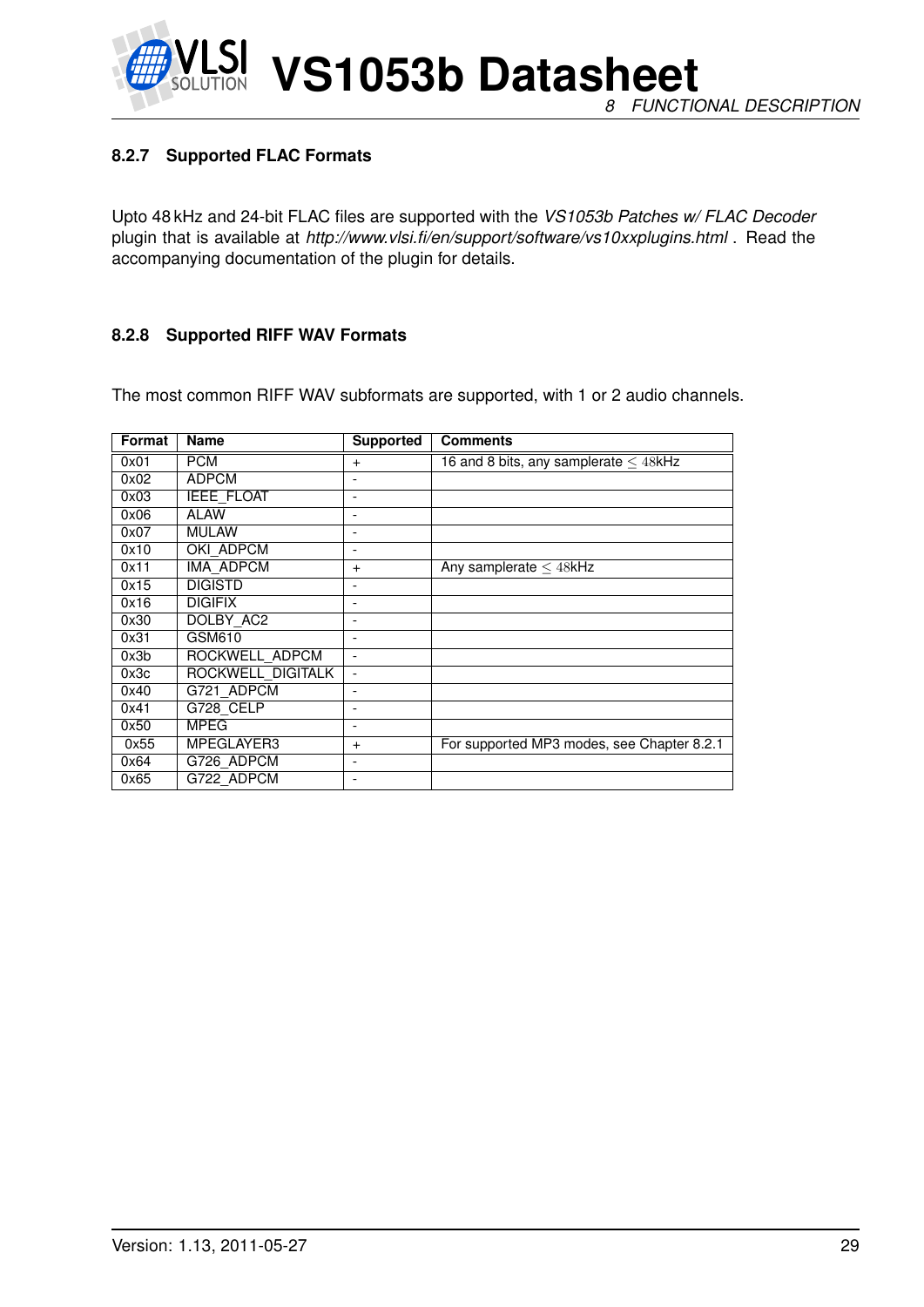#### <span id="page-28-0"></span>**8.2.7 Supported FLAC Formats**

Upto 48 kHz and 24-bit FLAC files are supported with the *VS1053b Patches w/ FLAC Decoder* plugin that is available at *http://www.vlsi.fi/en/support/software/vs10xxplugins.html* . Read the accompanying documentation of the plugin for details.

#### <span id="page-28-1"></span>**8.2.8 Supported RIFF WAV Formats**

The most common RIFF WAV subformats are supported, with 1 or 2 audio channels.

| Format | <b>Name</b>       | <b>Supported</b>         | <b>Comments</b>                            |
|--------|-------------------|--------------------------|--------------------------------------------|
| 0x01   | <b>PCM</b>        | $+$                      | 16 and 8 bits, any samplerate $\leq$ 48kHz |
| 0x02   | <b>ADPCM</b>      | $\overline{\phantom{a}}$ |                                            |
| 0x03   | <b>IEEE FLOAT</b> |                          |                                            |
| 0x06   | ALAW              |                          |                                            |
| 0x07   | <b>MULAW</b>      | $\overline{\phantom{a}}$ |                                            |
| 0x10   | OKI ADPCM         |                          |                                            |
| 0x11   | IMA ADPCM         | $+$                      | Any samplerate $\leq$ 48kHz                |
| 0x15   | <b>DIGISTD</b>    | $\overline{\phantom{a}}$ |                                            |
| 0x16   | <b>DIGIFIX</b>    | ۰                        |                                            |
| 0x30   | DOLBY AC2         |                          |                                            |
| 0x31   | GSM610            | $\overline{\phantom{a}}$ |                                            |
| 0x3b   | ROCKWELL ADPCM    |                          |                                            |
| 0x3c   | ROCKWELL DIGITALK | $\overline{\phantom{0}}$ |                                            |
| 0x40   | G721 ADPCM        | $\overline{\phantom{a}}$ |                                            |
| 0x41   | G728 CELP         | $\overline{\phantom{a}}$ |                                            |
| 0x50   | <b>MPEG</b>       | $\overline{\phantom{a}}$ |                                            |
| 0x55   | MPEGLAYER3        | $+$                      | For supported MP3 modes, see Chapter 8.2.1 |
| 0x64   | G726 ADPCM        |                          |                                            |
| 0x65   | G722 ADPCM        |                          |                                            |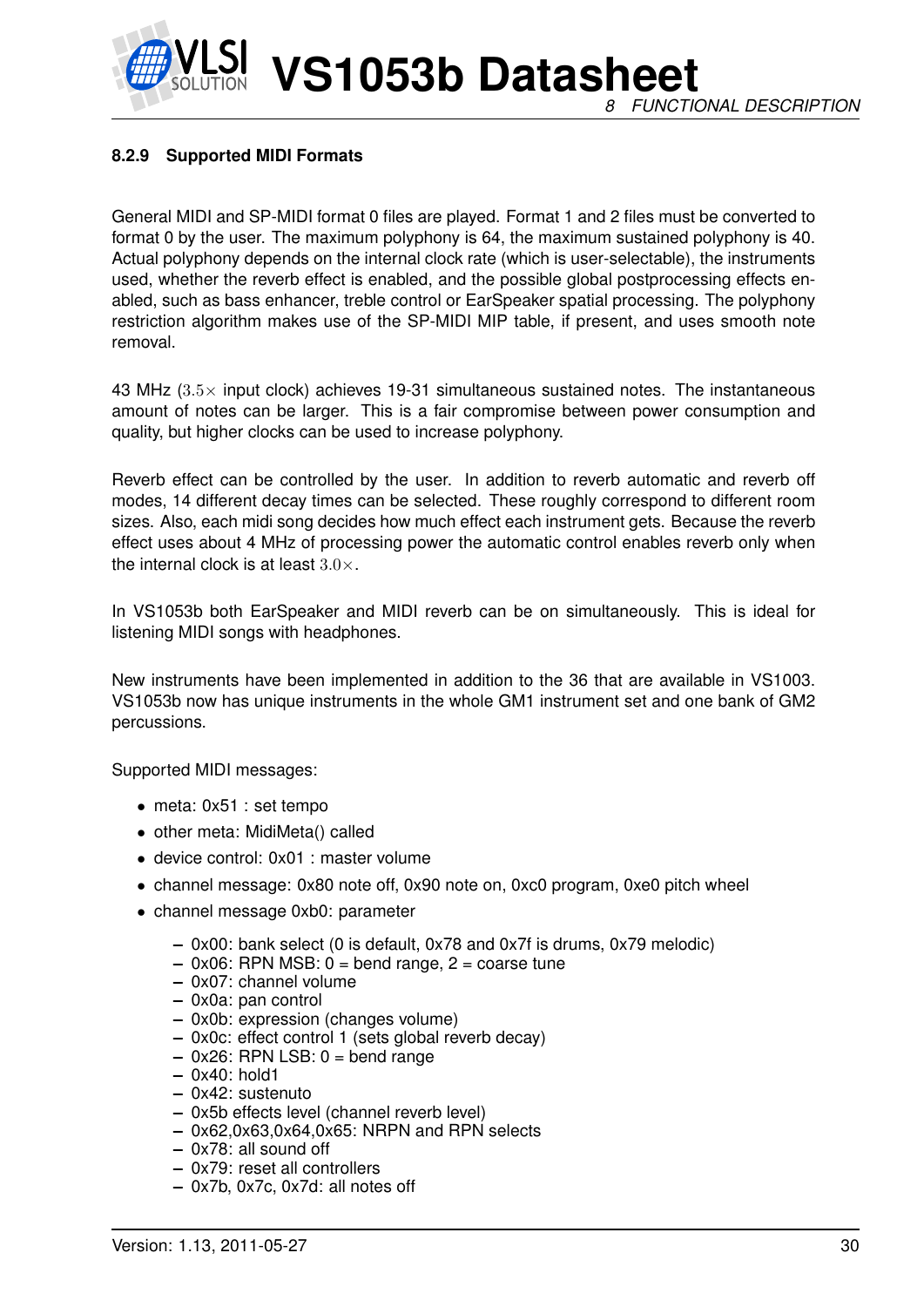## **VS1053b Datasheet** *8 FUNCTIONAL DESCRIPTION*

#### <span id="page-29-0"></span>**8.2.9 Supported MIDI Formats**

General MIDI and SP-MIDI format 0 files are played. Format 1 and 2 files must be converted to format 0 by the user. The maximum polyphony is 64, the maximum sustained polyphony is 40. Actual polyphony depends on the internal clock rate (which is user-selectable), the instruments used, whether the reverb effect is enabled, and the possible global postprocessing effects enabled, such as bass enhancer, treble control or EarSpeaker spatial processing. The polyphony restriction algorithm makes use of the SP-MIDI MIP table, if present, and uses smooth note removal.

43 MHz  $(3.5\times$  input clock) achieves 19-31 simultaneous sustained notes. The instantaneous amount of notes can be larger. This is a fair compromise between power consumption and quality, but higher clocks can be used to increase polyphony.

Reverb effect can be controlled by the user. In addition to reverb automatic and reverb off modes, 14 different decay times can be selected. These roughly correspond to different room sizes. Also, each midi song decides how much effect each instrument gets. Because the reverb effect uses about 4 MHz of processing power the automatic control enables reverb only when the internal clock is at least  $3.0 \times$ .

In VS1053b both EarSpeaker and MIDI reverb can be on simultaneously. This is ideal for listening MIDI songs with headphones.

New instruments have been implemented in addition to the 36 that are available in VS1003. VS1053b now has unique instruments in the whole GM1 instrument set and one bank of GM2 percussions.

Supported MIDI messages:

- meta: 0x51 : set tempo
- other meta: MidiMeta() called
- device control: 0x01 : master volume
- channel message: 0x80 note off, 0x90 note on, 0xc0 program, 0xe0 pitch wheel
- channel message 0xb0: parameter
	- **–** 0x00: bank select (0 is default, 0x78 and 0x7f is drums, 0x79 melodic)
	- **–** 0x06: RPN MSB: 0 = bend range, 2 = coarse tune
	- **–** 0x07: channel volume
	- **–** 0x0a: pan control
	- **–** 0x0b: expression (changes volume)
	- **–** 0x0c: effect control 1 (sets global reverb decay)
	- **–** 0x26: RPN LSB: 0 = bend range
	- **–** 0x40: hold1
	- **–** 0x42: sustenuto
	- **–** 0x5b effects level (channel reverb level)
	- **–** 0x62,0x63,0x64,0x65: NRPN and RPN selects
	- **–** 0x78: all sound off
	- **–** 0x79: reset all controllers
	- **–** 0x7b, 0x7c, 0x7d: all notes off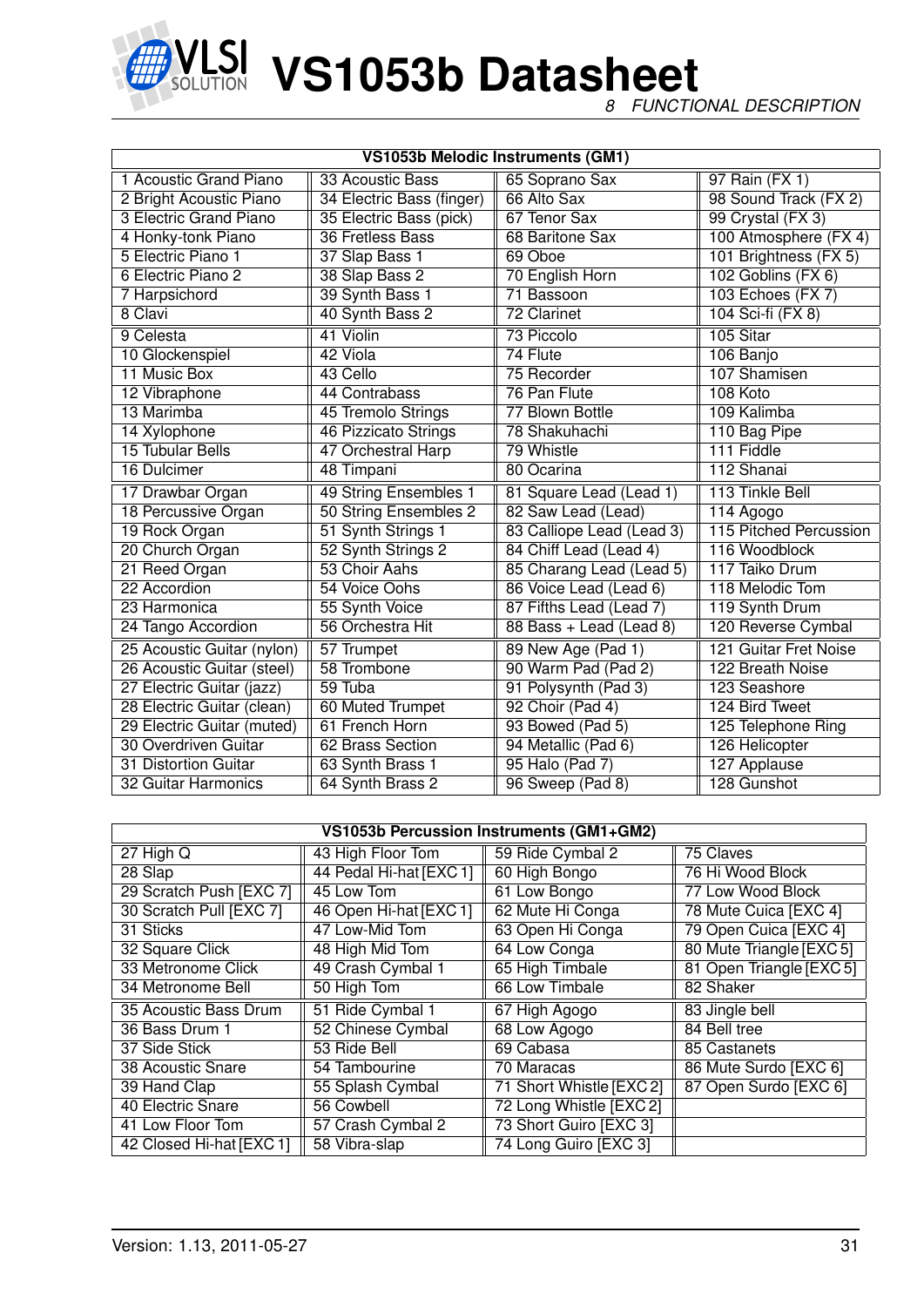

*8 FUNCTIONAL DESCRIPTION*

| VS1053b Melodic Instruments (GM1) |                           |                           |                        |  |  |  |  |  |  |
|-----------------------------------|---------------------------|---------------------------|------------------------|--|--|--|--|--|--|
| 1 Acoustic Grand Piano            | 33 Acoustic Bass          | 65 Soprano Sax            | 97 Rain (FX 1)         |  |  |  |  |  |  |
| 2 Bright Acoustic Piano           | 34 Electric Bass (finger) | 66 Alto Sax               | 98 Sound Track (FX 2)  |  |  |  |  |  |  |
| <b>3 Electric Grand Piano</b>     | 35 Electric Bass (pick)   | 67 Tenor Sax              | 99 Crystal (FX 3)      |  |  |  |  |  |  |
| 4 Honky-tonk Piano                | 36 Fretless Bass          | 68 Baritone Sax           | 100 Atmosphere (FX 4)  |  |  |  |  |  |  |
| 5 Electric Piano 1                | 37 Slap Bass 1            | 69 Oboe                   | 101 Brightness (FX 5)  |  |  |  |  |  |  |
| 6 Electric Piano 2                | 38 Slap Bass 2            | 70 English Horn           | 102 Goblins (FX 6)     |  |  |  |  |  |  |
| 7 Harpsichord                     | 39 Synth Bass 1           | 71 Bassoon                | 103 Echoes (FX 7)      |  |  |  |  |  |  |
| 8 Clavi                           | 40 Synth Bass 2           | 72 Clarinet               | 104 Sci-fi (FX 8)      |  |  |  |  |  |  |
| 9 Celesta                         | 41 Violin                 | 73 Piccolo                | 105 Sitar              |  |  |  |  |  |  |
| 10 Glockenspiel                   | 42 Viola                  | 74 Flute                  | 106 Banjo              |  |  |  |  |  |  |
| 11 Music Box                      | 43 Cello                  | 75 Recorder               | 107 Shamisen           |  |  |  |  |  |  |
| 12 Vibraphone                     | 44 Contrabass             | 76 Pan Flute              | 108 Koto               |  |  |  |  |  |  |
| 13 Marimba                        | 45 Tremolo Strings        | 77 Blown Bottle           | 109 Kalimba            |  |  |  |  |  |  |
| 14 Xylophone                      | 46 Pizzicato Strings      | 78 Shakuhachi             | 110 Bag Pipe           |  |  |  |  |  |  |
| 15 Tubular Bells                  | 47 Orchestral Harp        | 79 Whistle                | 111 Fiddle             |  |  |  |  |  |  |
| 16 Dulcimer                       | 48 Timpani                | 80 Ocarina                | 112 Shanai             |  |  |  |  |  |  |
| 17 Drawbar Organ                  | 49 String Ensembles 1     | 81 Square Lead (Lead 1)   | 113 Tinkle Bell        |  |  |  |  |  |  |
| 18 Percussive Organ               | 50 String Ensembles 2     | 82 Saw Lead (Lead)        | 114 Agogo              |  |  |  |  |  |  |
| 19 Rock Organ                     | 51 Synth Strings 1        | 83 Calliope Lead (Lead 3) | 115 Pitched Percussion |  |  |  |  |  |  |
| 20 Church Organ                   | 52 Synth Strings 2        | 84 Chiff Lead (Lead 4)    | 116 Woodblock          |  |  |  |  |  |  |
| 21 Reed Organ                     | 53 Choir Aahs             | 85 Charang Lead (Lead 5)  | 117 Taiko Drum         |  |  |  |  |  |  |
| 22 Accordion                      | 54 Voice Oohs             | 86 Voice Lead (Lead 6)    | 118 Melodic Tom        |  |  |  |  |  |  |
| 23 Harmonica                      | 55 Synth Voice            | 87 Fifths Lead (Lead 7)   | 119 Synth Drum         |  |  |  |  |  |  |
| 24 Tango Accordion                | 56 Orchestra Hit          | 88 Bass + Lead (Lead 8)   | 120 Reverse Cymbal     |  |  |  |  |  |  |
| 25 Acoustic Guitar (nylon)        | 57 Trumpet                | 89 New Age (Pad 1)        | 121 Guitar Fret Noise  |  |  |  |  |  |  |
| 26 Acoustic Guitar (steel)        | 58 Trombone               | 90 Warm Pad (Pad 2)       | 122 Breath Noise       |  |  |  |  |  |  |
| 27 Electric Guitar (jazz)         | 59 Tuba                   | 91 Polysynth (Pad 3)      | 123 Seashore           |  |  |  |  |  |  |
| 28 Electric Guitar (clean)        | 60 Muted Trumpet          | 92 Choir (Pad 4)          | 124 Bird Tweet         |  |  |  |  |  |  |
| 29 Electric Guitar (muted)        | 61 French Horn            | 93 Bowed (Pad 5)          | 125 Telephone Ring     |  |  |  |  |  |  |
| 30 Overdriven Guitar              | 62 Brass Section          | 94 Metallic (Pad 6)       | 126 Helicopter         |  |  |  |  |  |  |
| 31 Distortion Guitar              | 63 Synth Brass 1          | 95 Halo (Pad 7)           | 127 Applause           |  |  |  |  |  |  |
| 32 Guitar Harmonics               | 64 Synth Brass 2          | 96 Sweep (Pad 8)          | 128 Gunshot            |  |  |  |  |  |  |

| VS1053b Percussion Instruments (GM1+GM2) |                         |                         |                          |  |  |  |  |  |  |
|------------------------------------------|-------------------------|-------------------------|--------------------------|--|--|--|--|--|--|
| $27$ High Q                              | 43 High Floor Tom       | 59 Ride Cymbal 2        | 75 Claves                |  |  |  |  |  |  |
| 28 Slap                                  | 44 Pedal Hi-hat [EXC 1] | 60 High Bongo           | 76 Hi Wood Block         |  |  |  |  |  |  |
| 29 Scratch Push [EXC 7]                  | 45 Low Tom              | 61 Low Bongo            | 77 Low Wood Block        |  |  |  |  |  |  |
| 30 Scratch Pull [EXC 7]                  | 46 Open Hi-hat [EXC 1]  | 62 Mute Hi Conga        | 78 Mute Cuica [EXC 4]    |  |  |  |  |  |  |
| 31 Sticks                                | 47 Low-Mid Tom          | 63 Open Hi Conga        | 79 Open Cuica [EXC 4]    |  |  |  |  |  |  |
| 32 Square Click                          | 48 High Mid Tom         | 64 Low Conga            | 80 Mute Triangle [EXC 5] |  |  |  |  |  |  |
| 33 Metronome Click                       | 49 Crash Cymbal 1       | 65 High Timbale         | 81 Open Triangle [EXC 5] |  |  |  |  |  |  |
| 34 Metronome Bell                        | 50 High Tom             | 66 Low Timbale          | 82 Shaker                |  |  |  |  |  |  |
| 35 Acoustic Bass Drum                    | 51 Ride Cymbal 1        | 67 High Agogo           | 83 Jingle bell           |  |  |  |  |  |  |
| 36 Bass Drum 1                           | 52 Chinese Cymbal       | 68 Low Agogo            | 84 Bell tree             |  |  |  |  |  |  |
| 37 Side Stick                            | 53 Ride Bell            | 69 Cabasa               | 85 Castanets             |  |  |  |  |  |  |
| 38 Acoustic Snare                        | 54 Tambourine           | 70 Maracas              | 86 Mute Surdo [EXC 6]    |  |  |  |  |  |  |
| 39 Hand Clap                             | 55 Splash Cymbal        | 71 Short Whistle [EXC2] | 87 Open Surdo [EXC 6]    |  |  |  |  |  |  |
| 40 Electric Snare                        | 56 Cowbell              | 72 Long Whistle [EXC 2] |                          |  |  |  |  |  |  |
| 41 Low Floor Tom                         | 57 Crash Cymbal 2       | 73 Short Guiro [EXC 3]  |                          |  |  |  |  |  |  |
| 42 Closed Hi-hat [EXC 1]                 | 58 Vibra-slap           | 74 Long Guiro [EXC 3]   |                          |  |  |  |  |  |  |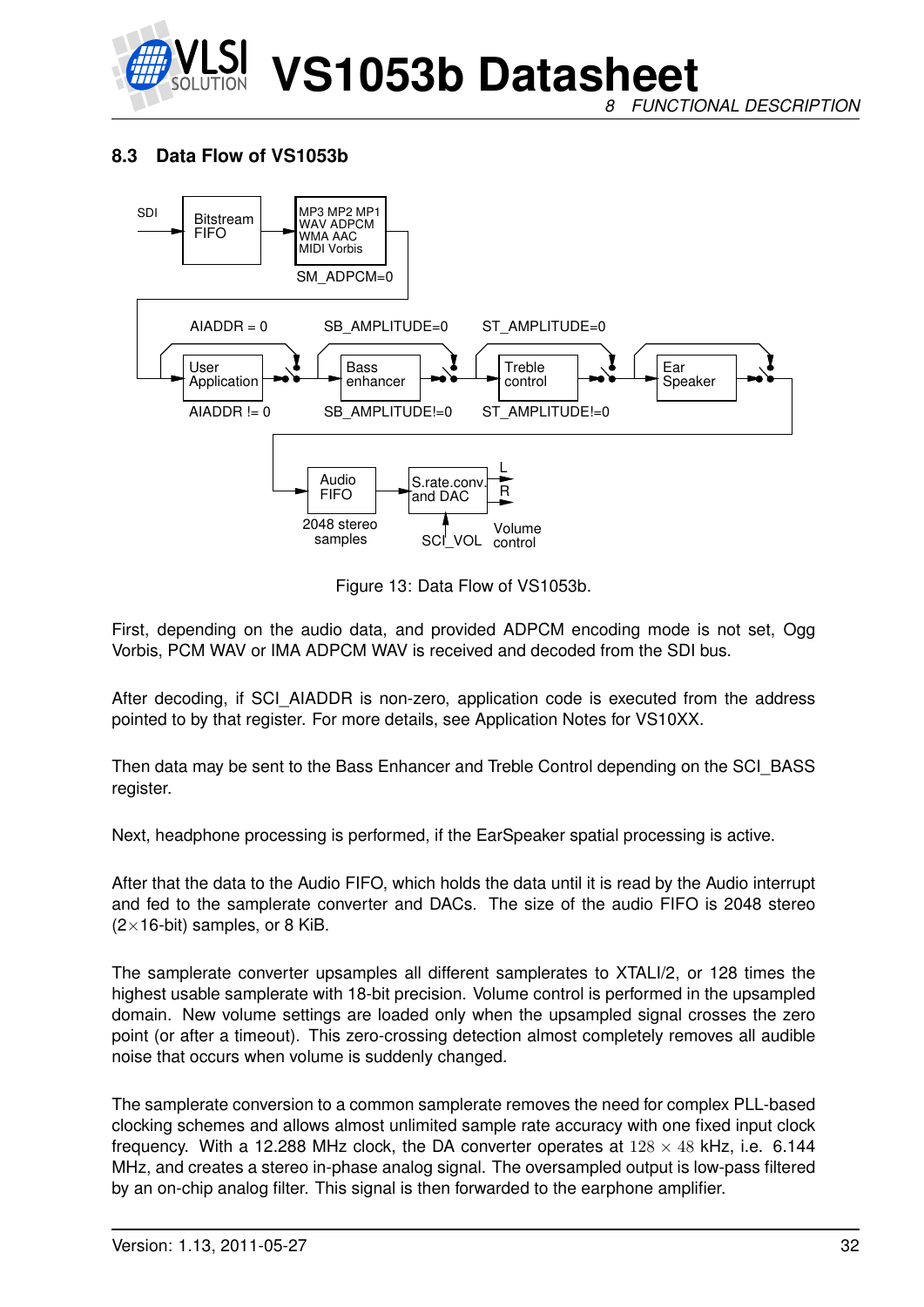

*8 FUNCTIONAL DESCRIPTION*

#### <span id="page-31-0"></span>**8.3 Data Flow of VS1053b**



<span id="page-31-1"></span>Figure 13: Data Flow of VS1053b.

First, depending on the audio data, and provided ADPCM encoding mode is not set, Ogg Vorbis, PCM WAV or IMA ADPCM WAV is received and decoded from the SDI bus.

After decoding, if SCI\_AIADDR is non-zero, application code is executed from the address pointed to by that register. For more details, see Application Notes for VS10XX.

Then data may be sent to the Bass Enhancer and Treble Control depending on the SCI\_BASS register.

Next, headphone processing is performed, if the EarSpeaker spatial processing is active.

After that the data to the Audio FIFO, which holds the data until it is read by the Audio interrupt and fed to the samplerate converter and DACs. The size of the audio FIFO is 2048 stereo  $(2\times16$ -bit) samples, or 8 KiB.

The samplerate converter upsamples all different samplerates to XTALI/2, or 128 times the highest usable samplerate with 18-bit precision. Volume control is performed in the upsampled domain. New volume settings are loaded only when the upsampled signal crosses the zero point (or after a timeout). This zero-crossing detection almost completely removes all audible noise that occurs when volume is suddenly changed.

The samplerate conversion to a common samplerate removes the need for complex PLL-based clocking schemes and allows almost unlimited sample rate accuracy with one fixed input clock frequency. With a 12.288 MHz clock, the DA converter operates at  $128 \times 48$  kHz, i.e. 6.144 MHz, and creates a stereo in-phase analog signal. The oversampled output is low-pass filtered by an on-chip analog filter. This signal is then forwarded to the earphone amplifier.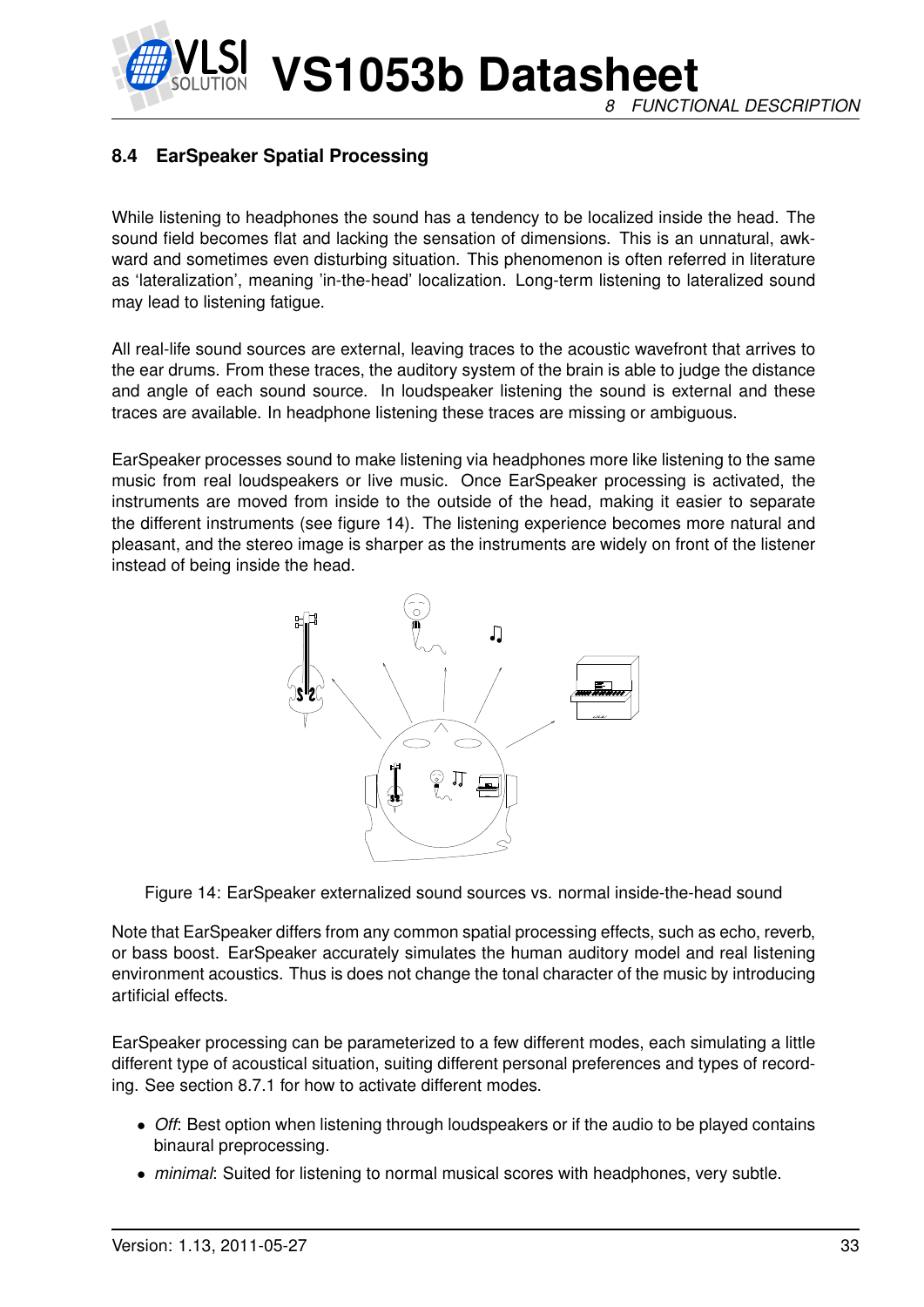**VS1053b Datasheet** *8 FUNCTIONAL DESCRIPTION*

#### <span id="page-32-0"></span>**8.4 EarSpeaker Spatial Processing**

While listening to headphones the sound has a tendency to be localized inside the head. The sound field becomes flat and lacking the sensation of dimensions. This is an unnatural, awkward and sometimes even disturbing situation. This phenomenon is often referred in literature as 'lateralization', meaning 'in-the-head' localization. Long-term listening to lateralized sound may lead to listening fatigue.

All real-life sound sources are external, leaving traces to the acoustic wavefront that arrives to the ear drums. From these traces, the auditory system of the brain is able to judge the distance and angle of each sound source. In loudspeaker listening the sound is external and these traces are available. In headphone listening these traces are missing or ambiguous.

EarSpeaker processes sound to make listening via headphones more like listening to the same music from real loudspeakers or live music. Once EarSpeaker processing is activated, the instruments are moved from inside to the outside of the head, making it easier to separate the different instruments (see figure [14\)](#page-32-1). The listening experience becomes more natural and pleasant, and the stereo image is sharper as the instruments are widely on front of the listener instead of being inside the head.



<span id="page-32-1"></span>Figure 14: EarSpeaker externalized sound sources vs. normal inside-the-head sound

Note that EarSpeaker differs from any common spatial processing effects, such as echo, reverb, or bass boost. EarSpeaker accurately simulates the human auditory model and real listening environment acoustics. Thus is does not change the tonal character of the music by introducing artificial effects.

EarSpeaker processing can be parameterized to a few different modes, each simulating a little different type of acoustical situation, suiting different personal preferences and types of recording. See section [8.7.1](#page-35-0) for how to activate different modes.

- *Off*: Best option when listening through loudspeakers or if the audio to be played contains binaural preprocessing.
- *minimal*: Suited for listening to normal musical scores with headphones, very subtle.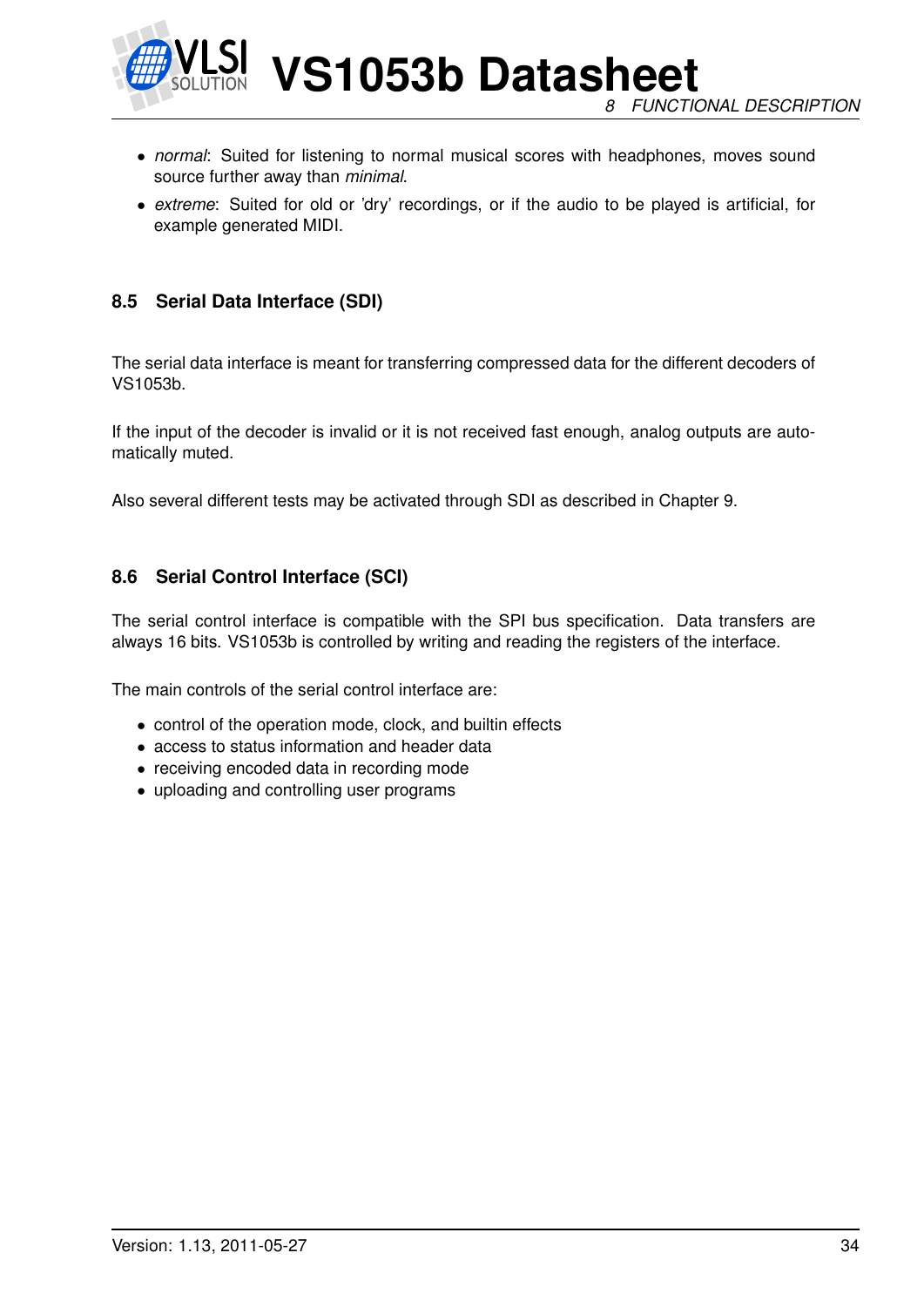

**VS1053b Datasheet** *8 FUNCTIONAL DESCRIPTION*

- *normal*: Suited for listening to normal musical scores with headphones, moves sound source further away than *minimal*.
- *extreme*: Suited for old or 'dry' recordings, or if the audio to be played is artificial, for example generated MIDI.

#### <span id="page-33-0"></span>**8.5 Serial Data Interface (SDI)**

The serial data interface is meant for transferring compressed data for the different decoders of VS1053b.

If the input of the decoder is invalid or it is not received fast enough, analog outputs are automatically muted.

Also several different tests may be activated through SDI as described in Chapter [9.](#page-45-0)

#### <span id="page-33-1"></span>**8.6 Serial Control Interface (SCI)**

The serial control interface is compatible with the SPI bus specification. Data transfers are always 16 bits. VS1053b is controlled by writing and reading the registers of the interface.

The main controls of the serial control interface are:

- control of the operation mode, clock, and builtin effects
- access to status information and header data
- receiving encoded data in recording mode
- uploading and controlling user programs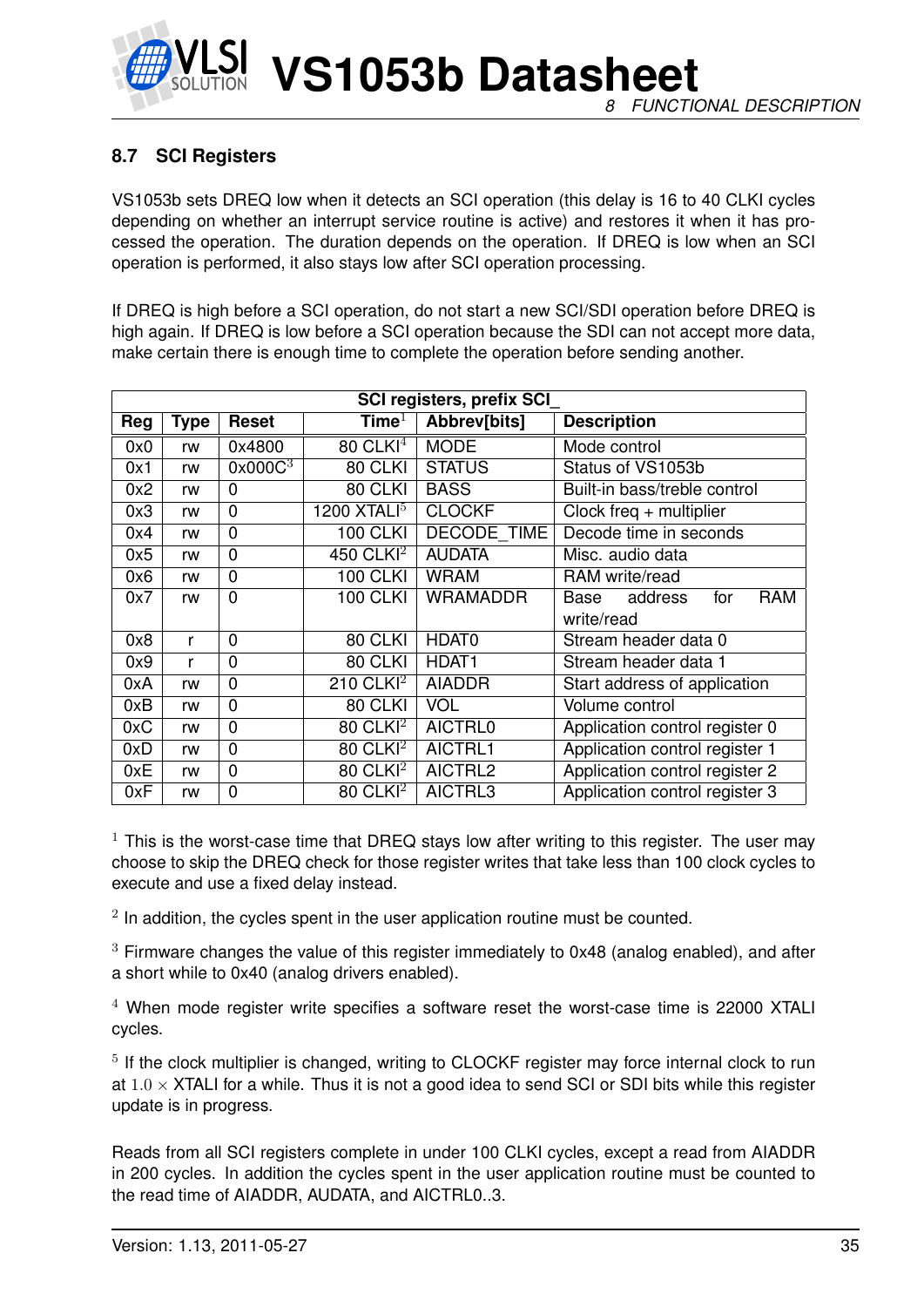

#### <span id="page-34-0"></span>**8.7 SCI Registers**

VS1053b sets DREQ low when it detects an SCI operation (this delay is 16 to 40 CLKI cycles depending on whether an interrupt service routine is active) and restores it when it has processed the operation. The duration depends on the operation. If DREQ is low when an SCI operation is performed, it also stays low after SCI operation processing.

If DREQ is high before a SCI operation, do not start a new SCI/SDI operation before DREQ is high again. If DREQ is low before a SCI operation because the SDI can not accept more data, make certain there is enough time to complete the operation before sending another.

| <b>SCI registers, prefix SCI</b> |             |                     |                        |                    |                                      |  |  |  |  |  |
|----------------------------------|-------------|---------------------|------------------------|--------------------|--------------------------------------|--|--|--|--|--|
| Reg                              | <b>Type</b> | <b>Reset</b>        | Time $^1$              | Abbrev[bits]       | <b>Description</b>                   |  |  |  |  |  |
| 0x0                              | rw          | 0x4800              | $80$ CLKI <sup>4</sup> | <b>MODE</b>        | Mode control                         |  |  |  |  |  |
| 0x1                              | rw          | 0x000C <sup>3</sup> | 80 CLKI                | <b>STATUS</b>      | Status of VS1053b                    |  |  |  |  |  |
| 0x2                              | rw          | 0                   | 80 CLKI                | <b>BASS</b>        | Built-in bass/treble control         |  |  |  |  |  |
| 0x3                              | rw          | 0                   | 1200 $XTALI5$          | <b>CLOCKF</b>      | Clock freq $+$ multiplier            |  |  |  |  |  |
| 0x4                              | rw          | 0                   | <b>100 CLKI</b>        | <b>DECODE TIME</b> | Decode time in seconds               |  |  |  |  |  |
| 0x5                              | rw          | 0                   | 450 CLKI <sup>2</sup>  | <b>AUDATA</b>      | Misc. audio data                     |  |  |  |  |  |
| 0x6                              | rw          | 0                   | <b>100 CLKI</b>        | <b>WRAM</b>        | RAM write/read                       |  |  |  |  |  |
| 0x7                              | rw          | $\overline{0}$      | <b>100 CLKI</b>        | <b>WRAMADDR</b>    | <b>RAM</b><br>address<br>for<br>Base |  |  |  |  |  |
|                                  |             |                     |                        |                    | write/read                           |  |  |  |  |  |
| 0x8                              | r           | 0                   | 80 CLKI                | HDAT0              | Stream header data 0                 |  |  |  |  |  |
| 0x9                              | r           | 0                   | 80 CLKI                | HDAT <sub>1</sub>  | Stream header data 1                 |  |  |  |  |  |
| 0xA                              | rw          | 0                   | 210 CLKI $2$           | <b>AIADDR</b>      | Start address of application         |  |  |  |  |  |
| 0xB                              | rw          | 0                   | 80 CLKI                | <b>VOL</b>         | Volume control                       |  |  |  |  |  |
| 0xC                              | rw          | 0                   | $80$ CLKI <sup>2</sup> | <b>AICTRL0</b>     | Application control register 0       |  |  |  |  |  |
| 0xD                              | rw          | 0                   | $80$ CLKI <sup>2</sup> | AICTRL1            | Application control register 1       |  |  |  |  |  |
| 0xE                              | rw          | $\overline{0}$      | 80 CLKI <sup>2</sup>   | AICTRL2            | Application control register 2       |  |  |  |  |  |
| 0xF                              | rw          | $\overline{0}$      | $80$ CLKI <sup>2</sup> | AICTRL3            | Application control register 3       |  |  |  |  |  |

 $1$  This is the worst-case time that DREQ stays low after writing to this register. The user may choose to skip the DREQ check for those register writes that take less than 100 clock cycles to execute and use a fixed delay instead.

 $2$  In addition, the cycles spent in the user application routine must be counted.

 $3$  Firmware changes the value of this register immediately to 0x48 (analog enabled), and after a short while to 0x40 (analog drivers enabled).

 $4$  When mode register write specifies a software reset the worst-case time is 22000 XTALI cycles.

<sup>5</sup> If the clock multiplier is changed, writing to CLOCKF register may force internal clock to run at  $1.0 \times$  XTALI for a while. Thus it is not a good idea to send SCI or SDI bits while this register update is in progress.

Reads from all SCI registers complete in under 100 CLKI cycles, except a read from AIADDR in 200 cycles. In addition the cycles spent in the user application routine must be counted to the read time of AIADDR, AUDATA, and AICTRL0..3.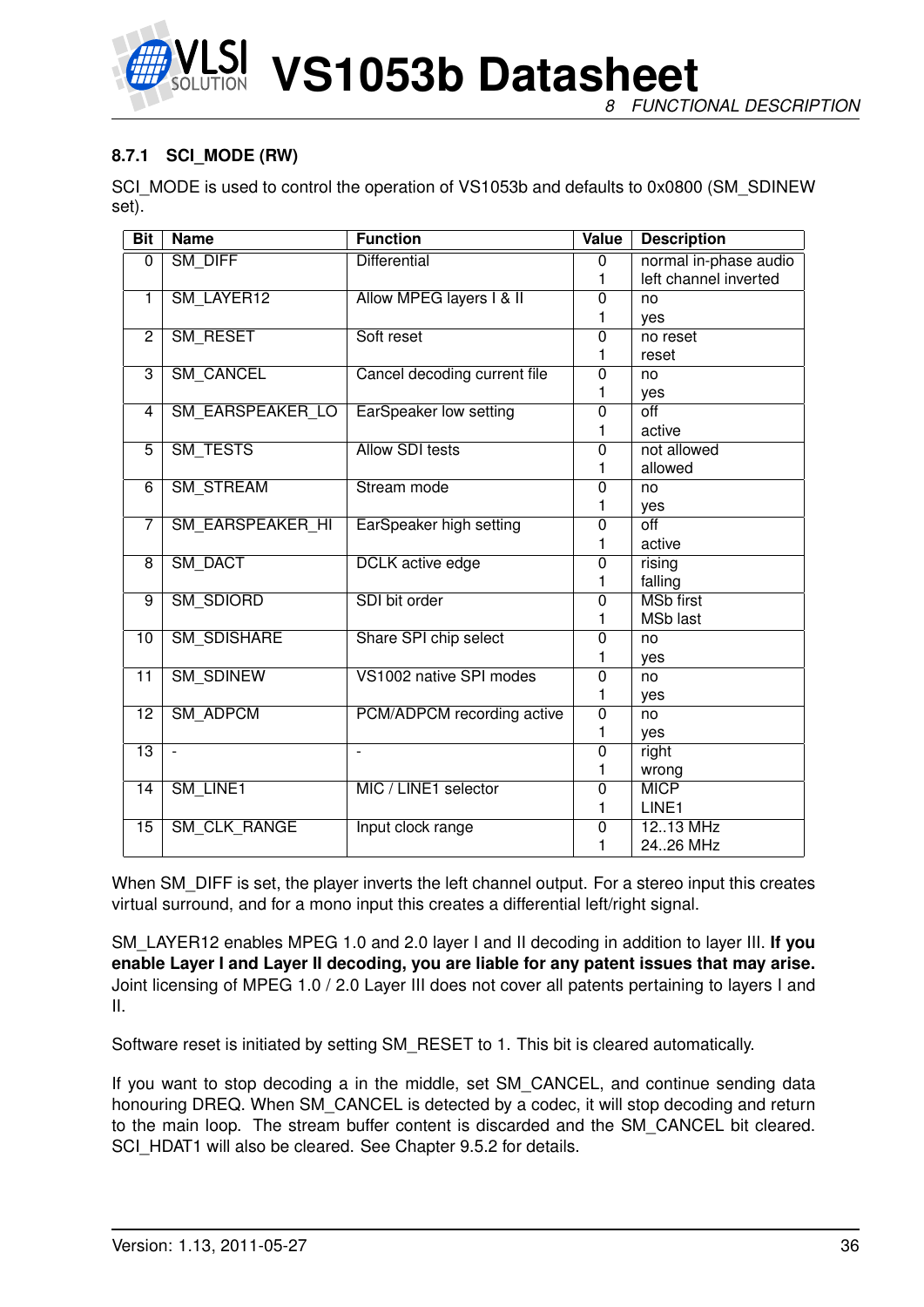

**VS1053b Datasheet** *8 FUNCTIONAL DESCRIPTION*

#### <span id="page-35-0"></span>**8.7.1 SCI\_MODE (RW)**

SCI\_MODE is used to control the operation of VS1053b and defaults to 0x0800 (SM\_SDINEW set).

| <b>Bit</b>      | <b>Name</b>              | <b>Function</b>               | Value          | <b>Description</b>    |
|-----------------|--------------------------|-------------------------------|----------------|-----------------------|
| 0               | <b>SM DIFF</b>           | <b>Differential</b>           | $\overline{0}$ | normal in-phase audio |
|                 |                          |                               | 1              | left channel inverted |
| 1               | SM_LAYER12               | Allow MPEG layers I & II      | $\overline{0}$ | no                    |
|                 |                          |                               | 1              | ves                   |
| $\overline{2}$  | SM RESET                 | Soft reset                    | $\overline{0}$ | no reset              |
|                 |                          |                               | 1              | reset                 |
| $\overline{3}$  | <b>SM CANCEL</b>         | Cancel decoding current file  | 0              | no                    |
|                 |                          |                               | 1              | yes                   |
| 4               | SM_EARSPEAKER_LO         | <b>EarSpeaker low setting</b> | $\overline{0}$ | $\overline{off}$      |
|                 |                          |                               | 1              | active                |
| $\overline{5}$  | SM_TESTS                 | <b>Allow SDI tests</b>        | $\overline{0}$ | not allowed           |
|                 |                          |                               | 1              | allowed               |
| $\overline{6}$  | <b>SM_STREAM</b>         | Stream mode                   | $\overline{0}$ | no                    |
|                 |                          |                               | 1              | yes                   |
| 7               | <b>SM EARSPEAKER HI</b>  | EarSpeaker high setting       | $\overline{0}$ | $\overline{off}$      |
|                 |                          |                               | 1              | active                |
| $\overline{8}$  | <b>SM DACT</b>           | <b>DCLK</b> active edge       | $\overline{0}$ | rising                |
|                 |                          |                               | 1              | falling               |
| 9               | <b>SM SDIORD</b>         | SDI bit order                 | $\overline{0}$ | <b>MSb</b> first      |
|                 |                          |                               | 1              | <b>MSb last</b>       |
| $\overline{10}$ | <b>SM_SDISHARE</b>       | Share SPI chip select         | $\overline{0}$ | no                    |
|                 |                          |                               | 1              | yes                   |
| $\overline{11}$ | <b>SM_SDINEW</b>         | VS1002 native SPI modes       | $\overline{0}$ | no                    |
|                 |                          |                               | 1              | yes                   |
| $\overline{12}$ | <b>SM ADPCM</b>          | PCM/ADPCM recording active    | $\overline{0}$ | no                    |
|                 |                          |                               | 1              | yes                   |
| $\overline{13}$ | $\overline{\phantom{a}}$ | $\overline{\phantom{a}}$      | $\overline{0}$ | right                 |
|                 |                          |                               | 1              | wrong                 |
| $\overline{14}$ | SM_LINE1                 | MIC / LINE1 selector          | $\overline{0}$ | <b>MICP</b>           |
|                 |                          |                               | 1              | LINE1                 |
| $\overline{15}$ | <b>SM CLK RANGE</b>      | Input clock range             | $\overline{0}$ | 1213 MHz              |
|                 |                          |                               | 1              | 24.26 MHz             |

When SM DIFF is set, the player inverts the left channel output. For a stereo input this creates virtual surround, and for a mono input this creates a differential left/right signal.

SM\_LAYER12 enables MPEG 1.0 and 2.0 layer I and II decoding in addition to layer III. **If you enable Layer I and Layer II decoding, you are liable for any patent issues that may arise.** Joint licensing of MPEG 1.0 / 2.0 Layer III does not cover all patents pertaining to layers I and II.

Software reset is initiated by setting SM\_RESET to 1. This bit is cleared automatically.

If you want to stop decoding a in the middle, set SM\_CANCEL, and continue sending data honouring DREQ. When SM\_CANCEL is detected by a codec, it will stop decoding and return to the main loop. The stream buffer content is discarded and the SM\_CANCEL bit cleared. SCI\_HDAT1 will also be cleared. See Chapter [9.5.2](#page-47-1) for details.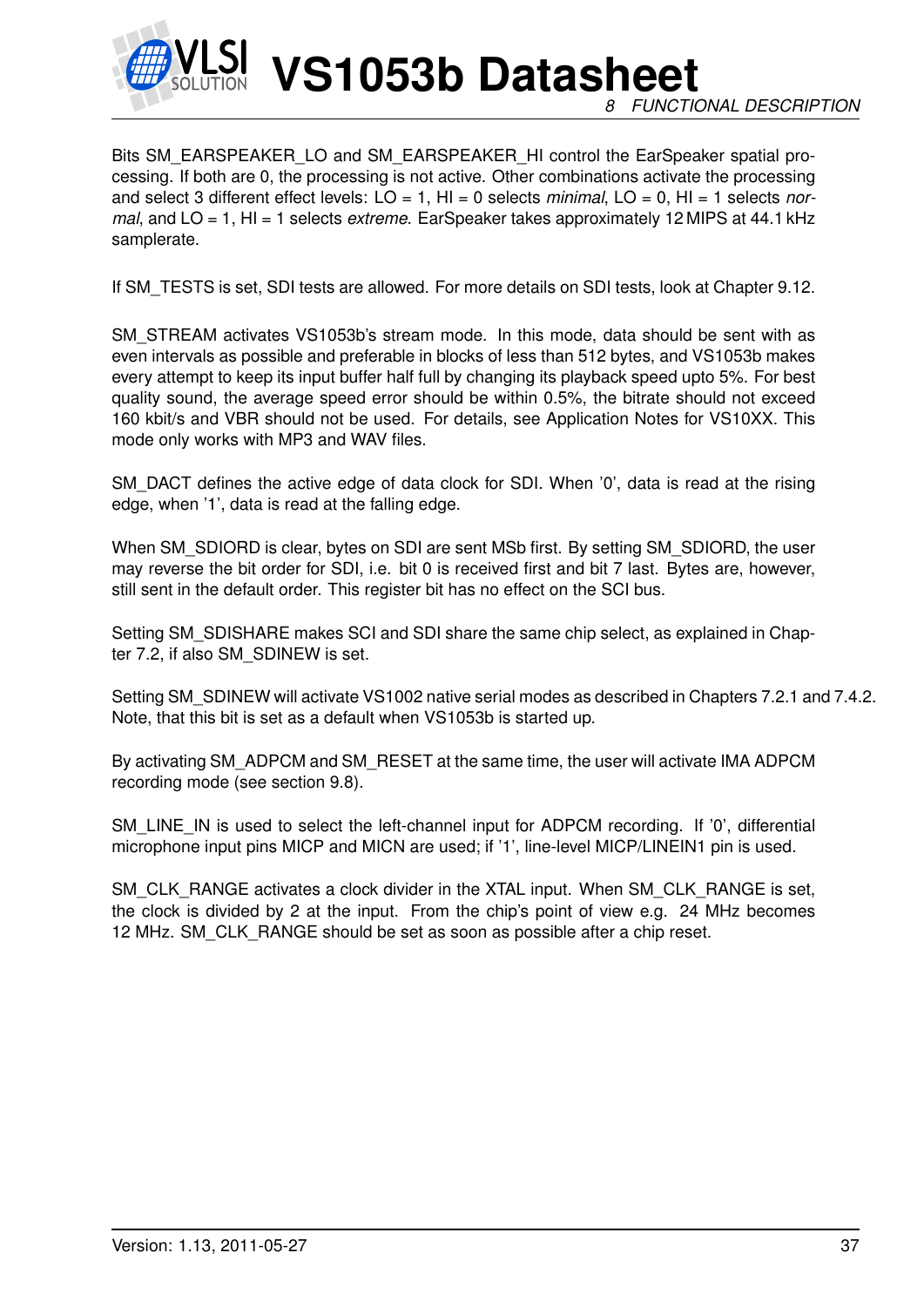

Bits SM\_EARSPEAKER\_LO and SM\_EARSPEAKER\_HI control the EarSpeaker spatial processing. If both are 0, the processing is not active. Other combinations activate the processing and select 3 different effect levels: LO = 1, HI = 0 selects *minimal*, LO = 0, HI = 1 selects *normal*, and LO = 1, HI = 1 selects *extreme*. EarSpeaker takes approximately 12 MIPS at 44.1 kHz samplerate.

If SM TESTS is set, SDI tests are allowed. For more details on SDI tests, look at Chapter [9.12.](#page-62-0)

SM\_STREAM activates VS1053b's stream mode. In this mode, data should be sent with as even intervals as possible and preferable in blocks of less than 512 bytes, and VS1053b makes every attempt to keep its input buffer half full by changing its playback speed upto 5%. For best quality sound, the average speed error should be within 0.5%, the bitrate should not exceed 160 kbit/s and VBR should not be used. For details, see Application Notes for VS10XX. This mode only works with MP3 and WAV files.

SM\_DACT defines the active edge of data clock for SDI. When '0', data is read at the rising edge, when '1', data is read at the falling edge.

When SM\_SDIORD is clear, bytes on SDI are sent MSb first. By setting SM\_SDIORD, the user may reverse the bit order for SDI, i.e. bit 0 is received first and bit 7 last. Bytes are, however, still sent in the default order. This register bit has no effect on the SCI bus.

Setting SM\_SDISHARE makes SCI and SDI share the same chip select, as explained in Chapter [7.2,](#page-14-0) if also SM\_SDINEW is set.

Setting SM\_SDINEW will activate VS1002 native serial modes as described in Chapters [7.2.1](#page-14-1) and [7.4.2.](#page-16-0) Note, that this bit is set as a default when VS1053b is started up.

By activating SM\_ADPCM and SM\_RESET at the same time, the user will activate IMA ADPCM recording mode (see section [9.8\)](#page-50-0).

SM\_LINE\_IN is used to select the left-channel input for ADPCM recording. If '0', differential microphone input pins MICP and MICN are used; if '1', line-level MICP/LINEIN1 pin is used.

SM\_CLK\_RANGE activates a clock divider in the XTAL input. When SM\_CLK\_RANGE is set, the clock is divided by 2 at the input. From the chip's point of view e.g. 24 MHz becomes 12 MHz. SM\_CLK\_RANGE should be set as soon as possible after a chip reset.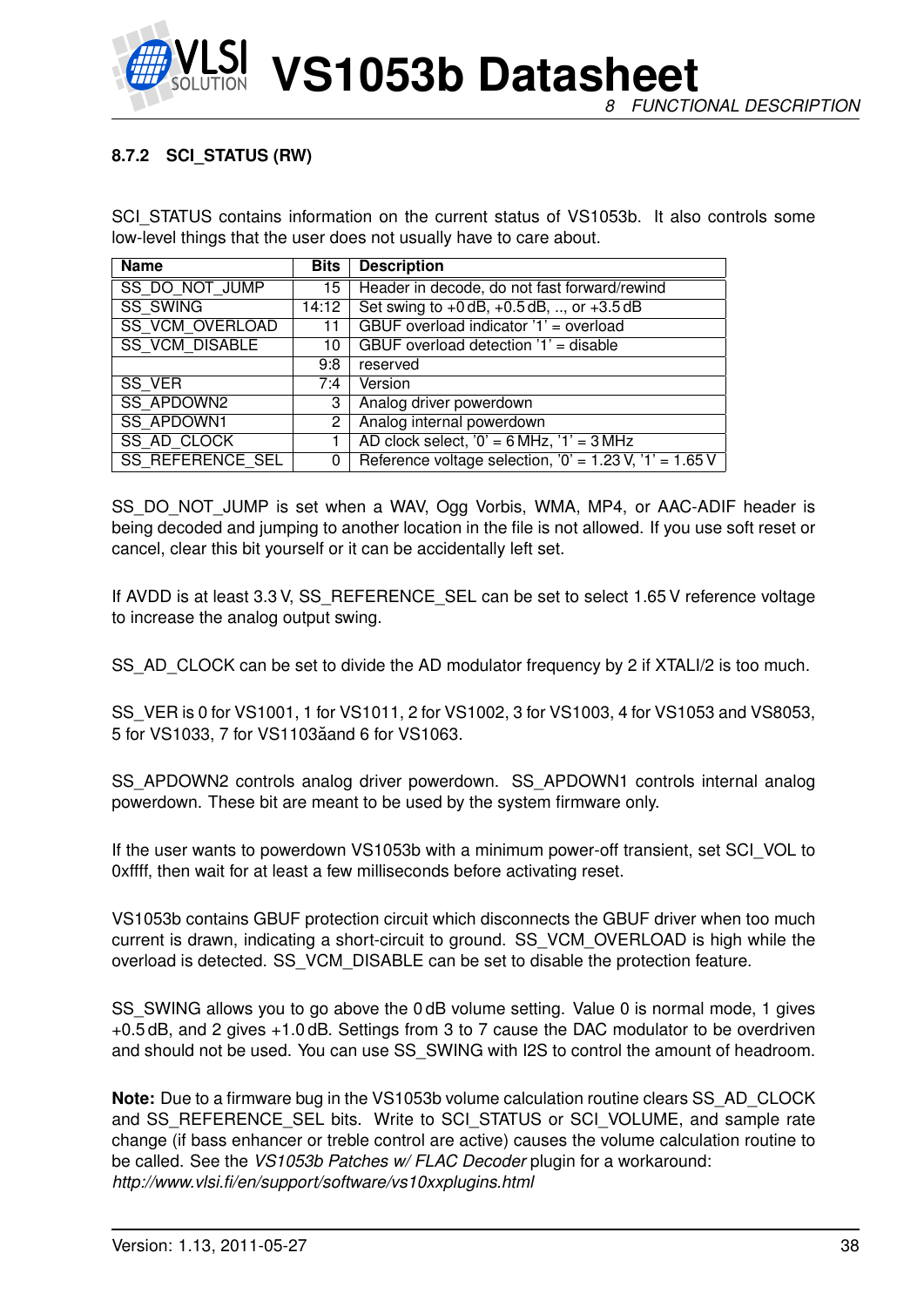

# **8.7.2 SCI\_STATUS (RW)**

SCI\_STATUS contains information on the current status of VS1053b. It also controls some low-level things that the user does not usually have to care about.

| <b>Name</b>             | <b>Bits</b>                            | <b>Description</b>                                        |
|-------------------------|----------------------------------------|-----------------------------------------------------------|
| SS DO NOT JUMP          | 15                                     | Header in decode, do not fast forward/rewind              |
| <b>SS SWING</b>         | 14:12                                  | Set swing to $+0$ dB, $+0.5$ dB, , or $+3.5$ dB           |
| <b>SS VCM OVERLOAD</b>  | GBUF overload indicator '1' = overload |                                                           |
| <b>SS VCM DISABLE</b>   | 10                                     | GBUF overload detection '1' = disable                     |
|                         | 9:8                                    | reserved                                                  |
| SS VER                  | 7:4                                    | Version                                                   |
| <b>SS APDOWN2</b>       | 3                                      | Analog driver powerdown                                   |
| <b>SS APDOWN1</b>       | $\mathbf{2}^{\circ}$                   | Analog internal powerdown                                 |
| <b>SS AD CLOCK</b>      |                                        | AD clock select, $0' = 6 MHz$ , $1' = 3 MHz$              |
| <b>SS REFERENCE SEL</b> | 0                                      | Reference voltage selection, $0' = 1.23$ V, $1' = 1.65$ V |

SS\_DO\_NOT\_JUMP is set when a WAV, Ogg Vorbis, WMA, MP4, or AAC-ADIF header is being decoded and jumping to another location in the file is not allowed. If you use soft reset or cancel, clear this bit yourself or it can be accidentally left set.

If AVDD is at least 3.3 V, SS\_REFERENCE\_SEL can be set to select 1.65 V reference voltage to increase the analog output swing.

SS\_AD\_CLOCK can be set to divide the AD modulator frequency by 2 if XTALI/2 is too much.

SS\_VER is 0 for VS1001, 1 for VS1011, 2 for VS1002, 3 for VS1003, 4 for VS1053 and VS8053, 5 for VS1033, 7 for VS1103aand 6 for VS1063. ˘

SS\_APDOWN2 controls analog driver powerdown. SS\_APDOWN1 controls internal analog powerdown. These bit are meant to be used by the system firmware only.

If the user wants to powerdown VS1053b with a minimum power-off transient, set SCI\_VOL to 0xffff, then wait for at least a few milliseconds before activating reset.

VS1053b contains GBUF protection circuit which disconnects the GBUF driver when too much current is drawn, indicating a short-circuit to ground. SS\_VCM\_OVERLOAD is high while the overload is detected. SS\_VCM\_DISABLE can be set to disable the protection feature.

SS\_SWING allows you to go above the 0 dB volume setting. Value 0 is normal mode, 1 gives +0.5 dB, and 2 gives +1.0 dB. Settings from 3 to 7 cause the DAC modulator to be overdriven and should not be used. You can use SS\_SWING with I2S to control the amount of headroom.

**Note:** Due to a firmware bug in the VS1053b volume calculation routine clears SS\_AD\_CLOCK and SS\_REFERENCE\_SEL bits. Write to SCI\_STATUS or SCI\_VOLUME, and sample rate change (if bass enhancer or treble control are active) causes the volume calculation routine to be called. See the *VS1053b Patches w/ FLAC Decoder* plugin for a workaround: *http://www.vlsi.fi/en/support/software/vs10xxplugins.html*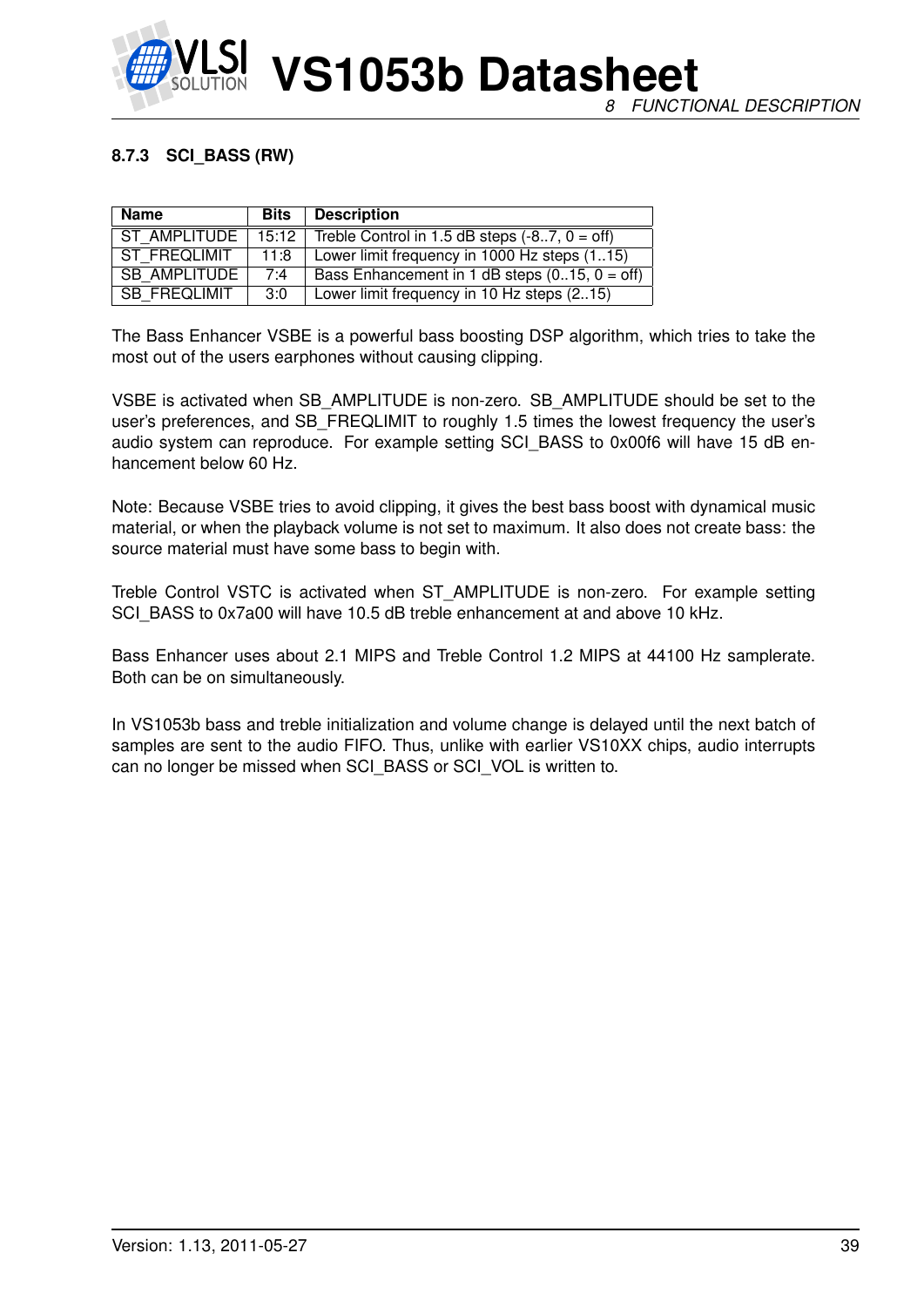

# **8.7.3 SCI\_BASS (RW)**

| <b>Name</b>         | Bits  | <b>Description</b>                              |
|---------------------|-------|-------------------------------------------------|
| ST AMPLITUDE        | 15:12 | Treble Control in 1.5 dB steps $(-87, 0 = off)$ |
| ST FREQLIMIT        | 11:8  | Lower limit frequency in 1000 Hz steps (115)    |
| <b>SB AMPLITUDE</b> | 7:4   | Bass Enhancement in 1 dB steps $(015, 0 = off)$ |
| SB FREQLIMIT        | 3:0   | Lower limit frequency in 10 Hz steps (215)      |

The Bass Enhancer VSBE is a powerful bass boosting DSP algorithm, which tries to take the most out of the users earphones without causing clipping.

VSBE is activated when SB\_AMPLITUDE is non-zero. SB\_AMPLITUDE should be set to the user's preferences, and SB\_FREQLIMIT to roughly 1.5 times the lowest frequency the user's audio system can reproduce. For example setting SCI BASS to 0x00f6 will have 15 dB enhancement below 60 Hz.

Note: Because VSBE tries to avoid clipping, it gives the best bass boost with dynamical music material, or when the playback volume is not set to maximum. It also does not create bass: the source material must have some bass to begin with.

Treble Control VSTC is activated when ST\_AMPLITUDE is non-zero. For example setting SCI\_BASS to 0x7a00 will have 10.5 dB treble enhancement at and above 10 kHz.

Bass Enhancer uses about 2.1 MIPS and Treble Control 1.2 MIPS at 44100 Hz samplerate. Both can be on simultaneously.

In VS1053b bass and treble initialization and volume change is delayed until the next batch of samples are sent to the audio FIFO. Thus, unlike with earlier VS10XX chips, audio interrupts can no longer be missed when SCI\_BASS or SCI\_VOL is written to.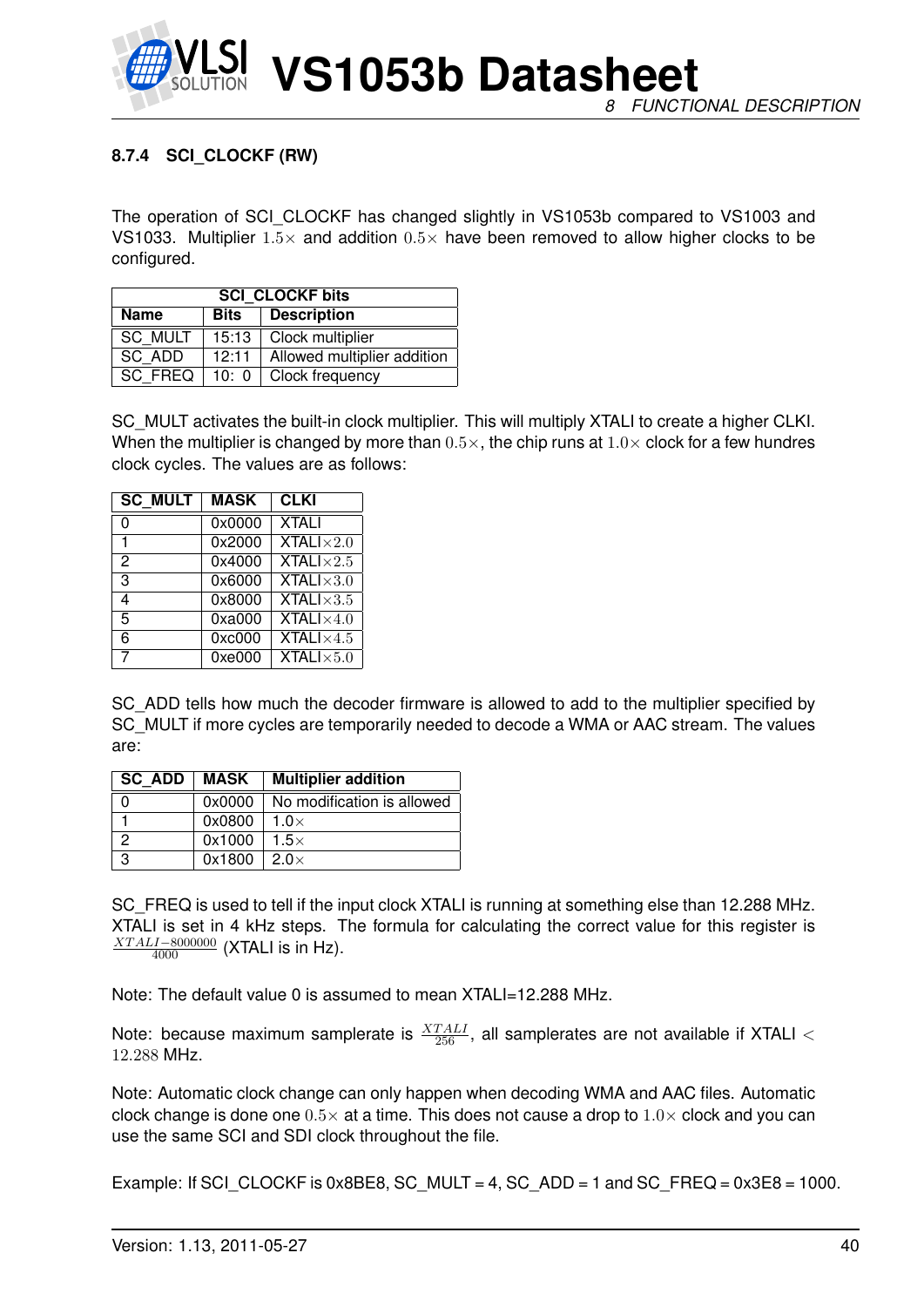

# <span id="page-39-0"></span>**8.7.4 SCI\_CLOCKF (RW)**

The operation of SCI\_CLOCKF has changed slightly in VS1053b compared to VS1003 and VS1033. Multiplier  $1.5\times$  and addition  $0.5\times$  have been removed to allow higher clocks to be configured.

| <b>SCI CLOCKF bits</b> |       |                             |  |  |  |  |  |  |  |
|------------------------|-------|-----------------------------|--|--|--|--|--|--|--|
| <b>Name</b>            | Bits  | <b>Description</b>          |  |  |  |  |  |  |  |
| <b>SC MULT</b>         | 15:13 | Clock multiplier            |  |  |  |  |  |  |  |
| SC ADD                 | 12:11 | Allowed multiplier addition |  |  |  |  |  |  |  |
| SC FREQ                |       | 10: 0   Clock frequency     |  |  |  |  |  |  |  |

SC MULT activates the built-in clock multiplier. This will multiply XTALI to create a higher CLKI. When the multiplier is changed by more than  $0.5\times$ , the chip runs at  $1.0\times$  clock for a few hundres clock cycles. The values are as follows:

| <b>SC MULT</b> | <b>MASK</b> | <b>CLKI</b>                            |
|----------------|-------------|----------------------------------------|
| 0              | 0x0000      | <b>XTALI</b>                           |
| 1              | 0x2000      | <b>XTALI</b> $\times$ 2.0              |
| 2              | 0x4000      | <b>XTALI</b> $\times$ 2.5              |
| 3              | 0x6000      | $XTALI \times 3.0$                     |
| 4              | 0x8000      | XTALI $\times$ 3.5                     |
| 5              | 0xa000      | $\overline{\text{XTAL}}$ l $\times4.0$ |
| 6              | 0xc000      | <b>XTALI</b> $\times$ 4.5              |
| 7              | 0xe000      | $XTALI \times 5.0$                     |

SC\_ADD tells how much the decoder firmware is allowed to add to the multiplier specified by SC\_MULT if more cycles are temporarily needed to decode a WMA or AAC stream. The values are:

| SC ADD        | MASK   | <b>Multiplier addition</b> |
|---------------|--------|----------------------------|
|               | 0x0000 | No modification is allowed |
|               | 0x0800 | $1.0\times$                |
| $\mathcal{P}$ | 0x1000 | $1.5\times$                |
| ્ર            | 0x1800 | $2.0\times$                |

SC FREQ is used to tell if the input clock XTALI is running at something else than 12.288 MHz. XTALI is set in 4 kHz steps. The formula for calculating the correct value for this register is  $\frac{XTALI-8000000}{4000}$  (XTALI is in Hz).

Note: The default value 0 is assumed to mean XTALI=12.288 MHz.

Note: because maximum samplerate is  $\frac{XTALI}{256}$ , all samplerates are not available if XTALI  $<$ 12.288 MHz.

Note: Automatic clock change can only happen when decoding WMA and AAC files. Automatic clock change is done one  $0.5\times$  at a time. This does not cause a drop to  $1.0\times$  clock and you can use the same SCI and SDI clock throughout the file.

Example: If SCI CLOCKF is 0x8BE8, SC MULT = 4, SC ADD = 1 and SC FREQ =  $0x3E8 = 1000$ .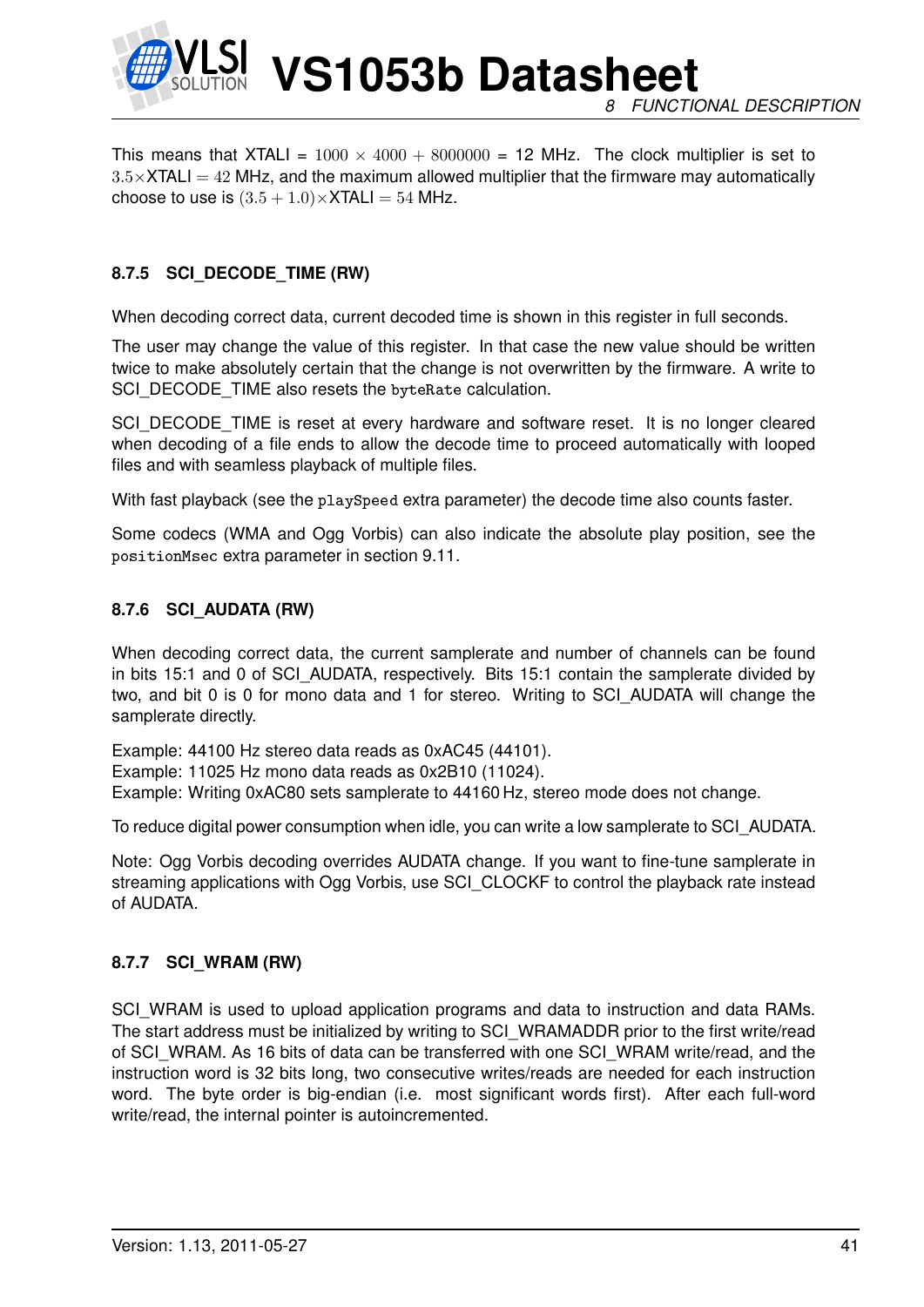

**VS1053b Datasheet** *8 FUNCTIONAL DESCRIPTION*

This means that XTALI =  $1000 \times 4000 + 8000000 = 12$  MHz. The clock multiplier is set to  $3.5\times$ XTALI = 42 MHz, and the maximum allowed multiplier that the firmware may automatically choose to use is  $(3.5 + 1.0) \times$ XTALI = 54 MHz.

# **8.7.5 SCI\_DECODE\_TIME (RW)**

When decoding correct data, current decoded time is shown in this register in full seconds.

The user may change the value of this register. In that case the new value should be written twice to make absolutely certain that the change is not overwritten by the firmware. A write to SCI\_DECODE\_TIME also resets the byteRate calculation.

SCI\_DECODE\_TIME is reset at every hardware and software reset. It is no longer cleared when decoding of a file ends to allow the decode time to proceed automatically with looped files and with seamless playback of multiple files.

With fast playback (see the playSpeed extra parameter) the decode time also counts faster.

Some codecs (WMA and Ogg Vorbis) can also indicate the absolute play position, see the positionMsec extra parameter in section [9.11.](#page-57-0)

### **8.7.6 SCI\_AUDATA (RW)**

When decoding correct data, the current samplerate and number of channels can be found in bits 15:1 and 0 of SCI\_AUDATA, respectively. Bits 15:1 contain the samplerate divided by two, and bit 0 is 0 for mono data and 1 for stereo. Writing to SCI\_AUDATA will change the samplerate directly.

Example: 44100 Hz stereo data reads as 0xAC45 (44101). Example: 11025 Hz mono data reads as 0x2B10 (11024). Example: Writing 0xAC80 sets samplerate to 44160 Hz, stereo mode does not change.

To reduce digital power consumption when idle, you can write a low samplerate to SCI\_AUDATA.

Note: Ogg Vorbis decoding overrides AUDATA change. If you want to fine-tune samplerate in streaming applications with Ogg Vorbis, use SCI\_CLOCKF to control the playback rate instead of AUDATA.

# **8.7.7 SCI\_WRAM (RW)**

SCI\_WRAM is used to upload application programs and data to instruction and data RAMs. The start address must be initialized by writing to SCI\_WRAMADDR prior to the first write/read of SCI\_WRAM. As 16 bits of data can be transferred with one SCI\_WRAM write/read, and the instruction word is 32 bits long, two consecutive writes/reads are needed for each instruction word. The byte order is big-endian (i.e. most significant words first). After each full-word write/read, the internal pointer is autoincremented.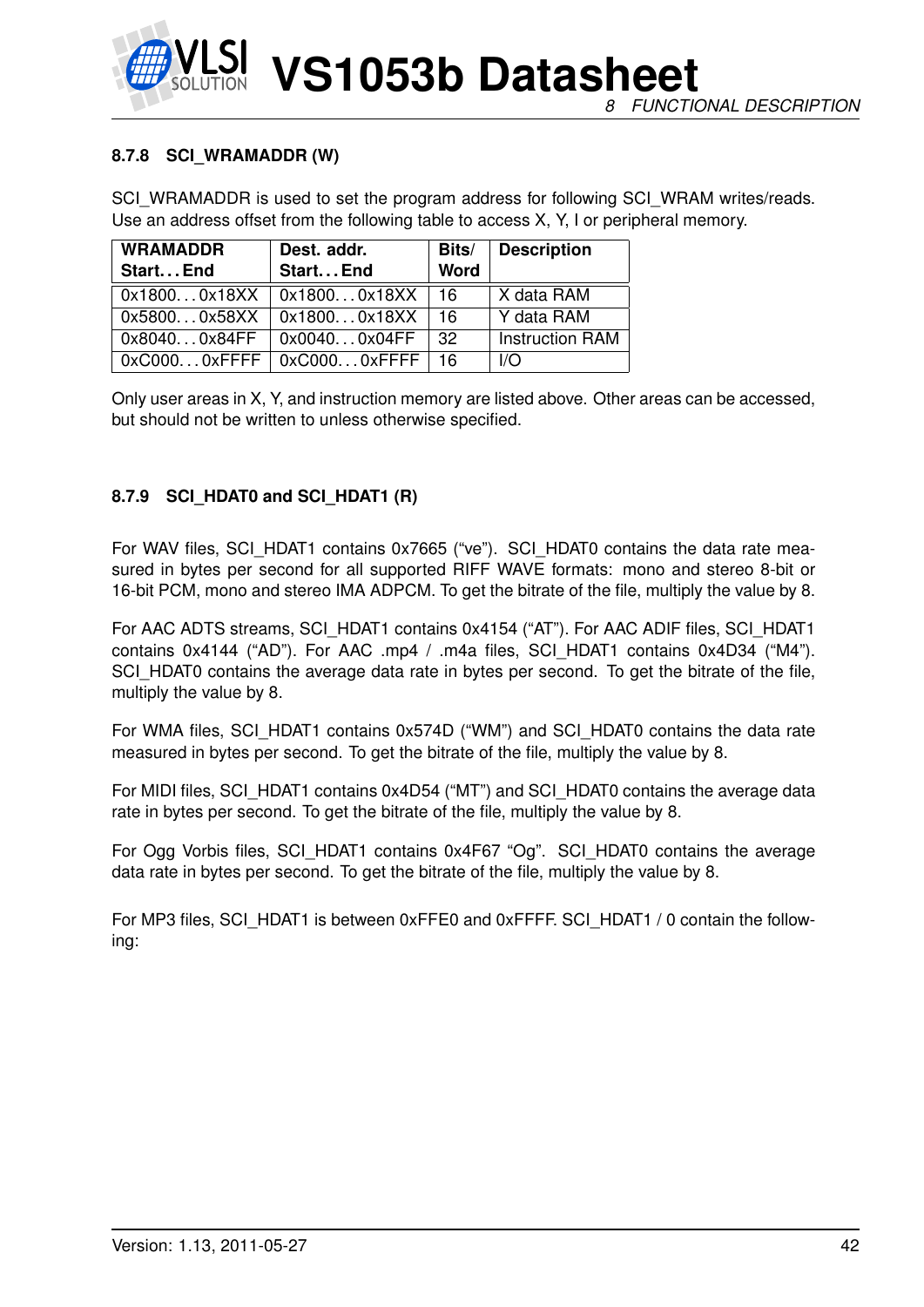### **8.7.8 SCI\_WRAMADDR (W)**

SCI\_WRAMADDR is used to set the program address for following SCI\_WRAM writes/reads. Use an address offset from the following table to access X, Y, I or peripheral memory.

| <b>WRAMADDR</b> | Dest. addr.                         | Bits/       | <b>Description</b>      |
|-----------------|-------------------------------------|-------------|-------------------------|
| Start End       | Start End                           | <b>Word</b> |                         |
| 0x18000x18XX    | 0x18000x18XX                        | -16         | X data RAM              |
| 0x58000x58XX    | _0x18000x18XX                       | -16         | Y data RAM              |
| 0x80400x84FF    | 0x00400x04FF                        | -32         | <b>Instruction RAM</b>  |
|                 | $0x$ C0000xFFFF   0xC0000xFFFF   16 |             | $\mathsf{I}/\mathsf{O}$ |

Only user areas in X, Y, and instruction memory are listed above. Other areas can be accessed, but should not be written to unless otherwise specified.

# **8.7.9 SCI\_HDAT0 and SCI\_HDAT1 (R)**

For WAV files, SCI\_HDAT1 contains 0x7665 ("ve"). SCI\_HDAT0 contains the data rate measured in bytes per second for all supported RIFF WAVE formats: mono and stereo 8-bit or 16-bit PCM, mono and stereo IMA ADPCM. To get the bitrate of the file, multiply the value by 8.

For AAC ADTS streams, SCI\_HDAT1 contains 0x4154 ("AT"). For AAC ADIF files, SCI\_HDAT1 contains 0x4144 ("AD"). For AAC .mp4 / .m4a files, SCI\_HDAT1 contains 0x4D34 ("M4"). SCI\_HDAT0 contains the average data rate in bytes per second. To get the bitrate of the file, multiply the value by 8.

For WMA files, SCI\_HDAT1 contains 0x574D ("WM") and SCI\_HDAT0 contains the data rate measured in bytes per second. To get the bitrate of the file, multiply the value by 8.

For MIDI files, SCI\_HDAT1 contains 0x4D54 ("MT") and SCI\_HDAT0 contains the average data rate in bytes per second. To get the bitrate of the file, multiply the value by 8.

For Ogg Vorbis files, SCI\_HDAT1 contains 0x4F67 "Og". SCI\_HDAT0 contains the average data rate in bytes per second. To get the bitrate of the file, multiply the value by 8.

For MP3 files, SCI\_HDAT1 is between 0xFFE0 and 0xFFFF. SCI\_HDAT1 / 0 contain the following: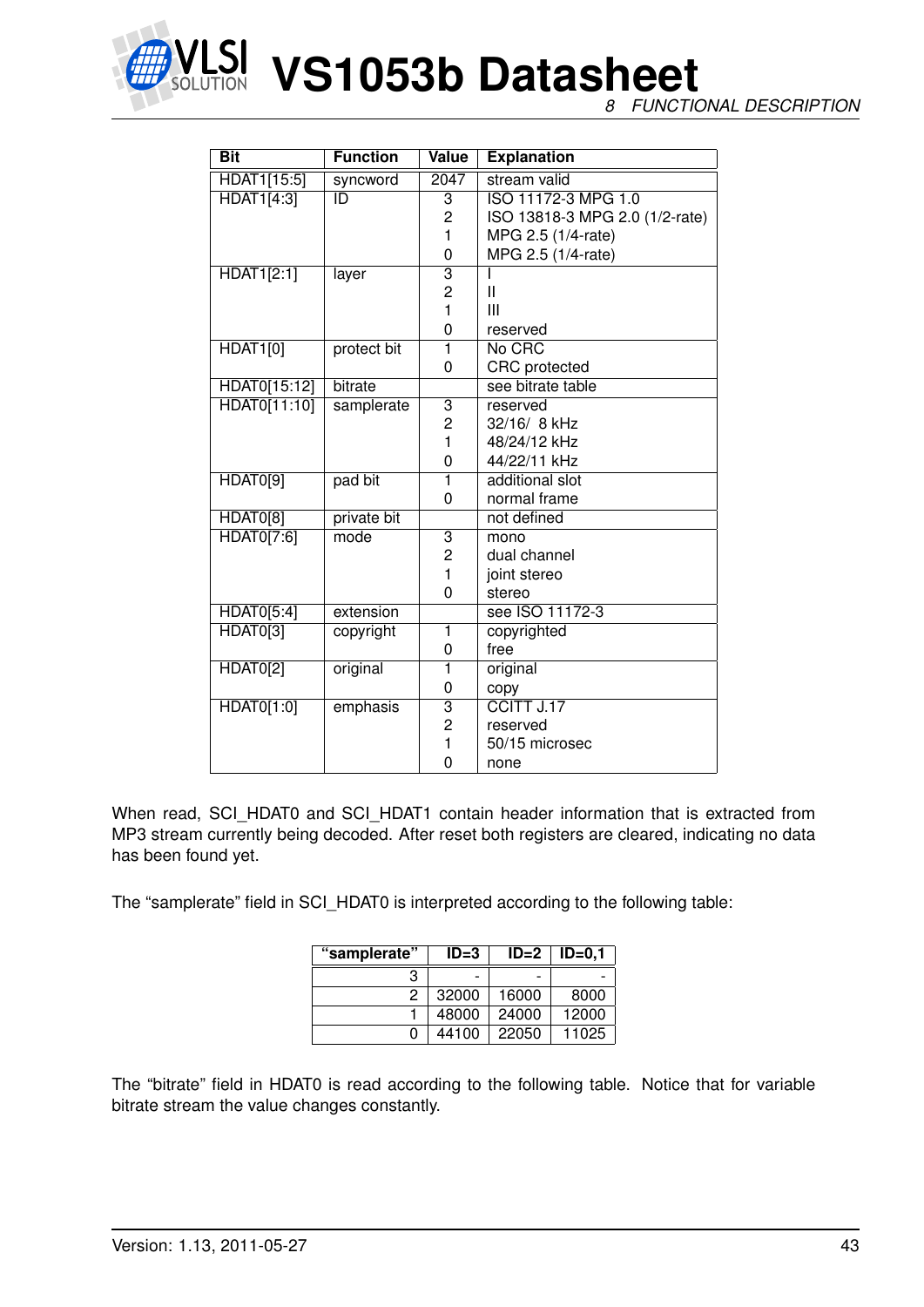

**NET VS1053b Datasheet** 

*8 FUNCTIONAL DESCRIPTION*

| <b>Bit</b>        | <b>Function</b> | <b>Value</b>            | <b>Explanation</b>             |
|-------------------|-----------------|-------------------------|--------------------------------|
| HDAT1[15:5]       | syncword        | 2047                    | stream valid                   |
| <b>HDAT1[4:3]</b> | ID              | $\overline{3}$          | ISO 11172-3 MPG 1.0            |
|                   |                 | $\overline{c}$          | ISO 13818-3 MPG 2.0 (1/2-rate) |
|                   |                 | 1                       | MPG 2.5 (1/4-rate)             |
|                   |                 | 0                       | MPG 2.5 (1/4-rate)             |
| <b>HDAT1[2:1]</b> | layer           | 3                       |                                |
|                   |                 | $\overline{2}$          | $\mathbf{I}$                   |
|                   |                 | $\mathbf{1}$            | Ш                              |
|                   |                 | 0                       | reserved                       |
| <b>HDAT1[0]</b>   | protect bit     | $\overline{\mathbf{1}}$ | No CRC                         |
|                   |                 | 0                       | <b>CRC</b> protected           |
| HDAT0[15:12]      | bitrate         |                         | see bitrate table              |
| HDAT0[11:10]      | samplerate      | $\overline{3}$          | reserved                       |
|                   |                 | 2                       | 32/16/ 8 kHz                   |
|                   |                 | 1                       | 48/24/12 kHz                   |
|                   |                 | 0                       | 44/22/11 kHz                   |
| HDAT0[9]          | pad bit         | 1                       | additional slot                |
|                   |                 | 0                       | normal frame                   |
| HDAT0[8]          | private bit     |                         | not defined                    |
| HDAT0[7:6]        | mode            | 3                       | mono                           |
|                   |                 | $\overline{c}$          | dual channel                   |
|                   |                 | $\mathbf{1}$            | joint stereo                   |
|                   |                 | 0                       | stereo                         |
| HDAT0[5:4]        | extension       |                         | see ISO 11172-3                |
| HDAT0[3]          | copyright       | 1                       | copyrighted                    |
|                   |                 | 0                       | free                           |
| HDAT0[2]          | original        | $\overline{1}$          | original                       |
|                   |                 | 0                       | copy                           |
| HDAT0[1:0]        | emphasis        | $\overline{3}$          | CCITT J.17                     |
|                   |                 | $\overline{2}$          | reserved                       |
|                   |                 | 1                       | 50/15 microsec                 |
|                   |                 | 0                       | none                           |

When read, SCI\_HDAT0 and SCI\_HDAT1 contain header information that is extracted from MP3 stream currently being decoded. After reset both registers are cleared, indicating no data has been found yet.

The "samplerate" field in SCI\_HDAT0 is interpreted according to the following table:

| "samplerate" | $ID=3$ | $ID=2$                   | $ID=0.1$ |
|--------------|--------|--------------------------|----------|
| з            |        | $\overline{\phantom{0}}$ |          |
| 2            | 32000  | 16000                    | 8000     |
|              | 48000  | 24000                    | 12000    |
| o            | 44100  | 22050                    | 11025    |

The "bitrate" field in HDAT0 is read according to the following table. Notice that for variable bitrate stream the value changes constantly.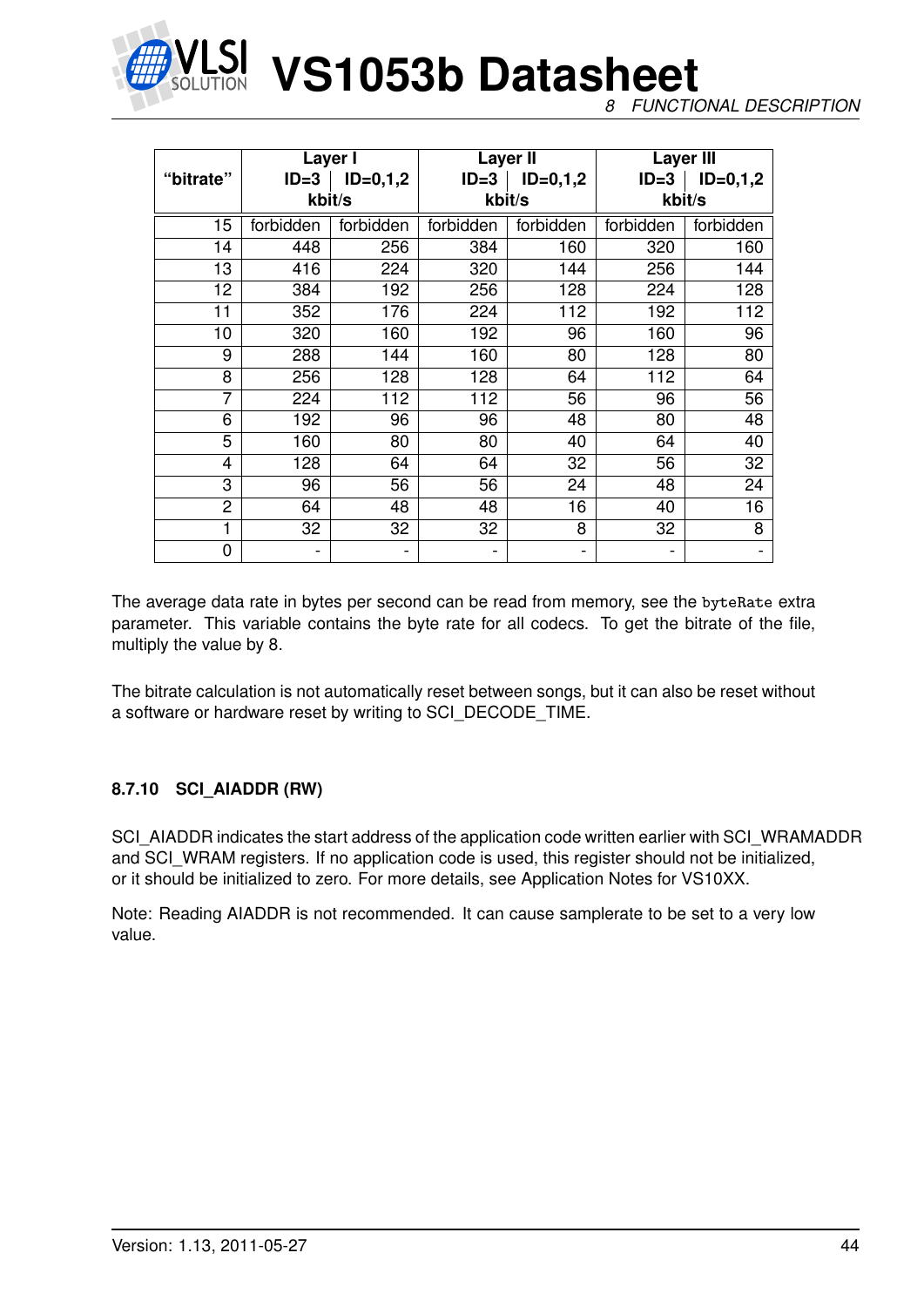

*8 FUNCTIONAL DESCRIPTION*

|                | Layer I   |                          |           | Layer II   | <b>Layer III</b> |                  |  |
|----------------|-----------|--------------------------|-----------|------------|------------------|------------------|--|
| "bitrate"      | $ID = 3$  | $ID=0,1,2$               | $ID=3$    | $ID=0,1,2$ | $ID = 3$         | $ID=0,1,2$       |  |
|                |           | kbit/s                   |           | kbit/s     | kbit/s           |                  |  |
| 15             | forbidden | forbidden                | forbidden | forbidden  | forbidden        | forbidden        |  |
| 14             | 448       | 256                      | 384       | 160        | 320              | 160              |  |
| 13             | 416       | 224                      | 320       | 144        | 256              | 144              |  |
| 12             | 384       | 192                      | 256       | 128        | 224              | 128              |  |
| 11             | 352       | 176                      | 224       | 112        | 192              | $\overline{112}$ |  |
| 10             | 320       | 160                      | 192       | 96         | 160              | 96               |  |
| 9              | 288       | 144                      | 160       | 80         | 128              | 80               |  |
| 8              | 256       | 128                      | 128       | 64         | 112              | 64               |  |
| $\overline{7}$ | 224       | 112                      | 112       | 56         | 96               | 56               |  |
| 6              | 192       | 96                       | 96        | 48         | 80               | 48               |  |
| 5              | 160       | 80                       | 80        | 40         | 64               | 40               |  |
| 4              | 128       | 64                       | 64        | 32         | 56               | 32               |  |
| 3              | 96        | 56                       | 56        | 24         | 48               | 24               |  |
| $\overline{2}$ | 64        | 48                       | 48        | 16         | 40               | 16               |  |
| 1              | 32        | 32                       | 32        | 8          | 32               | 8                |  |
| 0              |           | $\overline{\phantom{0}}$ |           | -          |                  |                  |  |

The average data rate in bytes per second can be read from memory, see the byteRate extra parameter. This variable contains the byte rate for all codecs. To get the bitrate of the file, multiply the value by 8.

The bitrate calculation is not automatically reset between songs, but it can also be reset without a software or hardware reset by writing to SCI\_DECODE\_TIME.

# **8.7.10 SCI\_AIADDR (RW)**

SCI\_AIADDR indicates the start address of the application code written earlier with SCI\_WRAMADDR and SCI WRAM registers. If no application code is used, this register should not be initialized, or it should be initialized to zero. For more details, see Application Notes for VS10XX.

Note: Reading AIADDR is not recommended. It can cause samplerate to be set to a very low value.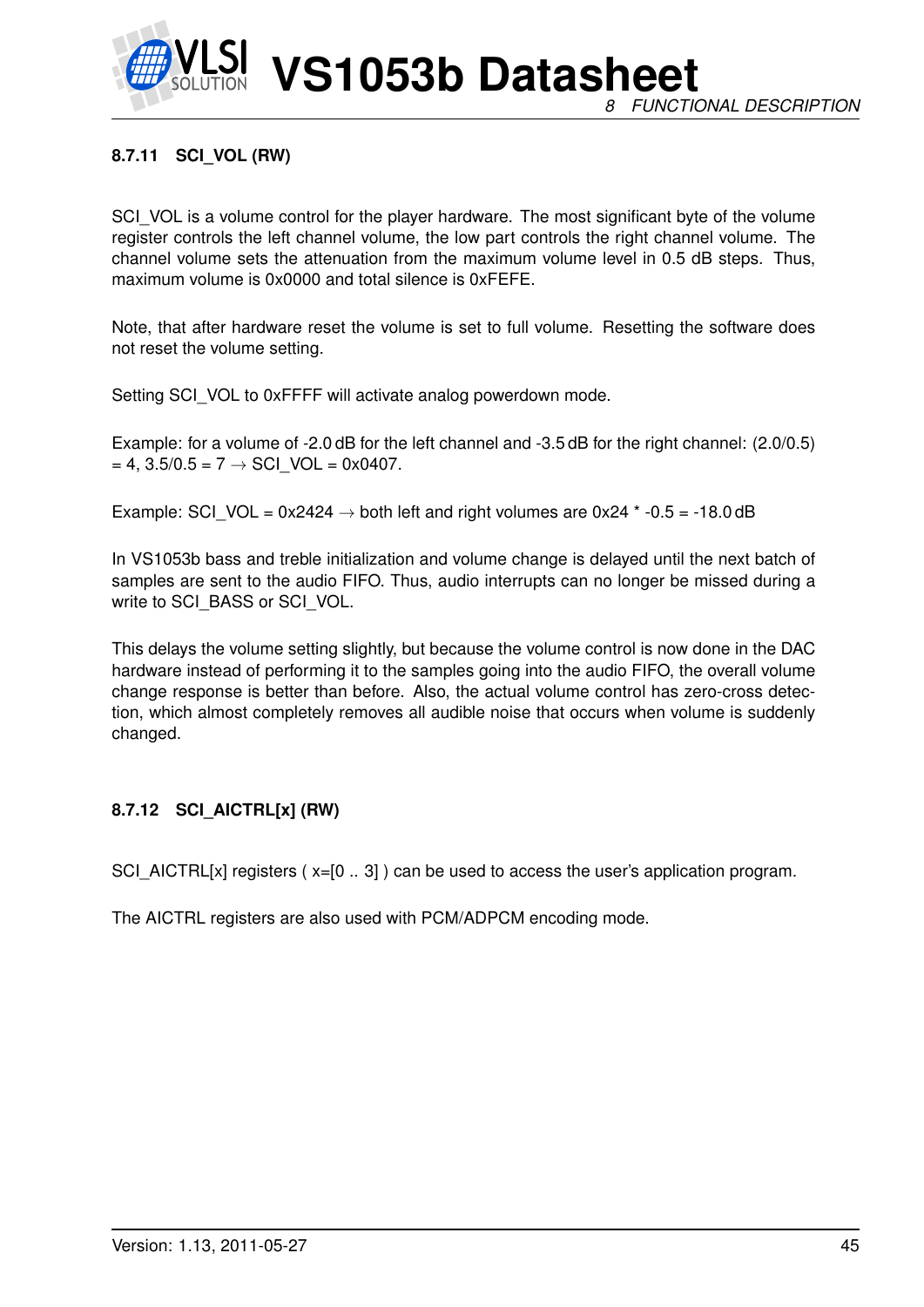

**VS1053b Datasheet** *8 FUNCTIONAL DESCRIPTION*

# **8.7.11 SCI\_VOL (RW)**

SCI VOL is a volume control for the player hardware. The most significant byte of the volume register controls the left channel volume, the low part controls the right channel volume. The channel volume sets the attenuation from the maximum volume level in 0.5 dB steps. Thus, maximum volume is 0x0000 and total silence is 0xFEFE.

Note, that after hardware reset the volume is set to full volume. Resetting the software does not reset the volume setting.

Setting SCI\_VOL to 0xFFFF will activate analog powerdown mode.

Example: for a volume of -2.0 dB for the left channel and -3.5 dB for the right channel: (2.0/0.5)  $= 4$ , 3.5/0.5 = 7  $\rightarrow$  SCI VOL = 0x0407.

Example: SCI\_VOL =  $0x2424 \rightarrow$  both left and right volumes are  $0x24$  \* -0.5 = -18.0 dB

In VS1053b bass and treble initialization and volume change is delayed until the next batch of samples are sent to the audio FIFO. Thus, audio interrupts can no longer be missed during a write to SCI\_BASS or SCI\_VOL.

This delays the volume setting slightly, but because the volume control is now done in the DAC hardware instead of performing it to the samples going into the audio FIFO, the overall volume change response is better than before. Also, the actual volume control has zero-cross detection, which almost completely removes all audible noise that occurs when volume is suddenly changed.

# **8.7.12 SCI\_AICTRL[x] (RW)**

SCI\_AICTRL[x] registers (x=[0 .. 3]) can be used to access the user's application program.

The AICTRL registers are also used with PCM/ADPCM encoding mode.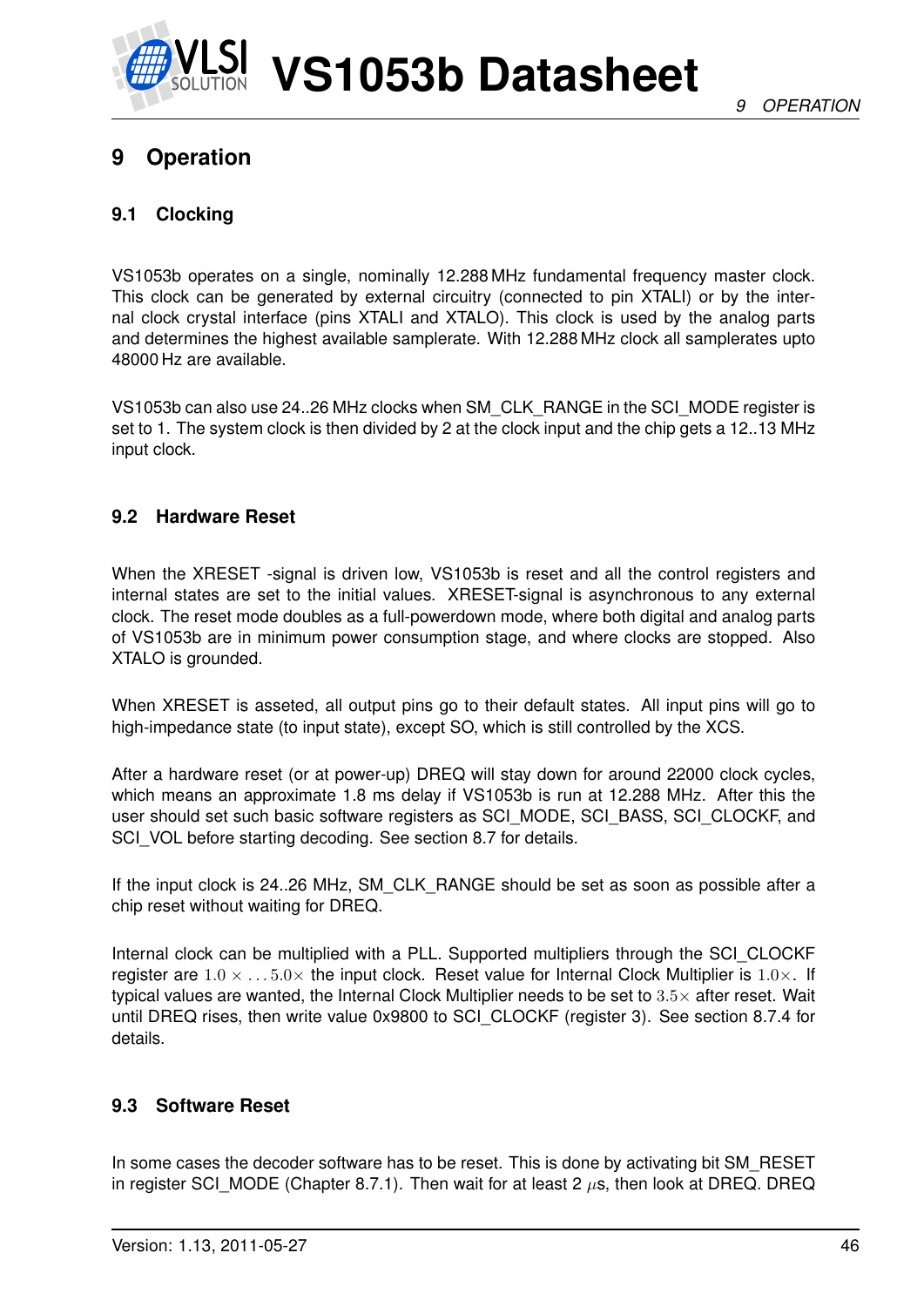

# **9 Operation**

# **9.1 Clocking**

VS1053b operates on a single, nominally 12.288 MHz fundamental frequency master clock. This clock can be generated by external circuitry (connected to pin XTALI) or by the internal clock crystal interface (pins XTALI and XTALO). This clock is used by the analog parts and determines the highest available samplerate. With 12.288 MHz clock all samplerates upto 48000 Hz are available.

VS1053b can also use 24..26 MHz clocks when SM\_CLK\_RANGE in the SCI\_MODE register is set to 1. The system clock is then divided by 2 at the clock input and the chip gets a 12..13 MHz input clock.

# **9.2 Hardware Reset**

When the XRESET -signal is driven low. VS1053b is reset and all the control registers and internal states are set to the initial values. XRESET-signal is asynchronous to any external clock. The reset mode doubles as a full-powerdown mode, where both digital and analog parts of VS1053b are in minimum power consumption stage, and where clocks are stopped. Also XTALO is grounded.

When XRESET is asseted, all output pins go to their default states. All input pins will go to high-impedance state (to input state), except SO, which is still controlled by the XCS.

After a hardware reset (or at power-up) DREQ will stay down for around 22000 clock cycles, which means an approximate 1.8 ms delay if VS1053b is run at 12.288 MHz. After this the user should set such basic software registers as SCI\_MODE, SCI\_BASS, SCI\_CLOCKF, and SCI\_VOL before starting decoding. See section [8.7](#page-34-0) for details.

If the input clock is 24..26 MHz, SM\_CLK\_RANGE should be set as soon as possible after a chip reset without waiting for DREQ.

Internal clock can be multiplied with a PLL. Supported multipliers through the SCI\_CLOCKF register are  $1.0 \times \ldots 5.0 \times$  the input clock. Reset value for Internal Clock Multiplier is  $1.0 \times$ . If typical values are wanted, the Internal Clock Multiplier needs to be set to  $3.5\times$  after reset. Wait until DREQ rises, then write value 0x9800 to SCI\_CLOCKF (register 3). See section [8.7.4](#page-39-0) for details.

# **9.3 Software Reset**

In some cases the decoder software has to be reset. This is done by activating bit SM\_RESET in register SCI\_MODE (Chapter [8.7.1\)](#page-35-0). Then wait for at least 2  $\mu$ s, then look at DREQ. DREQ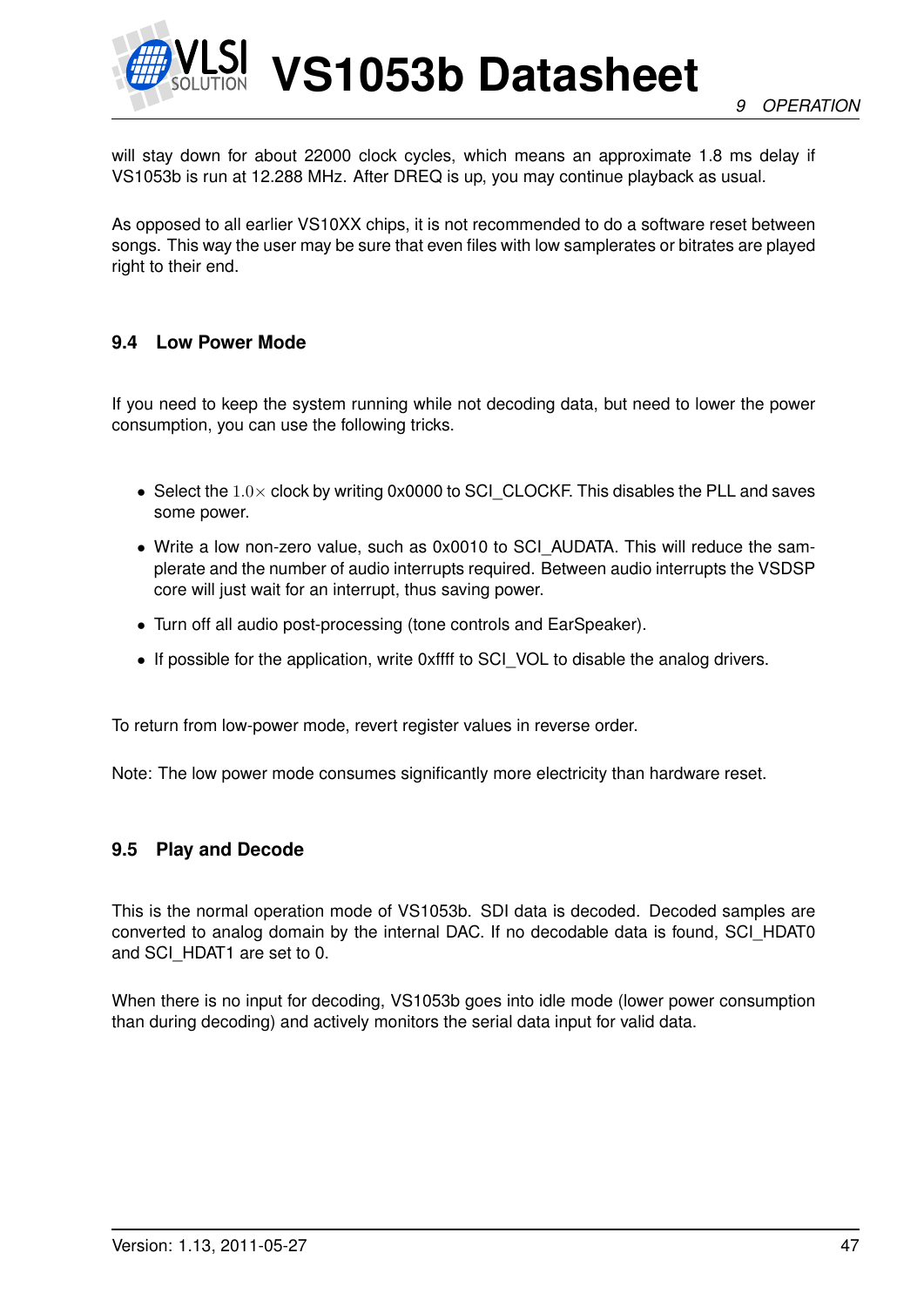

will stay down for about 22000 clock cycles, which means an approximate 1.8 ms delay if VS1053b is run at 12.288 MHz. After DREQ is up, you may continue playback as usual.

As opposed to all earlier VS10XX chips, it is not recommended to do a software reset between songs. This way the user may be sure that even files with low samplerates or bitrates are played right to their end.

# **9.4 Low Power Mode**

If you need to keep the system running while not decoding data, but need to lower the power consumption, you can use the following tricks.

- Select the  $1.0\times$  clock by writing 0x0000 to SCI CLOCKF. This disables the PLL and saves some power.
- Write a low non-zero value, such as 0x0010 to SCI\_AUDATA. This will reduce the samplerate and the number of audio interrupts required. Between audio interrupts the VSDSP core will just wait for an interrupt, thus saving power.
- Turn off all audio post-processing (tone controls and EarSpeaker).
- If possible for the application, write 0xffff to SCI\_VOL to disable the analog drivers.

To return from low-power mode, revert register values in reverse order.

Note: The low power mode consumes significantly more electricity than hardware reset.

#### **9.5 Play and Decode**

This is the normal operation mode of VS1053b. SDI data is decoded. Decoded samples are converted to analog domain by the internal DAC. If no decodable data is found, SCI\_HDAT0 and SCI\_HDAT1 are set to 0.

When there is no input for decoding, VS1053b goes into idle mode (lower power consumption than during decoding) and actively monitors the serial data input for valid data.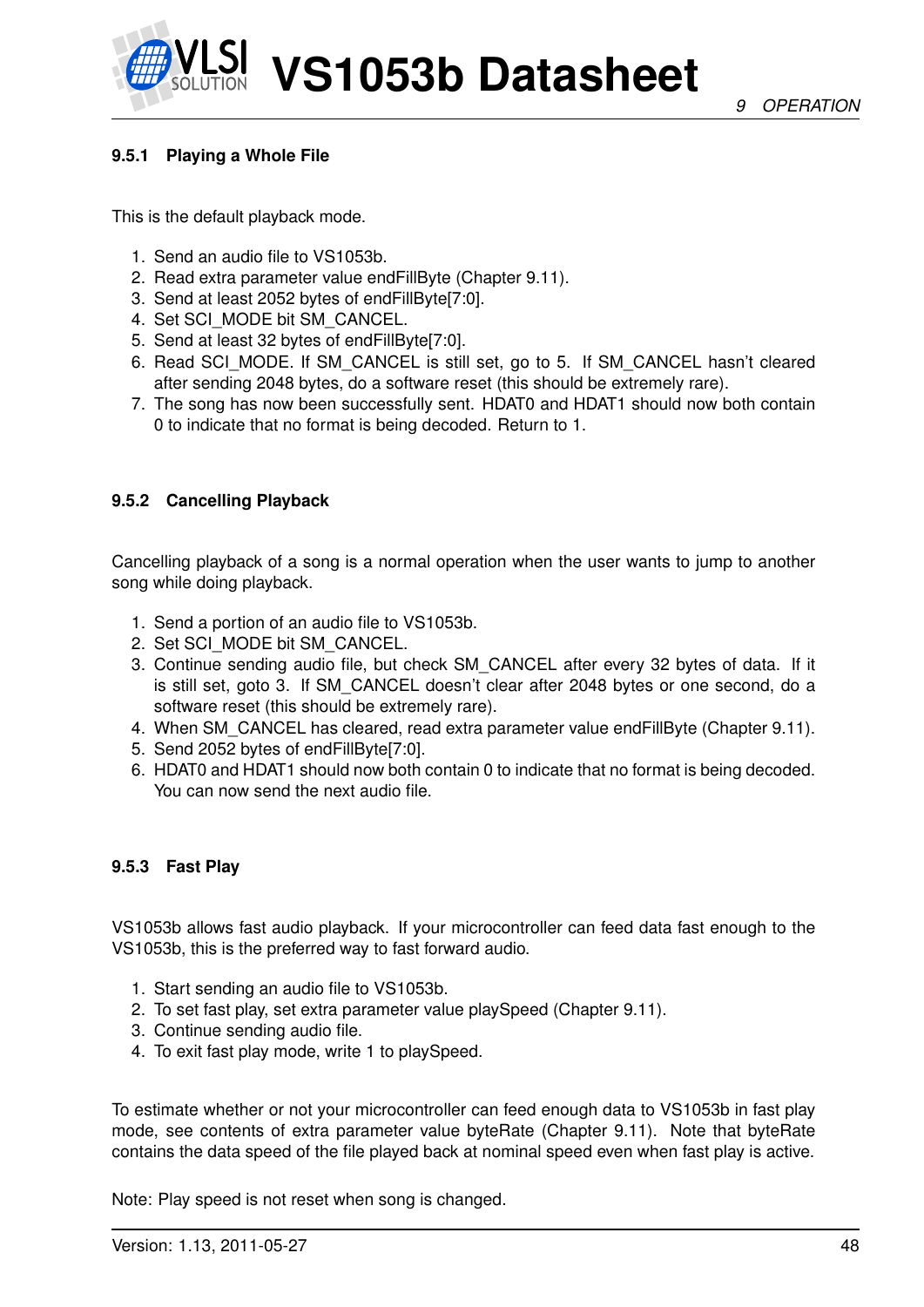# <span id="page-47-0"></span>**9.5.1 Playing a Whole File**

This is the default playback mode.

- 1. Send an audio file to VS1053b.
- 2. Read extra parameter value endFillByte (Chapter [9.11\)](#page-57-0).
- 3. Send at least 2052 bytes of endFillByte[7:0].
- 4. Set SCI\_MODE bit SM\_CANCEL.
- 5. Send at least 32 bytes of endFillByte[7:0].
- 6. Read SCI\_MODE. If SM\_CANCEL is still set, go to 5. If SM\_CANCEL hasn't cleared after sending 2048 bytes, do a software reset (this should be extremely rare).
- 7. The song has now been successfully sent. HDAT0 and HDAT1 should now both contain 0 to indicate that no format is being decoded. Return to 1.

### **9.5.2 Cancelling Playback**

Cancelling playback of a song is a normal operation when the user wants to jump to another song while doing playback.

- 1. Send a portion of an audio file to VS1053b.
- 2. Set SCI\_MODE bit SM\_CANCEL.
- 3. Continue sending audio file, but check SM\_CANCEL after every 32 bytes of data. If it is still set, goto 3. If SM\_CANCEL doesn't clear after 2048 bytes or one second, do a software reset (this should be extremely rare).
- 4. When SM\_CANCEL has cleared, read extra parameter value endFillByte (Chapter [9.11\)](#page-57-0).
- 5. Send 2052 bytes of endFillByte[7:0].
- 6. HDAT0 and HDAT1 should now both contain 0 to indicate that no format is being decoded. You can now send the next audio file.

#### **9.5.3 Fast Play**

VS1053b allows fast audio playback. If your microcontroller can feed data fast enough to the VS1053b, this is the preferred way to fast forward audio.

- 1. Start sending an audio file to VS1053b.
- 2. To set fast play, set extra parameter value playSpeed (Chapter [9.11\)](#page-57-0).
- 3. Continue sending audio file.
- 4. To exit fast play mode, write 1 to playSpeed.

To estimate whether or not your microcontroller can feed enough data to VS1053b in fast play mode, see contents of extra parameter value byteRate (Chapter [9.11\)](#page-57-0). Note that byteRate contains the data speed of the file played back at nominal speed even when fast play is active.

Note: Play speed is not reset when song is changed.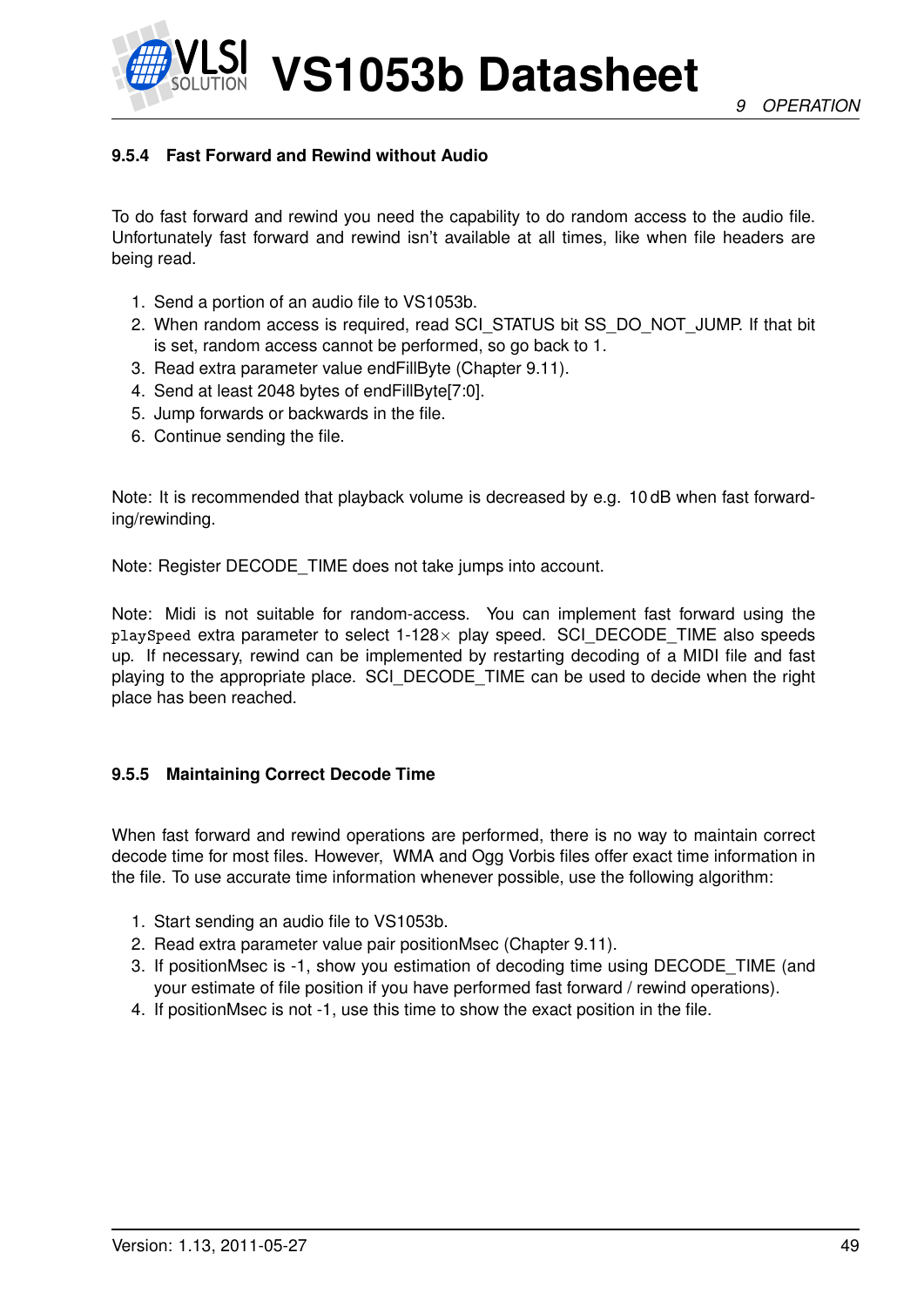*9 OPERATION*



**VS1053b Datasheet**

# **9.5.4 Fast Forward and Rewind without Audio**

To do fast forward and rewind you need the capability to do random access to the audio file. Unfortunately fast forward and rewind isn't available at all times, like when file headers are being read.

- 1. Send a portion of an audio file to VS1053b.
- 2. When random access is required, read SCI\_STATUS bit SS\_DO\_NOT\_JUMP. If that bit is set, random access cannot be performed, so go back to 1.
- 3. Read extra parameter value endFillByte (Chapter [9.11\)](#page-57-0).
- 4. Send at least 2048 bytes of endFillByte[7:0].
- 5. Jump forwards or backwards in the file.
- 6. Continue sending the file.

Note: It is recommended that playback volume is decreased by e.g. 10 dB when fast forwarding/rewinding.

Note: Register DECODE\_TIME does not take jumps into account.

Note: Midi is not suitable for random-access. You can implement fast forward using the playSpeed extra parameter to select 1-128× play speed. SCI\_DECODE\_TIME also speeds up. If necessary, rewind can be implemented by restarting decoding of a MIDI file and fast playing to the appropriate place. SCI\_DECODE\_TIME can be used to decide when the right place has been reached.

# **9.5.5 Maintaining Correct Decode Time**

When fast forward and rewind operations are performed, there is no way to maintain correct decode time for most files. However, WMA and Ogg Vorbis files offer exact time information in the file. To use accurate time information whenever possible, use the following algorithm:

- 1. Start sending an audio file to VS1053b.
- 2. Read extra parameter value pair positionMsec (Chapter [9.11\)](#page-57-0).
- 3. If positionMsec is -1, show you estimation of decoding time using DECODE\_TIME (and your estimate of file position if you have performed fast forward / rewind operations).
- 4. If positionMsec is not -1, use this time to show the exact position in the file.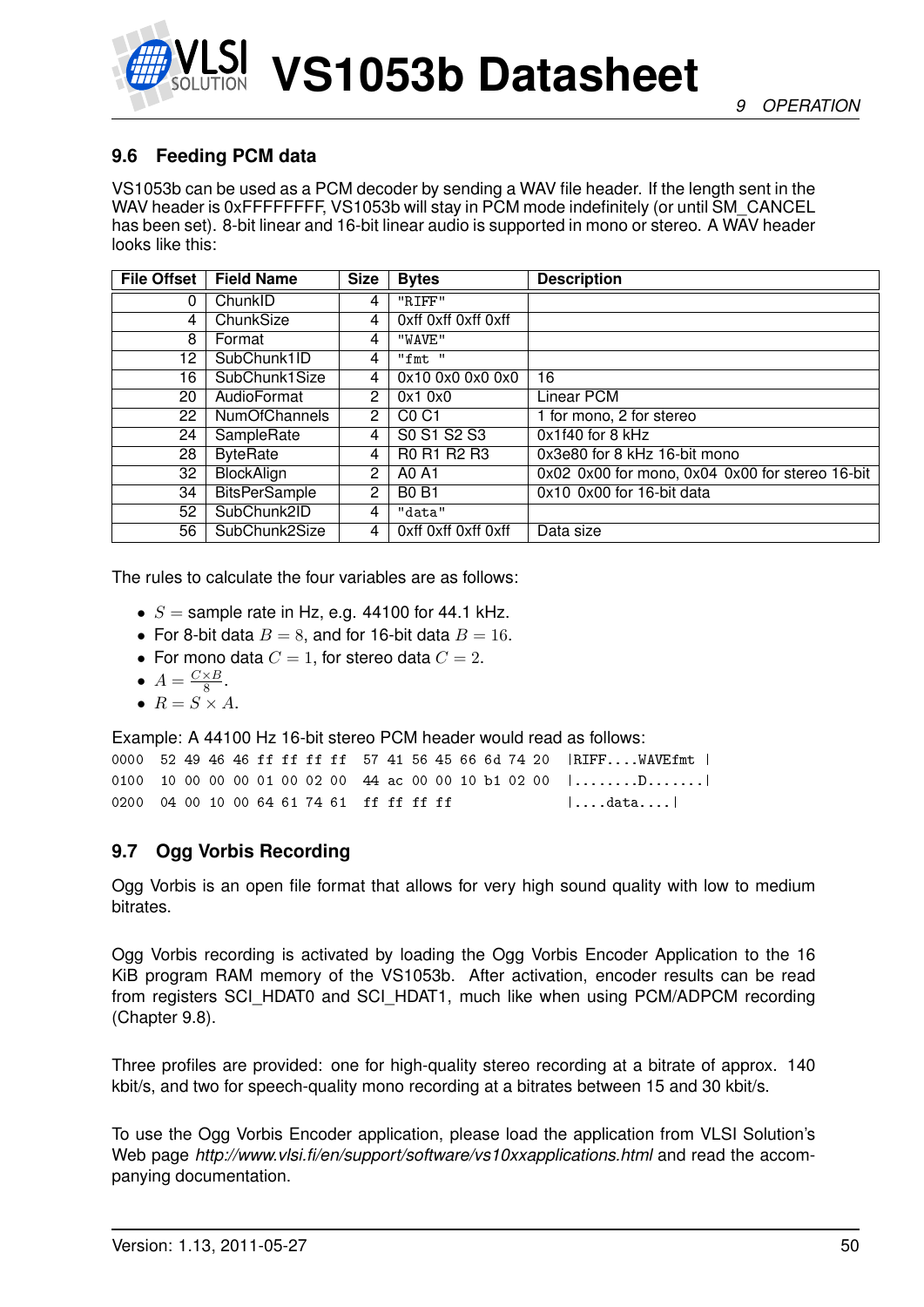

# **9.6 Feeding PCM data**

VS1053b can be used as a PCM decoder by sending a WAV file header. If the length sent in the WAV header is 0xFFFFFFFF, VS1053b will stay in PCM mode indefinitely (or until SM\_CANCEL has been set). 8-bit linear and 16-bit linear audio is supported in mono or stereo. A WAV header looks like this:

| <b>File Offset</b> | <b>Field Name</b>    | <b>Size</b>           | <b>Bytes</b>                  | <b>Description</b>                              |
|--------------------|----------------------|-----------------------|-------------------------------|-------------------------------------------------|
| 0                  | ChunkID              | 4                     | "RIFF"                        |                                                 |
| 4                  | ChunkSize            | 4                     | Oxff Oxff Oxff Oxff           |                                                 |
| 8                  | Format               | 4                     | "WAVE"                        |                                                 |
| 12                 | SubChunk1ID          | 4                     | "fmt "                        |                                                 |
| 16                 | SubChunk1Size        | 4                     | 0x10 0x0 0x0 0x0              | 16                                              |
| 20                 | AudioFormat          | $\overline{2}$        | 0x10x0                        | Linear PCM                                      |
| 22                 | <b>NumOfChannels</b> | $\overline{2}$        | C <sub>0</sub> C <sub>1</sub> | 1 for mono, 2 for stereo                        |
| 24                 | SampleRate           | 4                     | S0 S1 S2 S3                   | 0x1f40 for 8 kHz                                |
| 28                 | <b>ByteRate</b>      | 4                     | R0 R1 R2 R3                   | 0x3e80 for 8 kHz 16-bit mono                    |
| 32                 | BlockAlign           | $\mathbf{2}^{\prime}$ | A0 A1                         | 0x02 0x00 for mono, 0x04 0x00 for stereo 16-bit |
| 34                 | <b>BitsPerSample</b> | $\overline{2}$        | <b>B0 B1</b>                  | 0x10 0x00 for 16-bit data                       |
| 52                 | SubChunk2ID          | 4                     | "data"                        |                                                 |
| 56                 | SubChunk2Size        | 4                     | Oxff Oxff Oxff Oxff           | Data size                                       |

The rules to calculate the four variables are as follows:

- $S =$  sample rate in Hz, e.g. 44100 for 44.1 kHz.
- For 8-bit data  $B = 8$ , and for 16-bit data  $B = 16$ .
- For mono data  $C = 1$ , for stereo data  $C = 2$ .
- $A = \frac{C \times B}{8}$  $\frac{\times B}{8}$ .
- $R = S \times A$ .

Example: A 44100 Hz 16-bit stereo PCM header would read as follows:

|                                          |  |  |  |  |  |  |  |  | 0000 52 49 46 46 ff ff ff ff 57 41 56 45 66 6d 74 20 RIFFWAVEfmt                   |
|------------------------------------------|--|--|--|--|--|--|--|--|------------------------------------------------------------------------------------|
|                                          |  |  |  |  |  |  |  |  | 0100 10 00 00 00 01 00 02 00 44 ac 00 00 10 b1 02 00 $  \dots \dots \dots \dots  $ |
| 0200 04 00 10 00 64 61 74 61 ff ff ff ff |  |  |  |  |  |  |  |  | $\vert \ldots$ .data $\vert$                                                       |

# **9.7 Ogg Vorbis Recording**

Ogg Vorbis is an open file format that allows for very high sound quality with low to medium bitrates.

Ogg Vorbis recording is activated by loading the Ogg Vorbis Encoder Application to the 16 KiB program RAM memory of the VS1053b. After activation, encoder results can be read from registers SCI\_HDAT0 and SCI\_HDAT1, much like when using PCM/ADPCM recording (Chapter [9.8\)](#page-50-0).

Three profiles are provided: one for high-quality stereo recording at a bitrate of approx. 140 kbit/s, and two for speech-quality mono recording at a bitrates between 15 and 30 kbit/s.

To use the Ogg Vorbis Encoder application, please load the application from VLSI Solution's Web page *http://www.vlsi.fi/en/support/software/vs10xxapplications.html* and read the accompanying documentation.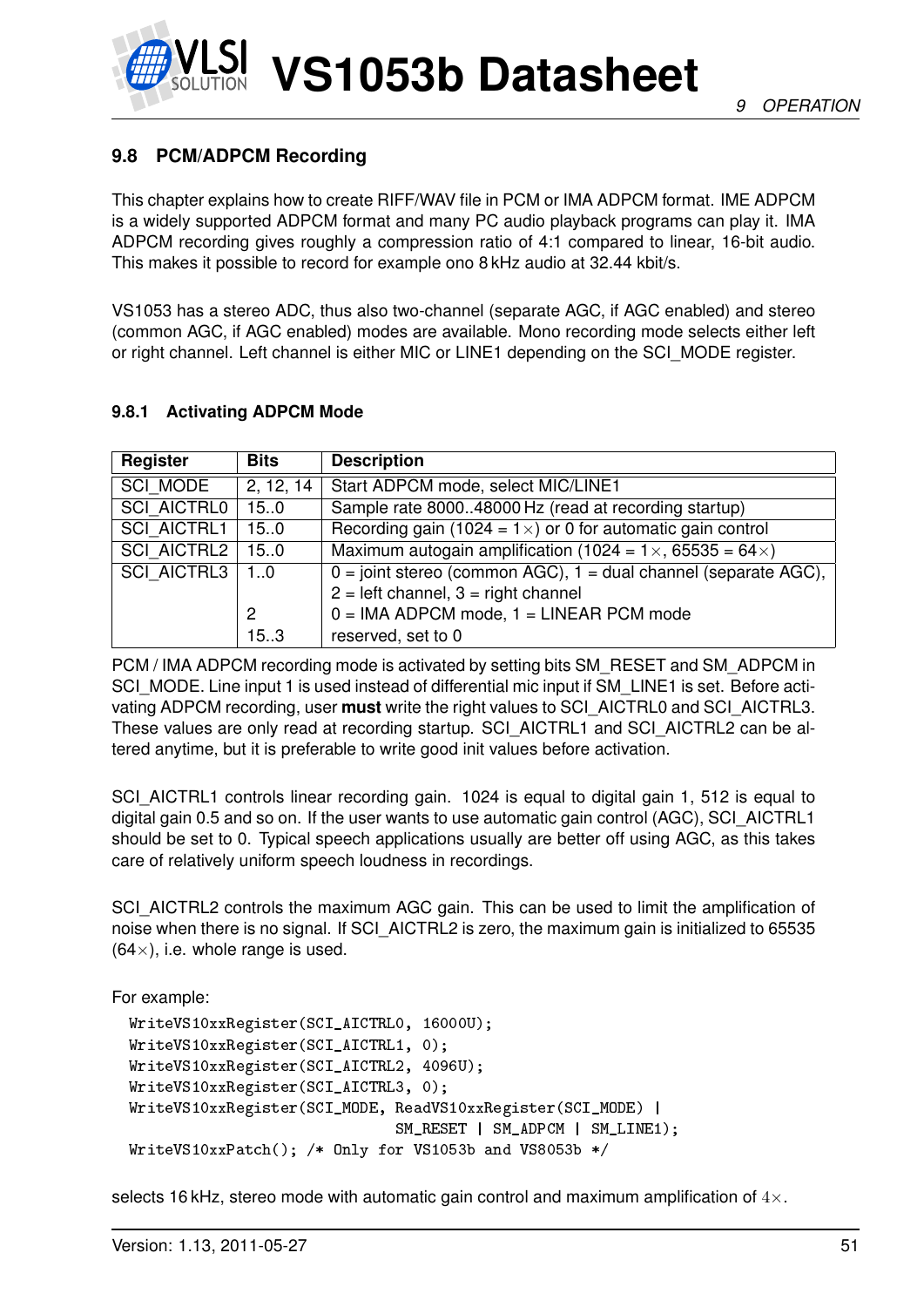

# <span id="page-50-0"></span>**9.8 PCM/ADPCM Recording**

This chapter explains how to create RIFF/WAV file in PCM or IMA ADPCM format. IME ADPCM is a widely supported ADPCM format and many PC audio playback programs can play it. IMA ADPCM recording gives roughly a compression ratio of 4:1 compared to linear, 16-bit audio. This makes it possible to record for example ono 8 kHz audio at 32.44 kbit/s.

VS1053 has a stereo ADC, thus also two-channel (separate AGC, if AGC enabled) and stereo (common AGC, if AGC enabled) modes are available. Mono recording mode selects either left or right channel. Left channel is either MIC or LINE1 depending on the SCI\_MODE register.

# <span id="page-50-1"></span>**9.8.1 Activating ADPCM Mode**

| Register           | <b>Bits</b> | <b>Description</b>                                                        |
|--------------------|-------------|---------------------------------------------------------------------------|
| <b>SCI MODE</b>    | 2, 12, 14   | Start ADPCM mode, select MIC/LINE1                                        |
| <b>SCI AICTRL0</b> | 15.0        | Sample rate 800048000 Hz (read at recording startup)                      |
| <b>SCI AICTRL1</b> | 15.0        | Recording gain (1024 = $1 \times$ ) or 0 for automatic gain control       |
| <b>SCI AICTRL2</b> | 15.0        | Maximum autogain amplification (1024 = $1 \times$ , 65535 = 64 $\times$ ) |
| <b>SCI AICTRL3</b> | 10          | $0 =$ joint stereo (common AGC), $1 =$ dual channel (separate AGC),       |
|                    |             | $2 = left channel$ , $3 = right channel$                                  |
|                    | 2           | $0 = IMA ADPCM mode$ , 1 = LINEAR PCM mode                                |
|                    | 15.3        | reserved, set to 0                                                        |

PCM / IMA ADPCM recording mode is activated by setting bits SM\_RESET and SM\_ADPCM in SCI\_MODE. Line input 1 is used instead of differential mic input if SM\_LINE1 is set. Before activating ADPCM recording, user **must** write the right values to SCI\_AICTRL0 and SCI\_AICTRL3. These values are only read at recording startup. SCI\_AICTRL1 and SCI\_AICTRL2 can be altered anytime, but it is preferable to write good init values before activation.

SCI\_AICTRL1 controls linear recording gain. 1024 is equal to digital gain 1, 512 is equal to digital gain 0.5 and so on. If the user wants to use automatic gain control (AGC), SCI\_AICTRL1 should be set to 0. Typical speech applications usually are better off using AGC, as this takes care of relatively uniform speech loudness in recordings.

SCI\_AICTRL2 controls the maximum AGC gain. This can be used to limit the amplification of noise when there is no signal. If SCI\_AICTRL2 is zero, the maximum gain is initialized to 65535  $(64\times)$ , i.e. whole range is used.

For example:

```
WriteVS10xxRegister(SCI_AICTRL0, 16000U);
WriteVS10xxRegister(SCI_AICTRL1, 0);
WriteVS10xxRegister(SCI_AICTRL2, 4096U);
WriteVS10xxRegister(SCI_AICTRL3, 0);
WriteVS10xxRegister(SCI_MODE, ReadVS10xxRegister(SCI_MODE) |
                              SM_RESET | SM_ADPCM | SM_LINE1);
WriteVS10xxPatch(); /* Only for VS1053b and VS8053b */
```
selects 16 kHz, stereo mode with automatic gain control and maximum amplification of  $4\times$ .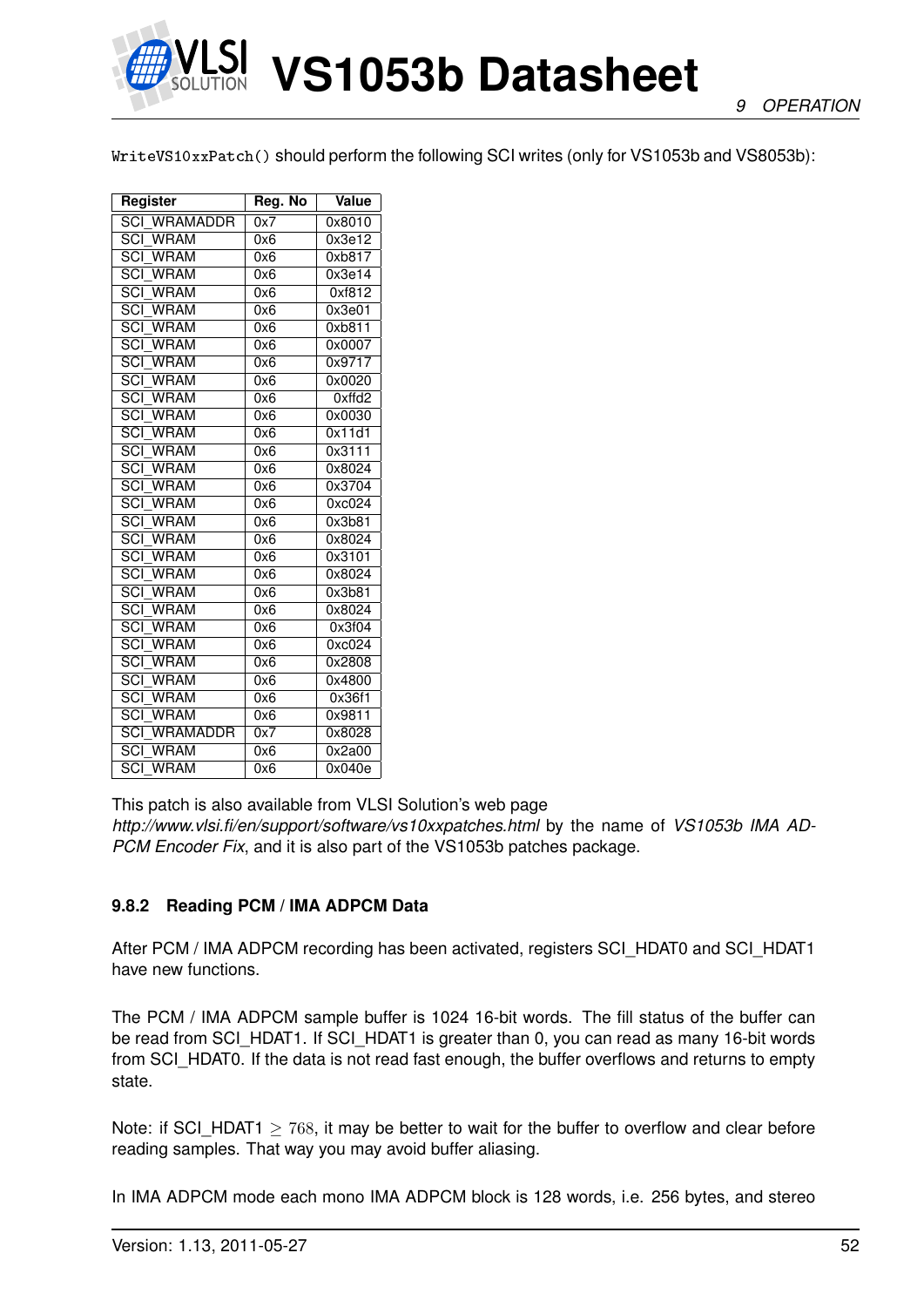

WriteVS10xxPatch() should perform the following SCI writes (only for VS1053b and VS8053b):

| Register                              | Reg. No | Value  |
|---------------------------------------|---------|--------|
| <b>SCI WRAMADDR</b>                   | 0x7     | 0x8010 |
| $\overline{SCI}$<br><b>WRAM</b>       | 0x6     | 0x3e12 |
| $\overline{SCI}$<br><b>WRAM</b>       | 0x6     | 0xb817 |
| <b>SCI WRAM</b>                       | 0x6     | 0x3e14 |
| <b>SCI WRAM</b>                       | 0x6     | 0xf812 |
| <b>SCI WRAM</b>                       | 0x6     | 0x3e01 |
| <b>SCI WRAM</b>                       | 0x6     | 0xb811 |
| <b>SCI WRAM</b>                       | 0x6     | 0x0007 |
| <b>SCI WRAM</b>                       | 0x6     | 0x9717 |
| $\overline{SCI}$<br><b>WRAM</b>       | 0x6     | 0x0020 |
| SCI<br><b>WRAM</b>                    | 0x6     | Oxffd2 |
| <b>SCI WRAM</b>                       | 0x6     | 0x0030 |
| $\overline{{\rm SCI}}$<br><b>WRAM</b> | 0x6     | 0x11d1 |
| <b>SCI WRAM</b>                       | 0x6     | 0x3111 |
| <b>SCI WRAM</b>                       | 0x6     | 0x8024 |
| <b>SCI WRAM</b>                       | 0x6     | 0x3704 |
| <b>SCI WRAM</b>                       | 0x6     | 0xc024 |
| <b>SCI WRAM</b>                       | 0x6     | 0x3b81 |
| <b>SCI WRAM</b>                       | 0x6     | 0x8024 |
| <b>SCI WRAM</b>                       | 0x6     | 0x3101 |
| <b>SCI WRAM</b>                       | 0x6     | 0x8024 |
| <b>SCI WRAM</b>                       | 0x6     | 0x3b81 |
| <b>SCI WRAM</b>                       | 0x6     | 0x8024 |
| <b>SCI WRAM</b>                       | 0x6     | 0x3f04 |
| SCI<br><b>WRAM</b>                    | 0x6     | 0xc024 |
| $\overline{SCI}$<br><b>WRAM</b>       | 0x6     | 0x2808 |
| $\overline{{\rm SCI}}$<br><b>WRAM</b> | 0x6     | 0x4800 |
| <b>SCI WRAM</b>                       | 0x6     | 0x36f1 |
| $\overline{SCI}$<br><b>WRAM</b>       | 0x6     | 0x9811 |
| SCI<br>WRAMADDR                       | 0x7     | 0x8028 |
| <b>SCI WRAM</b>                       | 0x6     | 0x2a00 |
| <b>SCI WRAM</b>                       | 0x6     | 0x040e |

This patch is also available from VLSI Solution's web page

*http://www.vlsi.fi/en/support/software/vs10xxpatches.html* by the name of *VS1053b IMA AD-PCM Encoder Fix*, and it is also part of the VS1053b patches package.

# **9.8.2 Reading PCM / IMA ADPCM Data**

After PCM / IMA ADPCM recording has been activated, registers SCI\_HDAT0 and SCI\_HDAT1 have new functions.

The PCM / IMA ADPCM sample buffer is 1024 16-bit words. The fill status of the buffer can be read from SCI\_HDAT1. If SCI\_HDAT1 is greater than 0, you can read as many 16-bit words from SCI\_HDAT0. If the data is not read fast enough, the buffer overflows and returns to empty state.

Note: if SCI\_HDAT1  $\geq$  768, it may be better to wait for the buffer to overflow and clear before reading samples. That way you may avoid buffer aliasing.

In IMA ADPCM mode each mono IMA ADPCM block is 128 words, i.e. 256 bytes, and stereo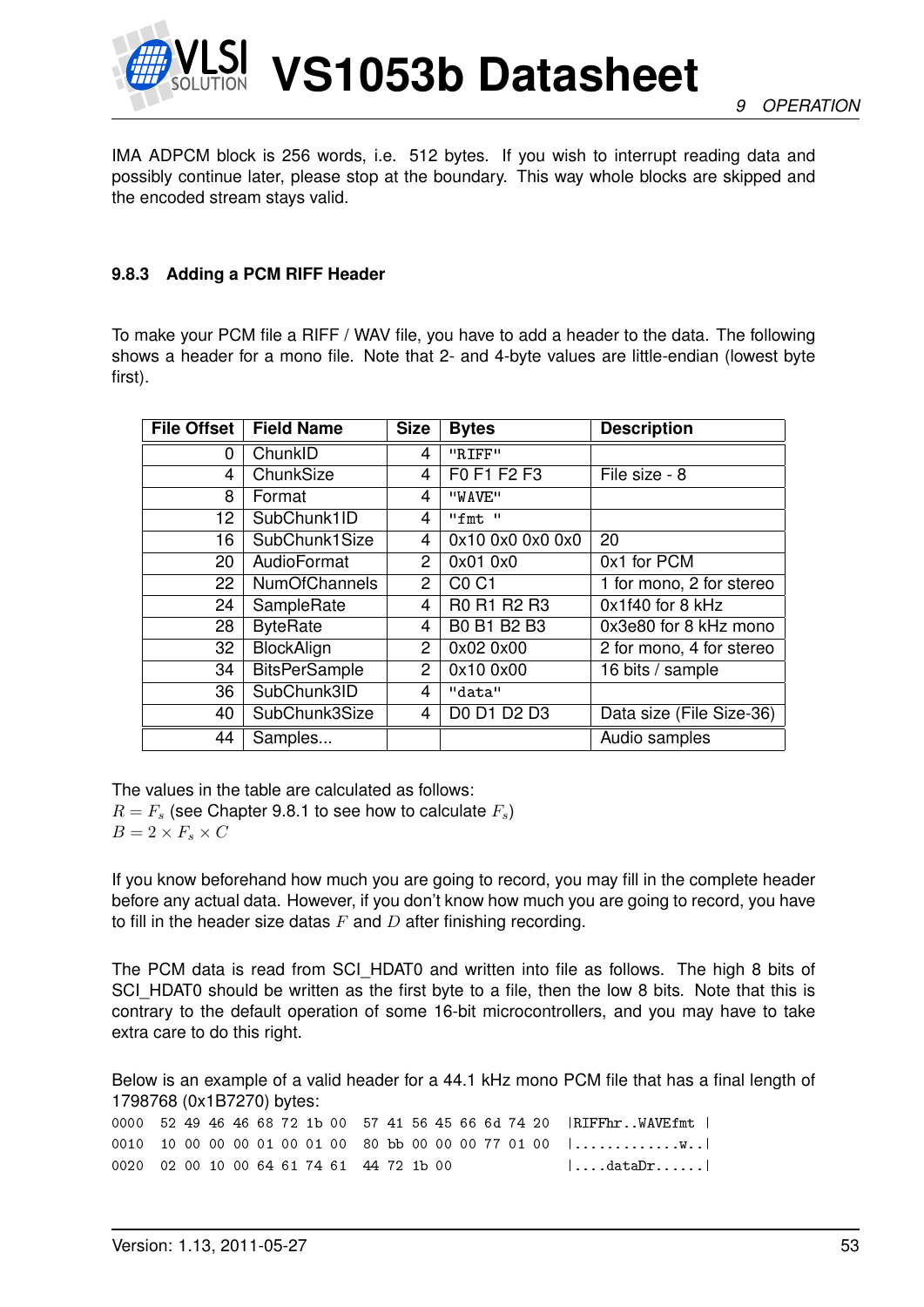

IMA ADPCM block is 256 words, i.e. 512 bytes. If you wish to interrupt reading data and possibly continue later, please stop at the boundary. This way whole blocks are skipped and the encoded stream stays valid.

### <span id="page-52-0"></span>**9.8.3 Adding a PCM RIFF Header**

To make your PCM file a RIFF / WAV file, you have to add a header to the data. The following shows a header for a mono file. Note that 2- and 4-byte values are little-endian (lowest byte first).

| <b>File Offset</b> | <b>Field Name</b>    | <b>Size</b>    | <b>Bytes</b>     | <b>Description</b>       |
|--------------------|----------------------|----------------|------------------|--------------------------|
| 0                  | ChunkID              | 4              | "RIFF"           |                          |
| 4                  | ChunkSize            | 4              | F0 F1 F2 F3      | File size - 8            |
| 8                  | Format               | 4              | "WAVE"           |                          |
| 12                 | SubChunk1ID          | 4              | $"f$ mt $"$      |                          |
| 16                 | SubChunk1Size        | 4              | 0x10 0x0 0x0 0x0 | 20                       |
| 20                 | AudioFormat          | $\overline{2}$ | 0x01 0x0         | 0x1 for PCM              |
| 22                 | <b>NumOfChannels</b> | $\overline{2}$ | C0 C1            | 1 for mono, 2 for stereo |
| 24                 | SampleRate           | $\overline{4}$ | R0 R1 R2 R3      | 0x1f40 for 8 kHz         |
| 28                 | <b>ByteRate</b>      | $\overline{4}$ | B0 B1 B2 B3      | 0x3e80 for 8 kHz mono    |
| 32                 | BlockAlign           | 2              | 0x02 0x00        | 2 for mono, 4 for stereo |
| 34                 | <b>BitsPerSample</b> | $\overline{2}$ | 0x10 0x00        | 16 bits / sample         |
| 36                 | SubChunk3ID          | 4              | "data"           |                          |
| 40                 | SubChunk3Size        | 4              | D0 D1 D2 D3      | Data size (File Size-36) |
| 44                 | Samples              |                |                  | Audio samples            |

The values in the table are calculated as follows:  $R = F<sub>s</sub>$  (see Chapter [9.8.1](#page-50-1) to see how to calculate  $F<sub>s</sub>$ )  $B = 2 \times F_s \times C$ 

If you know beforehand how much you are going to record, you may fill in the complete header before any actual data. However, if you don't know how much you are going to record, you have to fill in the header size datas  $F$  and  $D$  after finishing recording.

The PCM data is read from SCI\_HDAT0 and written into file as follows. The high 8 bits of SCI\_HDAT0 should be written as the first byte to a file, then the low 8 bits. Note that this is contrary to the default operation of some 16-bit microcontrollers, and you may have to take extra care to do this right.

Below is an example of a valid header for a 44.1 kHz mono PCM file that has a final length of 1798768 (0x1B7270) bytes:

0000 52 49 46 46 68 72 1b 00 57 41 56 45 66 6d 74 20 |RIFFhr..WAVEfmt | 0010 10 00 00 00 01 00 01 00 80 bb 00 00 00 77 01 00 |...................  $0020$   $02$   $00$   $10$   $00$   $64$   $61$   $74$   $61$   $44$   $72$   $1b$   $00$   $\dots$   $\dots$   $\dots$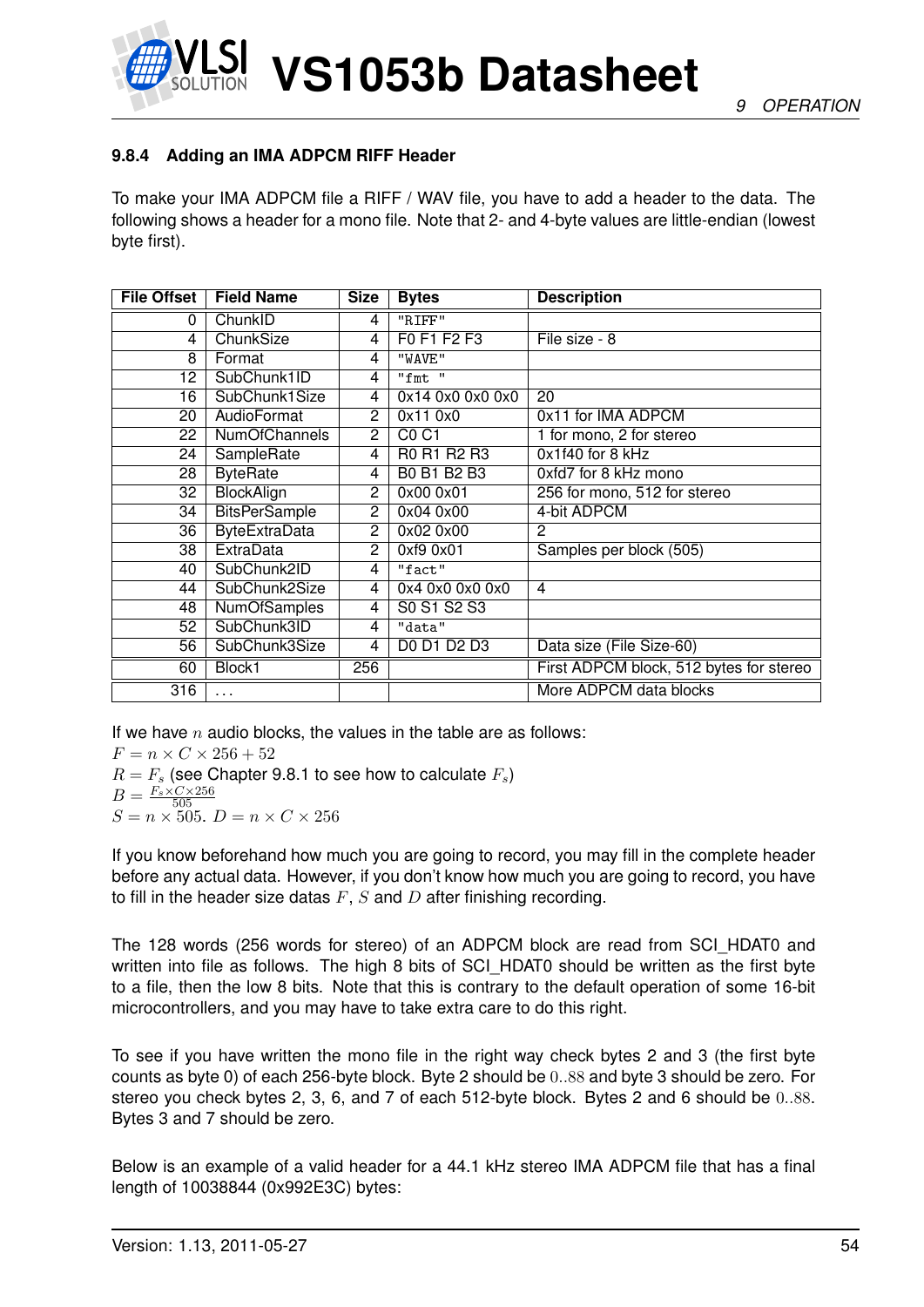



# <span id="page-53-0"></span>**9.8.4 Adding an IMA ADPCM RIFF Header**

To make your IMA ADPCM file a RIFF / WAV file, you have to add a header to the data. The following shows a header for a mono file. Note that 2- and 4-byte values are little-endian (lowest byte first).

| <b>File Offset</b> | <b>Field Name</b>    | <b>Size</b>    | <b>Bytes</b>                  | <b>Description</b>                      |
|--------------------|----------------------|----------------|-------------------------------|-----------------------------------------|
| 0                  | ChunkID              | 4              | "RIFF"                        |                                         |
| 4                  | ChunkSize            | 4              | F0 F1 F2 F3                   | File size - 8                           |
| 8                  | Format               | 4              | "WAVE"                        |                                         |
| 12                 | SubChunk1ID          | 4              | "fmt "                        |                                         |
| 16                 | SubChunk1Size        | 4              | 0x14 0x0 0x0 0x0              | 20                                      |
| 20                 | AudioFormat          | 2              | 0x110x0                       | 0x11 for IMA ADPCM                      |
| 22                 | <b>NumOfChannels</b> | $\overline{2}$ | C <sub>0</sub> C <sub>1</sub> | 1 for mono, 2 for stereo                |
| 24                 | SampleRate           | 4              | R0 R1 R2 R3                   | 0x1f40 for 8 kHz                        |
| 28                 | <b>ByteRate</b>      | 4              | <b>B0 B1 B2 B3</b>            | 0xfd7 for 8 kHz mono                    |
| 32                 | <b>BlockAlign</b>    | 2              | 0x00 0x01                     | 256 for mono, 512 for stereo            |
| 34                 | <b>BitsPerSample</b> | $\overline{2}$ | 0x04 0x00                     | 4-bit ADPCM                             |
| 36                 | <b>ByteExtraData</b> | 2              | 0x02 0x00                     | 2                                       |
| 38                 | <b>ExtraData</b>     | $\overline{2}$ | 0xf9 0x01                     | Samples per block (505)                 |
| 40                 | SubChunk2ID          | 4              | "fact"                        |                                         |
| 44                 | SubChunk2Size        | 4              | 0x4 0x0 0x0 0x0               | $\overline{4}$                          |
| 48                 | <b>NumOfSamples</b>  | 4              | S0 S1 S2 S3                   |                                         |
| 52                 | SubChunk3ID          | 4              | "data"                        |                                         |
| 56                 | SubChunk3Size        | 4              | D0 D1 D2 D3                   | Data size (File Size-60)                |
| 60                 | Block1               | 256            |                               | First ADPCM block, 512 bytes for stereo |
| 316                | $\cdots$             |                |                               | More ADPCM data blocks                  |

If we have n audio blocks, the values in the table are as follows:

 $F = n \times C \times 256 + 52$ 

 $R = F_s$  (see Chapter [9.8.1](#page-50-1) to see how to calculate  $F_s$ )  $B = \frac{F_s \times C \times 256}{505}$ 505  $S = n \times 505$ .  $D = n \times C \times 256$ 

If you know beforehand how much you are going to record, you may fill in the complete header before any actual data. However, if you don't know how much you are going to record, you have to fill in the header size datas  $F, S$  and  $D$  after finishing recording.

The 128 words (256 words for stereo) of an ADPCM block are read from SCI\_HDAT0 and written into file as follows. The high 8 bits of SCI\_HDAT0 should be written as the first byte to a file, then the low 8 bits. Note that this is contrary to the default operation of some 16-bit microcontrollers, and you may have to take extra care to do this right.

To see if you have written the mono file in the right way check bytes 2 and 3 (the first byte counts as byte 0) of each 256-byte block. Byte 2 should be 0..88 and byte 3 should be zero. For stereo you check bytes 2, 3, 6, and 7 of each 512-byte block. Bytes 2 and 6 should be 0..88. Bytes 3 and 7 should be zero.

Below is an example of a valid header for a 44.1 kHz stereo IMA ADPCM file that has a final length of 10038844 (0x992E3C) bytes: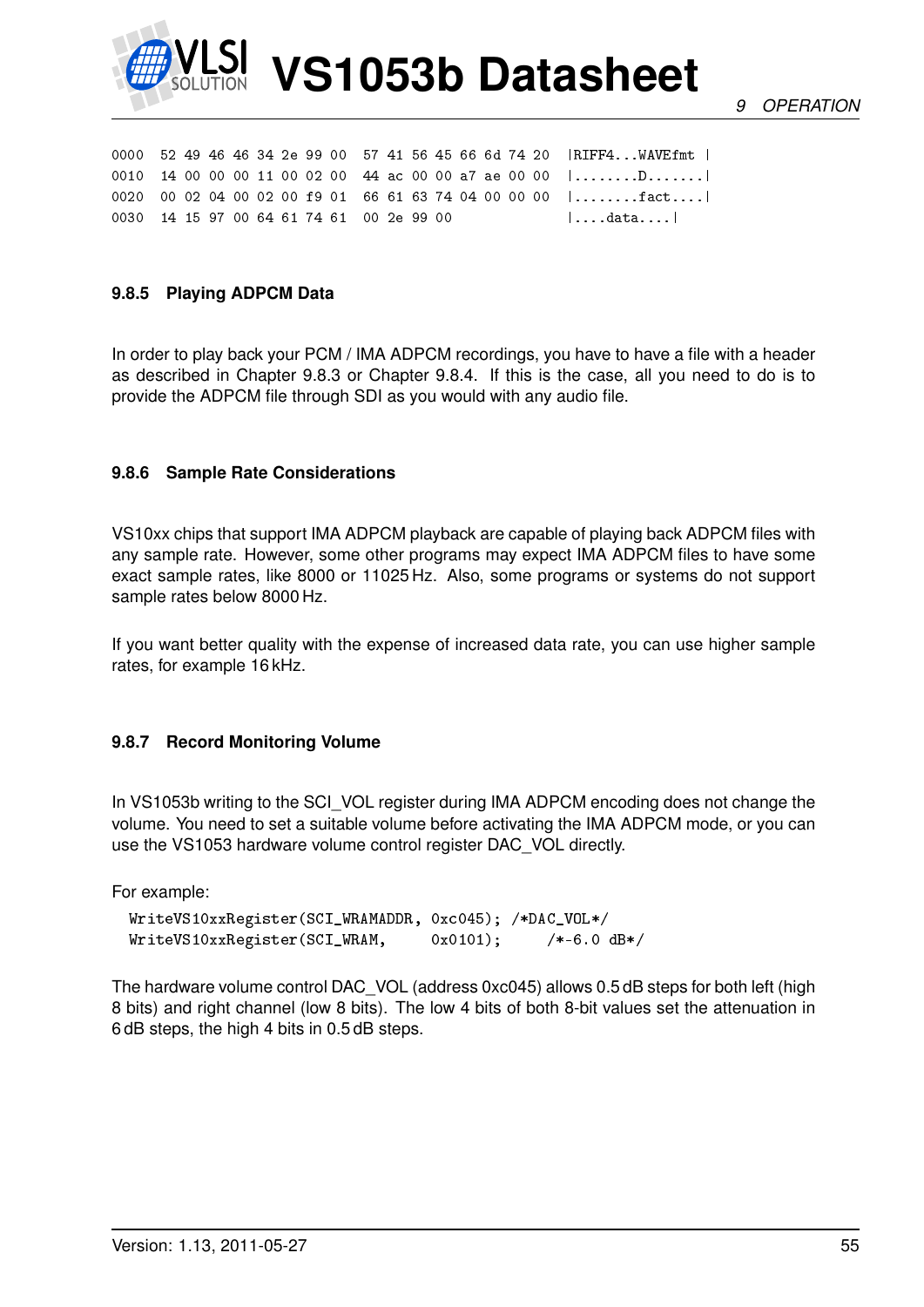

*9 OPERATION*

|                                          |  |  |  |  |  |  |  |  | 0000 52 49 46 46 34 2e 99 00 57 41 56 45 66 6d 74 20   RIFF4WAVEfmt                |
|------------------------------------------|--|--|--|--|--|--|--|--|------------------------------------------------------------------------------------|
|                                          |  |  |  |  |  |  |  |  | 0010 14 00 00 00 11 00 02 00 44 ac 00 00 a7 ae 00 00 $  \dots \dots \dots \dots  $ |
|                                          |  |  |  |  |  |  |  |  | 0020 00 02 04 00 02 00 f9 01 66 61 63 74 04 00 00 00 $ $ fact                      |
| 0030 14 15 97 00 64 61 74 61 00 2e 99 00 |  |  |  |  |  |  |  |  | $\vert \ldots.$ data $\ldots \vert$                                                |

#### **9.8.5 Playing ADPCM Data**

In order to play back your PCM / IMA ADPCM recordings, you have to have a file with a header as described in Chapter [9.8.3](#page-52-0) or Chapter [9.8.4.](#page-53-0) If this is the case, all you need to do is to provide the ADPCM file through SDI as you would with any audio file.

#### **9.8.6 Sample Rate Considerations**

VS10xx chips that support IMA ADPCM playback are capable of playing back ADPCM files with any sample rate. However, some other programs may expect IMA ADPCM files to have some exact sample rates, like 8000 or 11025 Hz. Also, some programs or systems do not support sample rates below 8000 Hz.

If you want better quality with the expense of increased data rate, you can use higher sample rates, for example 16 kHz.

#### **9.8.7 Record Monitoring Volume**

In VS1053b writing to the SCI\_VOL register during IMA ADPCM encoding does not change the volume. You need to set a suitable volume before activating the IMA ADPCM mode, or you can use the VS1053 hardware volume control register DAC\_VOL directly.

For example:

```
WriteVS10xxRegister(SCI_WRAMADDR, 0xc045); /*DAC_VOL*/
WriteVS10xxRegister(SCI_WRAM, 0x0101); /*-6.0 dB*/
```
The hardware volume control DAC\_VOL (address 0xc045) allows 0.5 dB steps for both left (high 8 bits) and right channel (low 8 bits). The low 4 bits of both 8-bit values set the attenuation in 6 dB steps, the high 4 bits in 0.5 dB steps.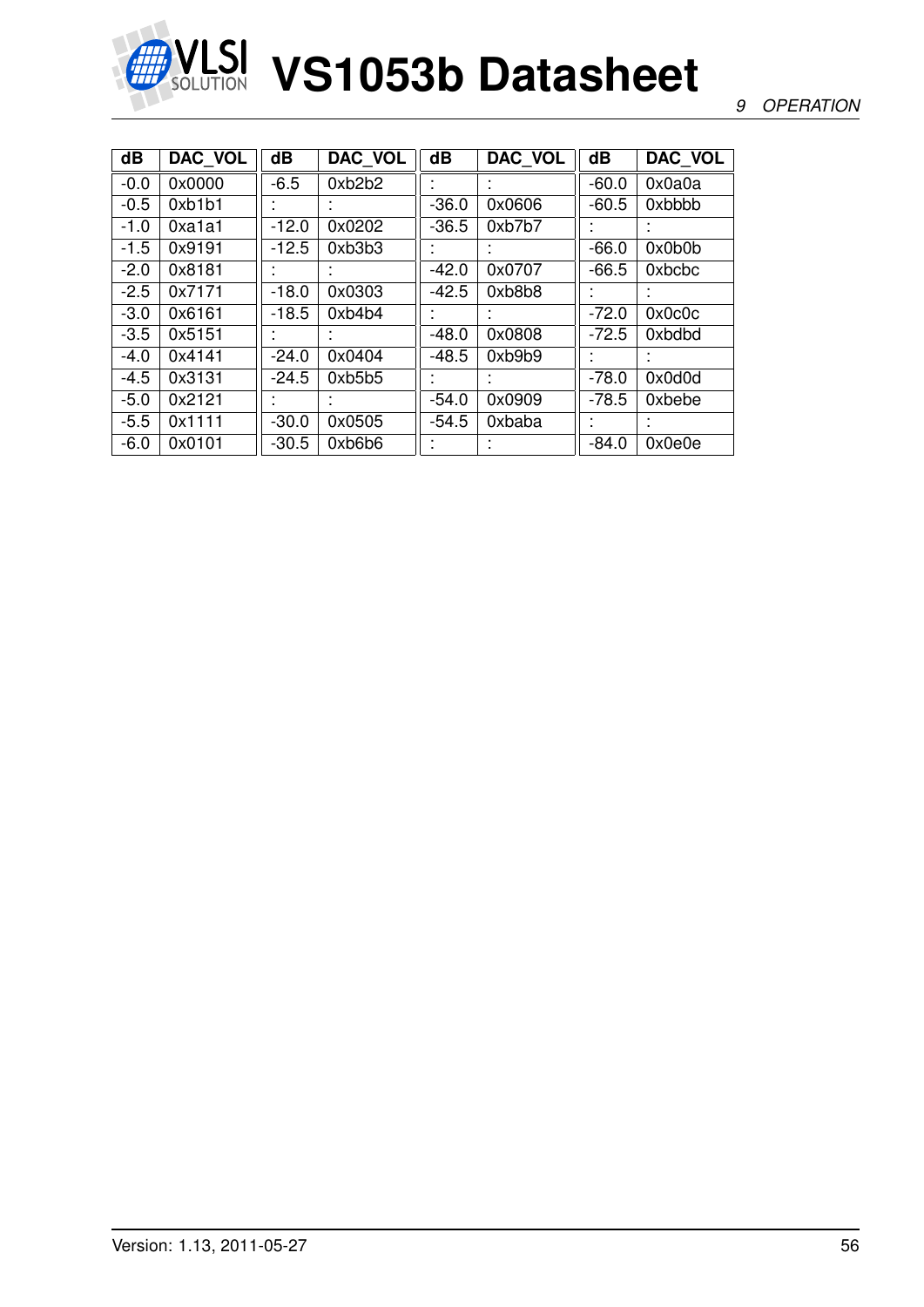

### *9 OPERATION*

| dB     | DAC VOL | $\overline{\mathbf{d}}$ | DAC_VOL | $\overline{\mathbf{d}}$ | DAC_VOL   | $\overline{\mathbf{d}}$ | DAC_VOL |
|--------|---------|-------------------------|---------|-------------------------|-----------|-------------------------|---------|
| $-0.0$ | 0x0000  | $-6.5$                  | 0xb2b2  |                         |           | $-60.0$                 | 0x0a0a  |
| $-0.5$ | 0xb1b1  |                         |         | $-36.0$                 | 0x0606    | $-60.5$                 | 0xbbbb  |
| $-1.0$ | 0xa1a1  | $-12.0$                 | 0x0202  | $-36.5$                 | 0xb7b7    |                         |         |
| $-1.5$ | 0x9191  | $-12.5$                 | 0xb3b3  |                         |           | $-66.0$                 | 0x0b0b  |
| $-2.0$ | 0x8181  |                         |         | $-42.0$                 | 0x0707    | $-66.5$                 | 0xbcbc  |
| $-2.5$ | 0x7171  | $-18.0$                 | 0x0303  | $-42.5$                 | 0xb8b8    |                         |         |
| $-3.0$ | 0x6161  | $-18.5$                 | 0xb4b4  |                         |           | $-72.0$                 | 0x0c0c  |
| $-3.5$ | 0x5151  |                         |         | $-48.0$                 | 0x0808    | $-72.5$                 | 0xbdbd  |
| $-4.0$ | 0x4141  | $-24.0$                 | 0x0404  | $-48.5$                 | 0xb9b9    |                         |         |
| $-4.5$ | 0x3131  | $-24.5$                 | 0xb5b5  |                         |           | $-78.0$                 | 0x0d0d  |
| $-5.0$ | 0x2121  |                         |         | $-54.0$                 | 0x0909    | $-78.5$                 | 0xbebe  |
| $-5.5$ | 0x1111  | $-30.0$                 | 0x0505  | $-54.5$                 | 0xbaba    | ٠                       |         |
| $-6.0$ | 0x0101  | $-30.5$                 | 0xb6b6  | $\mathbf{r}$            | $\bullet$ | $-84.0$                 | 0x0e0e  |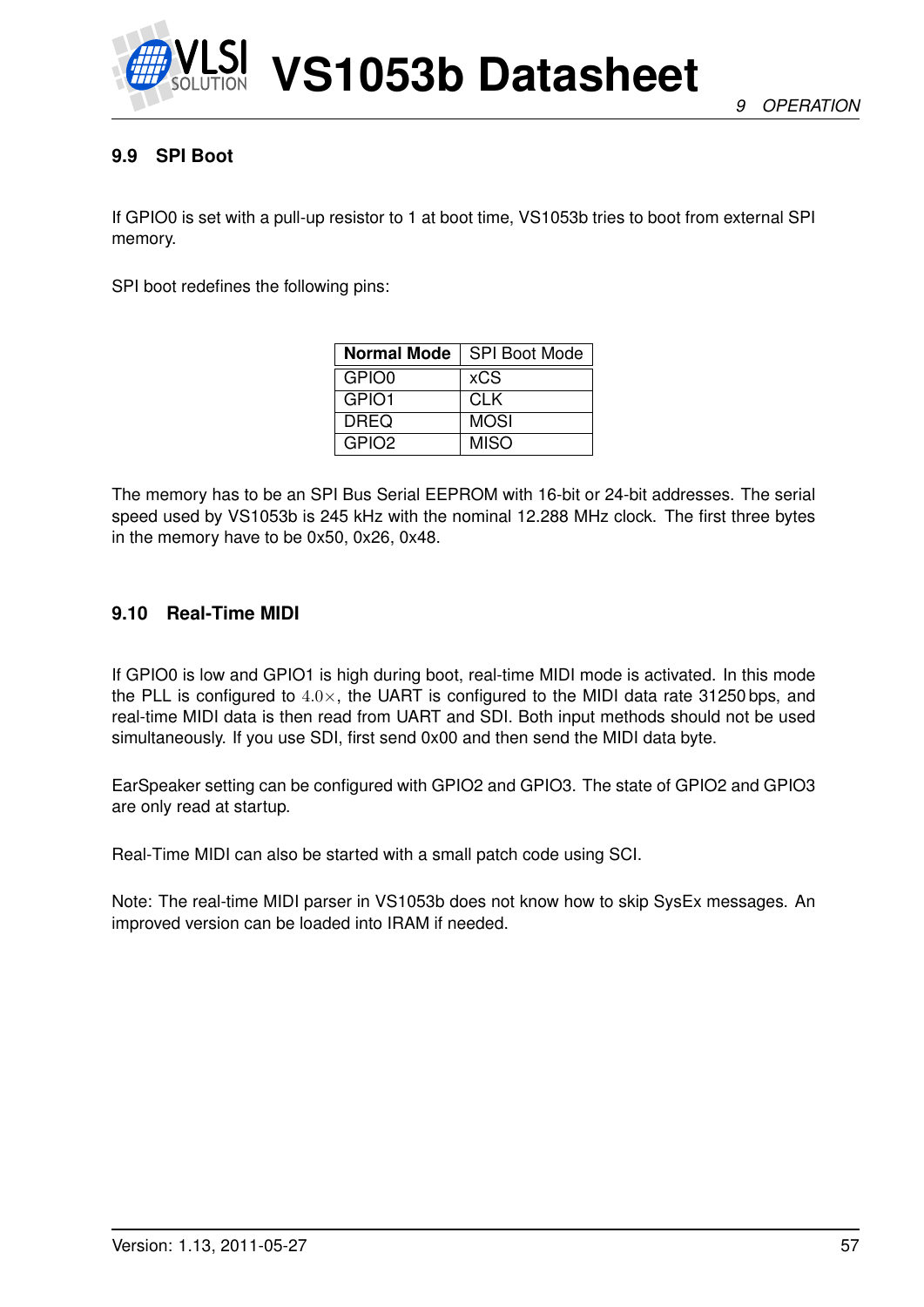

# **9.9 SPI Boot**

If GPIO0 is set with a pull-up resistor to 1 at boot time, VS1053b tries to boot from external SPI memory.

SPI boot redefines the following pins:

| <b>Normal Mode</b> | <b>SPI Boot Mode</b> |
|--------------------|----------------------|
| GPIO0              | xCS                  |
| GPIO1              | <b>CLK</b>           |
| <b>DREQ</b>        | <b>MOSI</b>          |
| GPIO <sub>2</sub>  | <b>MISO</b>          |

The memory has to be an SPI Bus Serial EEPROM with 16-bit or 24-bit addresses. The serial speed used by VS1053b is 245 kHz with the nominal 12.288 MHz clock. The first three bytes in the memory have to be 0x50, 0x26, 0x48.

# **9.10 Real-Time MIDI**

If GPIO0 is low and GPIO1 is high during boot, real-time MIDI mode is activated. In this mode the PLL is configured to  $4.0\times$ , the UART is configured to the MIDI data rate 31250 bps, and real-time MIDI data is then read from UART and SDI. Both input methods should not be used simultaneously. If you use SDI, first send 0x00 and then send the MIDI data byte.

EarSpeaker setting can be configured with GPIO2 and GPIO3. The state of GPIO2 and GPIO3 are only read at startup.

Real-Time MIDI can also be started with a small patch code using SCI.

Note: The real-time MIDI parser in VS1053b does not know how to skip SysEx messages. An improved version can be loaded into IRAM if needed.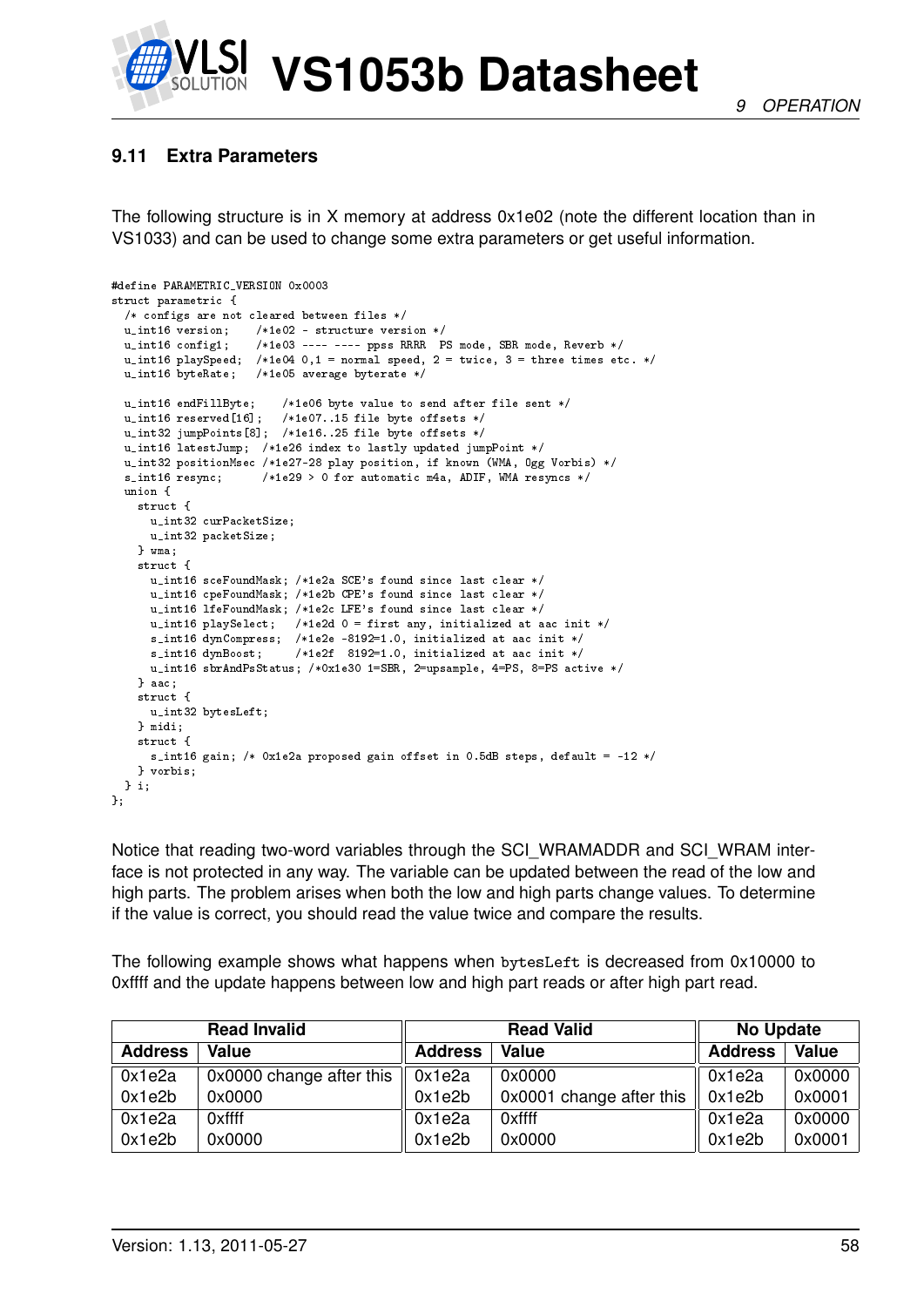

# <span id="page-57-0"></span>**9.11 Extra Parameters**

The following structure is in X memory at address 0x1e02 (note the different location than in VS1033) and can be used to change some extra parameters or get useful information.

```
#define PARAMETRIC_VERSION 0x0003
struct parametric {
  /* configs are not cleared between files */
 u_int16 version; /*1e02 - structure version */
                      /*1e03 ---- ---- ppss RRRR PS mode, SBR mode, Reverb */
  u_int16 playSpeed; /*1e04 0,1 = normal speed, 2 = twice, 3 = three times etc. */
 u_int16 byteRate; /*1e05 average byterate */
  u_int16 endFillByte; /*1e06 byte value to send after file sent */
  u_int16 reserved[16]; /*1e07..15 file byte offsets */
  u_int32 jumpPoints[8]; /*1e16..25 file byte offsets */
  u_int16 latestJump; /*1e26 index to lastly updated jumpPoint */
  u_int32 positionMsec /*1e27-28 play position, if known (WMA, Ogg Vorbis) */
  s_int16 resync; /*1e29 > 0 for automatic m4a, ADIF, WMA resyncs */
  union {
    struct {
      u_int32 curPacketSize;
     u_int32 packetSize;
    } wma;
    struct {
     u_int16 sceFoundMask; /*1e2a SCE's found since last clear */
      u_int16 cpeFoundMask; /*1e2b CPE's found since last clear */
      u_int16 lfeFoundMask; /*1e2c LFE's found since last clear */
     u_int16 playSelect; /*1e2d 0 = first any, initialized at aac init */
      s_int16 dynCompress; /*1e2e -8192=1.0, initialized at aac init */<br>s_int16 dynBoost; /*1e2f 8192=1.0, initialized at aac init */
                            /*1e2f 8192=1.0, initialized at aac init */
     u_int16 sbrAndPsStatus; /*0x1e30 1=SBR, 2=upsample, 4=PS, 8=PS active */
    } aac;
    struct {
     u_int32 bytesLeft;
    } midi;
    struct {
     s_int16 gain; /* 0x1e2a proposed gain offset in 0.5dB steps, default = -12 */
    } vorbis;
 } i;
};
```
Notice that reading two-word variables through the SCI\_WRAMADDR and SCI\_WRAM interface is not protected in any way. The variable can be updated between the read of the low and high parts. The problem arises when both the low and high parts change values. To determine if the value is correct, you should read the value twice and compare the results.

The following example shows what happens when bytesLeft is decreased from 0x10000 to 0xffff and the update happens between low and high part reads or after high part read.

|                | <b>Read Invalid</b>      |                | <b>Read Valid</b>        | <b>No Update</b> |              |  |
|----------------|--------------------------|----------------|--------------------------|------------------|--------------|--|
| <b>Address</b> | Value                    | <b>Address</b> | Value                    | <b>Address</b>   | <b>Value</b> |  |
| 0x1e2a         | 0x0000 change after this | 0x1e2a         | 0x0000                   | 0x1e2a           | 0x0000       |  |
| 0x1e2b         | 0x0000                   | 0x1e2b         | 0x0001 change after this | 0x1e2b           | 0x0001       |  |
| 0x1e2a         | 0xffff                   | 0x1e2a         | 0xffff                   | 0x1e2a           | 0x0000       |  |
| 0x1e2b         | 0x0000                   | 0x1e2b         | 0x0000                   | 0x1e2b           | 0x0001       |  |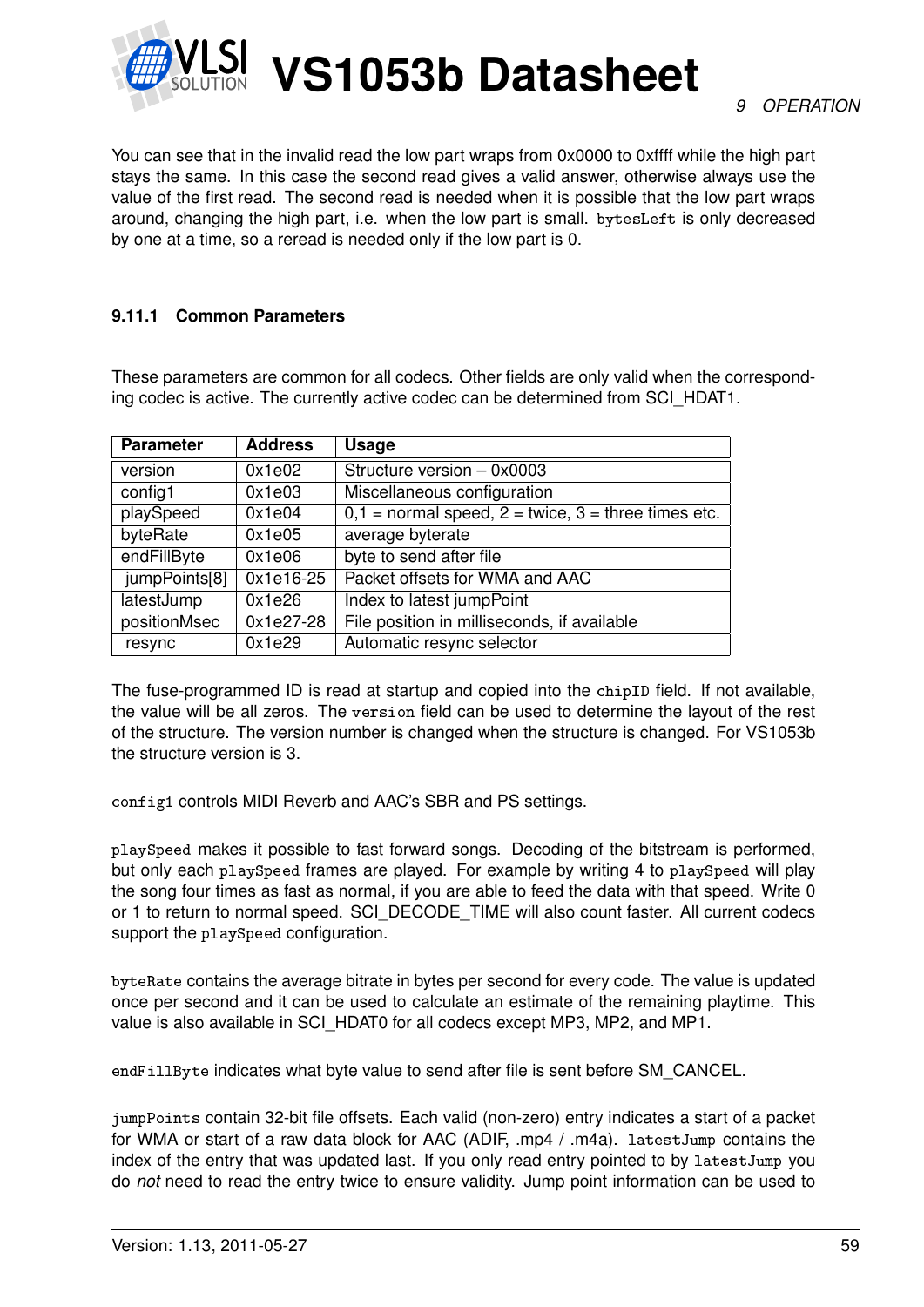

You can see that in the invalid read the low part wraps from 0x0000 to 0xffff while the high part stays the same. In this case the second read gives a valid answer, otherwise always use the value of the first read. The second read is needed when it is possible that the low part wraps around, changing the high part, i.e. when the low part is small. bytesLeft is only decreased by one at a time, so a reread is needed only if the low part is 0.

# **9.11.1 Common Parameters**

These parameters are common for all codecs. Other fields are only valid when the corresponding codec is active. The currently active codec can be determined from SCI\_HDAT1.

| <b>Parameter</b> | <b>Address</b> | <b>Usage</b>                                              |
|------------------|----------------|-----------------------------------------------------------|
| version          | 0x1e02         | Structure version - 0x0003                                |
| config1          | 0x1e03         | Miscellaneous configuration                               |
| playSpeed        | 0x1e04         | $0,1 =$ normal speed, $2 =$ twice, $3 =$ three times etc. |
| byteRate         | 0x1e05         | average byterate                                          |
| endFillByte      | 0x1e06         | byte to send after file                                   |
| jumpPoints[8]    | 0x1e16-25      | Packet offsets for WMA and AAC                            |
| latestJump       | 0x1e26         | Index to latest jumpPoint                                 |
| positionMsec     | $0x1e27-28$    | File position in milliseconds, if available               |
| resync           | 0x1e29         | Automatic resync selector                                 |

The fuse-programmed ID is read at startup and copied into the chipID field. If not available, the value will be all zeros. The version field can be used to determine the layout of the rest of the structure. The version number is changed when the structure is changed. For VS1053b the structure version is 3.

config1 controls MIDI Reverb and AAC's SBR and PS settings.

playSpeed makes it possible to fast forward songs. Decoding of the bitstream is performed, but only each playSpeed frames are played. For example by writing 4 to playSpeed will play the song four times as fast as normal, if you are able to feed the data with that speed. Write 0 or 1 to return to normal speed. SCI\_DECODE\_TIME will also count faster. All current codecs support the playSpeed configuration.

byteRate contains the average bitrate in bytes per second for every code. The value is updated once per second and it can be used to calculate an estimate of the remaining playtime. This value is also available in SCI\_HDAT0 for all codecs except MP3, MP2, and MP1.

endFillByte indicates what byte value to send after file is sent before SM\_CANCEL.

jumpPoints contain 32-bit file offsets. Each valid (non-zero) entry indicates a start of a packet for WMA or start of a raw data block for AAC (ADIF, .mp4 / .m4a). latestJump contains the index of the entry that was updated last. If you only read entry pointed to by latestJump you do *not* need to read the entry twice to ensure validity. Jump point information can be used to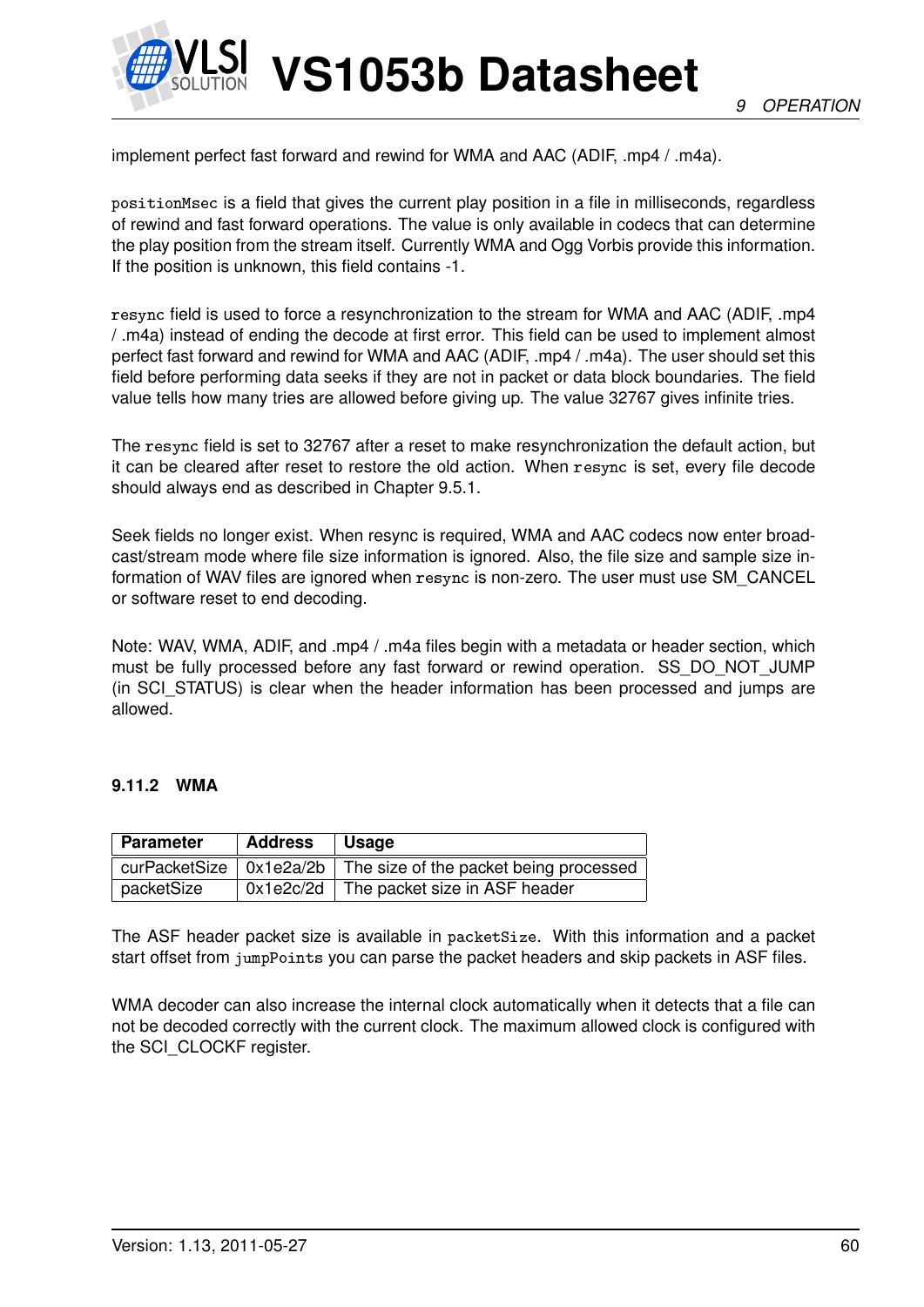

implement perfect fast forward and rewind for WMA and AAC (ADIF, .mp4 / .m4a).

positionMsec is a field that gives the current play position in a file in milliseconds, regardless of rewind and fast forward operations. The value is only available in codecs that can determine the play position from the stream itself. Currently WMA and Ogg Vorbis provide this information. If the position is unknown, this field contains -1.

resync field is used to force a resynchronization to the stream for WMA and AAC (ADIF, .mp4 / .m4a) instead of ending the decode at first error. This field can be used to implement almost perfect fast forward and rewind for WMA and AAC (ADIF, .mp4 / .m4a). The user should set this field before performing data seeks if they are not in packet or data block boundaries. The field value tells how many tries are allowed before giving up. The value 32767 gives infinite tries.

The resync field is set to 32767 after a reset to make resynchronization the default action, but it can be cleared after reset to restore the old action. When resync is set, every file decode should always end as described in Chapter [9.5.1.](#page-47-0)

Seek fields no longer exist. When resync is required, WMA and AAC codecs now enter broadcast/stream mode where file size information is ignored. Also, the file size and sample size information of WAV files are ignored when resync is non-zero. The user must use SM\_CANCEL or software reset to end decoding.

Note: WAV, WMA, ADIF, and .mp4 / .m4a files begin with a metadata or header section, which must be fully processed before any fast forward or rewind operation. SS\_DO\_NOT\_JUMP (in SCI STATUS) is clear when the header information has been processed and jumps are allowed.

#### **9.11.2 WMA**

| <b>Parameter</b> | <b>Address</b> | $\vert$ Usage                                                                  |
|------------------|----------------|--------------------------------------------------------------------------------|
|                  |                | curPacketSize $\vert$ 0x1e2a/2b $\vert$ The size of the packet being processed |
| packetSize       |                | $0x1e2c/2d$ The packet size in ASF header                                      |

The ASF header packet size is available in packetSize. With this information and a packet start offset from jumpPoints you can parse the packet headers and skip packets in ASF files.

WMA decoder can also increase the internal clock automatically when it detects that a file can not be decoded correctly with the current clock. The maximum allowed clock is configured with the SCI\_CLOCKF register.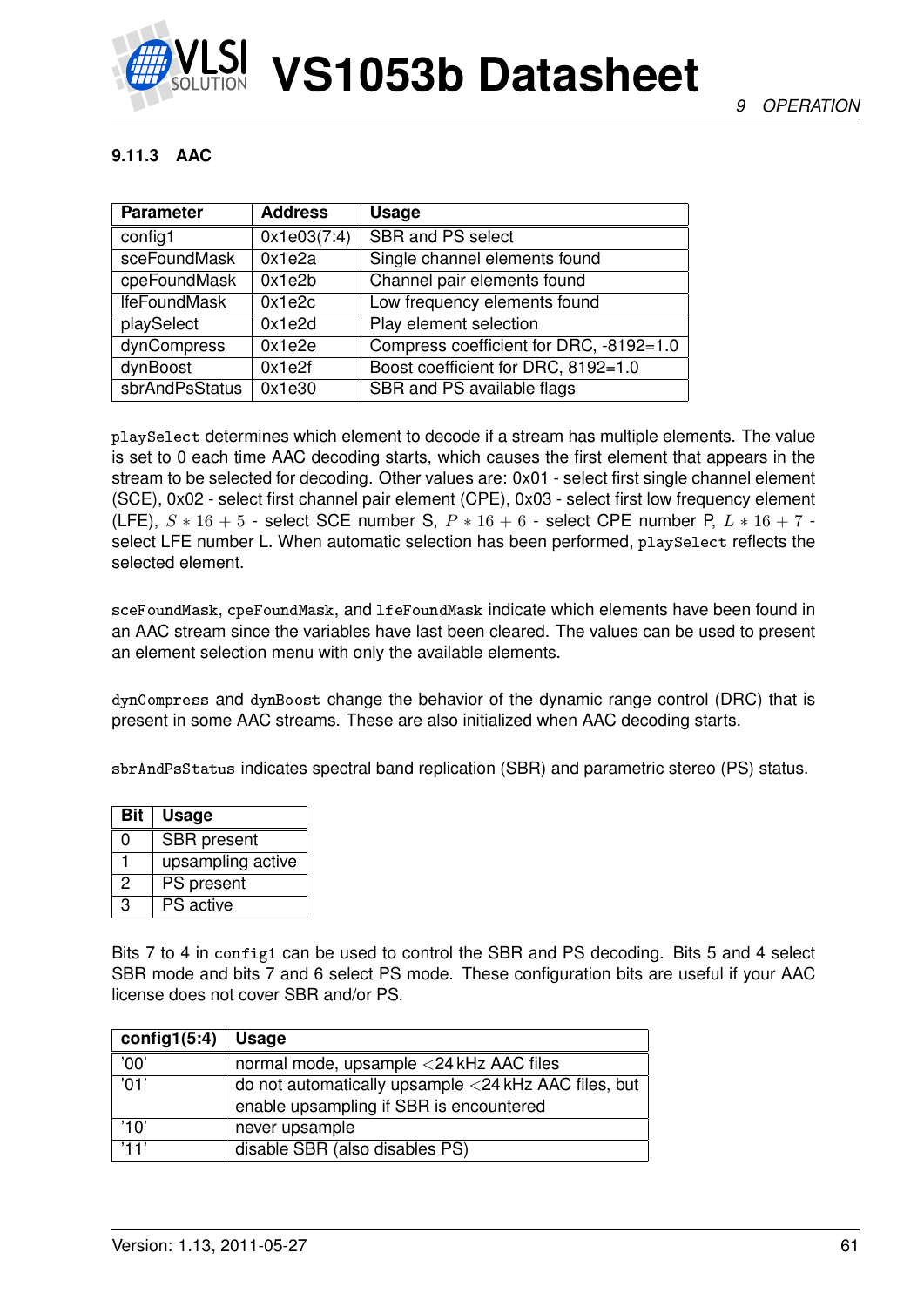

# **9.11.3 AAC**

| <b>Parameter</b>    | <b>Address</b> | <b>Usage</b>                            |
|---------------------|----------------|-----------------------------------------|
| config1             | 0x1e03(7:4)    | <b>SBR and PS select</b>                |
| sceFoundMask        | 0x1e2a         | Single channel elements found           |
| cpeFoundMask        | 0x1e2b         | Channel pair elements found             |
| <b>IfeFoundMask</b> | 0x1e2c         | Low frequency elements found            |
| playSelect          | 0x1e2d         | Play element selection                  |
| dynCompress         | 0x1e2e         | Compress coefficient for DRC, -8192=1.0 |
| dynBoost            | 0x1e2f         | Boost coefficient for DRC, 8192=1.0     |
| sbrAndPsStatus      | 0x1e30         | SBR and PS available flags              |

playSelect determines which element to decode if a stream has multiple elements. The value is set to 0 each time AAC decoding starts, which causes the first element that appears in the stream to be selected for decoding. Other values are: 0x01 - select first single channel element (SCE), 0x02 - select first channel pair element (CPE), 0x03 - select first low frequency element (LFE),  $S * 16 + 5$  - select SCE number S,  $P * 16 + 6$  - select CPE number P,  $L * 16 + 7$  select LFE number L. When automatic selection has been performed, playSelect reflects the selected element.

sceFoundMask, cpeFoundMask, and lfeFoundMask indicate which elements have been found in an AAC stream since the variables have last been cleared. The values can be used to present an element selection menu with only the available elements.

dynCompress and dynBoost change the behavior of the dynamic range control (DRC) that is present in some AAC streams. These are also initialized when AAC decoding starts.

sbrAndPsStatus indicates spectral band replication (SBR) and parametric stereo (PS) status.

| <b>Bit</b> | <b>Usage</b>       |
|------------|--------------------|
| ი          | <b>SBR</b> present |
|            | upsampling active  |
| 2          | PS present         |
| З          | <b>PS</b> active   |

Bits 7 to 4 in config1 can be used to control the SBR and PS decoding. Bits 5 and 4 select SBR mode and bits 7 and 6 select PS mode. These configuration bits are useful if your AAC license does not cover SBR and/or PS.

| config1 $(5:4)$ | Usage                                                |
|-----------------|------------------------------------------------------|
| '00'            | normal mode, upsample <24 kHz AAC files              |
| $^{\prime}$ 01' | do not automatically upsample <24 kHz AAC files, but |
|                 | enable upsampling if SBR is encountered              |
| '10'            | never upsample                                       |
| '11'            | disable SBR (also disables PS)                       |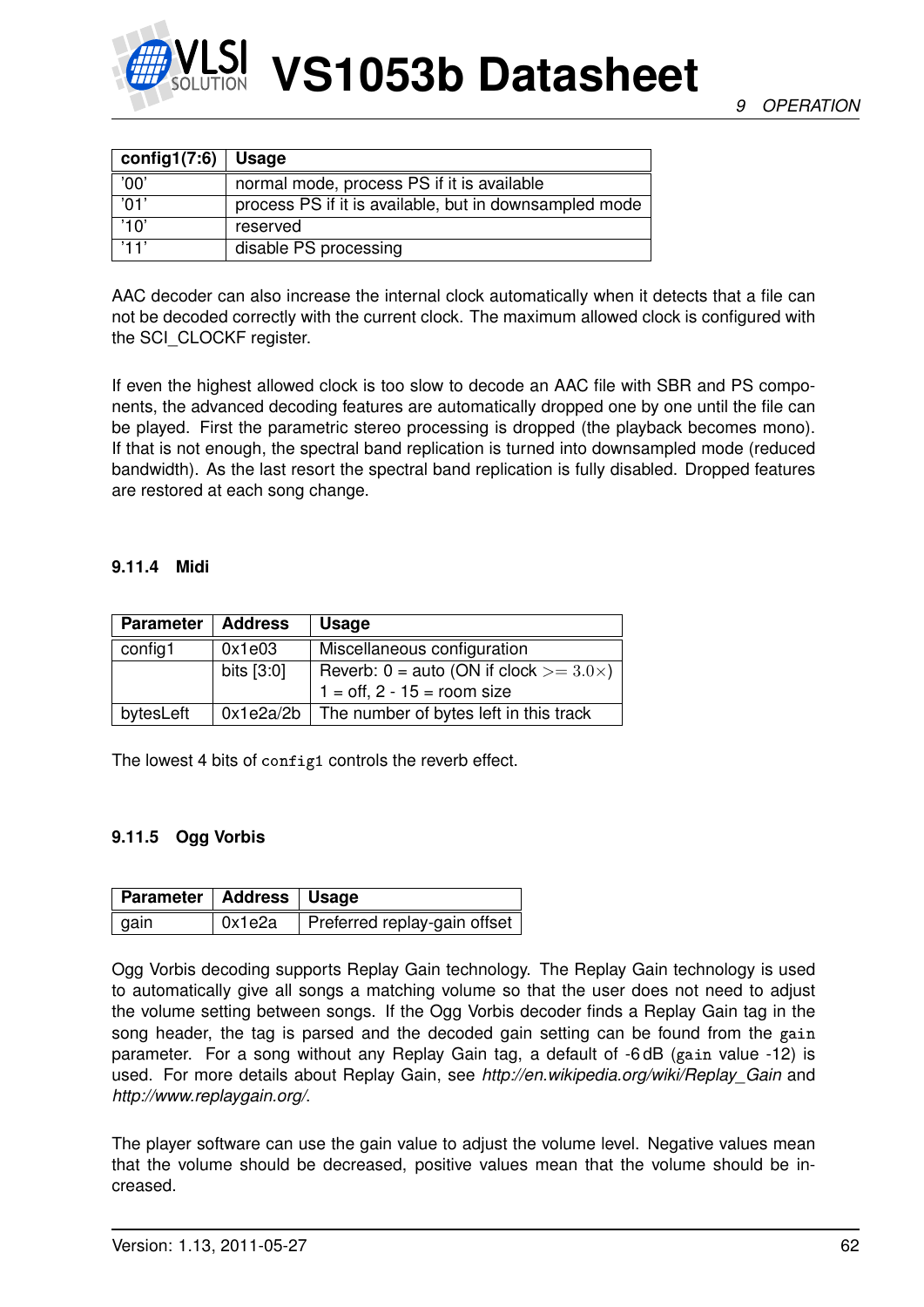

| config1 $(7:6)$ | Usage                                                  |
|-----------------|--------------------------------------------------------|
| '00'            | normal mode, process PS if it is available             |
| 'በ1'            | process PS if it is available, but in downsampled mode |
| '1 በ'           | reserved                                               |
| '11'            | disable PS processing                                  |

AAC decoder can also increase the internal clock automatically when it detects that a file can not be decoded correctly with the current clock. The maximum allowed clock is configured with the SCI\_CLOCKF register.

If even the highest allowed clock is too slow to decode an AAC file with SBR and PS components, the advanced decoding features are automatically dropped one by one until the file can be played. First the parametric stereo processing is dropped (the playback becomes mono). If that is not enough, the spectral band replication is turned into downsampled mode (reduced bandwidth). As the last resort the spectral band replication is fully disabled. Dropped features are restored at each song change.

#### **9.11.4 Midi**

| <b>Parameter</b> | <b>Address</b> | <b>Usage</b>                                       |
|------------------|----------------|----------------------------------------------------|
| config1          | 0x1e03         | Miscellaneous configuration                        |
|                  | bits [3:0]     | Reverb: $0 =$ auto (ON if clock $> = 3.0 \times$ ) |
|                  |                | $1 = \text{off}, 2 - 15 = \text{room size}$        |
| bytesLeft        |                | $0x1e2a/2b$ The number of bytes left in this track |

The lowest 4 bits of config1 controls the reverb effect.

#### **9.11.5 Ogg Vorbis**

| Parameter   Address   Usage |        |                              |
|-----------------------------|--------|------------------------------|
| ∣ gain                      | 0x1e2a | Preferred replay-gain offset |

Ogg Vorbis decoding supports Replay Gain technology. The Replay Gain technology is used to automatically give all songs a matching volume so that the user does not need to adjust the volume setting between songs. If the Ogg Vorbis decoder finds a Replay Gain tag in the song header, the tag is parsed and the decoded gain setting can be found from the gain parameter. For a song without any Replay Gain tag, a default of -6 dB (gain value -12) is used. For more details about Replay Gain, see *http://en.wikipedia.org/wiki/Replay\_Gain* and *http://www.replaygain.org/*.

The player software can use the gain value to adjust the volume level. Negative values mean that the volume should be decreased, positive values mean that the volume should be increased.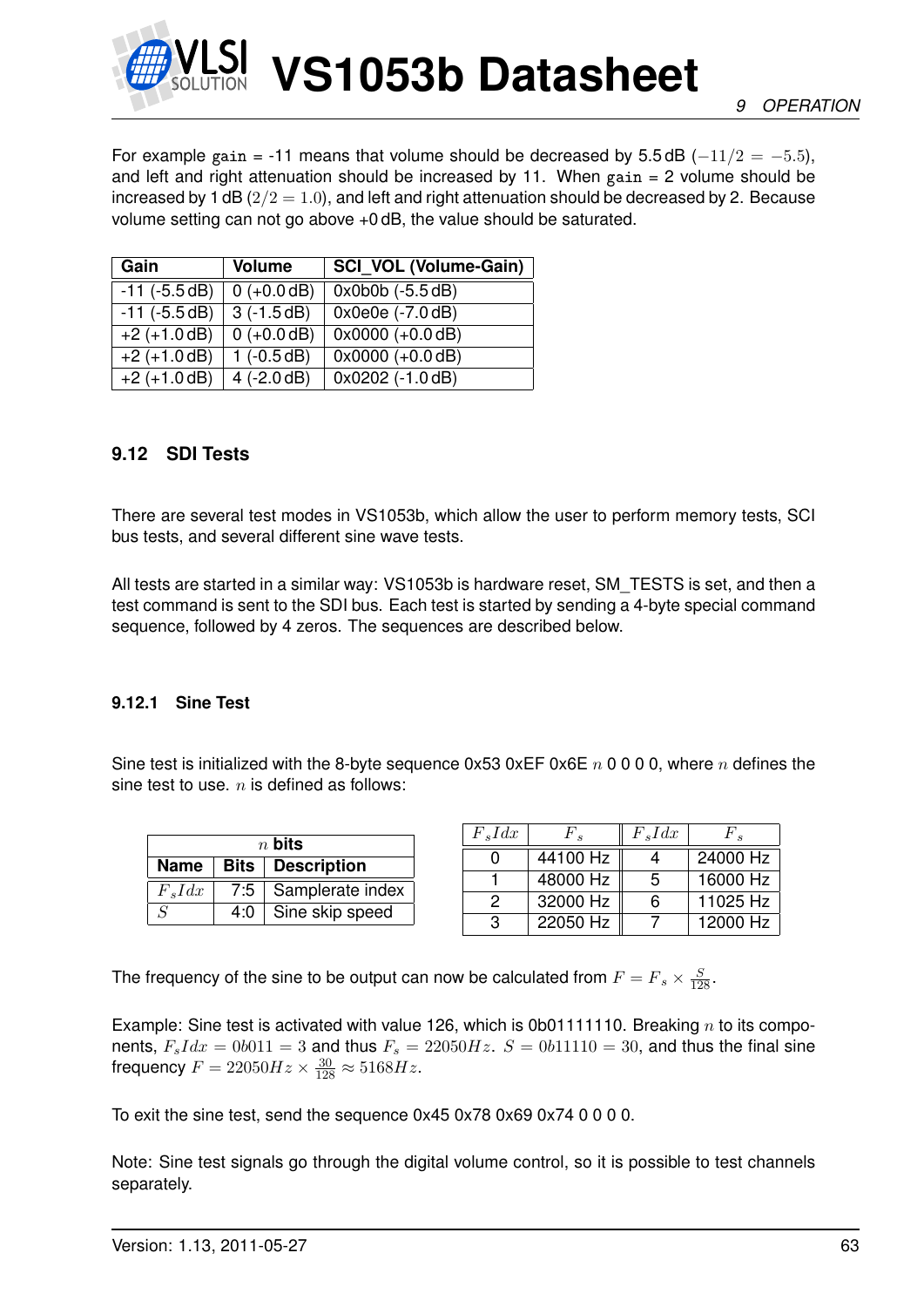

For example gain = -11 means that volume should be decreased by 5.5 dB ( $-11/2 = -5.5$ ), and left and right attenuation should be increased by 11. When  $gain = 2$  volume should be increased by 1 dB  $(2/2 = 1.0)$ , and left and right attenuation should be decreased by 2. Because volume setting can not go above +0 dB, the value should be saturated.

| Gain               | <b>Volume</b> | <b>SCI VOL (Volume-Gain)</b> |
|--------------------|---------------|------------------------------|
| $-11$ ( $-5.5$ dB) | $0 (+0.0 dB)$ | $0x0b0b (-5.5 dB)$           |
| $-11$ ( $-5.5dB$ ) | $3(-1.5dB)$   | $0x0e0e (-7.0 dB)$           |
| $+2 (+1.0 dB)$     | $0 (+0.0 dB)$ | $0x0000 (+0.0 dB)$           |
| $+2 (+1.0 dB)$     | $1(-0.5dB)$   | $0x0000 (+0.0 dB)$           |
| $+2 (+1.0 dB)$     | $4 (-2.0 dB)$ | 0x0202 (-1.0 dB)             |

# <span id="page-62-0"></span>**9.12 SDI Tests**

There are several test modes in VS1053b, which allow the user to perform memory tests, SCI bus tests, and several different sine wave tests.

All tests are started in a similar way: VS1053b is hardware reset, SM\_TESTS is set, and then a test command is sent to the SDI bus. Each test is started by sending a 4-byte special command sequence, followed by 4 zeros. The sequences are described below.

# **9.12.1 Sine Test**

Sine test is initialized with the 8-byte sequence  $0x53 0xEF 0x6E n 0 0 0 0$ , where n defines the sine test to use.  $n$  is defined as follows:

| $n$ bits                  |     |                        |  |  |
|---------------------------|-----|------------------------|--|--|
| Name   Bits   Description |     |                        |  |  |
| $F_s I dx$                |     | 7:5   Samplerate index |  |  |
| $\varsigma$               | 4:0 | Sine skip speed        |  |  |

| $F_s I dx$ | $F_{\bullet}$ | $F_s I dx$ | F'.      |
|------------|---------------|------------|----------|
|            | 44100 Hz      |            | 24000 Hz |
|            | 48000 Hz      | 5          | 16000 Hz |
| 2          | 32000 Hz      | 6          | 11025 Hz |
| З          | 22050 Hz      |            | 12000 Hz |

The frequency of the sine to be output can now be calculated from  $F = F_s \times \frac{S}{128}$ .

Example: Sine test is activated with value 126, which is 0b01111110. Breaking  $n$  to its components,  $F_s I dx = 0b011 = 3$  and thus  $F_s = 22050 Hz$ .  $S = 0b11110 = 30$ , and thus the final sine frequency  $F = 22050Hz \times \frac{30}{128} \approx 5168Hz$ .

To exit the sine test, send the sequence  $0x450x780x690x740000$ .

Note: Sine test signals go through the digital volume control, so it is possible to test channels separately.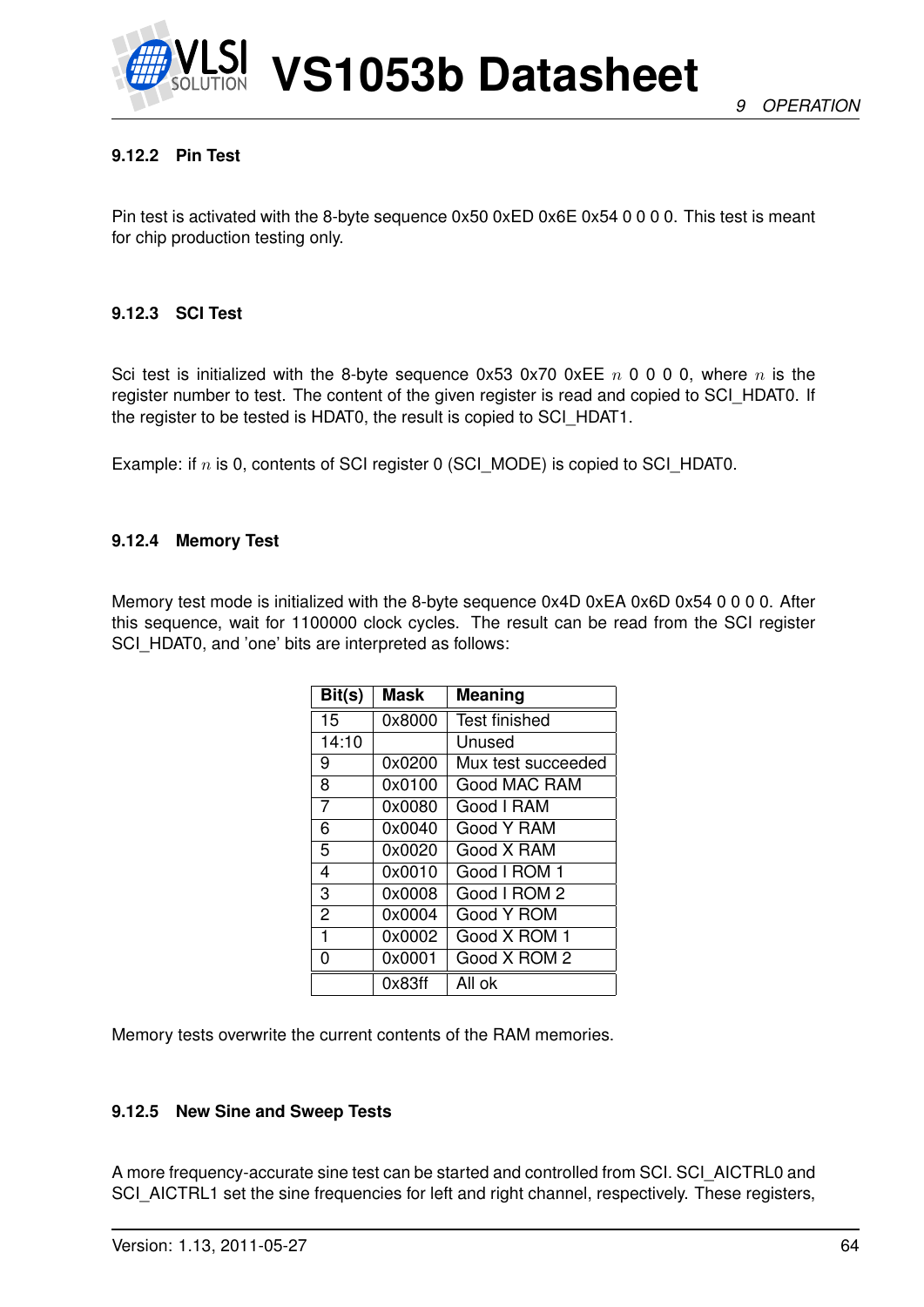

# **9.12.2 Pin Test**

Pin test is activated with the 8-byte sequence 0x50 0xED 0x6E 0x54 0 0 0 0. This test is meant for chip production testing only.

#### **9.12.3 SCI Test**

Sci test is initialized with the 8-byte sequence 0x53 0x70 0xEE  $n \times 0$  0 0 0, where  $n \times n$  is the register number to test. The content of the given register is read and copied to SCI\_HDAT0. If the register to be tested is HDAT0, the result is copied to SCI\_HDAT1.

Example: if  $n$  is 0, contents of SCI register 0 (SCI\_MODE) is copied to SCI\_HDAT0.

#### **9.12.4 Memory Test**

Memory test mode is initialized with the 8-byte sequence 0x4D 0xEA 0x6D 0x54 0 0 0 0. After this sequence, wait for 1100000 clock cycles. The result can be read from the SCI register SCI\_HDAT0, and 'one' bits are interpreted as follows:

| Bit(s)          | <b>Mask</b> | Meaning              |
|-----------------|-------------|----------------------|
| $\overline{15}$ | 0x8000      | <b>Test finished</b> |
| 14:10           |             | Unused               |
| 9               | 0x0200      | Mux test succeeded   |
| 8               | 0x0100      | Good MAC RAM         |
| 7               | 0x0080      | Good I RAM           |
| 6               | 0x0040      | Good Y RAM           |
| 5               | 0x0020      | Good X RAM           |
| 4               | 0x0010      | Good I ROM 1         |
| 3               | 0x0008      | Good I ROM 2         |
| $\overline{2}$  | 0x0004      | Good Y ROM           |
| 1               | 0x0002      | Good X ROM 1         |
| O               | 0x0001      | Good X ROM 2         |
|                 | 0x83ff      | All ok               |

Memory tests overwrite the current contents of the RAM memories.

#### **9.12.5 New Sine and Sweep Tests**

A more frequency-accurate sine test can be started and controlled from SCI. SCI\_AICTRL0 and SCI\_AICTRL1 set the sine frequencies for left and right channel, respectively. These registers,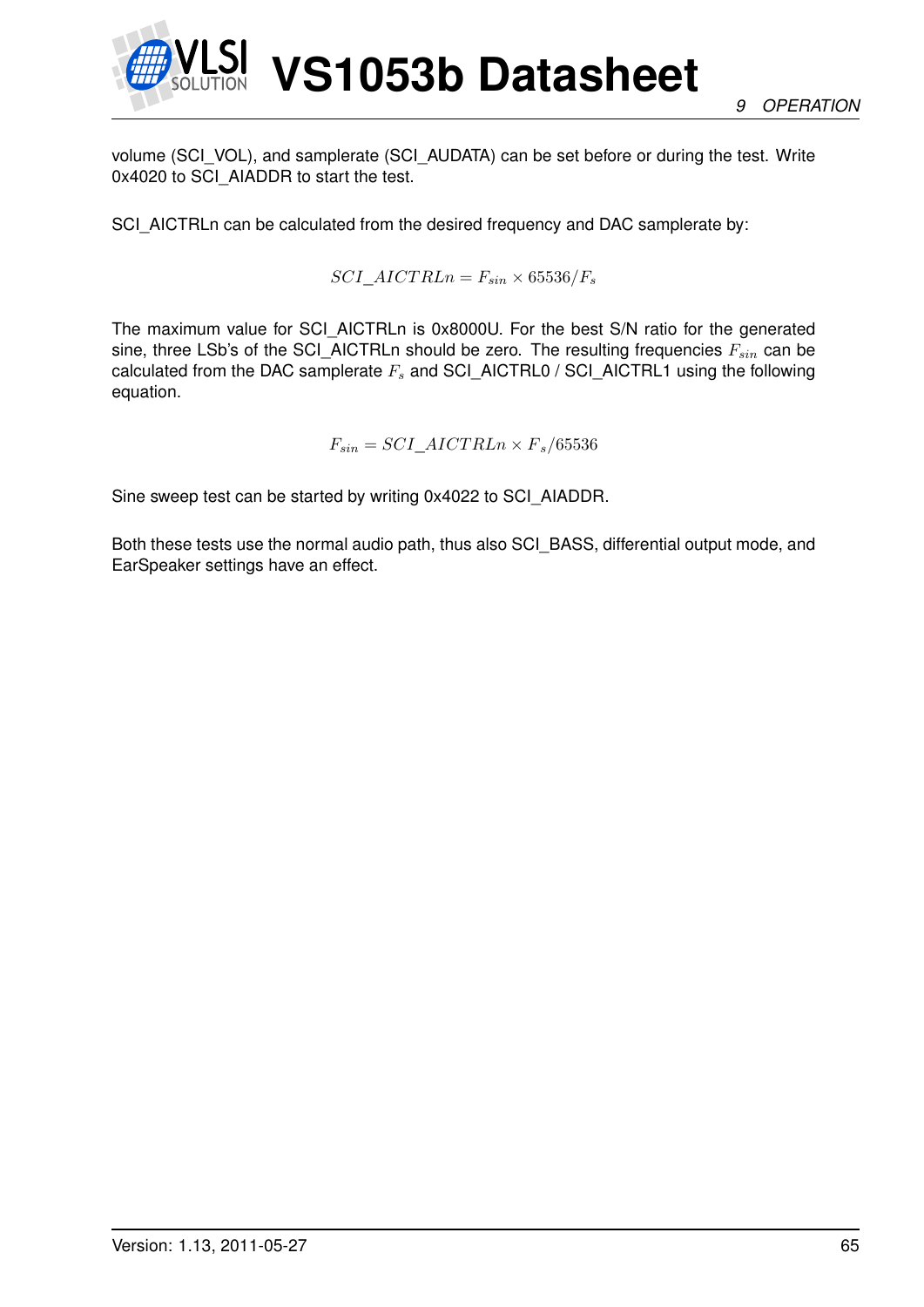

volume (SCI\_VOL), and samplerate (SCI\_AUDATA) can be set before or during the test. Write 0x4020 to SCI\_AIADDR to start the test.

SCI\_AICTRLn can be calculated from the desired frequency and DAC samplerate by:

 $SCI\_AICT RLn = F_{sin} \times 65536/F_s$ 

The maximum value for SCI\_AICTRLn is 0x8000U. For the best S/N ratio for the generated sine, three LSb's of the SCI\_AICTRLn should be zero. The resulting frequencies  $F_{sin}$  can be calculated from the DAC samplerate  $F_s$  and SCI\_AICTRL0 / SCI\_AICTRL1 using the following equation.

$$
F_{sin} = SCI\_AICTRLn \times F_s/65536
$$

Sine sweep test can be started by writing 0x4022 to SCI\_AIADDR.

Both these tests use the normal audio path, thus also SCI\_BASS, differential output mode, and EarSpeaker settings have an effect.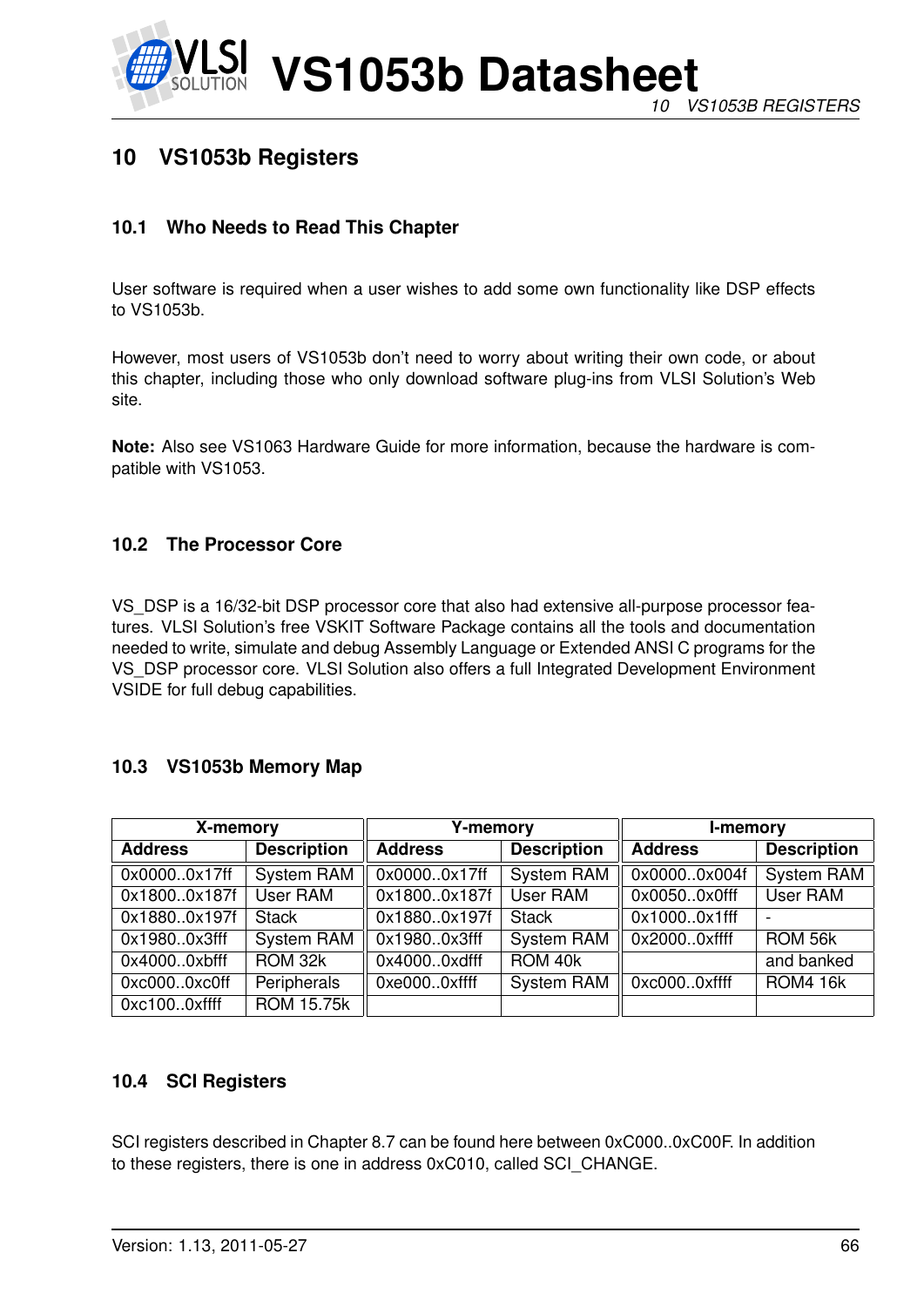

# **10 VS1053b Registers**

# **10.1 Who Needs to Read This Chapter**

User software is required when a user wishes to add some own functionality like DSP effects to VS1053b.

However, most users of VS1053b don't need to worry about writing their own code, or about this chapter, including those who only download software plug-ins from VLSI Solution's Web site.

**Note:** Also see VS1063 Hardware Guide for more information, because the hardware is compatible with VS1053.

# **10.2 The Processor Core**

VS\_DSP is a 16/32-bit DSP processor core that also had extensive all-purpose processor features. VLSI Solution's free VSKIT Software Package contains all the tools and documentation needed to write, simulate and debug Assembly Language or Extended ANSI C programs for the VS\_DSP processor core. VLSI Solution also offers a full Integrated Development Environment VSIDE for full debug capabilities.

# **10.3 VS1053b Memory Map**

| X-memory       |                                                            | <b>Y-memory</b> |                   | <b>I-memory</b>    |                 |
|----------------|------------------------------------------------------------|-----------------|-------------------|--------------------|-----------------|
| <b>Address</b> | <b>Description</b><br><b>Address</b><br><b>Description</b> |                 | <b>Address</b>    | <b>Description</b> |                 |
| 0x00000x17ff   | <b>System RAM</b>                                          | 0x00000x17ff    | <b>System RAM</b> | 0x00000x004f       | System RAM      |
| 0x18000x187f   | <b>User RAM</b>                                            | 0x18000x187f    | <b>User RAM</b>   | 0x00500x0fff       | User RAM        |
| 0x18800x197f   | <b>Stack</b>                                               | 0x18800x197f    | <b>Stack</b>      | 0x10000x1fff       |                 |
| 0x19800x3fff   | <b>System RAM</b>                                          | 0x19800x3fff    | <b>System RAM</b> | 0x20000xffff       | ROM 56k         |
| 0x40000xbfff   | ROM 32k                                                    | 0x40000xdfff    | ROM 40k           |                    | and banked      |
| 0xc0000xc0ff   | Peripherals                                                | 0xe0000xffff    | <b>System RAM</b> | 0xc0000xffff       | <b>ROM4 16k</b> |
| 0xc1000xffff   | <b>ROM 15.75k</b>                                          |                 |                   |                    |                 |

# **10.4 SCI Registers**

SCI registers described in Chapter [8.7](#page-34-0) can be found here between 0xC000..0xC00F. In addition to these registers, there is one in address 0xC010, called SCI\_CHANGE.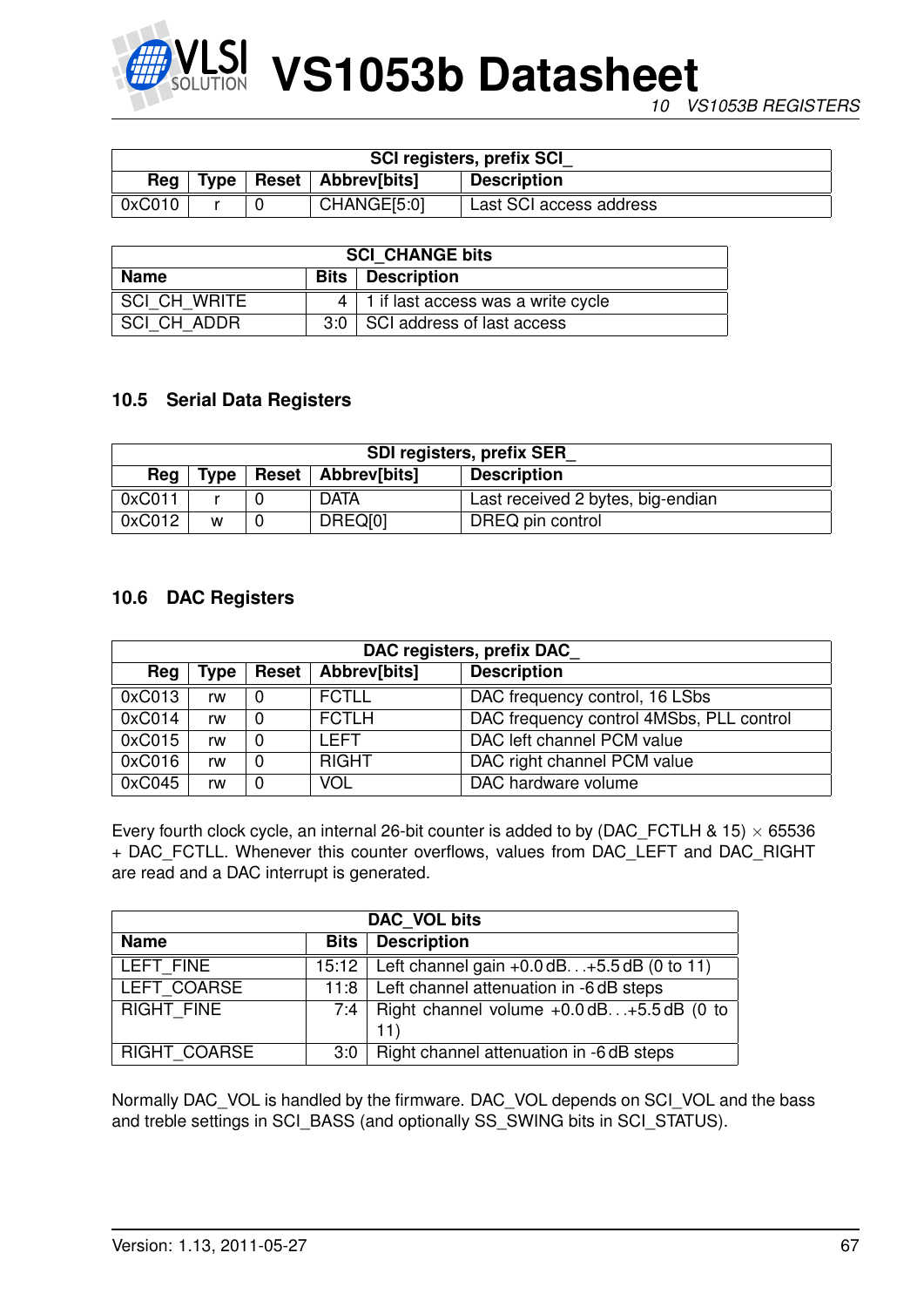

| <b>SCI registers, prefix SCI</b> |  |  |                             |                         |  |
|----------------------------------|--|--|-----------------------------|-------------------------|--|
| Rea                              |  |  | Type   Reset   Abbrev[bits] | <b>Description</b>      |  |
| 0xC010                           |  |  | CHANGE[5:0]                 | Last SCI access address |  |

| <b>SCI CHANGE bits</b> |  |                                             |  |  |
|------------------------|--|---------------------------------------------|--|--|
| Name                   |  | <b>Bits</b>   Description                   |  |  |
| SCI CH WRITE           |  | $4 \mid 1$ if last access was a write cycle |  |  |
| SCI CH ADDR            |  | 3:0   SCI address of last access            |  |  |

# **10.5 Serial Data Registers**

| <b>SDI registers, prefix SER</b> |                                                           |  |             |                                   |  |  |
|----------------------------------|-----------------------------------------------------------|--|-------------|-----------------------------------|--|--|
| Reg                              | Reset   Abbrev[bits]<br><b>Description</b><br><b>Type</b> |  |             |                                   |  |  |
| 0xC011                           |                                                           |  | <b>DATA</b> | Last received 2 bytes, big-endian |  |  |
| 0xC012                           | W                                                         |  | DREQ[0]     | DREQ pin control                  |  |  |

# **10.6 DAC Registers**

| DAC registers, prefix DAC |      |              |              |                                          |  |  |
|---------------------------|------|--------------|--------------|------------------------------------------|--|--|
| Reg                       | Type | <b>Reset</b> | Abbrev[bits] | <b>Description</b>                       |  |  |
| 0xC013                    | rw   | 0            | <b>FCTLL</b> | DAC frequency control, 16 LSbs           |  |  |
| 0xC014                    | rw   | 0            | <b>FCTLH</b> | DAC frequency control 4MSbs, PLL control |  |  |
| 0xC015                    | rw   | $\Omega$     | I FFT        | DAC left channel PCM value               |  |  |
| 0xC016                    | rw   | 0            | <b>RIGHT</b> | DAC right channel PCM value              |  |  |
| 0xC045                    | rw   | 0            | <b>VOL</b>   | DAC hardware volume                      |  |  |

Every fourth clock cycle, an internal 26-bit counter is added to by (DAC\_FCTLH & 15)  $\times$  65536 + DAC\_FCTLL. Whenever this counter overflows, values from DAC\_LEFT and DAC\_RIGHT are read and a DAC interrupt is generated.

| DAC VOL bits        |     |                                                                 |  |
|---------------------|-----|-----------------------------------------------------------------|--|
| <b>Name</b>         |     | <b>Bits Description</b>                                         |  |
| LEFT FINE           |     | 15:12   Left channel gain $+0.0$ dB $+5.5$ dB (0 to 11)         |  |
| LEFT COARSE         |     | 11:8   Left channel attenuation in -6 dB steps                  |  |
| <b>RIGHT FINE</b>   |     | 7:4   Right channel volume $+0.0$ dB $+\overline{5.5}$ dB (0 to |  |
|                     |     | 11)                                                             |  |
| <b>RIGHT COARSE</b> | 3:0 | Right channel attenuation in -6 dB steps                        |  |

Normally DAC\_VOL is handled by the firmware. DAC\_VOL depends on SCI\_VOL and the bass and treble settings in SCI\_BASS (and optionally SS\_SWING bits in SCI\_STATUS).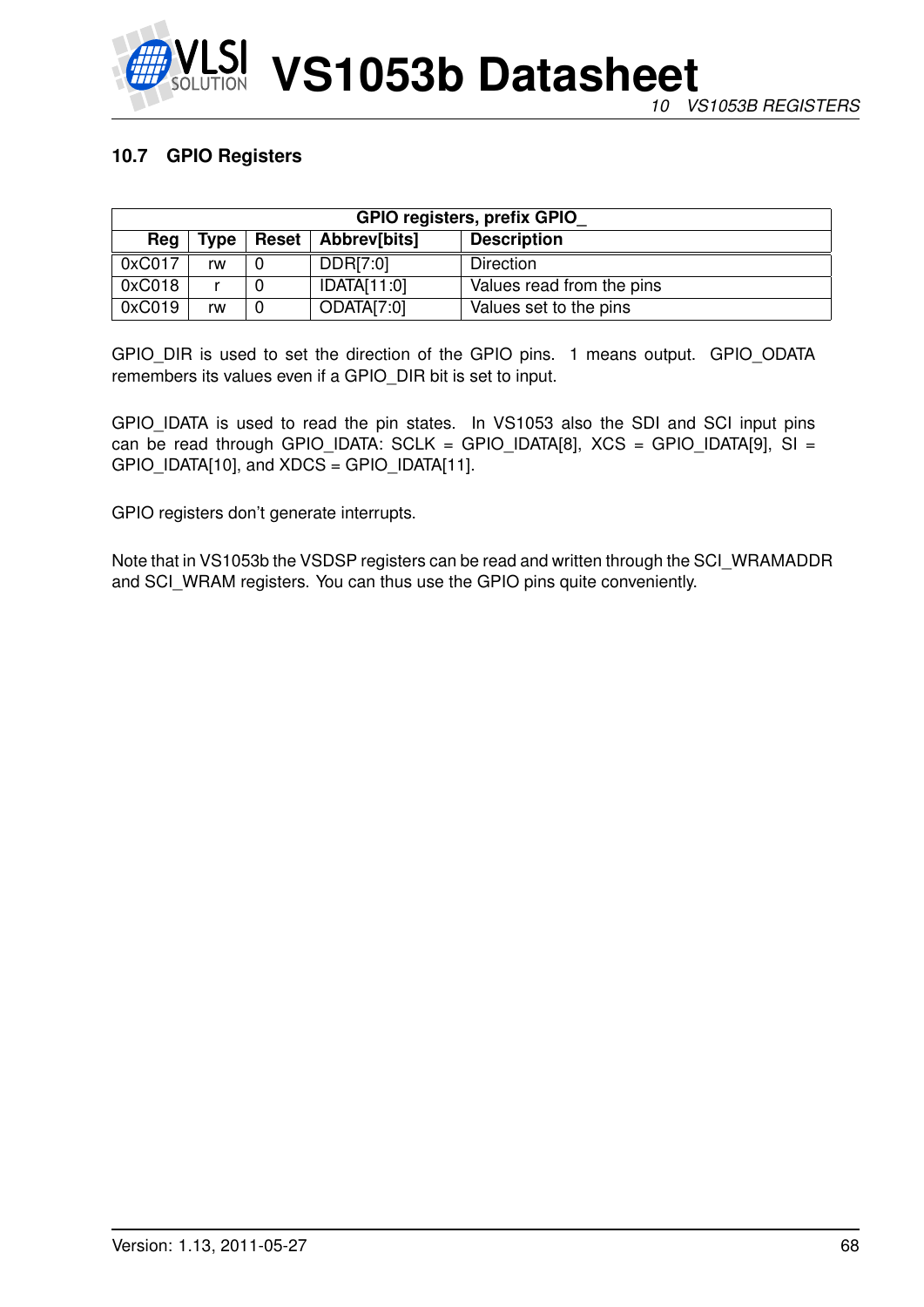

# **10.7 GPIO Registers**

| <b>GPIO registers, prefix GPIO</b> |             |                      |             |                           |  |  |
|------------------------------------|-------------|----------------------|-------------|---------------------------|--|--|
| Reg                                | <b>Type</b> | Reset   Abbrev[bits] |             | <b>Description</b>        |  |  |
| 0xC017                             | rw          |                      | DDR[7:0]    | Direction                 |  |  |
| 0xC018                             |             |                      | IDATA[11:0] | Values read from the pins |  |  |
| 0xC019                             | rw          |                      | ODATA[7:0]  | Values set to the pins    |  |  |

GPIO\_DIR is used to set the direction of the GPIO pins. 1 means output. GPIO\_ODATA remembers its values even if a GPIO\_DIR bit is set to input.

GPIO\_IDATA is used to read the pin states. In VS1053 also the SDI and SCI input pins can be read through GPIO\_IDATA: SCLK = GPIO\_IDATA[8],  $XCS = GPIO$ \_IDATA[9], SI = GPIO\_IDATA[10], and XDCS = GPIO\_IDATA[11].

GPIO registers don't generate interrupts.

Note that in VS1053b the VSDSP registers can be read and written through the SCI\_WRAMADDR and SCI\_WRAM registers. You can thus use the GPIO pins quite conveniently.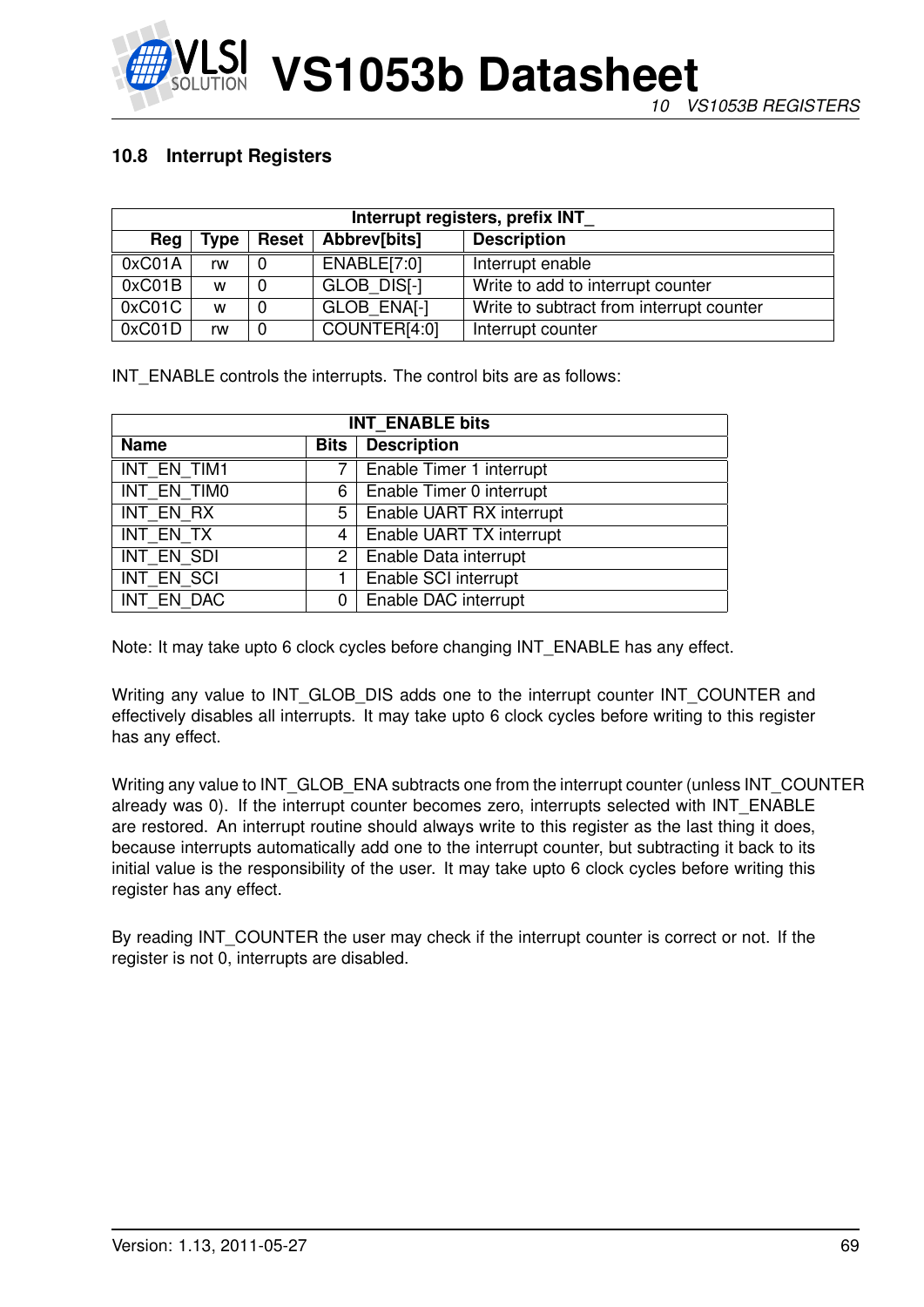

# **10.8 Interrupt Registers**

| Interrupt registers, prefix INT |      |              |              |                                          |  |  |
|---------------------------------|------|--------------|--------------|------------------------------------------|--|--|
| Reg                             | Type | <b>Reset</b> | Abbrev[bits] | <b>Description</b>                       |  |  |
| 0xCO1A                          | rw   | 0            | ENABLE[7:0]  | Interrupt enable                         |  |  |
| 0xCO1B                          | W    | 0            | GLOB DIS[-]  | Write to add to interrupt counter        |  |  |
| 0xC01C                          | W    | 0            | GLOB ENAI-1  | Write to subtract from interrupt counter |  |  |
| 0xCO1D                          | rw   | 0            | COUNTER[4:0] | Interrupt counter                        |  |  |

INT ENABLE controls the interrupts. The control bits are as follows:

| <b>INT ENABLE bits</b> |                       |                          |  |  |
|------------------------|-----------------------|--------------------------|--|--|
| <b>Name</b>            | <b>Bits</b>           | <b>Description</b>       |  |  |
| INT EN TIM1            |                       | Enable Timer 1 interrupt |  |  |
| INT EN TIMO            | 6                     | Enable Timer 0 interrupt |  |  |
| <b>INT EN RX</b>       | 5                     | Enable UART RX interrupt |  |  |
| INT EN TX              | 4                     | Enable UART TX interrupt |  |  |
| INT EN SDI             | $\mathbf{2}^{\prime}$ | Enable Data interrupt    |  |  |
| INT EN SCI             | 1                     | Enable SCI interrupt     |  |  |
| INT EN DAC             | 0                     | Enable DAC interrupt     |  |  |

Note: It may take upto 6 clock cycles before changing INT\_ENABLE has any effect.

Writing any value to INT\_GLOB\_DIS adds one to the interrupt counter INT\_COUNTER and effectively disables all interrupts. It may take upto 6 clock cycles before writing to this register has any effect.

Writing any value to INT\_GLOB\_ENA subtracts one from the interrupt counter (unless INT\_COUNTER already was 0). If the interrupt counter becomes zero, interrupts selected with INT\_ENABLE are restored. An interrupt routine should always write to this register as the last thing it does, because interrupts automatically add one to the interrupt counter, but subtracting it back to its initial value is the responsibility of the user. It may take upto 6 clock cycles before writing this register has any effect.

By reading INT\_COUNTER the user may check if the interrupt counter is correct or not. If the register is not 0, interrupts are disabled.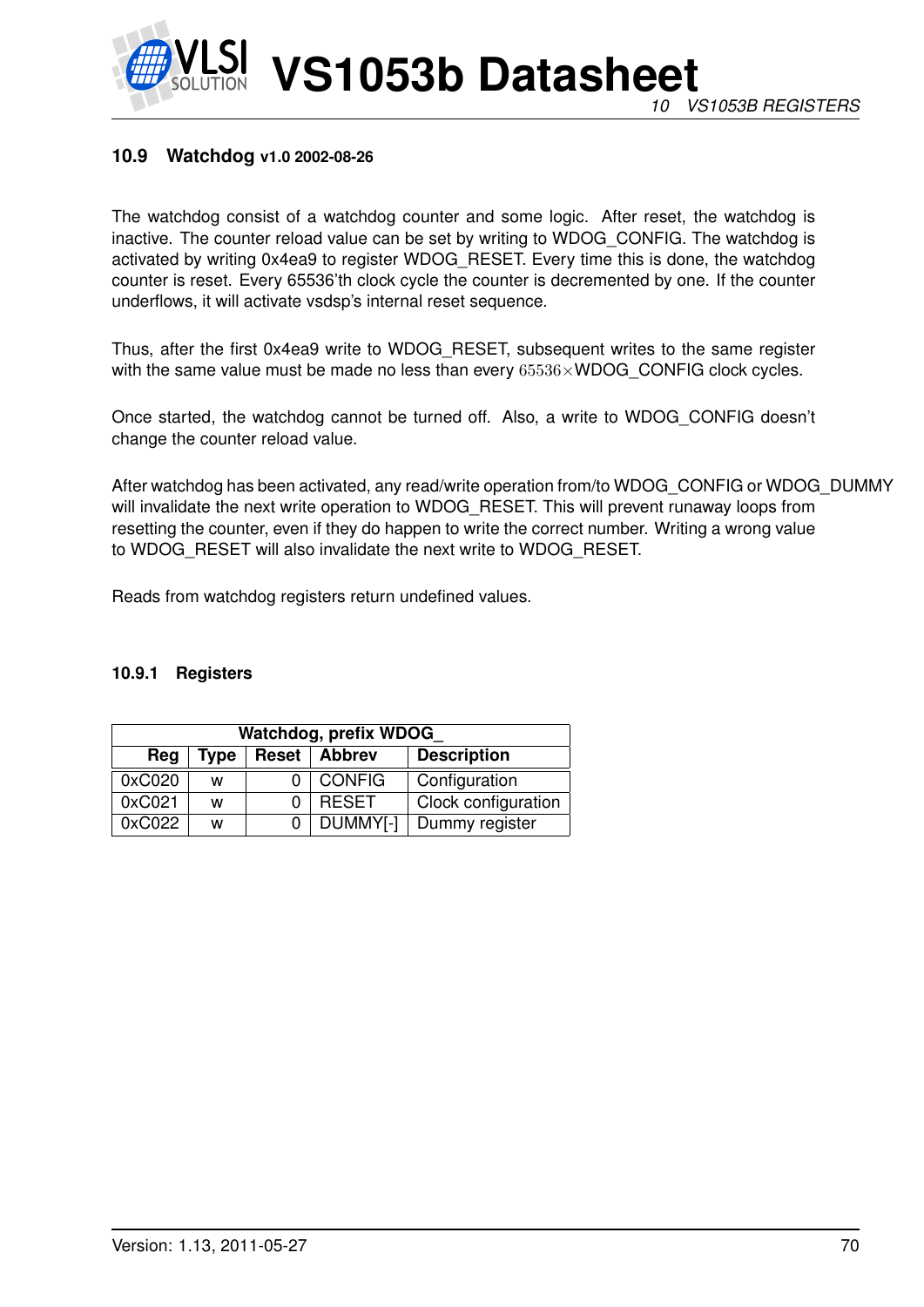# **10.9 Watchdog v1.0 2002-08-26**

The watchdog consist of a watchdog counter and some logic. After reset, the watchdog is inactive. The counter reload value can be set by writing to WDOG\_CONFIG. The watchdog is activated by writing 0x4ea9 to register WDOG\_RESET. Every time this is done, the watchdog counter is reset. Every 65536'th clock cycle the counter is decremented by one. If the counter underflows, it will activate vsdsp's internal reset sequence.

Thus, after the first 0x4ea9 write to WDOG\_RESET, subsequent writes to the same register with the same value must be made no less than every  $65536\times WDOG$  CONFIG clock cycles.

Once started, the watchdog cannot be turned off. Also, a write to WDOG\_CONFIG doesn't change the counter reload value.

After watchdog has been activated, any read/write operation from/to WDOG\_CONFIG or WDOG\_DUMMY will invalidate the next write operation to WDOG\_RESET. This will prevent runaway loops from resetting the counter, even if they do happen to write the correct number. Writing a wrong value to WDOG\_RESET will also invalidate the next write to WDOG\_RESET.

Reads from watchdog registers return undefined values.

#### **10.9.1 Registers**

| Watchdog, prefix WDOG |      |       |               |                     |  |  |
|-----------------------|------|-------|---------------|---------------------|--|--|
| Reg                   | Type | Reset | <b>Abbrev</b> | <b>Description</b>  |  |  |
| 0xC020                | w    |       | <b>CONFIG</b> | Configuration       |  |  |
| 0xC021                | w    |       | <b>RESET</b>  | Clock configuration |  |  |
| 0xC022                | w    |       | DUMMY[-]      | Dummy register      |  |  |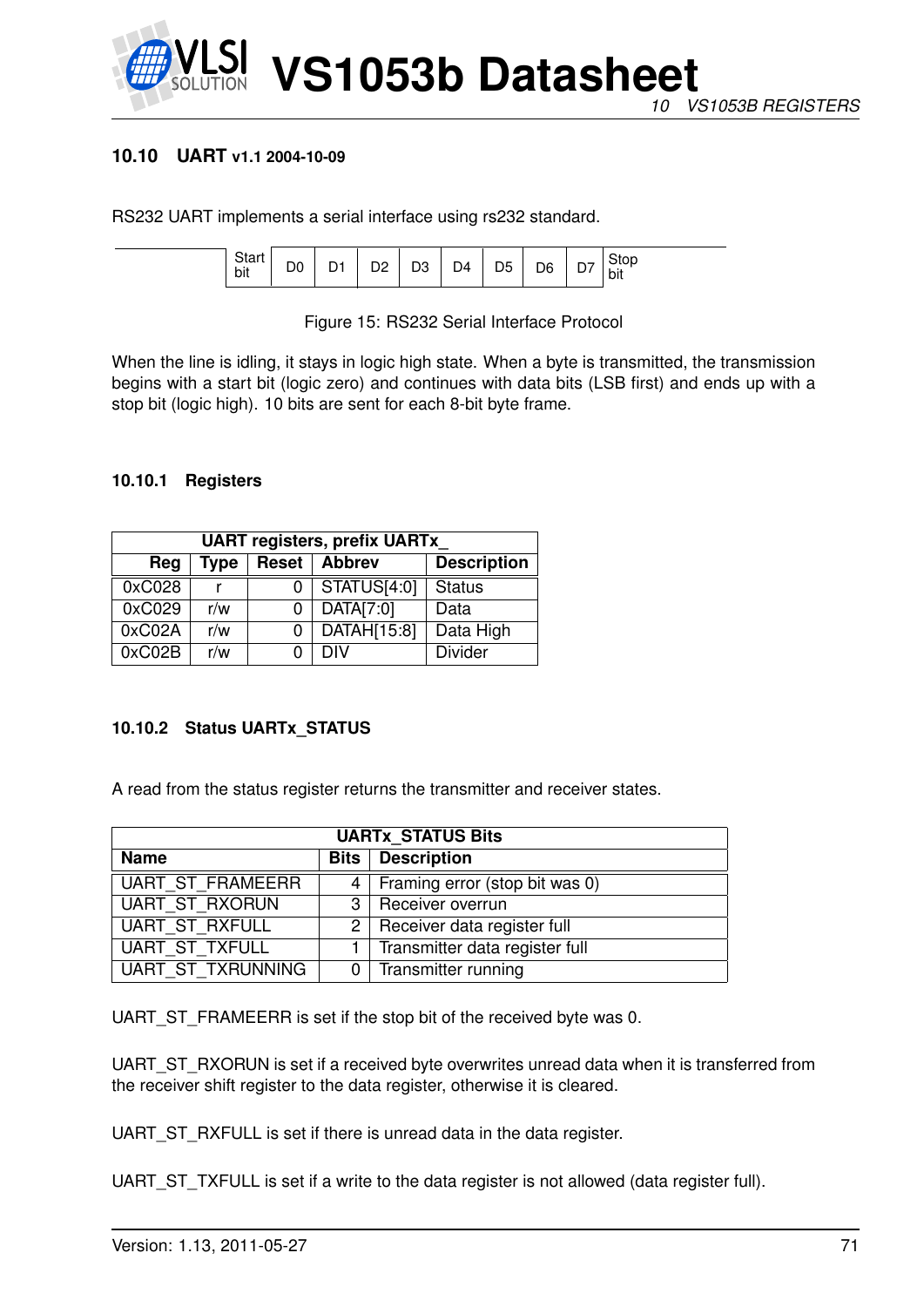

# **10.10 UART v1.1 2004-10-09**

RS232 UART implements a serial interface using rs232 standard.

| <b>Utal</b><br>bit |  |  | -- |  | D4 | D5.<br>◡ | <b>D<sub>R</sub></b><br>- |  | .<br>bit |
|--------------------|--|--|----|--|----|----------|---------------------------|--|----------|
|--------------------|--|--|----|--|----|----------|---------------------------|--|----------|

Figure 15: RS232 Serial Interface Protocol

When the line is idling, it stays in logic high state. When a byte is transmitted, the transmission begins with a start bit (logic zero) and continues with data bits (LSB first) and ends up with a stop bit (logic high). 10 bits are sent for each 8-bit byte frame.

### **10.10.1 Registers**

| <b>UART registers, prefix UARTx</b> |      |              |               |                    |  |  |
|-------------------------------------|------|--------------|---------------|--------------------|--|--|
| Reg                                 | Type | <b>Reset</b> | <b>Abbrev</b> | <b>Description</b> |  |  |
| 0xC028                              |      |              | STATUS[4:0]   | <b>Status</b>      |  |  |
| 0xC029                              | r/w  |              | DATA[7:0]     | Data               |  |  |
| 0xC02A                              | r/w  | 0            | DATAH[15:8]   | Data High          |  |  |
| 0xC02B                              | r/w  |              | DIV           | <b>Divider</b>     |  |  |

# **10.10.2 Status UARTx\_STATUS**

A read from the status register returns the transmitter and receiver states.

| <b>UARTx STATUS Bits</b> |  |                                            |  |  |
|--------------------------|--|--------------------------------------------|--|--|
| <b>Name</b>              |  | <b>Bits</b> Description                    |  |  |
| UART ST FRAMEERR         |  | 4   Framing error (stop bit was 0)         |  |  |
| UART ST RXORUN           |  | 3   Receiver overrun                       |  |  |
| UART ST RXFULL           |  | $\overline{2}$ Receiver data register full |  |  |
| UART ST_TXFULL           |  | 1   Transmitter data register full         |  |  |
| <b>UART ST TXRUNNING</b> |  | 0 Transmitter running                      |  |  |

UART\_ST\_FRAMEERR is set if the stop bit of the received byte was 0.

UART\_ST\_RXORUN is set if a received byte overwrites unread data when it is transferred from the receiver shift register to the data register, otherwise it is cleared.

UART\_ST\_RXFULL is set if there is unread data in the data register.

UART\_ST\_TXFULL is set if a write to the data register is not allowed (data register full).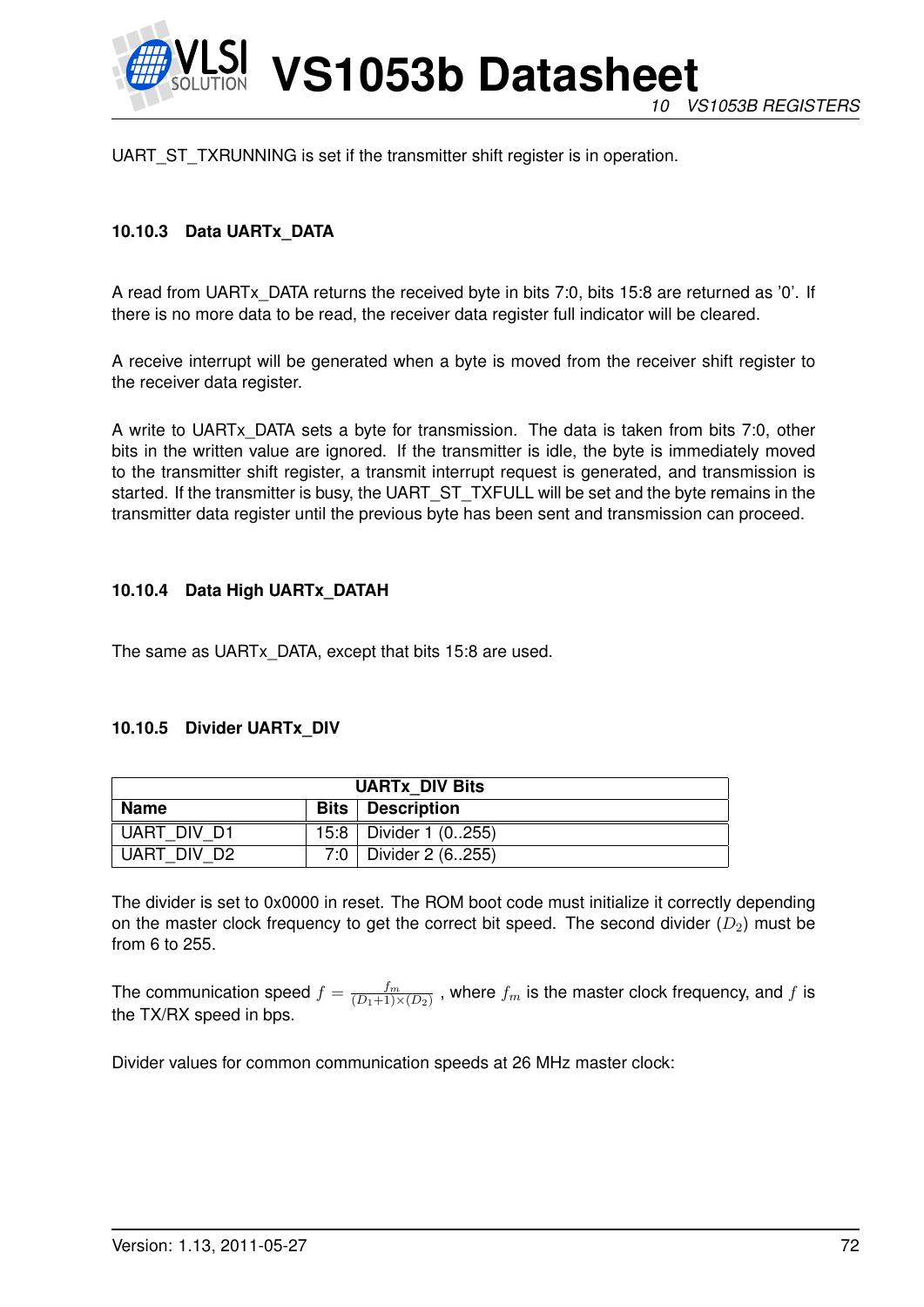

UART\_ST\_TXRUNNING is set if the transmitter shift register is in operation.

# **10.10.3 Data UARTx\_DATA**

A read from UARTx\_DATA returns the received byte in bits 7:0, bits 15:8 are returned as '0'. If there is no more data to be read, the receiver data register full indicator will be cleared.

A receive interrupt will be generated when a byte is moved from the receiver shift register to the receiver data register.

A write to UARTx\_DATA sets a byte for transmission. The data is taken from bits 7:0, other bits in the written value are ignored. If the transmitter is idle, the byte is immediately moved to the transmitter shift register, a transmit interrupt request is generated, and transmission is started. If the transmitter is busy, the UART\_ST\_TXFULL will be set and the byte remains in the transmitter data register until the previous byte has been sent and transmission can proceed.

#### **10.10.4 Data High UARTx\_DATAH**

The same as UARTx\_DATA, except that bits 15:8 are used.

#### **10.10.5 Divider UARTx\_DIV**

| <b>UARTX DIV Bits</b> |  |                           |  |
|-----------------------|--|---------------------------|--|
| <b>Name</b>           |  | <b>Bits</b>   Description |  |
| UART DIV D1           |  | 15:8   Divider 1 (0255)   |  |
| UART DIV D2           |  | 7:0   Divider 2 $(6.255)$ |  |

The divider is set to 0x0000 in reset. The ROM boot code must initialize it correctly depending on the master clock frequency to get the correct bit speed. The second divider  $(D_2)$  must be from 6 to 255.

The communication speed  $f = \frac{fm}{(D_1+1)^3}$  $\frac{J^m}{(D_1+1)\times(D_2)}$  , where  $f_m$  is the master clock frequency, and  $f$  is the TX/RX speed in bps.

Divider values for common communication speeds at 26 MHz master clock: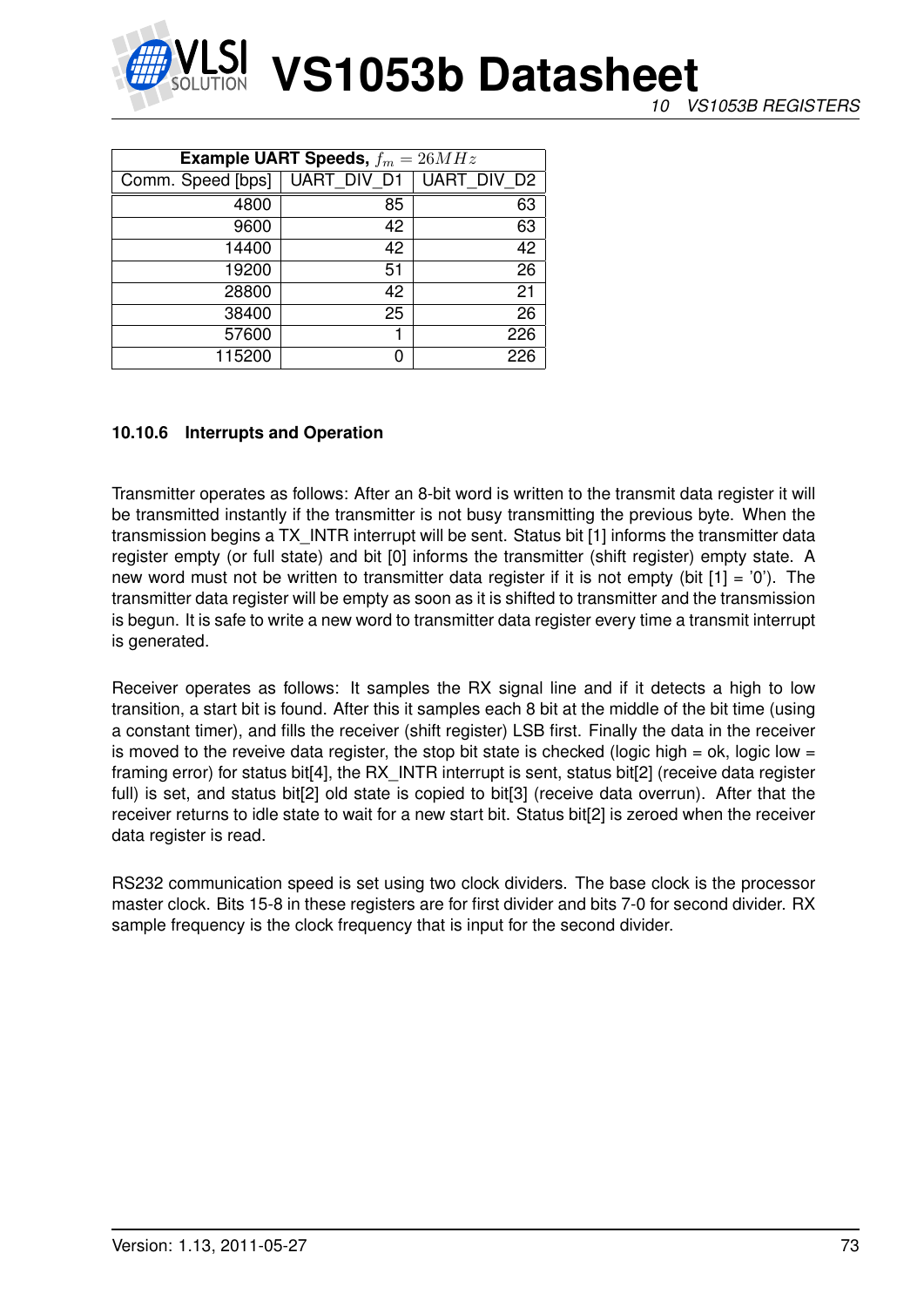

*10 VS1053B REGISTERS*

| <b>Example UART Speeds,</b> $f_m = 26MHz$ |             |             |  |
|-------------------------------------------|-------------|-------------|--|
| Comm. Speed [bps]                         | UART DIV D1 | UART DIV D2 |  |
| 4800                                      | 85          | 63          |  |
| 9600                                      | 42          | 63          |  |
| 14400                                     | 42          | 42          |  |
| 19200                                     | 51          | 26          |  |
| 28800                                     | 42          | 21          |  |
| 38400                                     | 25          | 26          |  |
| 57600                                     |             | 226         |  |
| 115200                                    |             | 226         |  |

# **10.10.6 Interrupts and Operation**

Transmitter operates as follows: After an 8-bit word is written to the transmit data register it will be transmitted instantly if the transmitter is not busy transmitting the previous byte. When the transmission begins a TX\_INTR interrupt will be sent. Status bit [1] informs the transmitter data register empty (or full state) and bit [0] informs the transmitter (shift register) empty state. A new word must not be written to transmitter data register if it is not empty (bit  $[1] = '0'$ ). The transmitter data register will be empty as soon as it is shifted to transmitter and the transmission is begun. It is safe to write a new word to transmitter data register every time a transmit interrupt is generated.

Receiver operates as follows: It samples the RX signal line and if it detects a high to low transition, a start bit is found. After this it samples each 8 bit at the middle of the bit time (using a constant timer), and fills the receiver (shift register) LSB first. Finally the data in the receiver is moved to the reveive data register, the stop bit state is checked (logic high = ok, logic low = framing error) for status bit<sup>[4]</sup>, the RX INTR interrupt is sent, status bit<sup>[2]</sup> (receive data register full) is set, and status bit[2] old state is copied to bit[3] (receive data overrun). After that the receiver returns to idle state to wait for a new start bit. Status bit[2] is zeroed when the receiver data register is read.

RS232 communication speed is set using two clock dividers. The base clock is the processor master clock. Bits 15-8 in these registers are for first divider and bits 7-0 for second divider. RX sample frequency is the clock frequency that is input for the second divider.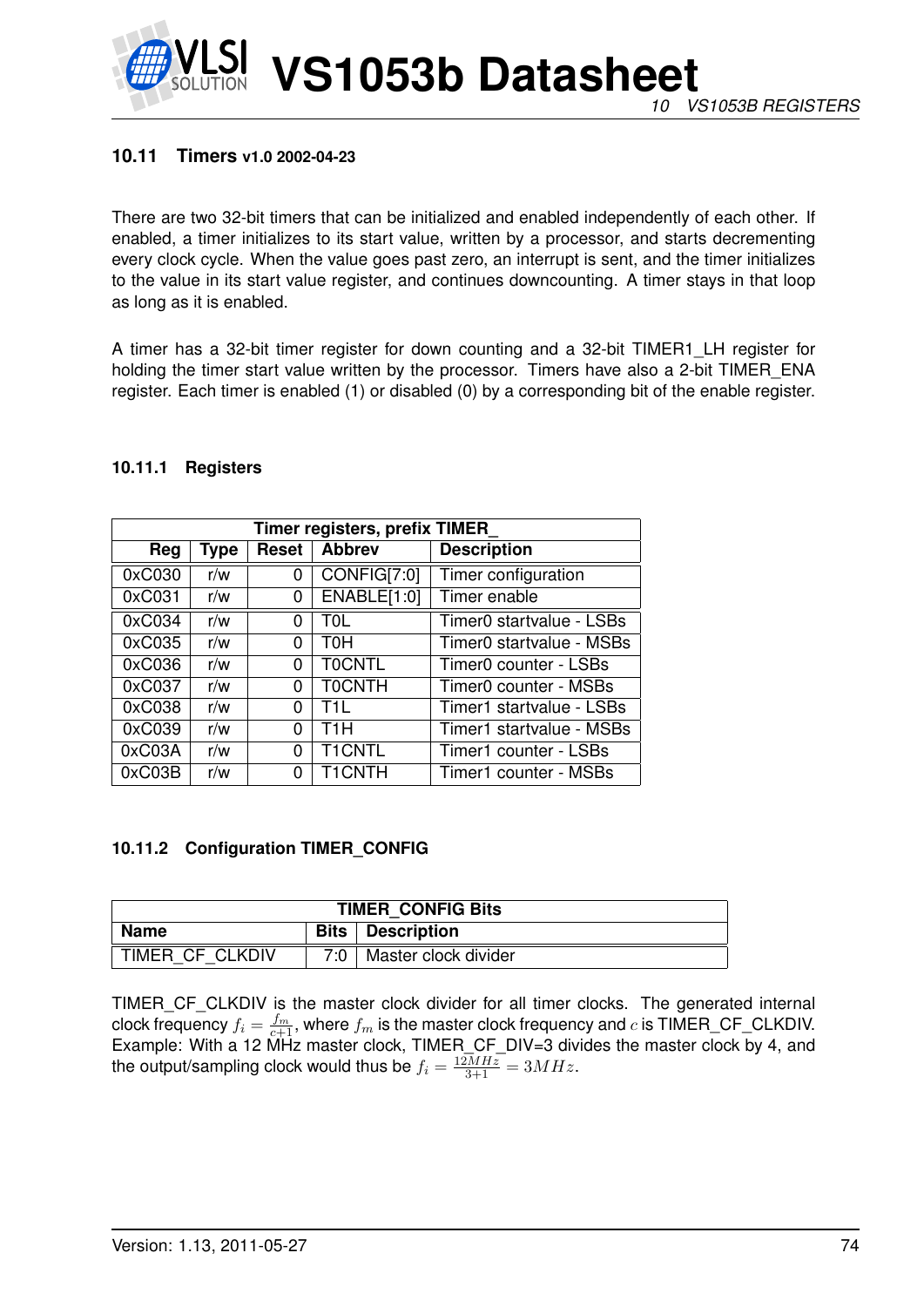

## **10.11 Timers v1.0 2002-04-23**

There are two 32-bit timers that can be initialized and enabled independently of each other. If enabled, a timer initializes to its start value, written by a processor, and starts decrementing every clock cycle. When the value goes past zero, an interrupt is sent, and the timer initializes to the value in its start value register, and continues downcounting. A timer stays in that loop as long as it is enabled.

A timer has a 32-bit timer register for down counting and a 32-bit TIMER1\_LH register for holding the timer start value written by the processor. Timers have also a 2-bit TIMER\_ENA register. Each timer is enabled (1) or disabled (0) by a corresponding bit of the enable register.

| Timer registers, prefix TIMER |      |              |               |                          |
|-------------------------------|------|--------------|---------------|--------------------------|
| Reg                           | Type | <b>Reset</b> | <b>Abbrev</b> | <b>Description</b>       |
| 0xC030                        | r/w  | 0            | CONFIG[7:0]   | Timer configuration      |
| 0xC031                        | r/w  | 0            | ENABLE[1:0]   | Timer enable             |
| 0xC034                        | r/w  | 0            | T0L           | Timer0 startvalue - LSBs |
| 0xC035                        | r/w  | 0            | тон           | Timer0 startvalue - MSBs |
| 0xC036                        | r/w  | 0            | <b>TOCNTL</b> | Timer0 counter - LSBs    |
| 0xC037                        | r/w  | 0            | <b>TOCNTH</b> | Timer0 counter - MSBs    |
| 0xC038                        | r/w  | 0            | T11 I         | Timer1 startvalue - LSBs |
| 0xC039                        | r/w  | 0            | T1H           | Timer1 startvalue - MSBs |
| 0xC03A                        | r/w  | 0            | <b>T1CNTL</b> | Timer1 counter - LSBs    |
| 0xC03B                        | r/w  | 0            | <b>T1CNTH</b> | Timer1 counter - MSBs    |

### **10.11.1 Registers**

### <span id="page-73-0"></span>**10.11.2 Configuration TIMER\_CONFIG**

| <b>TIMER CONFIG Bits</b> |             |                      |
|--------------------------|-------------|----------------------|
| Name                     | <b>Bits</b> | <b>Description</b>   |
| TIMER CF CLKDIV          | ⊤י?         | Master clock divider |

TIMER\_CF\_CLKDIV is the master clock divider for all timer clocks. The generated internal clock frequency  $f_i = \frac{f_m}{c+1}$ , where  $f_m$  is the master clock frequency and  $c$  is TIMER\_CF\_CLKDIV. Example: With a 12 MHz master clock, TIMER\_CF\_DIV=3 divides the master clock by 4, and the output/sampling clock would thus be  $f_i = \frac{12MHz}{3+1} = 3MHz$ .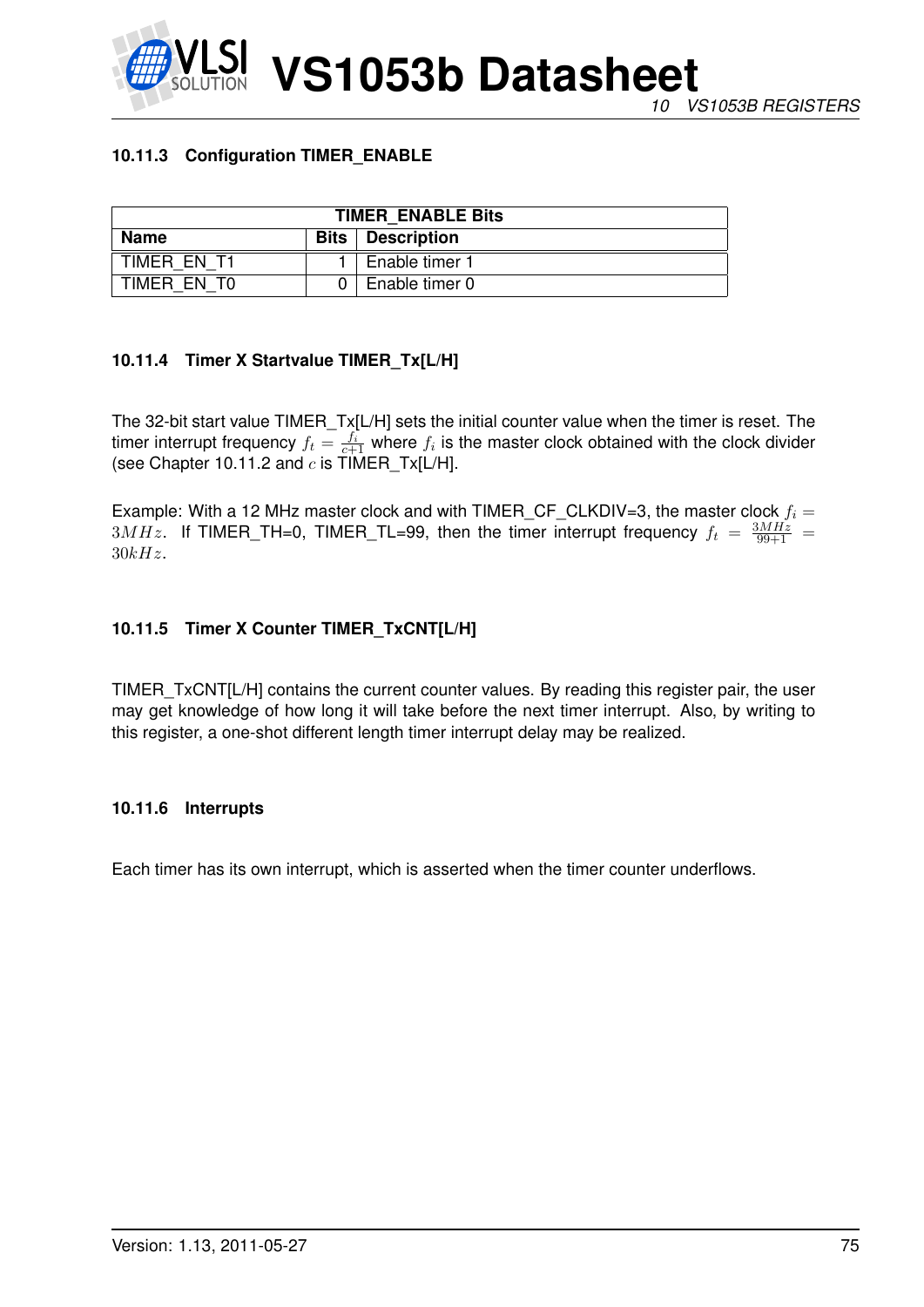

# **10.11.3 Configuration TIMER\_ENABLE**

| <b>TIMER ENABLE Bits</b> |             |                    |  |
|--------------------------|-------------|--------------------|--|
| <b>Name</b>              | <b>Bits</b> | <b>Description</b> |  |
| TIMER EN T1              |             | Enable timer 1     |  |
| TIMER EN TO              |             | Enable timer 0     |  |

# **10.11.4 Timer X Startvalue TIMER\_Tx[L/H]**

The 32-bit start value TIMER\_Tx[L/H] sets the initial counter value when the timer is reset. The timer interrupt frequency  $f_t = \frac{f_i}{c+1}$  where  $f_i$  is the master clock obtained with the clock divider (see Chapter [10.11.2](#page-73-0) and  $c$  is  $\text{TIMER}_{\text{max}}$ [L/H].

Example: With a 12 MHz master clock and with TIMER\_CF\_CLKDIV=3, the master clock  $f_i =$  $3MHz$ . If TIMER\_TH=0, TIMER\_TL=99, then the timer interrupt frequency  $f_t = \frac{3MHz}{99+1}$  =  $30kHz.$ 

## **10.11.5 Timer X Counter TIMER\_TxCNT[L/H]**

TIMER\_TxCNT[L/H] contains the current counter values. By reading this register pair, the user may get knowledge of how long it will take before the next timer interrupt. Also, by writing to this register, a one-shot different length timer interrupt delay may be realized.

### **10.11.6 Interrupts**

Each timer has its own interrupt, which is asserted when the timer counter underflows.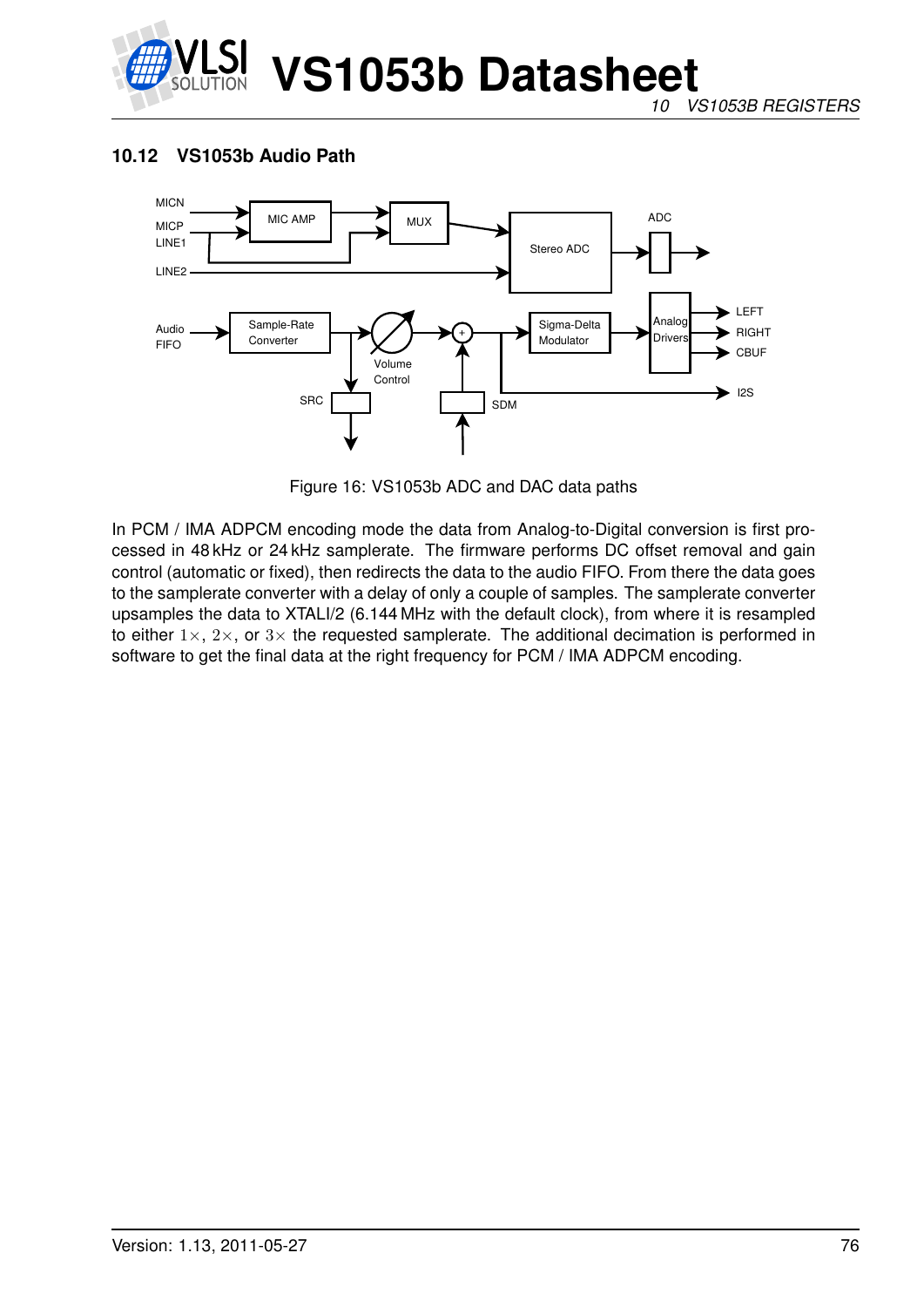

# **10.12 VS1053b Audio Path**



Figure 16: VS1053b ADC and DAC data paths

In PCM / IMA ADPCM encoding mode the data from Analog-to-Digital conversion is first processed in 48 kHz or 24 kHz samplerate. The firmware performs DC offset removal and gain control (automatic or fixed), then redirects the data to the audio FIFO. From there the data goes to the samplerate converter with a delay of only a couple of samples. The samplerate converter upsamples the data to XTALI/2 (6.144 MHz with the default clock), from where it is resampled to either  $1\times$ ,  $2\times$ , or  $3\times$  the requested samplerate. The additional decimation is performed in software to get the final data at the right frequency for PCM / IMA ADPCM encoding.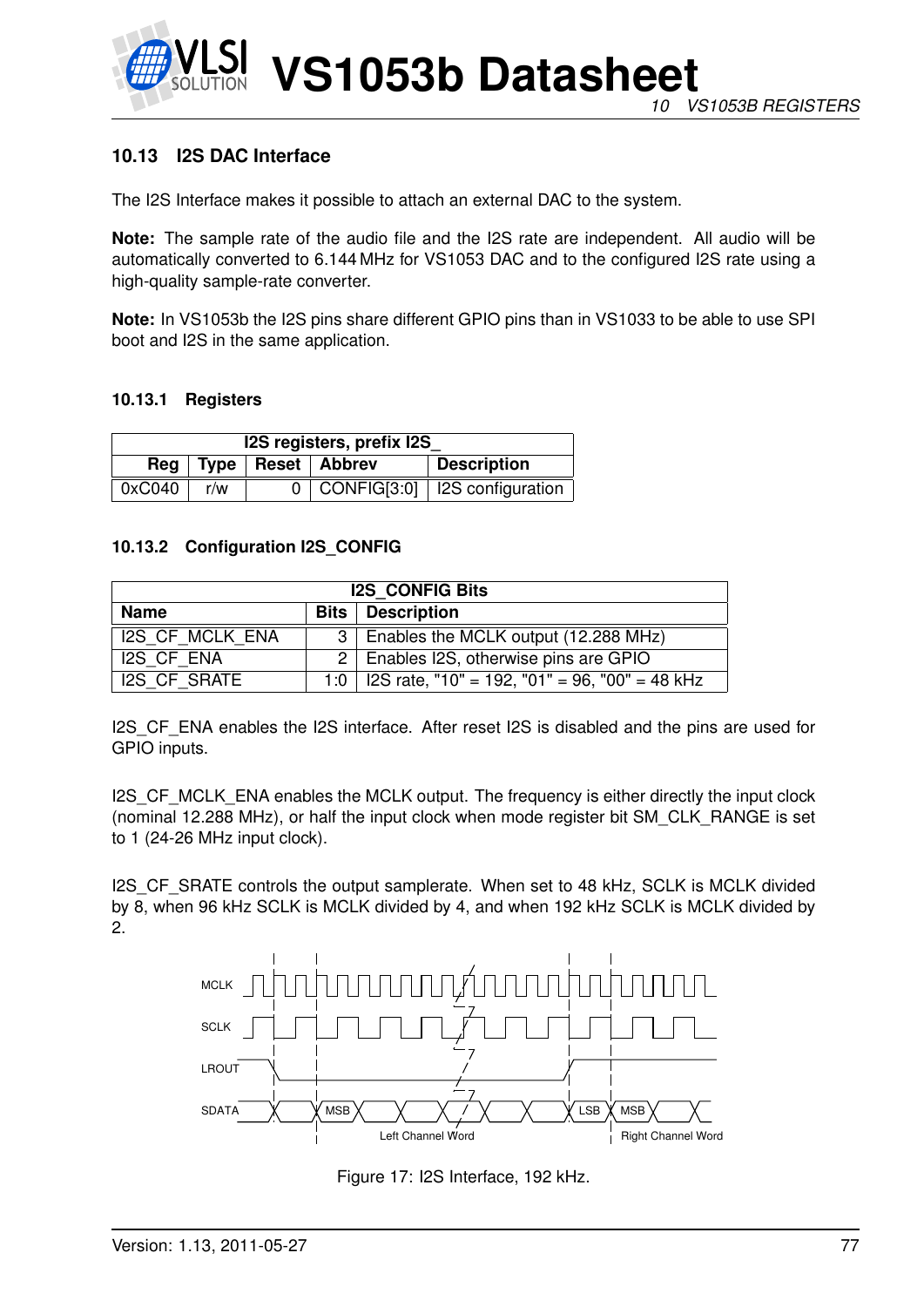

# **10.13 I2S DAC Interface**

The I2S Interface makes it possible to attach an external DAC to the system.

**Note:** The sample rate of the audio file and the I2S rate are independent. All audio will be automatically converted to 6.144 MHz for VS1053 DAC and to the configured I2S rate using a high-quality sample-rate converter.

**Note:** In VS1053b the I2S pins share different GPIO pins than in VS1033 to be able to use SPI boot and I2S in the same application.

### **10.13.1 Registers**

| I2S registers, prefix I2S |     |  |                             |                                     |
|---------------------------|-----|--|-----------------------------|-------------------------------------|
|                           |     |  | Reg   Type   Reset   Abbrev | <b>Description</b>                  |
| 0xC040                    | r/w |  |                             | 0   CONFIG[3:0]   I2S configuration |

### **10.13.2 Configuration I2S\_CONFIG**

| <b>I2S CONFIG Bits</b> |             |                                                |  |
|------------------------|-------------|------------------------------------------------|--|
| <b>Name</b>            |             | <b>Bits</b>   Description                      |  |
| <b>I2S CF MCLK ENA</b> |             | 3   Enables the MCLK output (12.288 MHz)       |  |
| <b>I2S CF ENA</b>      |             | 2   Enables I2S, otherwise pins are GPIO       |  |
| <b>I2S CF SRATE</b>    | 1:0 $\vert$ | I2S rate, "10" = 192, "01" = 96, "00" = 48 kHz |  |

I2S CF ENA enables the I2S interface. After reset I2S is disabled and the pins are used for GPIO inputs.

I2S CF MCLK ENA enables the MCLK output. The frequency is either directly the input clock (nominal 12.288 MHz), or half the input clock when mode register bit SM\_CLK\_RANGE is set to 1 (24-26 MHz input clock).

I2S CF SRATE controls the output samplerate. When set to 48 kHz, SCLK is MCLK divided by 8, when 96 kHz SCLK is MCLK divided by 4, and when 192 kHz SCLK is MCLK divided by 2.



Figure 17: I2S Interface, 192 kHz.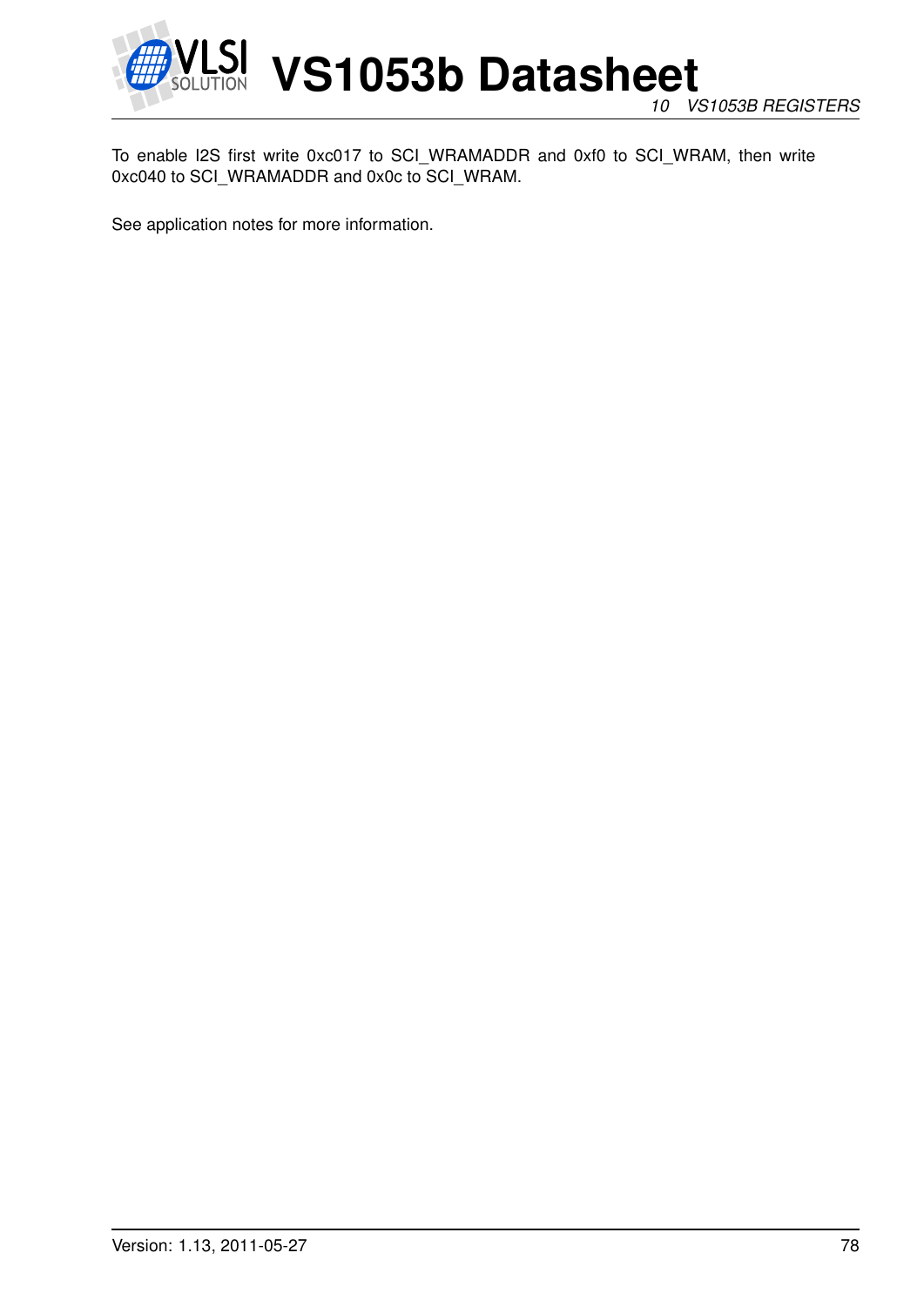

*10 VS1053B REGISTERS*

To enable I2S first write 0xc017 to SCI\_WRAMADDR and 0xf0 to SCI\_WRAM, then write 0xc040 to SCI\_WRAMADDR and 0x0c to SCI\_WRAM.

See application notes for more information.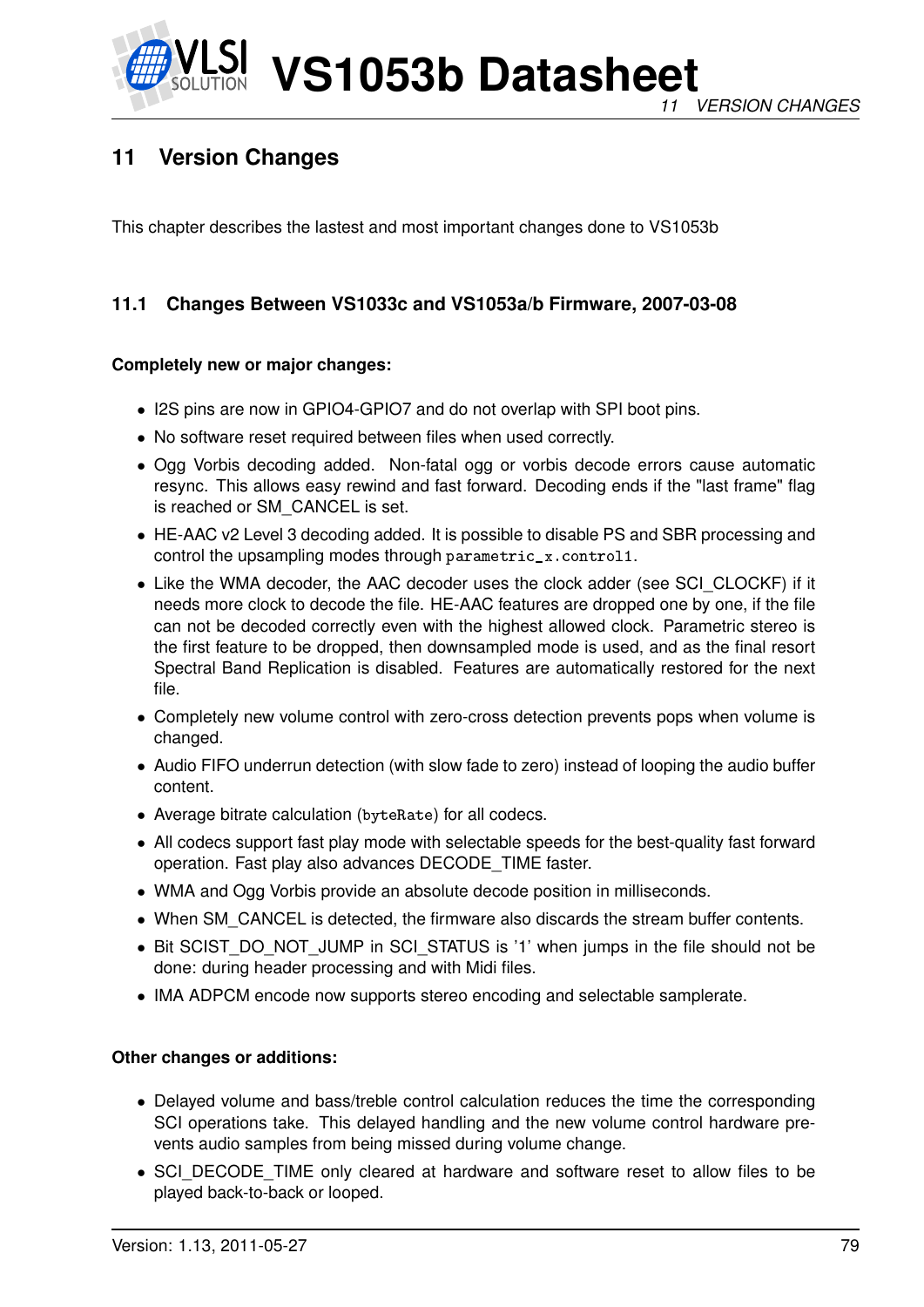

# **11 Version Changes**

This chapter describes the lastest and most important changes done to VS1053b

# **11.1 Changes Between VS1033c and VS1053a/b Firmware, 2007-03-08**

## **Completely new or major changes:**

- I2S pins are now in GPIO4-GPIO7 and do not overlap with SPI boot pins.
- No software reset required between files when used correctly.
- Ogg Vorbis decoding added. Non-fatal ogg or vorbis decode errors cause automatic resync. This allows easy rewind and fast forward. Decoding ends if the "last frame" flag is reached or SM\_CANCEL is set.
- HE-AAC v2 Level 3 decoding added. It is possible to disable PS and SBR processing and control the upsampling modes through parametric\_x.control1.
- Like the WMA decoder, the AAC decoder uses the clock adder (see SCI\_CLOCKF) if it needs more clock to decode the file. HE-AAC features are dropped one by one, if the file can not be decoded correctly even with the highest allowed clock. Parametric stereo is the first feature to be dropped, then downsampled mode is used, and as the final resort Spectral Band Replication is disabled. Features are automatically restored for the next file.
- Completely new volume control with zero-cross detection prevents pops when volume is changed.
- Audio FIFO underrun detection (with slow fade to zero) instead of looping the audio buffer content.
- Average bitrate calculation (byteRate) for all codecs.
- All codecs support fast play mode with selectable speeds for the best-quality fast forward operation. Fast play also advances DECODE\_TIME faster.
- WMA and Ogg Vorbis provide an absolute decode position in milliseconds.
- When SM\_CANCEL is detected, the firmware also discards the stream buffer contents.
- Bit SCIST\_DO\_NOT\_JUMP in SCI\_STATUS is '1' when jumps in the file should not be done: during header processing and with Midi files.
- IMA ADPCM encode now supports stereo encoding and selectable samplerate.

### **Other changes or additions:**

- Delayed volume and bass/treble control calculation reduces the time the corresponding SCI operations take. This delayed handling and the new volume control hardware prevents audio samples from being missed during volume change.
- SCI\_DECODE\_TIME only cleared at hardware and software reset to allow files to be played back-to-back or looped.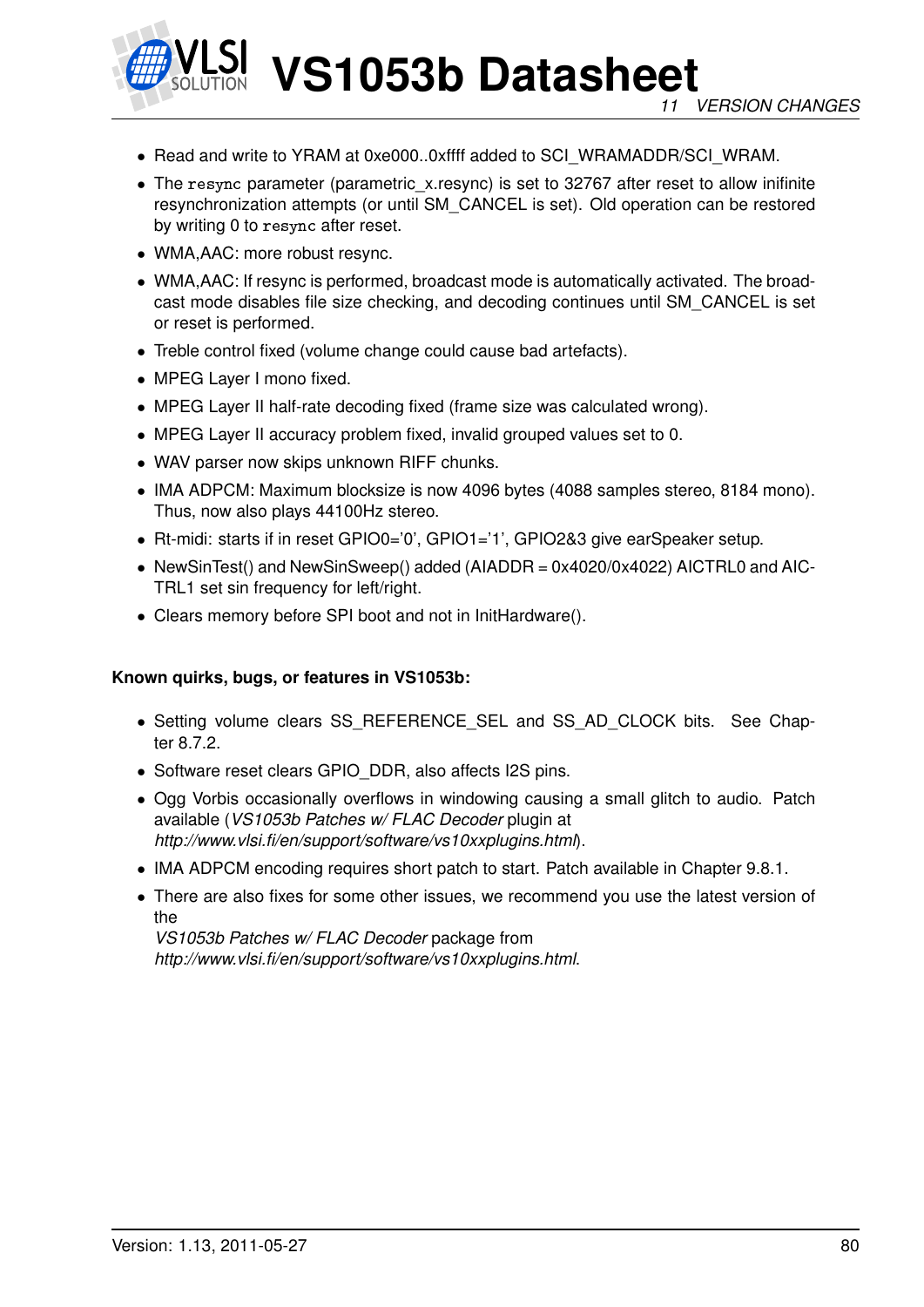

- Read and write to YRAM at 0xe000..0xffff added to SCI\_WRAMADDR/SCI\_WRAM.
- The resync parameter (parametric\_x.resync) is set to 32767 after reset to allow inifinite resynchronization attempts (or until SM\_CANCEL is set). Old operation can be restored by writing 0 to resync after reset.
- WMA,AAC: more robust resync.
- WMA,AAC: If resync is performed, broadcast mode is automatically activated. The broadcast mode disables file size checking, and decoding continues until SM\_CANCEL is set or reset is performed.
- Treble control fixed (volume change could cause bad artefacts).
- MPEG Layer I mono fixed.
- MPEG Layer II half-rate decoding fixed (frame size was calculated wrong).
- MPEG Layer II accuracy problem fixed, invalid grouped values set to 0.
- WAV parser now skips unknown RIFF chunks.
- IMA ADPCM: Maximum blocksize is now 4096 bytes (4088 samples stereo, 8184 mono). Thus, now also plays 44100Hz stereo.
- Rt-midi: starts if in reset GPIO0='0', GPIO1='1', GPIO2&3 give earSpeaker setup.
- NewSinTest() and NewSinSweep() added (AIADDR = 0x4020/0x4022) AICTRL0 and AIC-TRL1 set sin frequency for left/right.
- Clears memory before SPI boot and not in InitHardware().

### **Known quirks, bugs, or features in VS1053b:**

- Setting volume clears SS\_REFERENCE\_SEL and SS\_AD\_CLOCK bits. See Chapter [8.7.2.](#page-37-0)
- Software reset clears GPIO DDR, also affects I2S pins.
- Ogg Vorbis occasionally overflows in windowing causing a small glitch to audio. Patch available (*VS1053b Patches w/ FLAC Decoder* plugin at *http://www.vlsi.fi/en/support/software/vs10xxplugins.html*).
- IMA ADPCM encoding requires short patch to start. Patch available in Chapter [9.8.1.](#page-50-0)
- There are also fixes for some other issues, we recommend you use the latest version of the

*VS1053b Patches w/ FLAC Decoder* package from *http://www.vlsi.fi/en/support/software/vs10xxplugins.html*.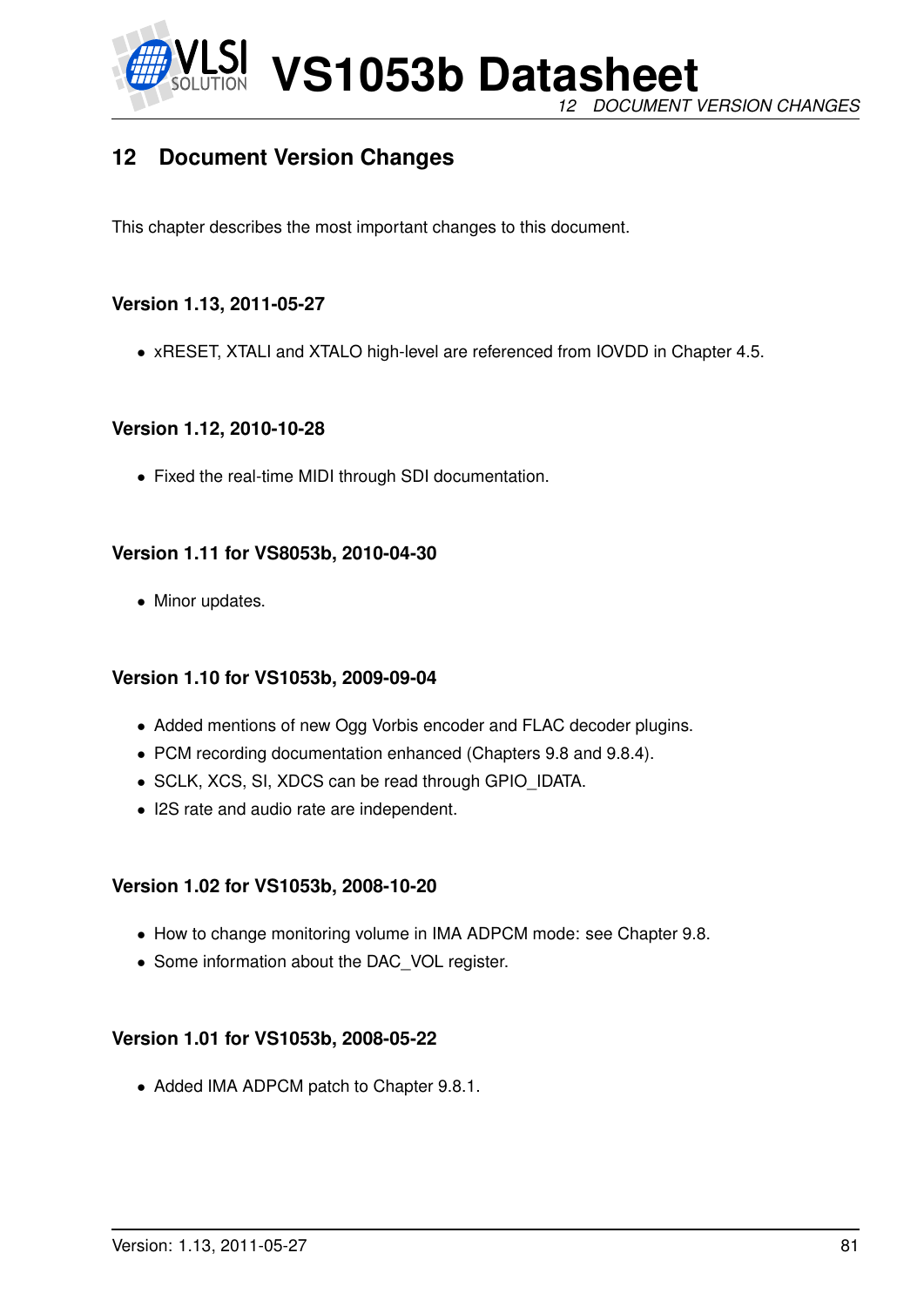

**VS1053b Datasheet** *12 DOCUMENT VERSION CHANGES*

# **12 Document Version Changes**

This chapter describes the most important changes to this document.

# **Version 1.13, 2011-05-27**

• xRESET, XTALI and XTALO high-level are referenced from IOVDD in Chapter [4.5.](#page-8-0)

# **Version 1.12, 2010-10-28**

• Fixed the real-time MIDI through SDI documentation.

## **Version 1.11 for VS8053b, 2010-04-30**

• Minor updates.

# **Version 1.10 for VS1053b, 2009-09-04**

- Added mentions of new Ogg Vorbis encoder and FLAC decoder plugins.
- PCM recording documentation enhanced (Chapters [9.8](#page-50-1) and [9.8.4\)](#page-53-0).
- SCLK, XCS, SI, XDCS can be read through GPIO\_IDATA.
- I2S rate and audio rate are independent.

# **Version 1.02 for VS1053b, 2008-10-20**

- How to change monitoring volume in IMA ADPCM mode: see Chapter [9.8.](#page-50-1)
- Some information about the DAC\_VOL register.

### **Version 1.01 for VS1053b, 2008-05-22**

• Added IMA ADPCM patch to Chapter [9.8.1.](#page-50-0)